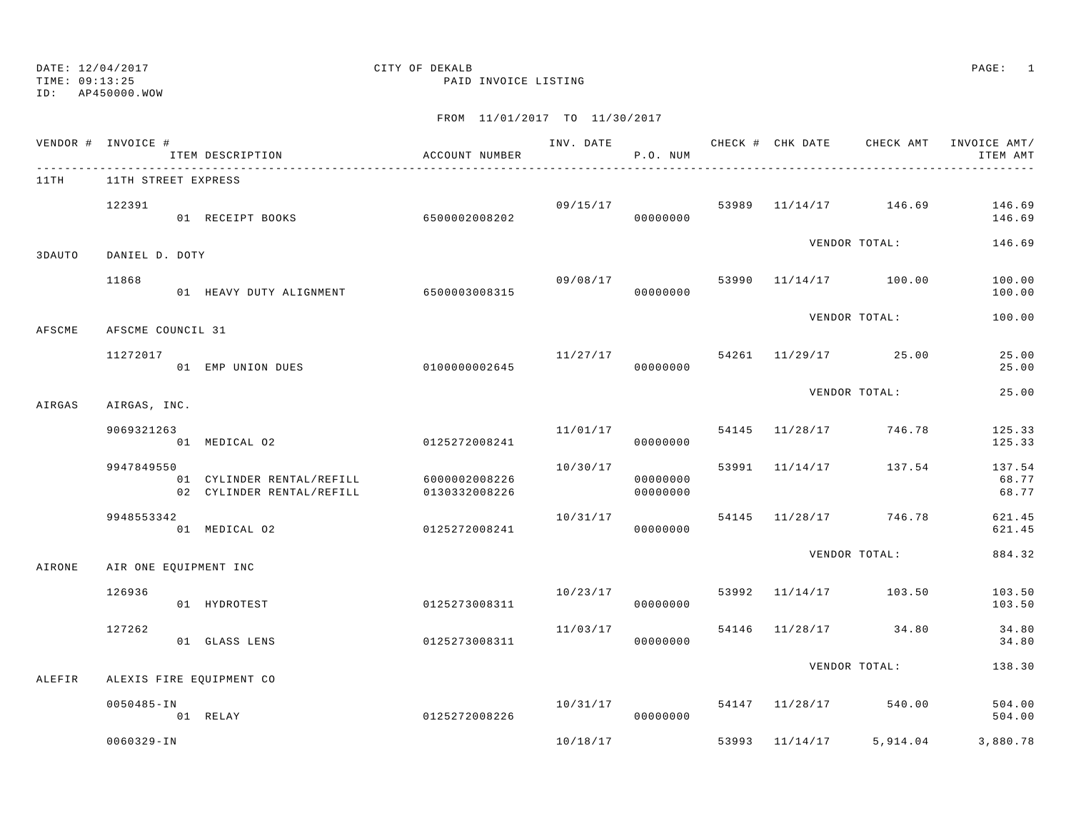### DATE: 12/04/2017 CITY OF DEKALB PAGE: 1 TIME: 09:13:25 PAID INVOICE LISTING

|        | VENDOR # INVOICE #<br>ITEM DESCRIPTION                               | ACCOUNT NUMBER                        |                                  | P.O. NUM             |  |                                    | INV. DATE 6 CHECK # CHK DATE CHECK AMT INVOICE AMT/<br>ITEM AMT |
|--------|----------------------------------------------------------------------|---------------------------------------|----------------------------------|----------------------|--|------------------------------------|-----------------------------------------------------------------|
| 11TH   | 11TH STREET EXPRESS                                                  |                                       |                                  |                      |  |                                    |                                                                 |
|        | 122391<br>01 RECEIPT BOOKS                                           | 6500002008202                         |                                  | 00000000             |  | $09/15/17$ 53989 11/14/17 146.69   | 146.69<br>146.69                                                |
| 3DAUTO | DANIEL D. DOTY                                                       |                                       |                                  |                      |  | VENDOR TOTAL:                      | 146.69                                                          |
|        | 11868                                                                | 01 HEAVY DUTY ALIGNMENT 6500003008315 | 09/08/17                         | 00000000             |  | 53990 11/14/17 100.00              | 100.00<br>100.00                                                |
| AFSCME | AFSCME COUNCIL 31                                                    |                                       |                                  |                      |  | VENDOR TOTAL:                      | 100.00                                                          |
|        | 11272017<br>01 EMP UNION DUES                                        | 01000000002645                        | 00000000                         |                      |  | $11/27/17$ 54261 11/29/17 25.00    | 25.00<br>25.00                                                  |
| AIRGAS | AIRGAS, INC.                                                         |                                       |                                  |                      |  | VENDOR TOTAL:                      | 25.00                                                           |
|        | 9069321263<br>01 MEDICAL 02                                          | 0125272008241                         | 11/01/17                         | 00000000             |  | 54145 11/28/17 746.78              | 125.33<br>125.33                                                |
|        | 9947849550<br>01 CYLINDER RENTAL/REFILL<br>02 CYLINDER RENTAL/REFILL | 6000002008226<br>0130332008226        | 10/30/17                         | 00000000<br>00000000 |  | 53991 11/14/17 137.54              | 137.54<br>68.77<br>68.77                                        |
|        | 9948553342<br>01 MEDICAL 02                                          | 0125272008241                         | $10/31/17$ 54145 11/28/17 746.78 | 00000000             |  |                                    | 621.45<br>621.45                                                |
| AIRONE | AIR ONE EQUIPMENT INC                                                |                                       |                                  |                      |  | VENDOR TOTAL:                      | 884.32                                                          |
|        | 126936<br>01 HYDROTEST                                               | 0125273008311                         | 10/23/17                         | 00000000             |  | 53992 11/14/17 103.50              | 103.50<br>103.50                                                |
|        | 127262<br>01 GLASS LENS                                              | 0125273008311                         | 11/03/17                         | 00000000             |  | 54146 11/28/17 34.80               | 34.80<br>34.80                                                  |
| ALEFIR | ALEXIS FIRE EQUIPMENT CO                                             |                                       |                                  |                      |  | VENDOR TOTAL:                      | 138.30                                                          |
|        | $0050485 - IN$<br>01 RELAY                                           | 0125272008226                         |                                  | 00000000             |  | $10/31/17$ 54147 $11/28/17$ 540.00 | 504.00<br>504.00                                                |
|        | 0060329-IN                                                           |                                       |                                  |                      |  |                                    | $10/18/17$ 53993 $11/14/17$ 5,914.04 3,880.78                   |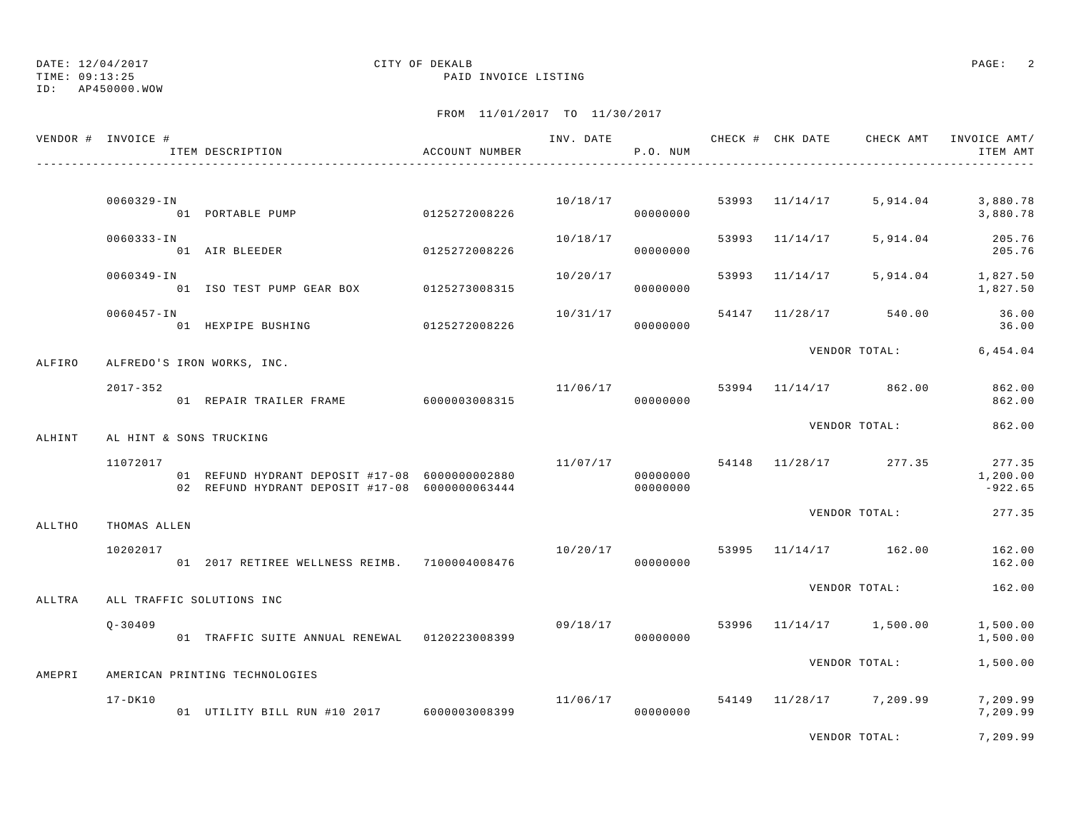TIME: 09:13:25 PAID INVOICE LISTING

## DATE: 12/04/2017 CITY OF DEKALB PAGE: 2

ID: AP450000.WOW

FROM 11/01/2017 TO 11/30/2017

| VENDOR # INVOICE # |                | ITEM DESCRIPTION                               | ACCOUNT NUMBER |          | P.O. NUM |                | INV. DATE 6 CHECK # CHK DATE CHECK AMT INVOICE AMT/ | ITEM AMT              |
|--------------------|----------------|------------------------------------------------|----------------|----------|----------|----------------|-----------------------------------------------------|-----------------------|
|                    | 0060329-IN     |                                                |                |          |          |                | $10/18/17$ 53993 $11/14/17$ 5,914.04 3,880.78       |                       |
|                    |                | 01 PORTABLE PUMP 0125272008226                 |                |          | 00000000 |                |                                                     | 3,880.78              |
|                    | 0060333-IN     | 01 AIR BLEEDER 6125272008226                   |                | 10/18/17 | 00000000 | 53993 11/14/17 | 5,914.04                                            | 205.76<br>205.76      |
|                    | 0060349-IN     | 01 ISO TEST PUMP GEAR BOX 0125273008315        |                | 10/20/17 | 00000000 |                | 53993 11/14/17 5,914.04 1,827.50                    | 1,827.50              |
|                    | $0060457 - IN$ | 01 HEXPIPE BUSHING 0125272008226               |                | 10/31/17 | 00000000 |                | 54147 11/28/17 540.00                               | 36.00<br>36.00        |
| ALFIRO             |                | ALFREDO'S IRON WORKS, INC.                     |                |          |          |                | VENDOR TOTAL: 6,454.04                              |                       |
|                    | $2017 - 352$   | -<br>01 REPAIR TRAILER FRAME 6000003008315     |                | 00000000 |          |                | $11/06/17$ 53994 $11/14/17$ 862.00                  | 862.00<br>862.00      |
| ALHINT             |                | AL HINT & SONS TRUCKING                        |                |          |          |                | VENDOR TOTAL:                                       | 862.00                |
|                    | 11072017       | 01 REFUND HYDRANT DEPOSIT #17-08 6000000002880 |                |          | 00000000 |                | $11/07/17$ 54148 $11/28/17$ 277.35 277.35           | 1,200.00<br>$-922.65$ |
| ALLTHO             | THOMAS ALLEN   |                                                |                |          |          |                | VENDOR TOTAL:                                       | 277.35                |
|                    | 10202017       | 01 2017 RETIREE WELLNESS REIMB. 7100004008476  |                | 00000000 |          |                | $10/20/17$ 53995 $11/14/17$ 162.00                  | 162.00<br>162.00      |
| ALLTRA             |                | ALL TRAFFIC SOLUTIONS INC                      |                |          |          |                | VENDOR TOTAL:                                       | 162.00                |
|                    | $0 - 30409$    | 01 TRAFFIC SUITE ANNUAL RENEWAL 0120223008399  |                |          | 00000000 |                | $09/18/17$ 53996 11/14/17 1,500.00                  | 1,500.00<br>1,500.00  |
| AMEPRI             |                | AMERICAN PRINTING TECHNOLOGIES                 |                |          |          |                | VENDOR TOTAL:                                       | 1,500.00              |
|                    | $17 - DK10$    | 01 UTILITY BILL RUN #10 2017 6000003008399     |                |          | 00000000 |                | $11/06/17$ 54149 $11/28/17$ 7,209.99                | 7,209.99<br>7,209.99  |
|                    |                |                                                |                |          |          |                |                                                     |                       |

VENDOR TOTAL: 7,209.99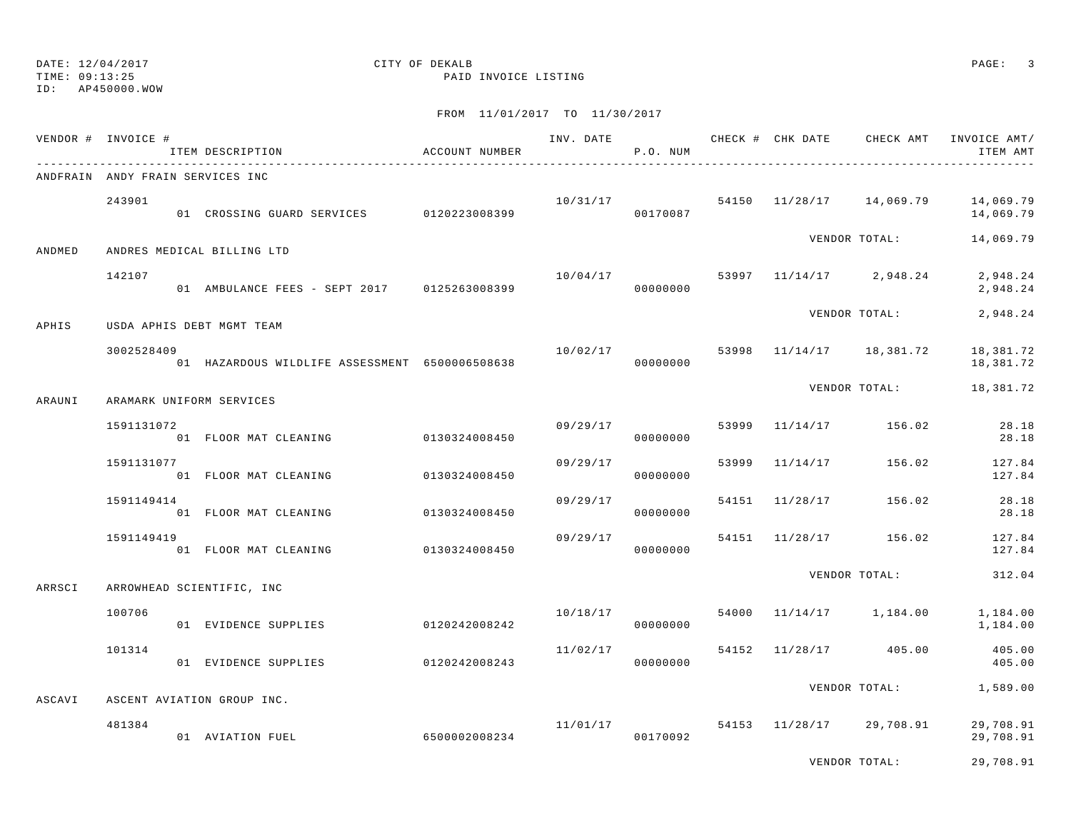TIME: 09:13:25 PAID INVOICE LISTING

ID: AP450000.WOW

|        | VENDOR # INVOICE #               | ACCOUNT NUMBER<br>ITEM DESCRIPTION             |               |          | P.O. NUM             |       |                                       | INV. DATE 6 CHECK # CHK DATE CHECK AMT INVOICE AMT/<br>ITEM AMT |
|--------|----------------------------------|------------------------------------------------|---------------|----------|----------------------|-------|---------------------------------------|-----------------------------------------------------------------|
|        | ANDFRAIN ANDY FRAIN SERVICES INC |                                                |               |          |                      |       |                                       |                                                                 |
|        | 243901                           | 01 CROSSING GUARD SERVICES 0120223008399       |               | 00170087 |                      |       | $10/31/17$ 54150 $11/28/17$ 14,069.79 | 14,069.79<br>14,069.79                                          |
| ANDMED |                                  | ANDRES MEDICAL BILLING LTD                     |               |          |                      |       | VENDOR TOTAL:                         | 14,069.79                                                       |
|        | 142107                           |                                                |               | 10/04/17 |                      |       | 53997 11/14/17 2,948.24               | 2,948.24<br>2,948.24                                            |
| APHIS  |                                  | USDA APHIS DEBT MGMT TEAM                      |               |          |                      |       | VENDOR TOTAL:                         | 2,948.24                                                        |
|        | 3002528409                       | 01 HAZARDOUS WILDLIFE ASSESSMENT 6500006508638 |               | 10/02/17 | 00000000             |       | 53998 11/14/17 18,381.72              | 18,381.72<br>18,381.72                                          |
| ARAUNI | ARAMARK UNIFORM SERVICES         |                                                |               |          |                      |       | VENDOR TOTAL:                         | 18,381.72                                                       |
|        | 1591131072                       | 01 FLOOR MAT CLEANING                          | 0130324008450 |          | 09/29/17<br>00000000 | 53999 | 11/14/17 156.02                       | 28.18<br>28.18                                                  |
|        | 1591131077                       | 01 FLOOR MAT CLEANING                          | 0130324008450 | 09/29/17 | 00000000             |       | 53999 11/14/17 156.02                 | 127.84<br>127.84                                                |
|        | 1591149414                       | 01 FLOOR MAT CLEANING                          | 0130324008450 | 09/29/17 | 00000000             |       | 54151 11/28/17 156.02                 | 28.18<br>28.18                                                  |
|        | 1591149419                       | 01 FLOOR MAT CLEANING                          | 0130324008450 | 09/29/17 | 00000000             |       | 54151 11/28/17 156.02                 | 127.84<br>127.84                                                |
| ARRSCI |                                  | ARROWHEAD SCIENTIFIC, INC                      |               |          |                      |       | VENDOR TOTAL:                         | 312.04                                                          |
|        | 100706                           | 01 EVIDENCE SUPPLIES 0120242008242             |               | 10/18/17 | 00000000             |       | 54000 11/14/17 1,184.00               | 1,184.00<br>1,184.00                                            |
|        | 101314                           | 01 EVIDENCE SUPPLIES 0120242008243             |               | 11/02/17 | 00000000             |       | 54152 11/28/17 405.00                 | 405.00<br>405.00                                                |
| ASCAVI |                                  | ASCENT AVIATION GROUP INC.                     |               |          |                      |       |                                       | VENDOR TOTAL: 1,589.00                                          |
|        | 481384                           | 01 AVIATION FUEL                               | 6500002008234 | 11/01/17 | 00170092             |       | 54153 11/28/17 29,708.91              | 29,708.91<br>29,708.91                                          |
|        |                                  |                                                |               |          |                      |       | VENDOR TOTAL:                         | 29,708.91                                                       |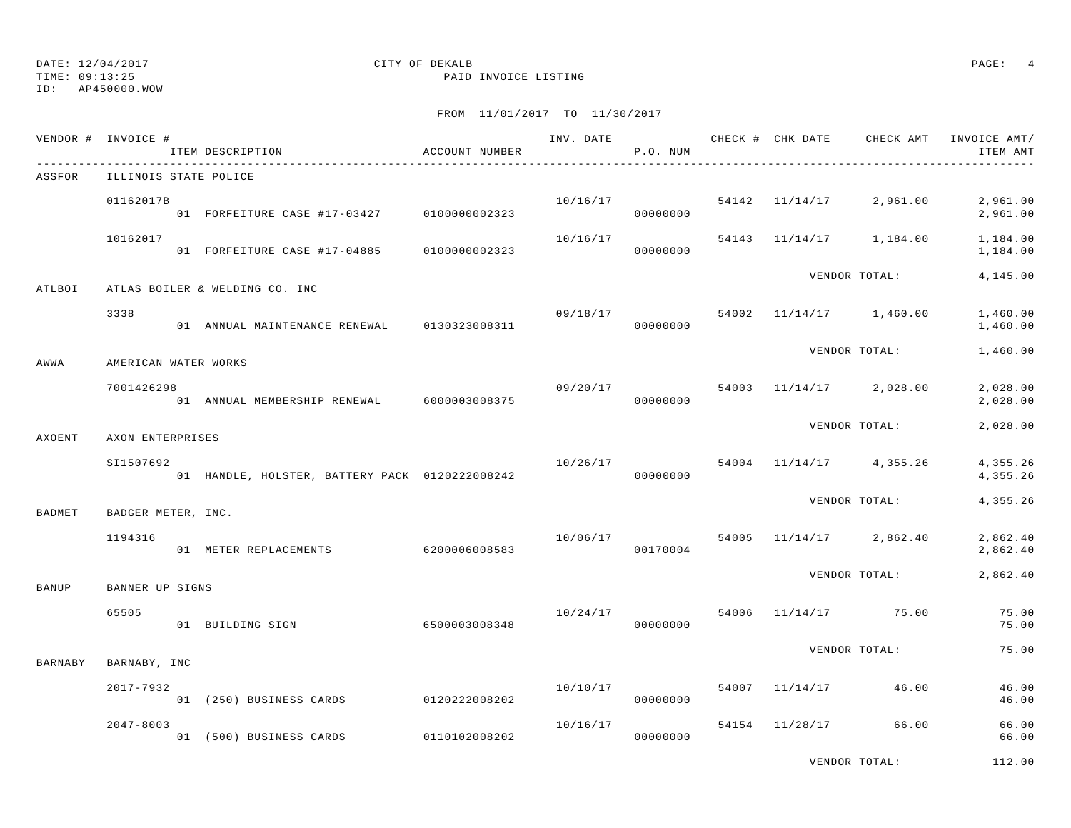ID: AP450000.WOW

## FROM 11/01/2017 TO 11/30/2017

|                | VENDOR # INVOICE #    | ITEM DESCRIPTION                               | ACCOUNT NUMBER |          | P.O. NUM |                      |                                      | INVOICE AMT/<br>ITEM AMT |
|----------------|-----------------------|------------------------------------------------|----------------|----------|----------|----------------------|--------------------------------------|--------------------------|
| ASSFOR         | ILLINOIS STATE POLICE |                                                |                |          |          |                      |                                      |                          |
|                | 01162017B             | 01 FORFEITURE CASE #17-03427 0100000002323     |                |          | 00000000 |                      | $10/16/17$ 54142 $11/14/17$ 2,961.00 | 2,961.00<br>2,961.00     |
|                | 10162017              | 01 FORFEITURE CASE #17-04885                   | 0100000002323  | 10/16/17 | 00000000 |                      | 54143 11/14/17 1,184.00              | 1,184.00<br>1,184.00     |
| ATLBOI         |                       | ATLAS BOILER & WELDING CO. INC                 |                |          |          |                      | VENDOR TOTAL:                        | 4,145.00                 |
|                | 3338                  | 01 ANNUAL MAINTENANCE RENEWAL 0130323008311    |                | 09/18/17 | 00000000 |                      | 54002 11/14/17 1,460.00              | 1,460.00<br>1,460.00     |
| AWWA           | AMERICAN WATER WORKS  |                                                |                |          |          |                      | VENDOR TOTAL:                        | 1,460.00                 |
|                | 7001426298            | 01 ANNUAL MEMBERSHIP RENEWAL 6000003008375     |                | 09/20/17 | 00000000 |                      | 54003 11/14/17 2,028.00              | 2,028.00<br>2,028.00     |
| AXOENT         | AXON ENTERPRISES      |                                                |                |          |          |                      | VENDOR TOTAL:                        | 2,028.00                 |
|                | SI1507692             | 01 HANDLE, HOLSTER, BATTERY PACK 0120222008242 |                | 10/26/17 | 00000000 |                      | 54004 11/14/17 4,355.26              | 4,355.26<br>4,355.26     |
| BADMET         | BADGER METER, INC.    |                                                |                |          |          |                      | VENDOR TOTAL:                        | 4,355.26                 |
|                | 1194316               | 01 METER REPLACEMENTS                          | 6200006008583  | 10/06/17 | 00170004 |                      | 54005 11/14/17 2,862.40              | 2,862.40<br>2,862.40     |
| BANUP          | BANNER UP SIGNS       |                                                |                |          |          |                      | VENDOR TOTAL:                        | 2,862.40                 |
|                | 65505                 | 6500003008348<br>01 BUILDING SIGN              |                | 10/24/17 | 00000000 |                      | 54006 11/14/17 75.00                 | 75.00<br>75.00           |
| <b>BARNABY</b> | BARNABY, INC          |                                                |                |          |          |                      | VENDOR TOTAL:                        | 75.00                    |
|                | $2017 - 7932$         | 01 (250) BUSINESS CARDS 0120222008202          |                | 10/10/17 | 00000000 | 54007 11/14/17 46.00 |                                      | 46.00<br>46.00           |
|                | $2047 - 8003$         | 01 (500) BUSINESS CARDS 0110102008202          |                | 10/16/17 | 00000000 | 54154 11/28/17       | 66.00                                | 66.00<br>66.00           |

VENDOR TOTAL: 112.00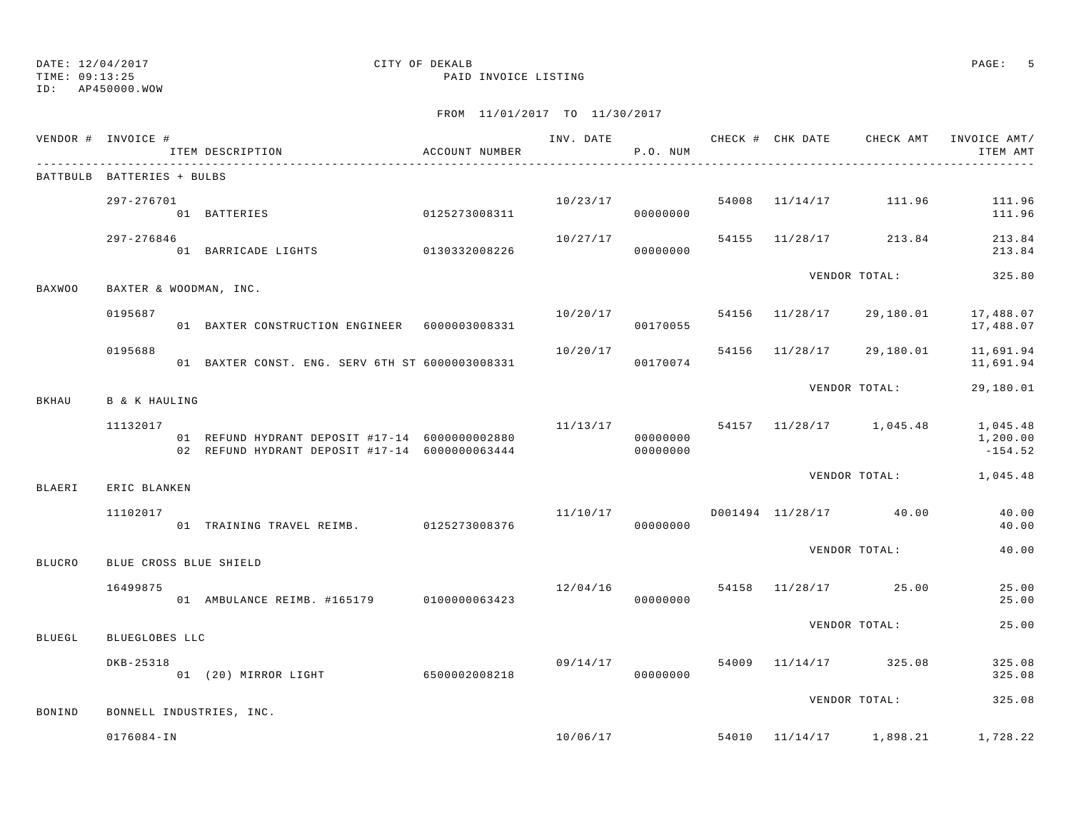TIME: 09:13:25 PAID INVOICE LISTING

ID: AP450000.WOW

| VENDOR # INVOICE #         |                      | ITEM DESCRIPTION                                                                                 | ACCOUNT NUMBER |          | P.O. NUM             |  |                                         | ITEM AMT                          |
|----------------------------|----------------------|--------------------------------------------------------------------------------------------------|----------------|----------|----------------------|--|-----------------------------------------|-----------------------------------|
| BATTBULB BATTERIES + BULBS |                      |                                                                                                  |                |          |                      |  |                                         |                                   |
|                            | 297-276701           | 12/0/01<br>01 BATTERIES 0125273008311                                                            |                | 10/23/17 | 000000000            |  | 54008 11/14/17 111.96                   | 111.96<br>111.96                  |
|                            | 297-276846           |                                                                                                  |                | 10/27/17 |                      |  | 54155 11/28/17 213.84                   | 213.84<br>213.84                  |
| <b>BAXWOO</b>              |                      | BAXTER & WOODMAN, INC.                                                                           |                |          |                      |  | VENDOR TOTAL:                           | 325.80                            |
|                            | 0195687              | 01 BAXTER CONSTRUCTION ENGINEER 6000003008331                                                    |                |          | 00170055             |  | $10/20/17$ 54156 11/28/17 29,180.01     | 17,488.07<br>17,488.07            |
|                            | 0195688              | 01 BAXTER CONST. ENG. SERV 6TH ST 6000003008331 6666 00170074                                    |                |          |                      |  | $10/20/17$ 54156 $11/28/17$ 29,180.01   | 11,691.94<br>11,691.94            |
| BKHAU                      | <b>B</b> & K HAULING |                                                                                                  |                |          |                      |  | VENDOR TOTAL:                           | 29,180.01                         |
|                            | 11132017             | 01 REFUND HYDRANT DEPOSIT #17-14 6000000002880<br>02 REFUND HYDRANT DEPOSIT #17-14 6000000063444 |                |          | 00000000<br>00000000 |  | $11/13/17$ 54157 11/28/17 1,045.48      | 1,045.48<br>1,200.00<br>$-154.52$ |
| BLAERI                     | ERIC BLANKEN         |                                                                                                  |                |          |                      |  | VENDOR TOTAL: 1,045.48                  |                                   |
|                            | 11102017             | 01 TRAINING TRAVEL REIMB. 0125273008376                                                          |                |          | 00000000             |  | $11/10/17$ $D001494$ $11/28/17$ $40.00$ | 40.00<br>40.00                    |
| <b>BLUCRO</b>              |                      | BLUE CROSS BLUE SHIELD                                                                           |                |          |                      |  | VENDOR TOTAL:                           | 40.00                             |
|                            | 16499875             | 01 AMBULANCE REIMB. #165179 0100000063423 000000000 00000000                                     |                |          |                      |  | 12/04/16 54158 11/28/17 25.00           | 25.00<br>25.00                    |
| BLUEGL                     | BLUEGLOBES LLC       |                                                                                                  |                |          |                      |  | VENDOR TOTAL:                           | 25.00                             |
|                            | DKB-25318            |                                                                                                  |                |          |                      |  | $09/14/17$ 54009 11/14/17 325.08        | 325.08<br>325.08                  |
| BONIND                     |                      | BONNELL INDUSTRIES, INC.                                                                         |                |          |                      |  | VENDOR TOTAL:                           | 325.08                            |
|                            | $0176084 - IN$       |                                                                                                  |                |          |                      |  | $10/06/17$ 54010 $11/14/17$ 1,898.21    | 1,728.22                          |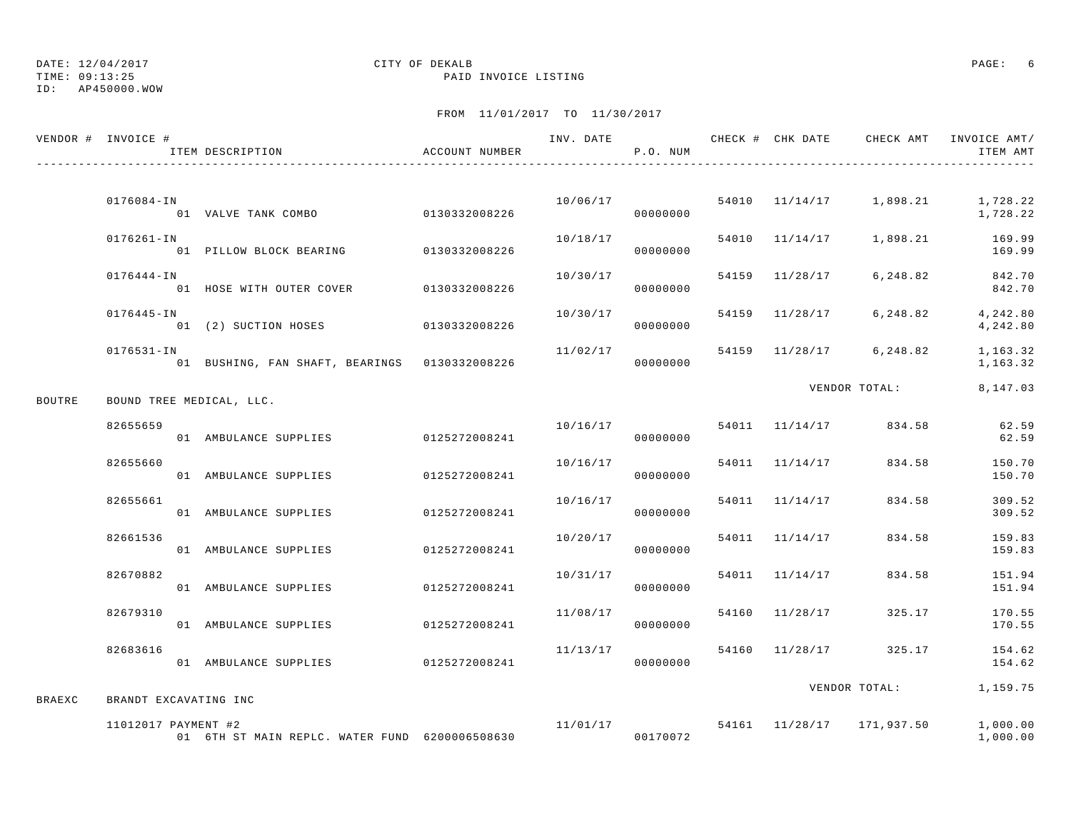TIME: 09:13:25 PAID INVOICE LISTING

ID: AP450000.WOW

|               | VENDOR # INVOICE #    | ITEM DESCRIPTION                                        | ACCOUNT NUMBER |          | P.O. NUM |                | INV. DATE 6 7 200 CHECK # CHK DATE 6 CHECK AMT INVOICE AMT/ | ITEM AMT             |
|---------------|-----------------------|---------------------------------------------------------|----------------|----------|----------|----------------|-------------------------------------------------------------|----------------------|
|               | $0176084 - IN$        |                                                         |                | 10/06/17 | 00000000 |                | 54010 11/14/17 1,898.21 1,728.22                            | 1,728.22             |
|               | $0176261 - IN$        | 01 PILLOW BLOCK BEARING 0130332008226                   |                | 10/18/17 | 00000000 |                | 54010 11/14/17 1,898.21                                     | 169.99<br>169.99     |
|               | 0176444-IN            | 01 HOSE WITH OUTER COVER 0130332008226                  |                | 10/30/17 | 00000000 | 54159 11/28/17 | 6,248.82                                                    | 842.70<br>842.70     |
|               | 0176445-IN            | 01 (2) SUCTION HOSES 0130332008226                      |                | 10/30/17 | 00000000 | 54159 11/28/17 | 6,248.82                                                    | 4,242.80<br>4,242.80 |
|               | $0176531 - IN$        | 01 BUSHING, FAN SHAFT, BEARINGS 0130332008226           |                | 11/02/17 | 00000000 |                | 54159 11/28/17 6,248.82                                     | 1,163.32<br>1,163.32 |
| BOUTRE        |                       | BOUND TREE MEDICAL, LLC.                                |                |          |          |                | VENDOR TOTAL:                                               | 8,147.03             |
|               | 82655659              | 01 AMBULANCE SUPPLIES                                   | 0125272008241  | 10/16/17 | 00000000 | 54011 11/14/17 | 834.58                                                      | 62.59<br>62.59       |
|               | 82655660              | 01 AMBULANCE SUPPLIES                                   | 0125272008241  | 10/16/17 | 00000000 | 54011 11/14/17 | 834.58                                                      | 150.70<br>150.70     |
|               | 82655661              | 01 AMBULANCE SUPPLIES                                   | 0125272008241  | 10/16/17 | 00000000 | 54011 11/14/17 | 834.58                                                      | 309.52<br>309.52     |
|               | 82661536              | 01 AMBULANCE SUPPLIES                                   | 0125272008241  | 10/20/17 | 00000000 | 54011 11/14/17 | 834.58                                                      | 159.83<br>159.83     |
|               | 82670882              | 01 AMBULANCE SUPPLIES                                   | 0125272008241  | 10/31/17 | 00000000 | 54011 11/14/17 | 834.58                                                      | 151.94<br>151.94     |
|               | 82679310              | 01 AMBULANCE SUPPLIES                                   | 0125272008241  | 11/08/17 | 00000000 | 54160 11/28/17 | 325.17                                                      | 170.55<br>170.55     |
|               | 82683616              | 01 AMBULANCE SUPPLIES                                   | 0125272008241  | 11/13/17 | 00000000 | 54160 11/28/17 | 325.17                                                      | 154.62<br>154.62     |
| <b>BRAEXC</b> | BRANDT EXCAVATING INC |                                                         |                |          |          |                | VENDOR TOTAL:                                               | 1,159.75             |
|               | 11012017 PAYMENT #2   | 01 6TH ST MAIN REPLC. WATER FUND 6200006508630 00170072 |                |          |          |                | 11/01/17 54161 11/28/17 171,937.50                          | 1,000.00<br>1,000.00 |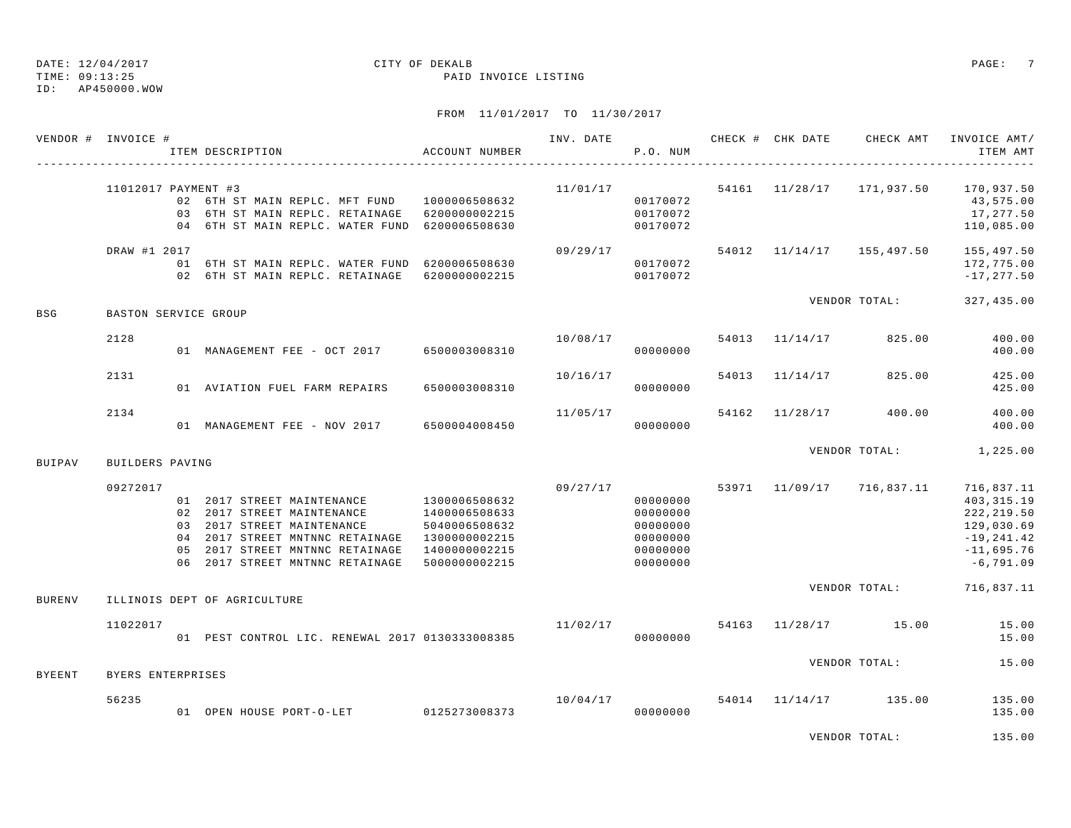TIME: 09:13:25 PAID INVOICE LISTING

ID: AP450000.WOW

## FROM 11/01/2017 TO 11/30/2017

| 11012017 PAYMENT #3<br>$11/01/17$ 54161 $11/28/17$ 171,937.50 170,937.50<br>02 6TH ST MAIN REPLC. MFT FUND 1000006508632<br>00170072<br>03 6TH ST MAIN REPLC. RETAINAGE 6200000002215<br>00170072<br>04 6TH ST MAIN REPLC. WATER FUND 6200006508630<br>00170072<br>54012 11/14/17 155,497.50<br>DRAW #1 2017<br>09/29/17<br>01 6TH ST MAIN REPLC. WATER FUND 6200006508630<br>00170072<br>02 6TH ST MAIN REPLC. RETAINAGE 6200000002215<br>00170072<br>VENDOR TOTAL: 327,435.00<br>BSG<br>BASTON SERVICE GROUP<br>2128<br>10/08/17<br>54013 11/14/17 825.00<br>01 MANAGEMENT FEE - OCT 2017 6500003008310<br>00000000<br>10/16/17<br>2131<br>54013 11/14/17 825.00<br>01 AVIATION FUEL FARM REPAIRS<br>6500003008310<br>00000000<br>2134<br>11/05/17<br>54162 11/28/17 400.00<br>01 MANAGEMENT FEE - NOV 2017 6500004008450<br>00000000<br>VENDOR TOTAL: 1,225.00<br><b>BUIPAV</b><br>BUILDERS PAVING<br>09/27/17 53971 11/09/17 716,837.11<br>09272017<br>01  2017 STREET MAINTENANCE  1300006508632<br>00000000<br>02 2017 STREET MAINTENANCE<br>1400006508633<br>00000000<br>03 2017 STREET MAINTENANCE<br>5040006508632<br>00000000<br>04  2017 STREET MNTNNC RETAINAGE  1300000002215<br>00000000<br>05  2017 STREET MNTNNC RETAINAGE  1400000002215<br>00000000<br>06  2017 STREET MNTNNC RETAINAGE  5000000002215<br>00000000<br>VENDOR TOTAL: 716,837.11<br>ILLINOIS DEPT OF AGRICULTURE<br><b>BURENV</b><br>$11/02/17$ 54163 $11/28/17$ 15.00<br>11022017<br>VENDOR TOTAL:<br><b>BYEENT</b><br>BYERS ENTERPRISES<br>$10/04/17$ 54014 $11/14/17$ 135.00<br>56235<br>01 OPEN HOUSE PORT-O-LET 0125273008373<br>00000000 | VENDOR # INVOICE # | ACCOUNT NUMBER<br>ITEM DESCRIPTION |  | P.O. NUM |  | INV. DATE 6 1992 CHECK # CHK DATE 6 CHECK AMT INVOICE AMT/ | ITEM AMT                                                                                               |
|--------------------------------------------------------------------------------------------------------------------------------------------------------------------------------------------------------------------------------------------------------------------------------------------------------------------------------------------------------------------------------------------------------------------------------------------------------------------------------------------------------------------------------------------------------------------------------------------------------------------------------------------------------------------------------------------------------------------------------------------------------------------------------------------------------------------------------------------------------------------------------------------------------------------------------------------------------------------------------------------------------------------------------------------------------------------------------------------------------------------------------------------------------------------------------------------------------------------------------------------------------------------------------------------------------------------------------------------------------------------------------------------------------------------------------------------------------------------------------------------------------------------------------------------------------------------------------------------------------------------------------|--------------------|------------------------------------|--|----------|--|------------------------------------------------------------|--------------------------------------------------------------------------------------------------------|
|                                                                                                                                                                                                                                                                                                                                                                                                                                                                                                                                                                                                                                                                                                                                                                                                                                                                                                                                                                                                                                                                                                                                                                                                                                                                                                                                                                                                                                                                                                                                                                                                                                |                    |                                    |  |          |  |                                                            | 43,575.00<br>17,277.50<br>110,085.00                                                                   |
|                                                                                                                                                                                                                                                                                                                                                                                                                                                                                                                                                                                                                                                                                                                                                                                                                                                                                                                                                                                                                                                                                                                                                                                                                                                                                                                                                                                                                                                                                                                                                                                                                                |                    |                                    |  |          |  |                                                            | 155,497.50<br>172,775.00<br>$-17, 277.50$                                                              |
|                                                                                                                                                                                                                                                                                                                                                                                                                                                                                                                                                                                                                                                                                                                                                                                                                                                                                                                                                                                                                                                                                                                                                                                                                                                                                                                                                                                                                                                                                                                                                                                                                                |                    |                                    |  |          |  |                                                            |                                                                                                        |
|                                                                                                                                                                                                                                                                                                                                                                                                                                                                                                                                                                                                                                                                                                                                                                                                                                                                                                                                                                                                                                                                                                                                                                                                                                                                                                                                                                                                                                                                                                                                                                                                                                |                    |                                    |  |          |  |                                                            | 400.00<br>400.00                                                                                       |
|                                                                                                                                                                                                                                                                                                                                                                                                                                                                                                                                                                                                                                                                                                                                                                                                                                                                                                                                                                                                                                                                                                                                                                                                                                                                                                                                                                                                                                                                                                                                                                                                                                |                    |                                    |  |          |  |                                                            | 425.00<br>425.00                                                                                       |
|                                                                                                                                                                                                                                                                                                                                                                                                                                                                                                                                                                                                                                                                                                                                                                                                                                                                                                                                                                                                                                                                                                                                                                                                                                                                                                                                                                                                                                                                                                                                                                                                                                |                    |                                    |  |          |  |                                                            | 400.00<br>400.00                                                                                       |
|                                                                                                                                                                                                                                                                                                                                                                                                                                                                                                                                                                                                                                                                                                                                                                                                                                                                                                                                                                                                                                                                                                                                                                                                                                                                                                                                                                                                                                                                                                                                                                                                                                |                    |                                    |  |          |  |                                                            |                                                                                                        |
|                                                                                                                                                                                                                                                                                                                                                                                                                                                                                                                                                                                                                                                                                                                                                                                                                                                                                                                                                                                                                                                                                                                                                                                                                                                                                                                                                                                                                                                                                                                                                                                                                                |                    |                                    |  |          |  |                                                            | 716,837.11<br>403, 315.19<br>222, 219.50<br>129,030.69<br>$-19, 241.42$<br>$-11,695.76$<br>$-6,791.09$ |
|                                                                                                                                                                                                                                                                                                                                                                                                                                                                                                                                                                                                                                                                                                                                                                                                                                                                                                                                                                                                                                                                                                                                                                                                                                                                                                                                                                                                                                                                                                                                                                                                                                |                    |                                    |  |          |  |                                                            |                                                                                                        |
|                                                                                                                                                                                                                                                                                                                                                                                                                                                                                                                                                                                                                                                                                                                                                                                                                                                                                                                                                                                                                                                                                                                                                                                                                                                                                                                                                                                                                                                                                                                                                                                                                                |                    |                                    |  |          |  |                                                            | 15.00<br>15.00                                                                                         |
|                                                                                                                                                                                                                                                                                                                                                                                                                                                                                                                                                                                                                                                                                                                                                                                                                                                                                                                                                                                                                                                                                                                                                                                                                                                                                                                                                                                                                                                                                                                                                                                                                                |                    |                                    |  |          |  |                                                            | 15.00                                                                                                  |
|                                                                                                                                                                                                                                                                                                                                                                                                                                                                                                                                                                                                                                                                                                                                                                                                                                                                                                                                                                                                                                                                                                                                                                                                                                                                                                                                                                                                                                                                                                                                                                                                                                |                    |                                    |  |          |  |                                                            | 135.00<br>135.00                                                                                       |

VENDOR TOTAL: 135.00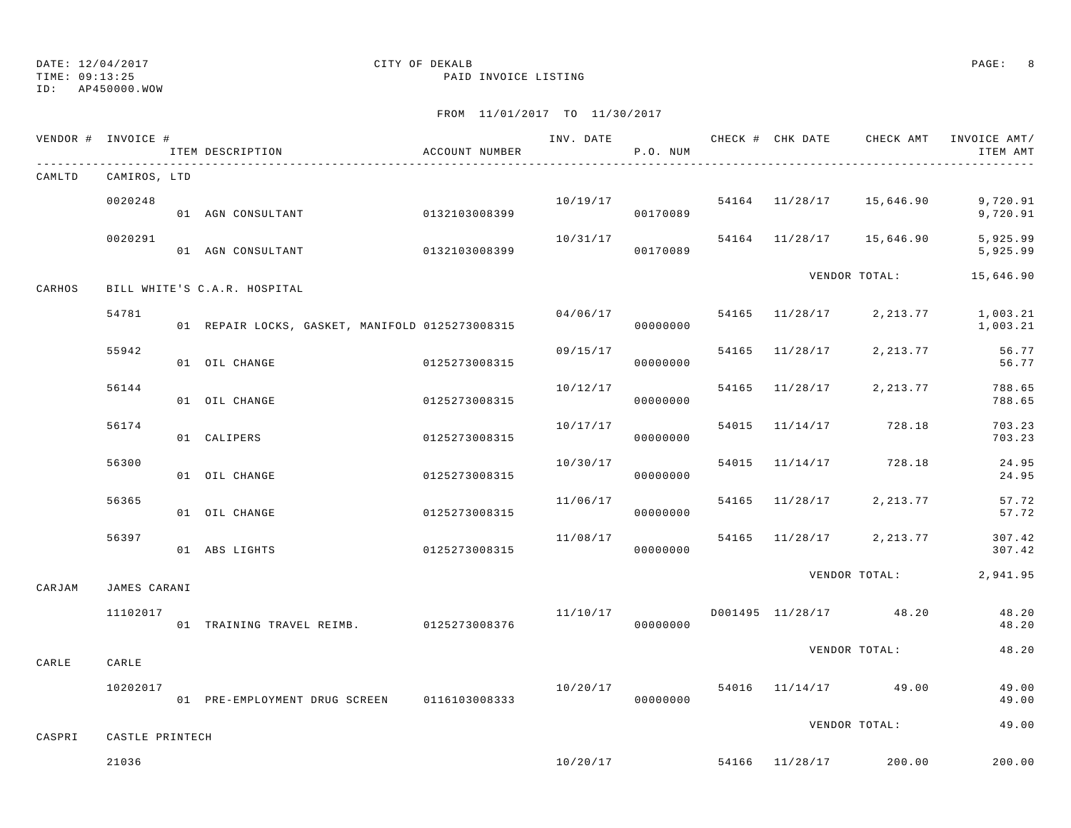TIME: 09:13:25 PAID INVOICE LISTING

ID: AP450000.WOW

|        | VENDOR # INVOICE # | ITEM DESCRIPTION                                | ACCOUNT NUMBER |          | P.O. NUM             |       |                |                                  | INV. DATE 6 1999 CHECK # CHK DATE CHECK AMT INVOICE AMT/<br>ITEM AMT |
|--------|--------------------|-------------------------------------------------|----------------|----------|----------------------|-------|----------------|----------------------------------|----------------------------------------------------------------------|
| CAMLTD | CAMIROS, LTD       |                                                 |                |          |                      |       |                |                                  |                                                                      |
|        | 0020248            | 01 AGN CONSULTANT                               | 0132103008399  | 10/19/17 | 00170089             |       |                |                                  | $54164$ $11/28/17$ $15,646.90$ 9,720.91<br>9,720.91                  |
|        | 0020291            | 01 AGN CONSULTANT                               | 0132103008399  | 10/31/17 | 00170089             |       |                | 54164 11/28/17 15,646.90         | 5,925.99<br>5,925.99                                                 |
| CARHOS |                    | BILL WHITE'S C.A.R. HOSPITAL                    |                |          |                      |       |                | VENDOR TOTAL:                    | 15,646.90                                                            |
|        | 54781              | 01 REPAIR LOCKS, GASKET, MANIFOLD 0125273008315 |                |          | 04/06/17<br>00000000 |       |                |                                  | 54165 11/28/17 2,213.77 1,003.21<br>1,003.21                         |
|        | 55942              | 01 OIL CHANGE                                   | 0125273008315  | 09/15/17 | 00000000             |       | 54165 11/28/17 | 2,213.77                         | 56.77<br>56.77                                                       |
|        | 56144              | 01 OIL CHANGE                                   | 0125273008315  | 10/12/17 | 00000000             |       | 54165 11/28/17 | 2,213.77                         | 788.65<br>788.65                                                     |
|        | 56174              | 01 CALIPERS                                     | 0125273008315  | 10/17/17 | 00000000             | 54015 |                | 11/14/17 728.18                  | 703.23<br>703.23                                                     |
|        | 56300              | 01 OIL CHANGE                                   | 0125273008315  | 10/30/17 | 00000000             |       |                | 54015 11/14/17 728.18            | 24.95<br>24.95                                                       |
|        | 56365              | 01 OIL CHANGE                                   | 0125273008315  | 11/06/17 | 00000000             |       | 54165 11/28/17 | 2,213.77                         | 57.72<br>57.72                                                       |
|        | 56397              | 0125273008315<br>01 ABS LIGHTS                  |                | 11/08/17 | 00000000             |       |                | 54165 11/28/17 2,213.77          | 307.42<br>307.42                                                     |
| CARJAM | JAMES CARANI       |                                                 |                |          |                      |       |                | VENDOR TOTAL:                    | 2,941.95                                                             |
|        | 11102017           | 01 TRAINING TRAVEL REIMB. 0125273008376         |                | 11/10/17 | 00000000             |       |                | D001495 11/28/17 48.20           | 48.20<br>48.20                                                       |
| CARLE  | CARLE              |                                                 |                |          |                      |       |                | VENDOR TOTAL:                    | 48.20                                                                |
|        | 10202017           | 01 PRE-EMPLOYMENT DRUG SCREEN 0116103008333     |                | 10/20/17 | 00000000             |       |                | 54016 11/14/17 49.00             | 49.00<br>49.00                                                       |
| CASPRI | CASTLE PRINTECH    |                                                 |                |          |                      |       |                | VENDOR TOTAL:                    | 49.00                                                                |
|        | 21036              |                                                 |                |          |                      |       |                | $10/20/17$ 54166 11/28/17 200.00 | 200.00                                                               |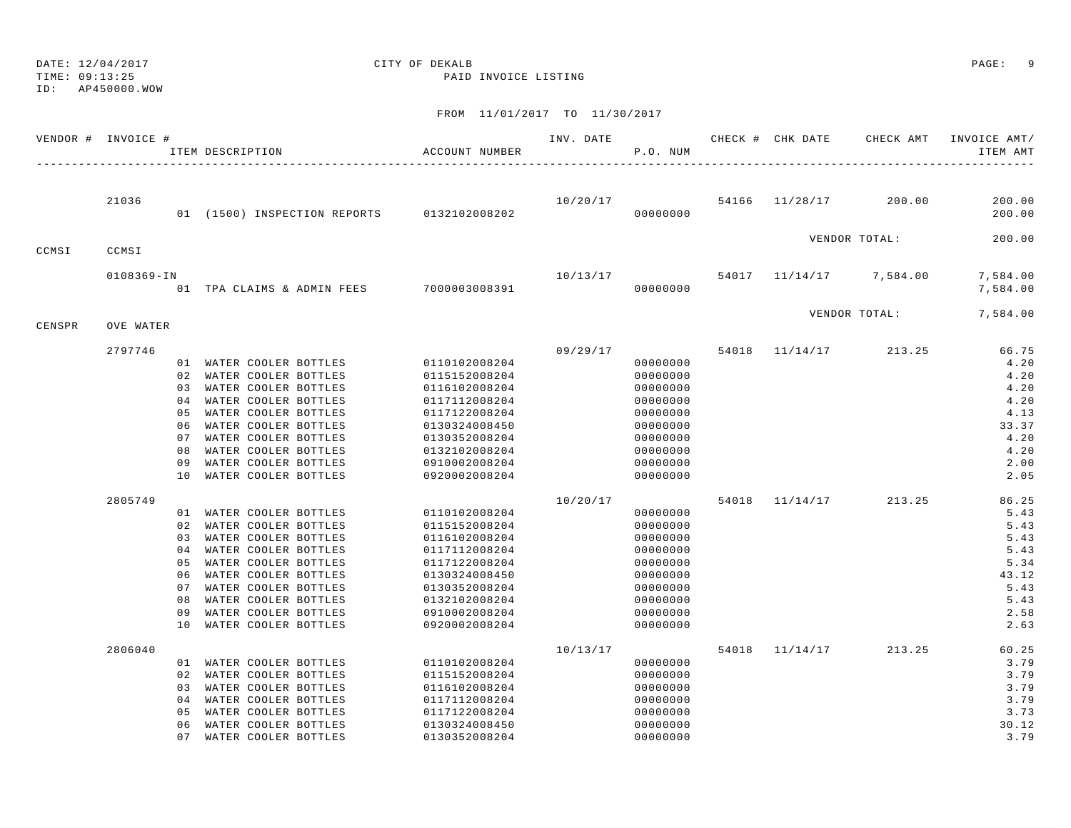DATE: 12/04/2017 CITY OF DEKALB PAGE: 9 TIME: 09:13:25 PAID INVOICE LISTING

## ID: AP450000.WOW

|        | VENDOR # INVOICE # |    | ITEM DESCRIPTION |                                                 |                         | ACCOUNT NUMBER                             |                                      | P.O. NUM             |  |                                | INV. DATE 6 7 200 CHECK # CHK DATE 6 CHECK AMT INVOICE AMT/<br>ITEM AMT |
|--------|--------------------|----|------------------|-------------------------------------------------|-------------------------|--------------------------------------------|--------------------------------------|----------------------|--|--------------------------------|-------------------------------------------------------------------------|
|        |                    |    |                  |                                                 |                         |                                            |                                      |                      |  |                                |                                                                         |
|        | 21036              |    |                  |                                                 |                         | 01 (1500) INSPECTION REPORTS 0132102008202 | $10/20/17$ 54166 $11/28/17$ 200.00   | 00000000             |  |                                | 200.00<br>200.00                                                        |
| CCMSI  | CCMSI              |    |                  |                                                 |                         |                                            |                                      |                      |  | VENDOR TOTAL:                  | 200.00                                                                  |
|        |                    |    |                  |                                                 |                         |                                            |                                      |                      |  |                                |                                                                         |
|        | $0108369 - IN$     |    |                  |                                                 |                         | 01 TPA CLAIMS & ADMIN FEES 7000003008391   | $10/13/17$ 54017 $11/14/17$ 7,584.00 | 00000000             |  |                                | 7,584.00<br>7,584.00                                                    |
| CENSPR | <b>OVE WATER</b>   |    |                  |                                                 |                         |                                            |                                      |                      |  |                                | VENDOR TOTAL: 7,584.00                                                  |
|        |                    |    |                  |                                                 |                         |                                            |                                      |                      |  | 09/29/17 54018 11/14/17 213.25 |                                                                         |
|        | 2797746            |    |                  |                                                 | 01 WATER COOLER BOTTLES |                                            |                                      | 00000000             |  |                                | 66.75<br>4.20                                                           |
|        |                    |    |                  | 02 WATER COOLER BOTTLES                         |                         | 0110102008204<br>0115152008204             |                                      | 00000000             |  |                                | 4.20                                                                    |
|        |                    |    |                  | 03 WATER COOLER BOTTLES                         |                         | 0116102008204                              |                                      | 00000000             |  |                                | 4.20                                                                    |
|        |                    |    |                  | 04 WATER COOLER BOTTLES                         |                         | 0117112008204                              |                                      | 00000000             |  |                                | 4.20                                                                    |
|        |                    |    |                  | 05 WATER COOLER BOTTLES                         |                         | 0117122008204                              |                                      | 00000000             |  |                                | 4.13                                                                    |
|        |                    | 06 |                  | WATER COOLER BOTTLES                            |                         | 0130324008450                              |                                      | 00000000             |  |                                | 33.37                                                                   |
|        |                    |    |                  | 07 WATER COOLER BOTTLES                         |                         | 0130352008204                              |                                      | 00000000             |  |                                | 4.20                                                                    |
|        |                    | 08 |                  | WATER COOLER BOTTLES                            |                         | 0132102008204                              |                                      | 00000000             |  |                                | 4.20                                                                    |
|        |                    | 09 |                  | WATER COOLER BOTTLES                            |                         | 0910002008204                              |                                      | 00000000             |  |                                | 2.00                                                                    |
|        |                    |    |                  | 10 WATER COOLER BOTTLES                         |                         | 0920002008204                              |                                      | 00000000             |  |                                | 2.05                                                                    |
|        | 2805749            |    |                  |                                                 |                         |                                            | 10/20/17                             |                      |  | 54018 11/14/17 213.25          | 86.25                                                                   |
|        |                    |    |                  | 01 WATER COOLER BOTTLES                         |                         | 0110102008204                              |                                      | 00000000             |  |                                | 5.43                                                                    |
|        |                    |    |                  | 02 WATER COOLER BOTTLES                         |                         | 0115152008204                              |                                      | 00000000             |  |                                | 5.43                                                                    |
|        |                    |    |                  | 03 WATER COOLER BOTTLES                         |                         | 0116102008204                              |                                      | 00000000             |  |                                | 5.43                                                                    |
|        |                    |    |                  | 04 WATER COOLER BOTTLES                         |                         | 0117112008204                              |                                      | 00000000             |  |                                | 5.43                                                                    |
|        |                    |    |                  | 05 WATER COOLER BOTTLES                         |                         | 0117122008204                              |                                      | 00000000             |  |                                | 5.34                                                                    |
|        |                    |    |                  | 06 WATER COOLER BOTTLES                         |                         | 0130324008450                              |                                      | 00000000             |  |                                | 43.12                                                                   |
|        |                    |    |                  | 07 WATER COOLER BOTTLES                         |                         | 0130352008204                              |                                      | 00000000             |  |                                | 5.43                                                                    |
|        |                    | 08 |                  | WATER COOLER BOTTLES                            |                         | 0132102008204                              |                                      | 00000000             |  |                                | 5.43                                                                    |
|        |                    | 09 |                  | WATER COOLER BOTTLES<br>10 WATER COOLER BOTTLES |                         | 0910002008204<br>0920002008204             |                                      | 00000000<br>00000000 |  |                                | 2.58<br>2.63                                                            |
|        |                    |    |                  |                                                 |                         |                                            |                                      |                      |  | 54018 11/14/17 213.25          | 60.25                                                                   |
|        | 2806040            |    |                  | 01 WATER COOLER BOTTLES                         |                         | 0110102008204                              | 10/13/17                             | 00000000             |  |                                | 3.79                                                                    |
|        |                    |    |                  | 02 WATER COOLER BOTTLES                         |                         | 0115152008204                              |                                      | 00000000             |  |                                | 3.79                                                                    |
|        |                    |    |                  | 03 WATER COOLER BOTTLES                         |                         | 0116102008204                              |                                      | 00000000             |  |                                | 3.79                                                                    |
|        |                    |    |                  | 04 WATER COOLER BOTTLES                         |                         | 0117112008204                              |                                      | 00000000             |  |                                | 3.79                                                                    |
|        |                    | 05 |                  | WATER COOLER BOTTLES                            |                         | 0117122008204                              |                                      | 00000000             |  |                                | 3.73                                                                    |
|        |                    | 06 |                  | WATER COOLER BOTTLES                            |                         | 0130324008450                              |                                      | 00000000             |  |                                | 30.12                                                                   |
|        |                    | 07 |                  | WATER COOLER BOTTLES                            |                         | 0130352008204                              |                                      | 00000000             |  |                                | 3.79                                                                    |
|        |                    |    |                  |                                                 |                         |                                            |                                      |                      |  |                                |                                                                         |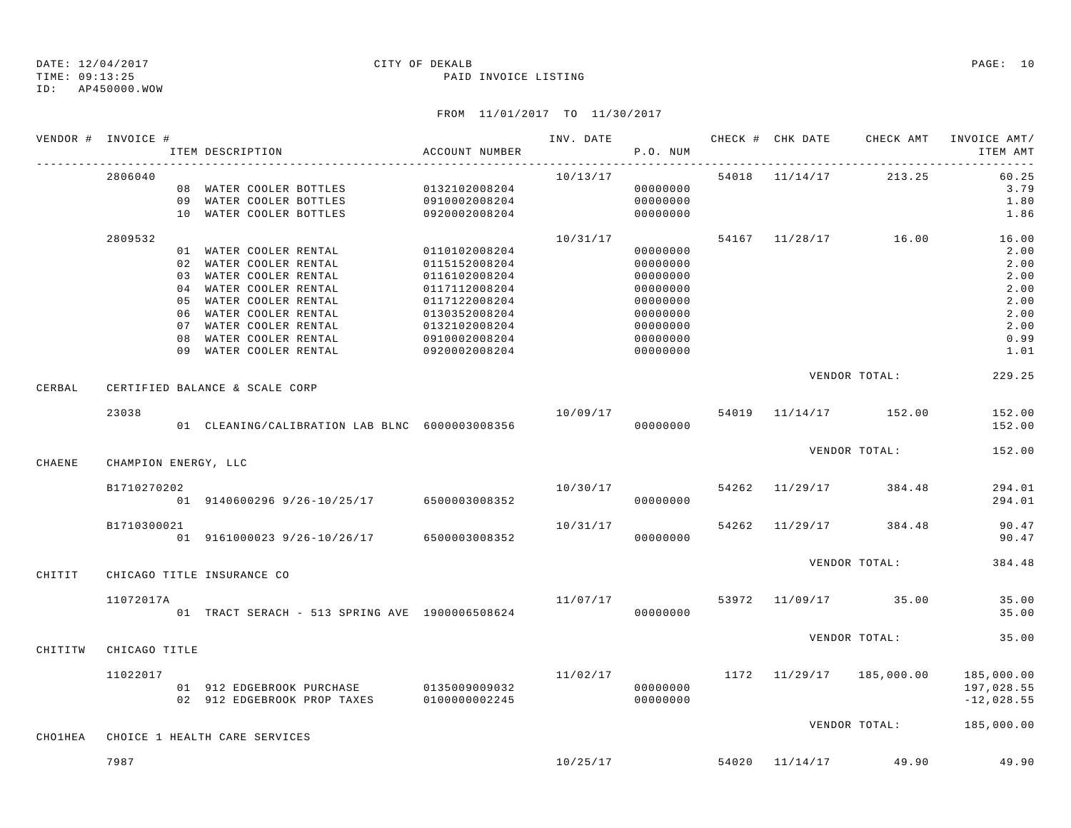ID: AP450000.WOW

### TIME: 09:13:25 PAID INVOICE LISTING

|         | VENDOR # INVOICE #   | ITEM DESCRIPTION                               | ACCOUNT NUMBER                 |          | P.O. NUM |  | INV. DATE 6 CHECK # CHK DATE CHECK AMT INVOICE AMT/ | ITEM AMT     |
|---------|----------------------|------------------------------------------------|--------------------------------|----------|----------|--|-----------------------------------------------------|--------------|
|         | 2806040              |                                                |                                | 10/13/17 |          |  | 54018 11/14/17 213.25                               | 60.25        |
|         |                      | 08 WATER COOLER BOTTLES 0132102008204          |                                |          | 00000000 |  |                                                     | 3.79         |
|         |                      | 09 WATER COOLER BOTTLES                        | 0910002008204                  |          | 00000000 |  |                                                     | 1.80         |
|         |                      | 10 WATER COOLER BOTTLES                        | 0920002008204                  |          | 00000000 |  |                                                     | 1.86         |
|         | 2809532              |                                                |                                | 10/31/17 |          |  | 54167 11/28/17 16.00                                | 16.00        |
|         |                      | 01 WATER COOLER RENTAL                         | 0110102008204                  |          | 00000000 |  |                                                     | 2.00         |
|         |                      | 02 WATER COOLER RENTAL                         | 0115152008204                  |          | 00000000 |  |                                                     | 2.00         |
|         |                      | 03 WATER COOLER RENTAL                         | 0116102008204                  |          | 00000000 |  |                                                     | 2.00         |
|         |                      | 04 WATER COOLER RENTAL                         | 0117112008204                  |          | 00000000 |  |                                                     | 2.00         |
|         |                      | 05 WATER COOLER RENTAL                         | 0117122008204                  |          | 00000000 |  |                                                     | 2.00         |
|         |                      | 06 WATER COOLER RENTAL                         | 0130352008204                  |          | 00000000 |  |                                                     | 2.00         |
|         |                      | 07 WATER COOLER RENTAL                         | 0132102008204                  |          | 00000000 |  |                                                     | 2.00         |
|         |                      | 08 WATER COOLER RENTAL                         | 0910002008204<br>0910002008204 |          | 00000000 |  |                                                     | 0.99         |
|         |                      | 09 WATER COOLER RENTAL                         | 0920002008204                  |          | 00000000 |  |                                                     | 1.01         |
| CERBAL  |                      | CERTIFIED BALANCE & SCALE CORP                 |                                |          |          |  | VENDOR TOTAL:                                       | 229.25       |
|         | 23038                |                                                |                                | 10/09/17 |          |  | 54019 11/14/17 152.00                               | 152.00       |
|         |                      | 01 CLEANING/CALIBRATION LAB BLNC 6000003008356 |                                |          | 00000000 |  |                                                     | 152.00       |
|         |                      |                                                |                                |          |          |  |                                                     |              |
| CHAENE  | CHAMPION ENERGY, LLC |                                                |                                |          |          |  | VENDOR TOTAL:                                       | 152.00       |
|         | B1710270202          |                                                |                                | 10/30/17 |          |  | 54262 11/29/17 384.48                               | 294.01       |
|         |                      | $01$ 9140600296 9/26-10/25/17 6500003008352    |                                |          | 00000000 |  |                                                     | 294.01       |
|         | B1710300021          |                                                |                                | 10/31/17 |          |  | 54262 11/29/17 384.48                               | 90.47        |
|         |                      | 01 9161000023 9/26-10/26/17 6500003008352      |                                |          | 00000000 |  |                                                     | 90.47        |
|         |                      |                                                |                                |          |          |  | VENDOR TOTAL:                                       | 384.48       |
| CHITIT  |                      | CHICAGO TITLE INSURANCE CO                     |                                |          |          |  |                                                     |              |
|         |                      |                                                |                                |          |          |  |                                                     |              |
|         | 11072017A            |                                                |                                |          |          |  | $11/07/17$ 53972 11/09/17 35.00                     | 35.00        |
|         |                      | 01 TRACT SERACH - 513 SPRING AVE 1900006508624 |                                |          | 00000000 |  |                                                     | 35.00        |
|         |                      |                                                |                                |          |          |  | VENDOR TOTAL:                                       | 35.00        |
| CHITITW | CHICAGO TITLE        |                                                |                                |          |          |  |                                                     |              |
|         | 11022017             |                                                |                                |          |          |  | $11/02/17$ $1172$ $11/29/17$ $185,000.00$           | 185,000.00   |
|         |                      | 01 912 EDGEBROOK PURCHASE 0135009009032        |                                |          | 00000000 |  |                                                     | 197,028.55   |
|         |                      | 02 912 EDGEBROOK PROP TAXES                    | 0100000002245                  |          | 00000000 |  |                                                     | $-12,028.55$ |
|         |                      |                                                |                                |          |          |  | VENDOR TOTAL: 185,000.00                            |              |
| CHO1HEA |                      | CHOICE 1 HEALTH CARE SERVICES                  |                                |          |          |  |                                                     |              |
|         | 7987                 |                                                |                                |          | 10/25/17 |  | 54020 11/14/17 49.90                                | 49.90        |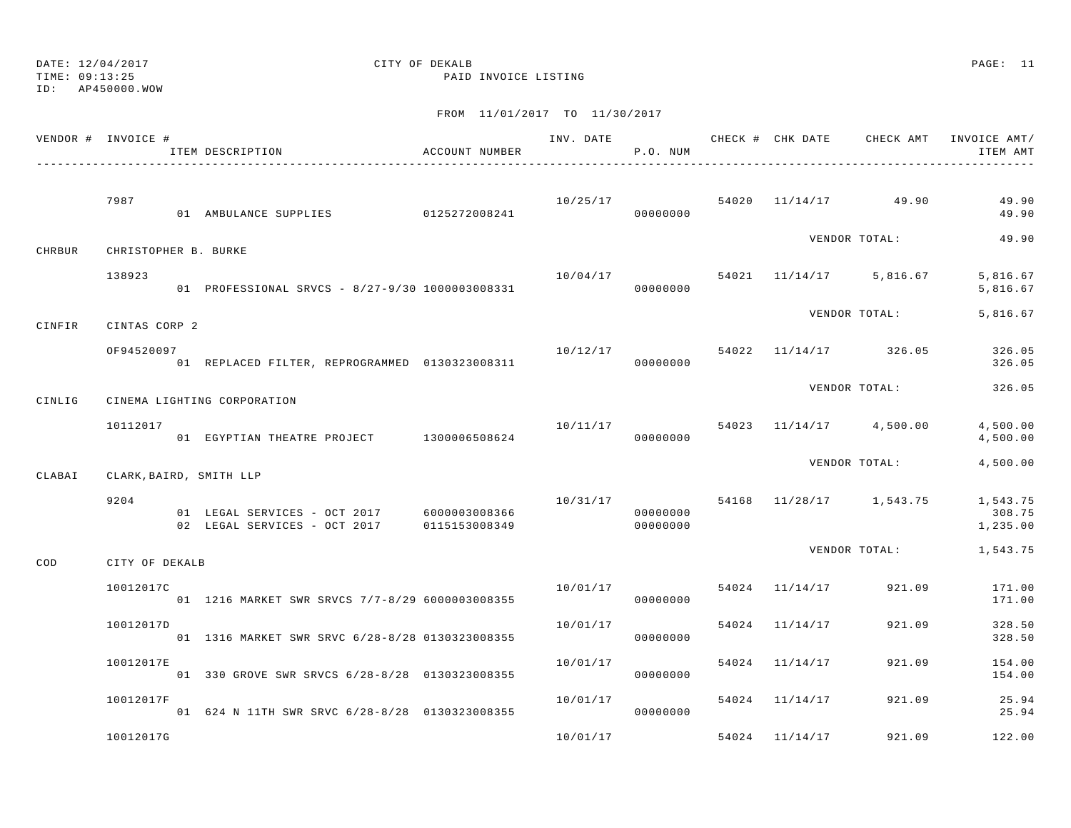ID: AP450000.WOW

TIME: 09:13:25 PAID INVOICE LISTING

|        | VENDOR # INVOICE #   | ITEM DESCRIPTION                                                                         | ACCOUNT NUMBER |          | P.O. NUM             |                                      |                                   | ITEM AMT                       |
|--------|----------------------|------------------------------------------------------------------------------------------|----------------|----------|----------------------|--------------------------------------|-----------------------------------|--------------------------------|
|        | 7987                 | 01 AMBULANCE SUPPLIES 0125272008241                                                      |                |          | 00000000             |                                      | $10/25/17$ 54020 $11/14/17$ 49.90 | 49.90<br>49.90                 |
| CHRBUR | CHRISTOPHER B. BURKE |                                                                                          |                |          |                      |                                      | VENDOR TOTAL:                     | 49.90                          |
|        | 138923               | 01 PROFESSIONAL SRVCS - 8/27-9/30 1000003008331                                          |                | 10/04/17 | 00000000             |                                      | 54021 11/14/17 5,816.67           | 5,816.67<br>5,816.67           |
| CINFIR | CINTAS CORP 2        |                                                                                          |                |          |                      |                                      | VENDOR TOTAL:                     | 5,816.67                       |
|        | OF94520097           | 01 REPLACED FILTER, REPROGRAMMED 0130323008311                                           |                |          | 00000000             | $10/12/17$ 54022 11/14/17 326.05     |                                   | 326.05<br>326.05               |
| CINLIG |                      | CINEMA LIGHTING CORPORATION                                                              |                |          |                      |                                      | VENDOR TOTAL:                     | 326.05                         |
|        | 10112017             | 01 EGYPTIAN THEATRE PROJECT 1300006508624                                                |                |          | 00000000             | $10/11/17$ 54023 $11/14/17$ 4,500.00 |                                   | 4,500.00<br>4,500.00           |
| CLABAI |                      | CLARK, BAIRD, SMITH LLP                                                                  |                |          |                      |                                      | VENDOR TOTAL:                     | 4,500.00                       |
|        | 9204                 | 01 LEGAL SERVICES - OCT 2017 6000003008366<br>02 LEGAL SERVICES - OCT 2017 0115153008349 |                | 10/31/17 | 00000000<br>00000000 |                                      | 54168 11/28/17 1,543.75           | 1,543.75<br>308.75<br>1,235.00 |
| COD    | CITY OF DEKALB       |                                                                                          |                |          |                      |                                      | VENDOR TOTAL:                     | 1,543.75                       |
|        | 10012017C            | 01 1216 MARKET SWR SRVCS 7/7-8/29 6000003008355                                          |                | 10/01/17 | 00000000             | 54024 11/14/17                       | 921.09                            | 171.00<br>171.00               |
|        | 10012017D            | 01 1316 MARKET SWR SRVC 6/28-8/28 0130323008355                                          |                | 10/01/17 | 00000000             | 54024 11/14/17                       | 921.09                            | 328.50<br>328.50               |
|        | 10012017E            | 01 330 GROVE SWR SRVCS 6/28-8/28 0130323008355                                           |                | 10/01/17 | 00000000             | 54024 11/14/17                       | 921.09                            | 154.00<br>154.00               |
|        | 10012017F            | 01 624 N 11TH SWR SRVC 6/28-8/28 0130323008355                                           |                | 10/01/17 | 00000000             | 54024 11/14/17                       | 921.09                            | 25.94<br>25.94                 |
|        | 10012017G            |                                                                                          |                | 10/01/17 |                      | 54024 11/14/17                       | 921.09                            | 122.00                         |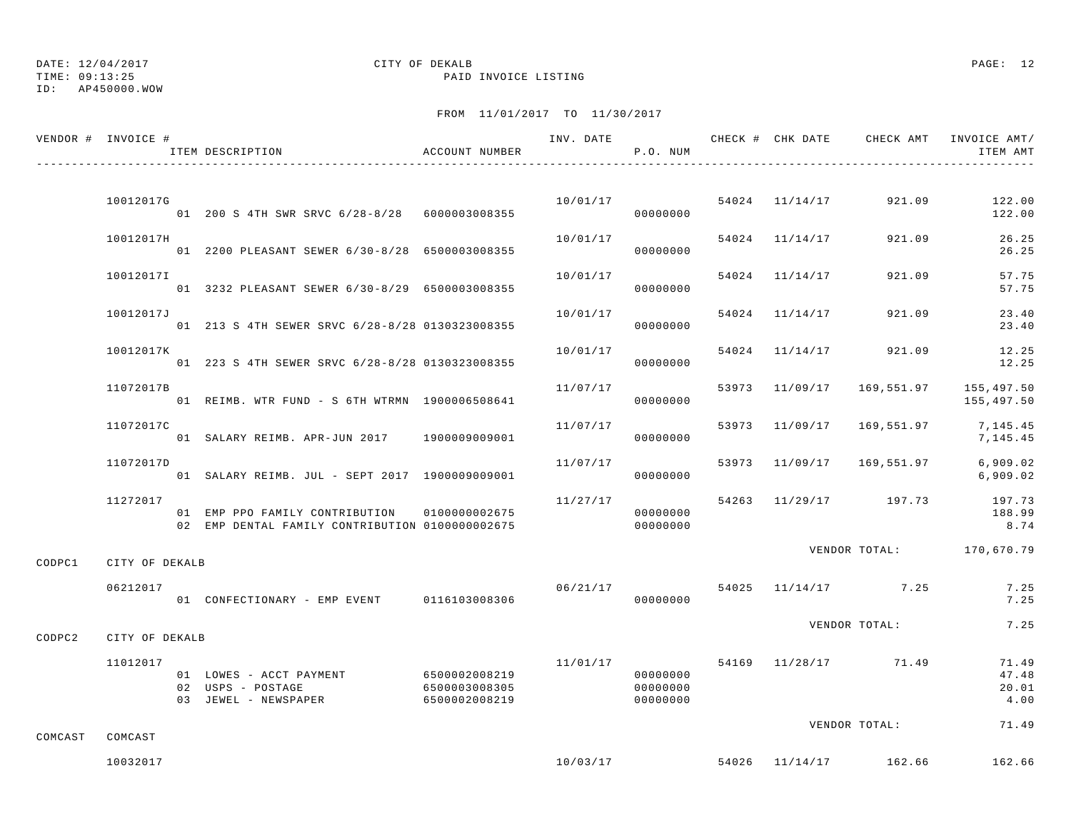|                 | VENDOR # INVOICE # | ITEM DESCRIPTION                                                                                | ACCOUNT NUMBER                 |                             | P.O. NUM                         |                |                                    | ITEM AMT                                           |
|-----------------|--------------------|-------------------------------------------------------------------------------------------------|--------------------------------|-----------------------------|----------------------------------|----------------|------------------------------------|----------------------------------------------------|
|                 |                    |                                                                                                 |                                |                             |                                  |                |                                    |                                                    |
|                 | 10012017G          | 01 200 S 4TH SWR SRVC 6/28-8/28 6000003008355                                                   |                                |                             | 00000000                         |                | $10/01/17$ 54024 $11/14/17$ 921.09 | 122.00<br>122.00                                   |
|                 | 10012017H          | 01 2200 PLEASANT SEWER 6/30-8/28 6500003008355                                                  |                                | $10/01/17$ 54024 $11/14/17$ | 00000000                         |                | 921.09                             | 26.25<br>26.25                                     |
|                 | 10012017I          | 01 3232 PLEASANT SEWER 6/30-8/29 6500003008355                                                  |                                | 10/01/17                    | 00000000                         | 54024 11/14/17 | 921.09                             | 57.75<br>57.75                                     |
|                 | 10012017J          | 01 213 S 4TH SEWER SRVC 6/28-8/28 0130323008355                                                 |                                | 10/01/17                    | 00000000                         | 54024 11/14/17 | 921.09                             | 23.40<br>23.40                                     |
|                 | 10012017K          | 01 223 S 4TH SEWER SRVC 6/28-8/28 0130323008355                                                 |                                | 10/01/17                    | 00000000                         |                | 54024 11/14/17 921.09              | 12.25<br>12.25                                     |
|                 | 11072017B          | 01 REIMB. WTR FUND - S 6TH WTRMN 1900006508641                                                  |                                | 11/07/17                    | 00000000                         |                |                                    | 53973 11/09/17 169,551.97 155,497.50<br>155,497.50 |
|                 | 11072017C          | 01 SALARY REIMB. APR-JUN 2017 1900009009001                                                     |                                | 11/07/17                    | 00000000                         |                |                                    | 53973 11/09/17 169,551.97 7,145.45<br>7,145.45     |
|                 | 11072017D          | 01 SALARY REIMB. JUL - SEPT 2017 1900009009001                                                  |                                | 11/07/17                    | 00000000                         |                | 53973 11/09/17 169,551.97          | 6,909.02<br>6,909.02                               |
|                 | 11272017           | 01 EMP PPO FAMILY CONTRIBUTION 0100000002675<br>02 EMP DENTAL FAMILY CONTRIBUTION 0100000002675 |                                | 11/27/17                    | 00000000<br>00000000             |                |                                    | 54263 11/29/17 197.73 197.73<br>188.99<br>8.74     |
| CODPC1          | CITY OF DEKALB     |                                                                                                 |                                |                             |                                  |                |                                    | VENDOR TOTAL: 170,670.79                           |
|                 | 06212017           | 01 CONFECTIONARY - EMP EVENT 0116103008306                                                      |                                |                             | 00000000                         |                | $06/21/17$ 54025 11/14/17 7.25     | 7.25<br>7.25                                       |
| CODPC2          | CITY OF DEKALB     |                                                                                                 |                                |                             |                                  |                | VENDOR TOTAL:                      | 7.25                                               |
|                 | 11012017           | 01 LOWES - ACCT PAYMENT 6500002008219<br>02 USPS - POSTAGE<br>03 JEWEL - NEWSPAPER              | 6500003008305<br>6500002008219 |                             | 00000000<br>00000000<br>00000000 |                | $11/01/17$ 54169 $11/28/17$ 71.49  | 71.49<br>47.48<br>20.01<br>4.00                    |
| COMCAST COMCAST |                    |                                                                                                 |                                |                             |                                  |                | VENDOR TOTAL:                      | 71.49                                              |
|                 | 10032017           |                                                                                                 |                                | 10/03/17                    |                                  |                | 54026 11/14/17 162.66              | 162.66                                             |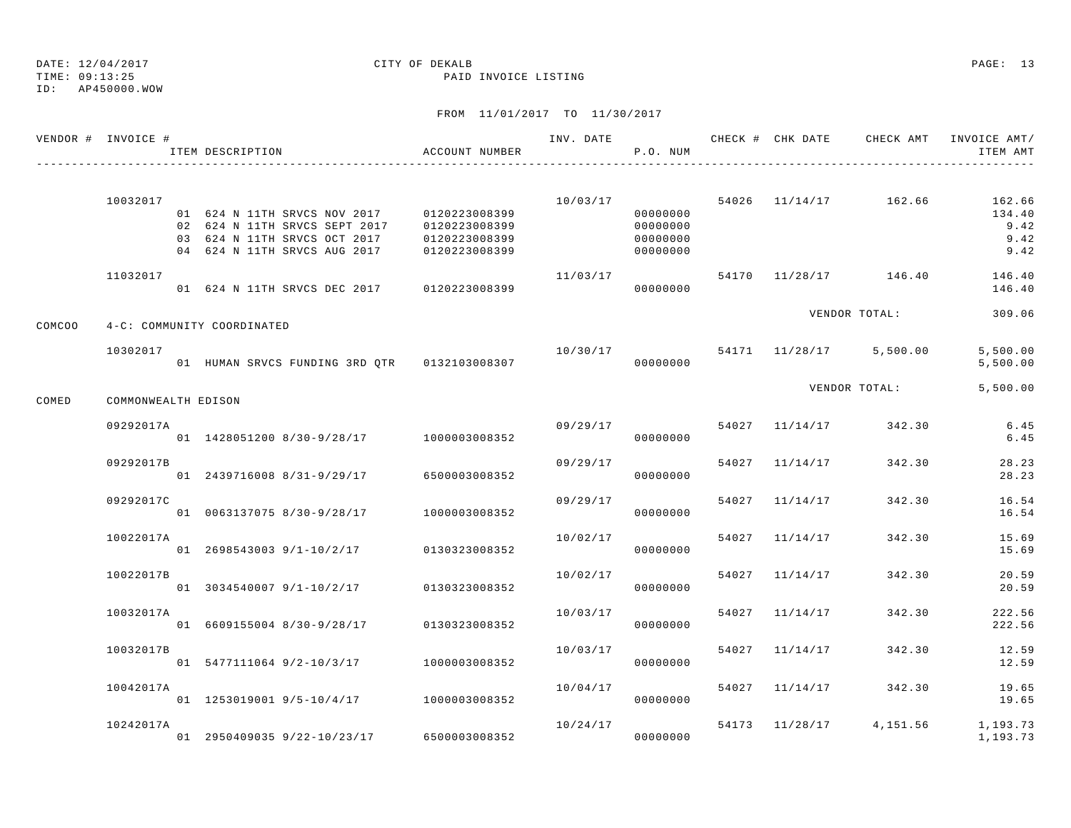TIME: 09:13:25 PAID INVOICE LISTING ID: AP450000.WOW

## DATE: 12/04/2017 CITY OF DEKALB PAGE: 13

|        | VENDOR # INVOICE #         | ITEM DESCRIPTION                                                                                                                            | ACCOUNT NUMBER                                  | INV. DATE | P.O. NUM                                     |       | CHECK # CHK DATE | CHECK AMT                          | INVOICE AMT/<br>ITEM AMT                     |
|--------|----------------------------|---------------------------------------------------------------------------------------------------------------------------------------------|-------------------------------------------------|-----------|----------------------------------------------|-------|------------------|------------------------------------|----------------------------------------------|
|        | 10032017                   | 01 624 N 11TH SRVCS NOV 2017 0120223008399<br>02 624 N 11TH SRVCS SEPT 2017<br>03 624 N 11TH SRVCS OCT 2017<br>04 624 N 11TH SRVCS AUG 2017 | 0120223008399<br>0120223008399<br>0120223008399 |           | 00000000<br>00000000<br>00000000<br>00000000 |       |                  | $10/03/17$ 54026 $11/14/17$ 162.66 | 162.66<br>134.40<br>9.42<br>9.42<br>9.42     |
|        | 11032017                   | 01 624 N 11TH SRVCS DEC 2017 0120223008399                                                                                                  |                                                 | 11/03/17  | 00000000                                     |       |                  | 54170 11/28/17 146.40              | 146.40<br>146.40                             |
| COMCOO | 4-C: COMMUNITY COORDINATED |                                                                                                                                             |                                                 |           |                                              |       |                  | VENDOR TOTAL:                      | 309.06                                       |
|        | 10302017                   | 01 HUMAN SRVCS FUNDING 3RD QTR 0132103008307                                                                                                |                                                 | 10/30/17  | 00000000                                     |       |                  | 54171 11/28/17 5,500.00            | 5,500.00<br>5,500.00                         |
| COMED  | COMMONWEALTH EDISON        |                                                                                                                                             |                                                 |           |                                              |       |                  | VENDOR TOTAL:                      | 5,500.00                                     |
|        | 09292017A                  | 01 1428051200 8/30-9/28/17 1000003008352                                                                                                    |                                                 | 09/29/17  | 00000000                                     |       |                  | 54027 11/14/17 342.30              | 6.45<br>6.45                                 |
|        | 09292017B                  | 01 2439716008 8/31-9/29/17                                                                                                                  | 6500003008352                                   | 09/29/17  | 00000000                                     |       | 54027 11/14/17   | 342.30                             | 28.23<br>28.23                               |
|        | 09292017C                  | 01 0063137075 8/30-9/28/17                                                                                                                  | 1000003008352                                   | 09/29/17  | 00000000                                     |       | 54027 11/14/17   | 342.30                             | 16.54<br>16.54                               |
|        | 10022017A                  | $01 \quad 2698543003 \quad 9/1-10/2/17$ $0130323008352$                                                                                     |                                                 | 10/02/17  | 00000000                                     |       | 54027 11/14/17   | 342.30                             | 15.69<br>15.69                               |
|        | 10022017B                  | 01 3034540007 9/1-10/2/17                                                                                                                   | 0130323008352                                   | 10/02/17  | 00000000                                     |       | 54027 11/14/17   | 342.30                             | 20.59<br>20.59                               |
|        | 10032017A                  | 01 6609155004 8/30-9/28/17                                                                                                                  | 0130323008352                                   | 10/03/17  | 00000000                                     | 54027 | 11/14/17         | 342.30                             | 222.56<br>222.56                             |
|        | 10032017B                  | 01 5477111064 9/2-10/3/17                                                                                                                   | 1000003008352                                   | 10/03/17  | 00000000                                     |       | 54027 11/14/17   | 342.30                             | 12.59<br>12.59                               |
|        | 10042017A                  | 01 1253019001 9/5-10/4/17 1000003008352                                                                                                     |                                                 | 10/04/17  | 00000000                                     |       |                  | 54027 11/14/17 342.30              | 19.65<br>19.65                               |
|        | 10242017A                  | 01 2950409035 9/22-10/23/17 6500003008352                                                                                                   |                                                 | 10/24/17  | 00000000                                     |       |                  |                                    | 54173 11/28/17 4,151.56 1,193.73<br>1,193.73 |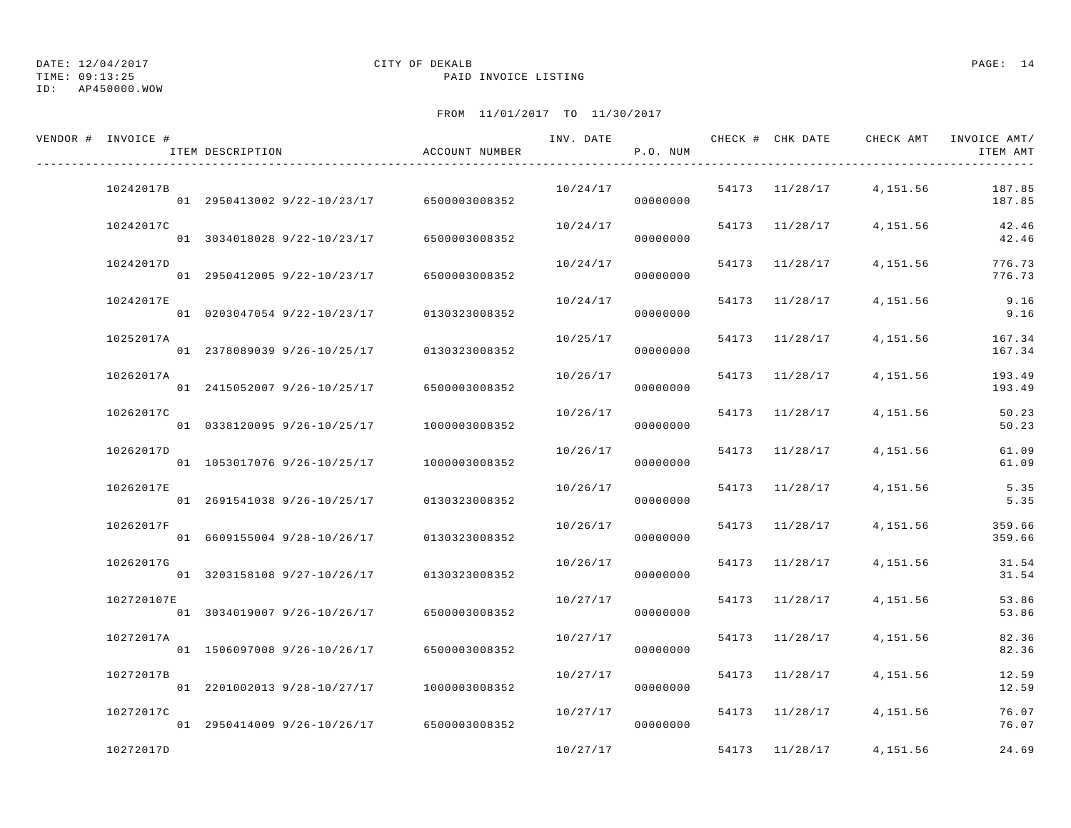### DATE: 12/04/2017 CITY OF DEKALB PAGE: 14 TIME: 09:13:25 PAID INVOICE LISTING

| VENDOR # INVOICE # | ITEM DESCRIPTION                          | ACCOUNT NUMBER | INV. DATE | P.O. NUM | CHECK # CHK DATE | CHECK AMT               | INVOICE AMT/<br>ITEM AMT |
|--------------------|-------------------------------------------|----------------|-----------|----------|------------------|-------------------------|--------------------------|
| 10242017B          | 01 2950413002 9/22-10/23/17 6500003008352 |                | 10/24/17  | 00000000 |                  | 54173 11/28/17 4,151.56 | 187.85<br>187.85         |
| 10242017C          | 01 3034018028 9/22-10/23/17               | 6500003008352  | 10/24/17  | 00000000 | 54173 11/28/17   | 4,151.56                | 42.46<br>42.46           |
| 10242017D          | 01 2950412005 9/22-10/23/17               | 6500003008352  | 10/24/17  | 00000000 | 54173 11/28/17   | 4, 151.56               | 776.73<br>776.73         |
| 10242017E          | 01 0203047054 9/22-10/23/17 0130323008352 |                | 10/24/17  | 00000000 | 54173 11/28/17   | 4,151.56                | 9.16<br>9.16             |
| 10252017A          | 01 2378089039 9/26-10/25/17 0130323008352 |                | 10/25/17  | 00000000 | 54173 11/28/17   | 4,151.56                | 167.34<br>167.34         |
| 10262017A          | 01 2415052007 9/26-10/25/17               | 6500003008352  | 10/26/17  | 00000000 | 54173 11/28/17   | 4,151.56                | 193.49<br>193.49         |
| 10262017C          | 01 0338120095 9/26-10/25/17 1000003008352 |                | 10/26/17  | 00000000 | 54173 11/28/17   | 4,151.56                | 50.23<br>50.23           |
| 10262017D          | 01 1053017076 9/26-10/25/17               | 1000003008352  | 10/26/17  | 00000000 | 54173 11/28/17   | 4,151.56                | 61.09<br>61.09           |
| 10262017E          | 01 2691541038 9/26-10/25/17               | 0130323008352  | 10/26/17  | 00000000 | 54173 11/28/17   | 4,151.56                | 5.35<br>5.35             |
| 10262017F          | 01 6609155004 9/28-10/26/17               | 0130323008352  | 10/26/17  | 00000000 | 54173 11/28/17   | 4,151.56                | 359.66<br>359.66         |
| 10262017G          | 01 3203158108 9/27-10/26/17 0130323008352 |                | 10/26/17  | 00000000 | 54173 11/28/17   | 4,151.56                | 31.54<br>31.54           |
| 102720107E         | 01 3034019007 9/26-10/26/17               | 6500003008352  | 10/27/17  | 00000000 | 54173 11/28/17   | 4,151.56                | 53.86<br>53.86           |
| 10272017A          | 01 1506097008 9/26-10/26/17               | 6500003008352  | 10/27/17  | 00000000 | 54173 11/28/17   | 4,151.56                | 82.36<br>82.36           |
| 10272017B          | 01 2201002013 9/28-10/27/17               | 1000003008352  | 10/27/17  | 00000000 | 54173 11/28/17   | 4,151.56                | 12.59<br>12.59           |
| 10272017C          | 01 2950414009 9/26-10/26/17 6500003008352 |                | 10/27/17  | 00000000 | 54173 11/28/17   | 4,151.56                | 76.07<br>76.07           |
| 10272017D          |                                           |                | 10/27/17  |          | 54173 11/28/17   | 4,151.56                | 24.69                    |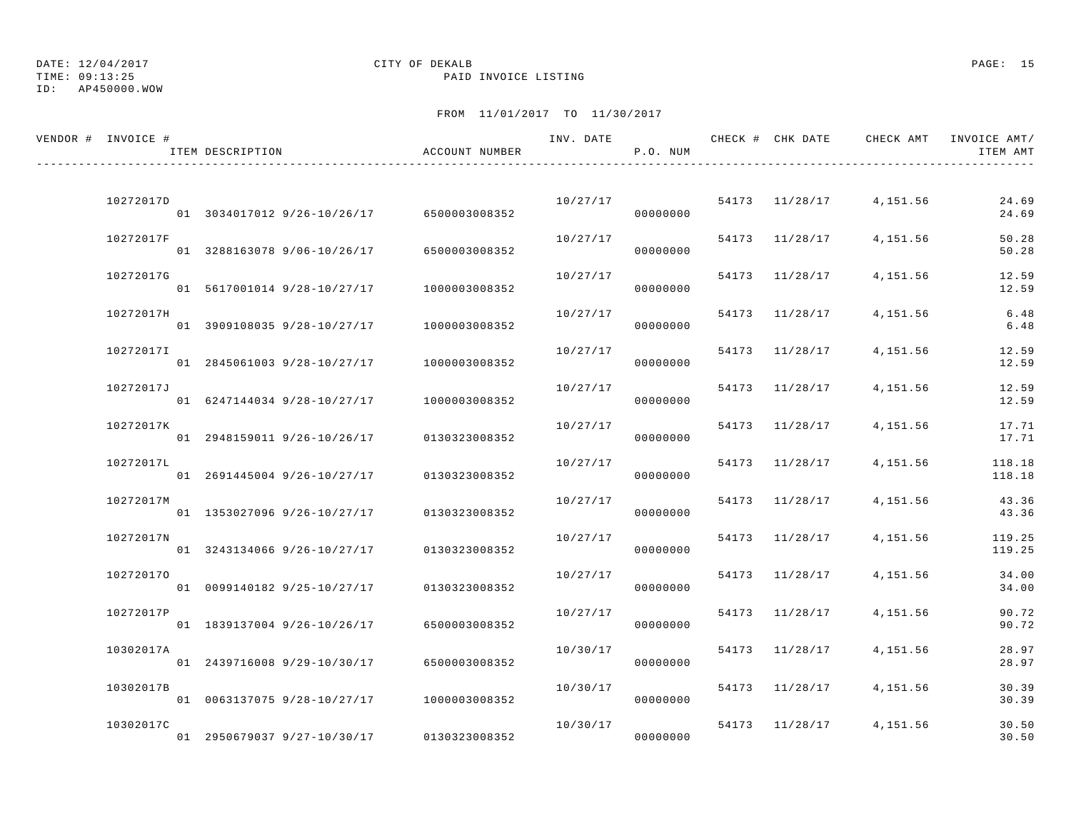## DATE: 12/04/2017 CITY OF DEKALB PAGE: 15

TIME: 09:13:25 PAID INVOICE LISTING

| VENDOR # INVOICE # | ITEM DESCRIPTION                          | ACCOUNT NUMBER | INV. DATE | P.O. NUM |                |                         | CHECK # CHK DATE CHECK AMT INVOICE AMT/<br>ITEM AMT |
|--------------------|-------------------------------------------|----------------|-----------|----------|----------------|-------------------------|-----------------------------------------------------|
|                    |                                           |                |           |          |                |                         |                                                     |
| 10272017D          | 01 3034017012 9/26-10/26/17 6500003008352 |                | 10/27/17  | 00000000 | 54173 11/28/17 | 4,151.56                | 24.69<br>24.69                                      |
| 10272017F          | 01 3288163078 9/06-10/26/17 6500003008352 |                | 10/27/17  | 00000000 | 54173 11/28/17 | 4,151.56                | 50.28<br>50.28                                      |
| 10272017G          | 01 5617001014 9/28-10/27/17 1000003008352 |                | 10/27/17  | 00000000 | 54173 11/28/17 | 4,151.56                | 12.59<br>12.59                                      |
| 10272017H          | 01 3909108035 9/28-10/27/17               | 1000003008352  | 10/27/17  | 00000000 | 54173 11/28/17 | 4,151.56                | 6.48<br>6.48                                        |
| 10272017I          | 01 2845061003 9/28-10/27/17               | 1000003008352  | 10/27/17  | 00000000 | 54173 11/28/17 | 4,151.56                | 12.59<br>12.59                                      |
| 10272017J          | 01 6247144034 9/28-10/27/17               | 1000003008352  | 10/27/17  | 00000000 | 54173 11/28/17 | 4,151.56                | 12.59<br>12.59                                      |
| 10272017K          | 01 2948159011 9/26-10/26/17 0130323008352 |                | 10/27/17  | 00000000 | 54173 11/28/17 | 4,151.56                | 17.71<br>17.71                                      |
| 10272017L          |                                           |                | 10/27/17  | 00000000 | 54173 11/28/17 | 4,151.56                | 118.18                                              |
| 10272017M          | 01 2691445004 9/26-10/27/17 0130323008352 |                | 10/27/17  |          | 54173 11/28/17 | 4,151.56                | 118.18<br>43.36                                     |
| 10272017N          | 01 1353027096 9/26-10/27/17               | 0130323008352  | 10/27/17  | 00000000 | 54173 11/28/17 | 4,151.56                | 43.36<br>119.25                                     |
|                    | 01 3243134066 9/26-10/27/17               | 0130323008352  |           | 00000000 |                |                         | 119.25                                              |
| 102720170          | 01 0099140182 9/25-10/27/17               | 0130323008352  | 10/27/17  | 00000000 | 54173 11/28/17 | 4,151.56                | 34.00<br>34.00                                      |
| 10272017P          | 01 1839137004 9/26-10/26/17               | 6500003008352  | 10/27/17  | 00000000 | 54173 11/28/17 | 4,151.56                | 90.72<br>90.72                                      |
| 10302017A          | 01 2439716008 9/29-10/30/17               | 6500003008352  | 10/30/17  | 00000000 | 54173 11/28/17 | 4,151.56                | 28.97<br>28.97                                      |
| 10302017B          | 01 0063137075 9/28-10/27/17               | 1000003008352  | 10/30/17  | 00000000 | 54173 11/28/17 | 4,151.56                | 30.39<br>30.39                                      |
| 10302017C          | 01 2950679037 9/27-10/30/17               | 0130323008352  | 10/30/17  | 00000000 |                | 54173 11/28/17 4,151.56 | 30.50<br>30.50                                      |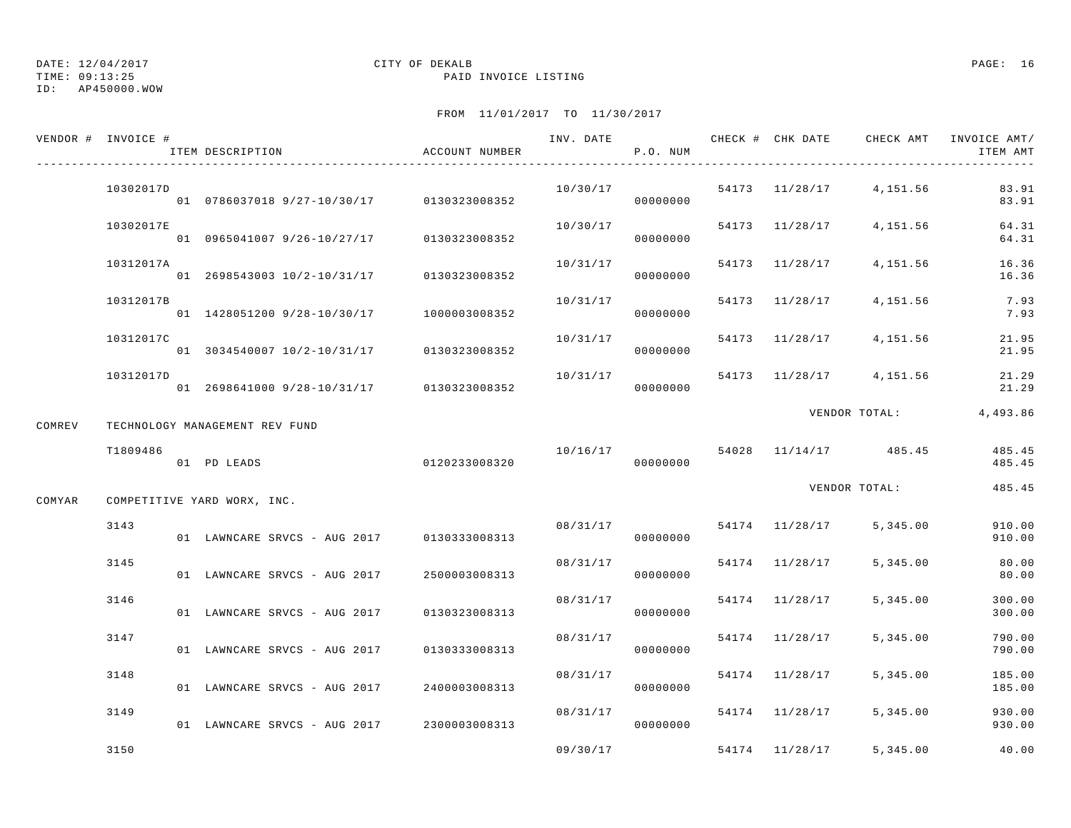### DATE: 12/04/2017 CITY OF DEKALB PAGE: 16 TIME: 09:13:25 PAID INVOICE LISTING

|        | VENDOR # INVOICE # | ITEM DESCRIPTION                           | ACCOUNT NUMBER | INV. DATE | P.O. NUM | CHECK # CHK DATE | CHECK AMT               | INVOICE AMT/<br>ITEM AMT |
|--------|--------------------|--------------------------------------------|----------------|-----------|----------|------------------|-------------------------|--------------------------|
|        | 10302017D          | 01 0786037018 9/27-10/30/17 0130323008352  |                | 10/30/17  | 00000000 |                  | 54173 11/28/17 4,151.56 | 83.91<br>83.91           |
|        | 10302017E          | 01 0965041007 9/26-10/27/17 0130323008352  |                | 10/30/17  | 00000000 | 54173 11/28/17   | 4,151.56                | 64.31<br>64.31           |
|        | 10312017A          | 01 2698543003 10/2-10/31/17 0130323008352  |                | 10/31/17  | 00000000 | 54173 11/28/17   | 4,151.56                | 16.36<br>16.36           |
|        | 10312017B          | 01 1428051200 9/28-10/30/17 1000003008352  |                | 10/31/17  | 00000000 | 54173 11/28/17   | 4,151.56                | 7.93<br>7.93             |
|        | 10312017C          | 01 3034540007 10/2-10/31/17 0130323008352  |                | 10/31/17  | 00000000 | 54173 11/28/17   | 4,151.56                | 21.95<br>21.95           |
|        | 10312017D          | 01 2698641000 9/28-10/31/17 0130323008352  |                | 10/31/17  | 00000000 |                  | 54173 11/28/17 4,151.56 | 21.29<br>21.29           |
| COMREV |                    | TECHNOLOGY MANAGEMENT REV FUND             |                |           |          |                  | VENDOR TOTAL:           | 4,493.86                 |
|        | T1809486           | 01 PD LEADS                                | 0120233008320  | 10/16/17  | 00000000 |                  | 54028 11/14/17 485.45   | 485.45<br>485.45         |
| COMYAR |                    | COMPETITIVE YARD WORX, INC.                |                |           |          |                  | VENDOR TOTAL:           | 485.45                   |
|        | 3143               | 01 LAWNCARE SRVCS - AUG 2017 0130333008313 |                | 08/31/17  | 00000000 | 54174 11/28/17   | 5,345.00                | 910.00<br>910.00         |
|        | 3145               | 01 LAWNCARE SRVCS - AUG 2017               | 2500003008313  | 08/31/17  | 00000000 | 54174 11/28/17   | 5,345.00                | 80.00<br>80.00           |
|        | 3146               | 01 LAWNCARE SRVCS - AUG 2017               | 0130323008313  | 08/31/17  | 00000000 | 54174 11/28/17   | 5,345.00                | 300.00<br>300.00         |
|        | 3147               | 01 LAWNCARE SRVCS - AUG 2017               | 0130333008313  | 08/31/17  | 00000000 | 54174 11/28/17   | 5,345.00                | 790.00<br>790.00         |
|        | 3148               | 01 LAWNCARE SRVCS - AUG 2017 2400003008313 |                | 08/31/17  | 00000000 | 54174 11/28/17   | 5,345.00                | 185.00<br>185.00         |
|        | 3149               | 01 LAWNCARE SRVCS - AUG 2017 2300003008313 |                | 08/31/17  | 00000000 | 54174 11/28/17   | 5,345.00                | 930.00<br>930.00         |
|        | 3150               |                                            |                | 09/30/17  |          | 54174 11/28/17   | 5,345,00                | 40.00                    |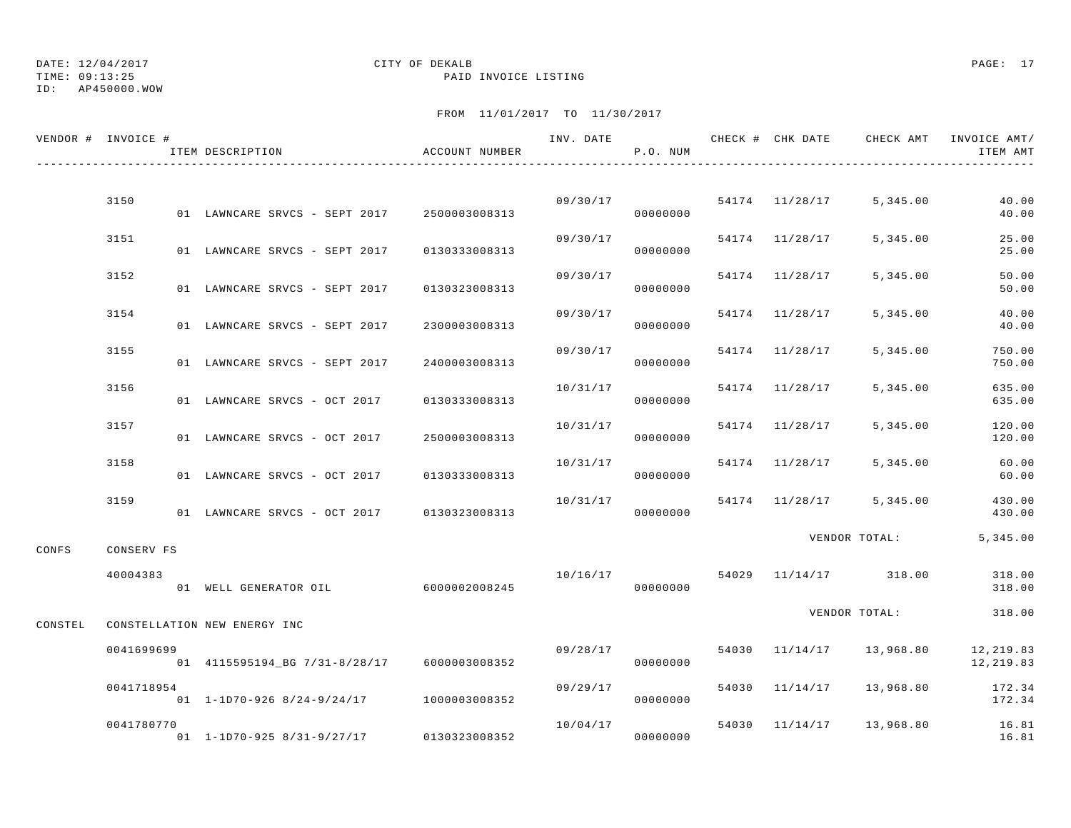TIME: 09:13:25 PAID INVOICE LISTING

ID: AP450000.WOW

|         | VENDOR # INVOICE #     | ITEM DESCRIPTION                               | ACCOUNT NUMBER | INV. DATE | P.O. NUM |       |                | CHECK # CHK DATE CHECK AMT | INVOICE AMT/<br>ITEM AMT |
|---------|------------------------|------------------------------------------------|----------------|-----------|----------|-------|----------------|----------------------------|--------------------------|
|         |                        |                                                |                |           |          |       |                |                            |                          |
|         | 3150                   | 01 LAWNCARE SRVCS - SEPT 2017                  | 2500003008313  | 09/30/17  | 00000000 |       | 54174 11/28/17 | 5,345.00                   | 40.00<br>40.00           |
|         | 3151                   | 01 LAWNCARE SRVCS - SEPT 2017                  | 0130333008313  | 09/30/17  | 00000000 |       | 54174 11/28/17 | 5,345.00                   | 25.00<br>25.00           |
|         | 3152                   | 01 LAWNCARE SRVCS - SEPT 2017                  | 0130323008313  | 09/30/17  | 00000000 |       | 54174 11/28/17 | 5,345.00                   | 50.00<br>50.00           |
|         | 3154                   | 01 LAWNCARE SRVCS - SEPT 2017                  | 2300003008313  | 09/30/17  | 00000000 | 54174 | 11/28/17       | 5,345.00                   | 40.00<br>40.00           |
|         | 3155                   | 01 LAWNCARE SRVCS - SEPT 2017                  | 2400003008313  | 09/30/17  | 00000000 |       | 54174 11/28/17 | 5,345.00                   | 750.00<br>750.00         |
|         | 3156                   | 01 LAWNCARE SRVCS - OCT 2017                   | 0130333008313  | 10/31/17  | 00000000 |       | 54174 11/28/17 | 5,345.00                   | 635.00<br>635.00         |
|         | 3157                   | 01 LAWNCARE SRVCS - OCT 2017                   | 2500003008313  | 10/31/17  | 00000000 |       | 54174 11/28/17 | 5,345.00                   | 120.00<br>120.00         |
|         | 3158                   | 01 LAWNCARE SRVCS - OCT 2017                   | 0130333008313  | 10/31/17  | 00000000 |       | 54174 11/28/17 | 5,345.00                   | 60.00<br>60.00           |
|         | 3159                   | 01 LAWNCARE SRVCS - OCT 2017                   | 0130323008313  | 10/31/17  | 00000000 |       | 54174 11/28/17 | 5,345.00                   | 430.00<br>430.00         |
|         |                        |                                                |                |           |          |       |                | VENDOR TOTAL:              | 5, 345.00                |
| CONFS   | CONSERV FS<br>40004383 | 01 WELL GENERATOR OIL 6000002008245            |                | 10/16/17  | 00000000 | 54029 |                | 11/14/17 318.00            | 318.00<br>318.00         |
| CONSTEL |                        | CONSTELLATION NEW ENERGY INC                   |                |           |          |       |                | VENDOR TOTAL:              | 318.00                   |
|         | 0041699699             | 01  4115595194_BG  7/31-8/28/17  6000003008352 |                | 09/28/17  | 00000000 |       | 54030 11/14/17 | 13,968.80                  | 12,219.83<br>12, 219.83  |
|         | 0041718954             | 01 1-1D70-926 8/24-9/24/17 1000003008352       |                | 09/29/17  | 00000000 | 54030 | 11/14/17       | 13,968.80                  | 172.34<br>172.34         |
|         | 0041780770             | 01 1-1D70-925 8/31-9/27/17                     | 0130323008352  | 10/04/17  | 00000000 |       |                | 54030 11/14/17 13,968.80   | 16.81<br>16.81           |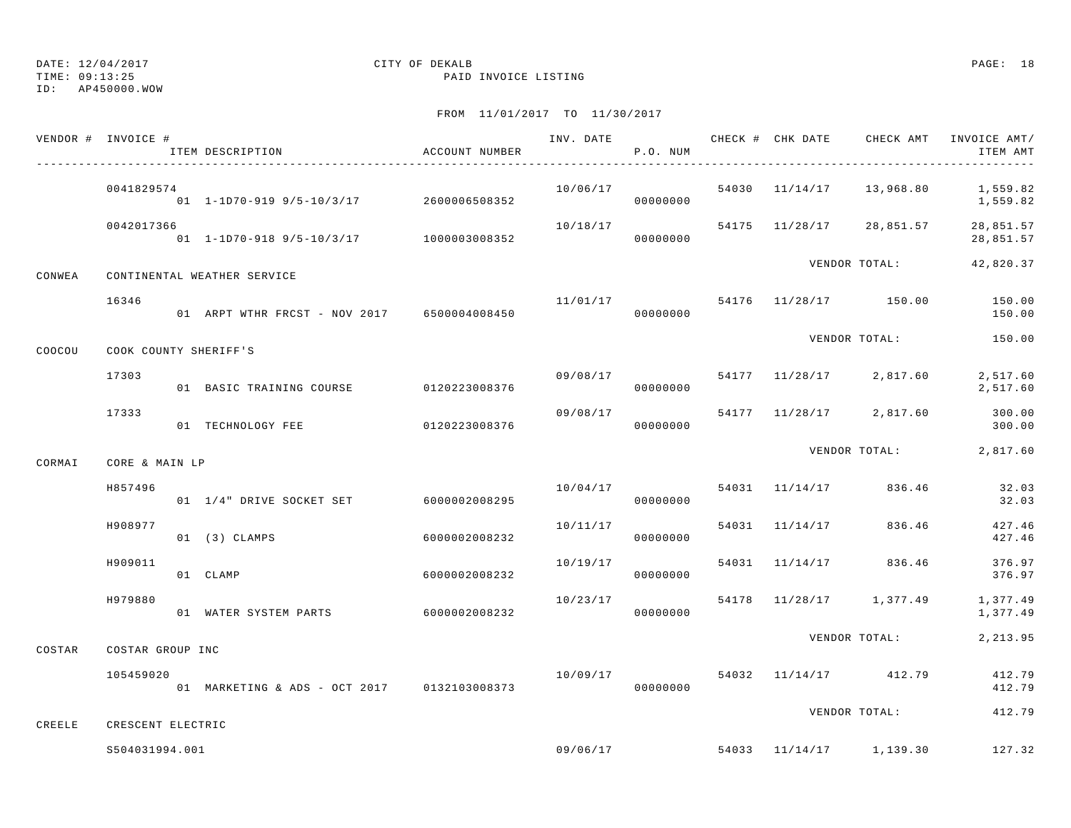TIME: 09:13:25 PAID INVOICE LISTING

ID: AP450000.WOW

|        | VENDOR # INVOICE #    | ITEM DESCRIPTION                            | ACCOUNT NUMBER | INV. DATE | P.O. NUM             |                | CHECK # CHK DATE CHECK AMT INVOICE AMT/ | ITEM AMT               |
|--------|-----------------------|---------------------------------------------|----------------|-----------|----------------------|----------------|-----------------------------------------|------------------------|
|        | 0041829574            | 01 1-1D70-919 9/5-10/3/17 2600006508352     |                | 10/06/17  | 00000000             |                | 54030 11/14/17 13,968.80 1,559.82       | 1,559.82               |
|        | 0042017366            | 01 1-1D70-918 9/5-10/3/17 1000003008352     |                | 10/18/17  | 00000000             |                | 54175 11/28/17 28,851.57                | 28,851.57<br>28,851.57 |
| CONWEA |                       | CONTINENTAL WEATHER SERVICE                 |                |           |                      |                | VENDOR TOTAL:                           | 42,820.37              |
|        | 16346                 | 01 ARPT WTHR FRCST - NOV 2017 6500004008450 |                | 11/01/17  | 00000000             |                | 54176 11/28/17 150.00                   | 150.00<br>150.00       |
| COOCOU | COOK COUNTY SHERIFF'S |                                             |                |           |                      |                | VENDOR TOTAL: 150.00                    |                        |
|        | 17303                 | 01 BASIC TRAINING COURSE                    | 0120223008376  | 09/08/17  | 00000000             |                | 54177 11/28/17 2,817.60                 | 2,517.60<br>2,517.60   |
|        | 17333                 | 01 TECHNOLOGY FEE                           | 0120223008376  |           | 09/08/17<br>00000000 |                | 54177 11/28/17 2,817.60                 | 300.00<br>300.00       |
| CORMAI | CORE & MAIN LP        |                                             |                |           |                      |                | VENDOR TOTAL:                           | 2,817.60               |
|        | H857496               | 01  1/4" DRIVE SOCKET SET 6000002008295     |                | 10/04/17  | 00000000             | 54031 11/14/17 | 836.46                                  | 32.03<br>32.03         |
|        | H908977               | $01$ $(3)$ $CLAMPS$                         | 6000002008232  | 10/11/17  | 00000000             | 54031 11/14/17 | 836.46                                  | 427.46<br>427.46       |
|        | H909011               | 01 CLAMP                                    | 6000002008232  | 10/19/17  | 00000000             | 54031 11/14/17 | 836.46                                  | 376.97<br>376.97       |
|        | H979880               | 01 WATER SYSTEM PARTS                       | 6000002008232  | 10/23/17  | 00000000             |                | 54178 11/28/17 1,377.49                 | 1,377.49<br>1,377.49   |
| COSTAR | COSTAR GROUP INC      |                                             |                |           |                      |                | VENDOR TOTAL:                           | 2, 213.95              |
|        | 105459020             | 01 MARKETING & ADS - OCT 2017 0132103008373 |                | 10/09/17  | 00000000             |                | 54032 11/14/17 412.79                   | 412.79<br>412.79       |
| CREELE | CRESCENT ELECTRIC     |                                             |                |           |                      |                | VENDOR TOTAL:                           | 412.79                 |
|        | S504031994.001        |                                             |                |           |                      |                | $09/06/17$ 54033 11/14/17 1,139.30      | 127.32                 |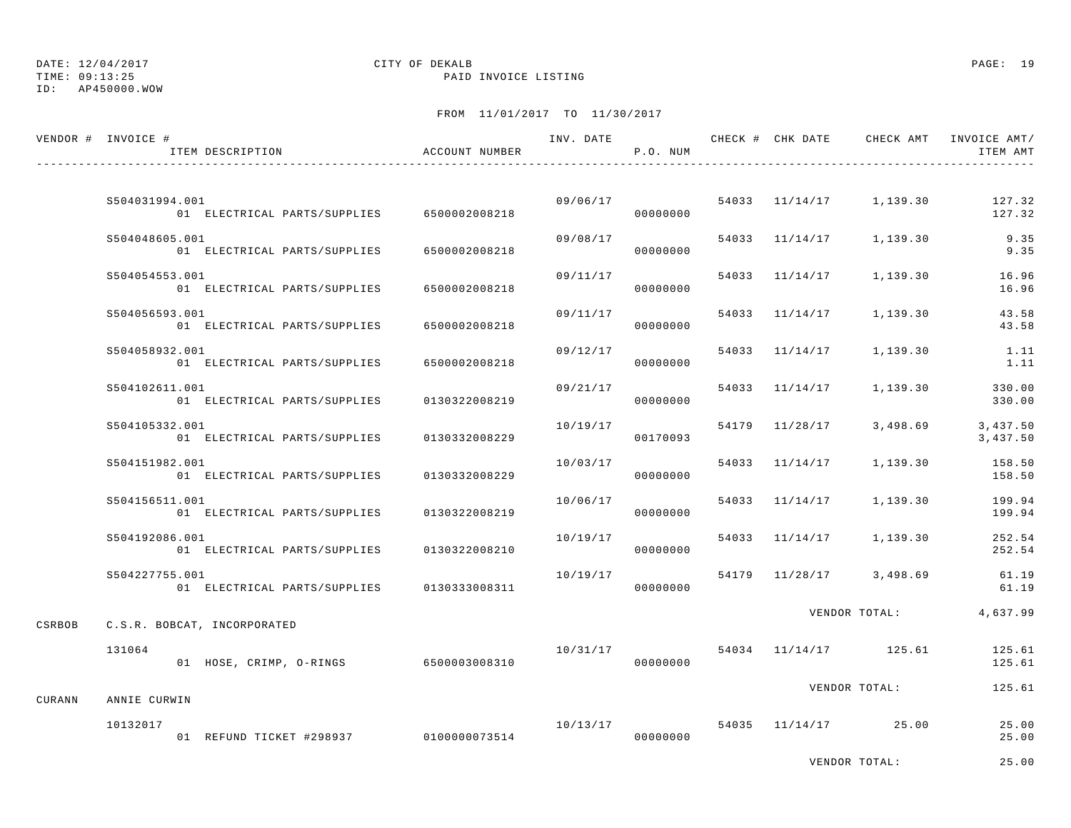TIME: 09:13:25 PAID INVOICE LISTING

ID: AP450000.WOW

|        | VENDOR # INVOICE #<br>ITEM DESCRIPTION                             | ACCOUNT NUMBER |          | P.O. NUM             |                |                         | INV. DATE 6 1990 CHECK # CHK DATE 6 CHECK AMT INVOICE AMT<br>ITEM AMT |
|--------|--------------------------------------------------------------------|----------------|----------|----------------------|----------------|-------------------------|-----------------------------------------------------------------------|
|        |                                                                    |                |          |                      |                |                         |                                                                       |
|        | S504031994.001<br>01 ELECTRICAL PARTS/SUPPLIES 6500002008218       |                |          | 09/06/17<br>00000000 |                | 54033 11/14/17 1,139.30 | 127.32<br>127.32                                                      |
|        | S504048605.001<br>01 ELECTRICAL PARTS/SUPPLIES                     | 6500002008218  | 09/08/17 | 00000000             |                | 54033 11/14/17 1,139.30 | 9.35<br>9.35                                                          |
|        | S504054553.001<br>01 ELECTRICAL PARTS/SUPPLIES                     | 6500002008218  | 09/11/17 | 00000000             |                | 54033 11/14/17 1,139.30 | 16.96<br>16.96                                                        |
|        | S504056593.001<br>01 ELECTRICAL PARTS/SUPPLIES                     | 6500002008218  | 09/11/17 | 00000000             | 54033 11/14/17 | 1,139.30                | 43.58<br>43.58                                                        |
|        | S504058932.001<br>01 ELECTRICAL PARTS/SUPPLIES                     | 6500002008218  | 09/12/17 | 00000000             | 54033 11/14/17 | 1,139.30                | 1.11<br>1.11                                                          |
|        | S504102611.001<br>01 ELECTRICAL PARTS/SUPPLIES                     | 0130322008219  | 09/21/17 | 00000000             | 54033 11/14/17 | 1,139.30                | 330.00<br>330.00                                                      |
|        | S504105332.001<br>01 ELECTRICAL PARTS/SUPPLIES                     | 0130332008229  | 10/19/17 | 00170093             | 54179 11/28/17 | 3,498.69                | 3,437.50<br>3,437.50                                                  |
|        | S504151982.001<br>01 ELECTRICAL PARTS/SUPPLIES                     | 0130332008229  | 10/03/17 | 00000000             | 54033 11/14/17 | 1,139.30                | 158.50<br>158.50                                                      |
|        | S504156511.001<br>01 ELECTRICAL PARTS/SUPPLIES                     | 0130322008219  | 10/06/17 | 00000000             | 54033 11/14/17 | 1,139.30                | 199.94<br>199.94                                                      |
|        | S504192086.001<br>01 ELECTRICAL PARTS/SUPPLIES                     | 0130322008210  | 10/19/17 | 00000000             |                | 54033 11/14/17 1,139.30 | 252.54<br>252.54                                                      |
|        | S504227755.001<br>01 ELECTRICAL PARTS/SUPPLIES                     | 0130333008311  | 10/19/17 | 00000000             |                | 54179 11/28/17 3,498.69 | 61.19<br>61.19                                                        |
| CSRBOB | C.S.R. BOBCAT, INCORPORATED                                        |                |          |                      |                | VENDOR TOTAL:           | 4,637.99                                                              |
|        | 131064<br>01 HOSE, CRIMP, O-RINGS 6500003008310                    |                | 10/31/17 | 00000000             |                | 54034 11/14/17 125.61   | 125.61<br>125.61                                                      |
|        |                                                                    |                |          |                      |                | VENDOR TOTAL:           | 125.61                                                                |
| CURANN | ANNIE CURWIN<br>10132017<br>01 REFUND TICKET #298937 0100000073514 |                | 10/13/17 | 00000000             |                | 54035 11/14/17 25.00    | 25.00<br>25.00                                                        |
|        |                                                                    |                |          |                      |                | VENDOR TOTAL:           | 25.00                                                                 |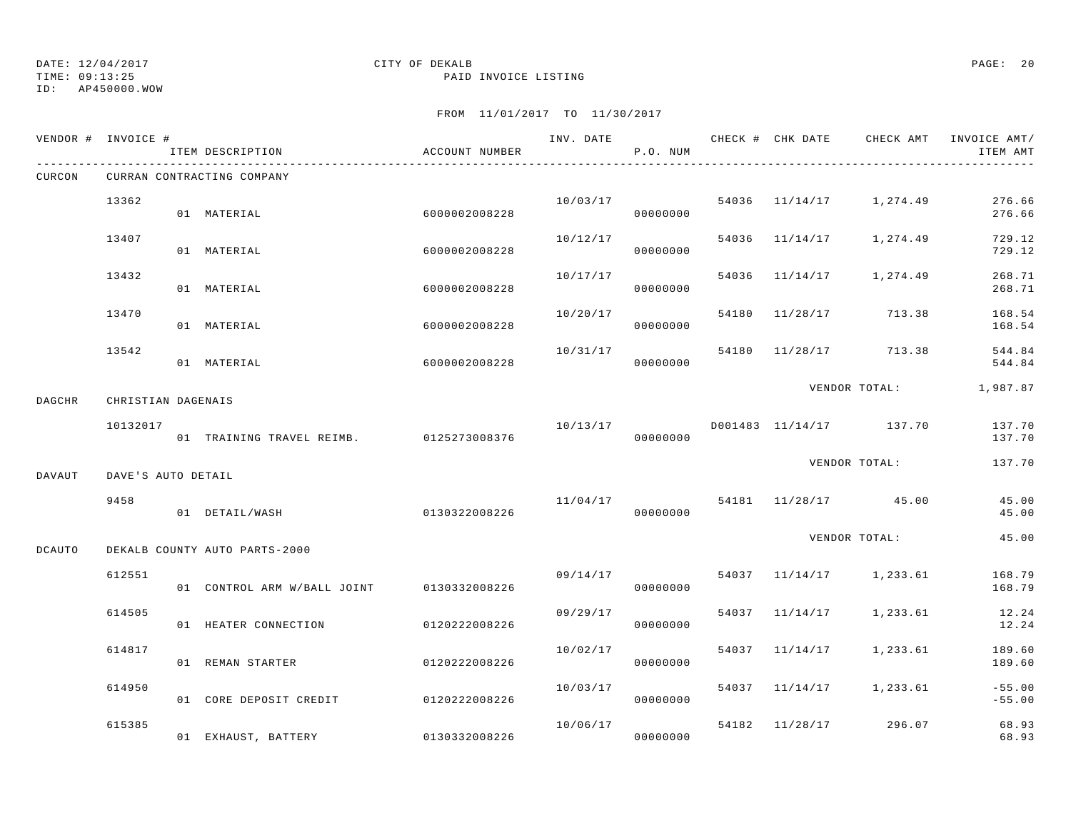TIME: 09:13:25 PAID INVOICE LISTING

ID: AP450000.WOW

|               | VENDOR # INVOICE # | ITEM DESCRIPTION                          | ACCOUNT NUMBER |          | P.O. NUM             |       |                | INV. DATE 6 7 CHECK # CHK DATE CHECK AMT INVOICE AMT/ | ITEM AMT             |
|---------------|--------------------|-------------------------------------------|----------------|----------|----------------------|-------|----------------|-------------------------------------------------------|----------------------|
| CURCON        |                    | CURRAN CONTRACTING COMPANY                |                |          |                      |       |                |                                                       |                      |
|               | 13362              | 01 MATERIAL                               | 6000002008228  |          | 10/03/17<br>00000000 |       |                | 54036 11/14/17 1,274.49                               | 276.66<br>276.66     |
|               | 13407              | 01 MATERIAL                               | 6000002008228  | 10/12/17 | 00000000             |       |                | 54036 11/14/17 1,274.49                               | 729.12<br>729.12     |
|               | 13432              | 01 MATERIAL                               | 6000002008228  | 10/17/17 | 00000000             |       |                | 54036 11/14/17 1,274.49                               | 268.71<br>268.71     |
|               | 13470              | 01 MATERIAL                               | 6000002008228  | 10/20/17 | 00000000             | 54180 |                | 11/28/17 713.38                                       | 168.54<br>168.54     |
|               | 13542              | 01 MATERIAL                               | 6000002008228  | 10/31/17 | 00000000             |       |                | 54180 11/28/17 713.38                                 | 544.84<br>544.84     |
| <b>DAGCHR</b> | CHRISTIAN DAGENAIS |                                           |                |          |                      |       |                | VENDOR TOTAL: 1,987.87                                |                      |
|               | 10132017           | 01 TRAINING TRAVEL REIMB. 0125273008376   |                | 10/13/17 | 00000000             |       |                | D001483 11/14/17 137.70                               | 137.70<br>137.70     |
| DAVAUT        | DAVE'S AUTO DETAIL |                                           |                |          |                      |       |                | VENDOR TOTAL:                                         | 137.70               |
|               | 9458               | 01 DETAIL/WASH                            | 0130322008226  |          | 00000000             |       |                | $11/04/17$ 54181 $11/28/17$ 45.00                     | 45.00<br>45.00       |
| <b>DCAUTO</b> |                    | DEKALB COUNTY AUTO PARTS-2000             |                |          |                      |       |                | VENDOR TOTAL:                                         | 45.00                |
|               | 612551             | 01 CONTROL ARM W/BALL JOINT 0130332008226 |                |          | 09/14/17<br>00000000 |       |                | 54037 11/14/17 1,233.61                               | 168.79<br>168.79     |
|               | 614505             | 01 HEATER CONNECTION                      | 0120222008226  | 09/29/17 | 00000000             |       |                | 54037 11/14/17 1,233.61                               | 12.24<br>12.24       |
|               | 614817             | 01 REMAN STARTER                          | 0120222008226  | 10/02/17 | 00000000             |       |                | 54037 11/14/17 1,233.61                               | 189.60<br>189.60     |
|               | 614950             | 01 CORE DEPOSIT CREDIT                    | 0120222008226  | 10/03/17 | 00000000             |       |                | 54037 11/14/17 1,233.61                               | $-55.00$<br>$-55.00$ |
|               | 615385             | 01 EXHAUST, BATTERY                       | 0130332008226  | 10/06/17 | 00000000             |       | 54182 11/28/17 | 296.07                                                | 68.93<br>68.93       |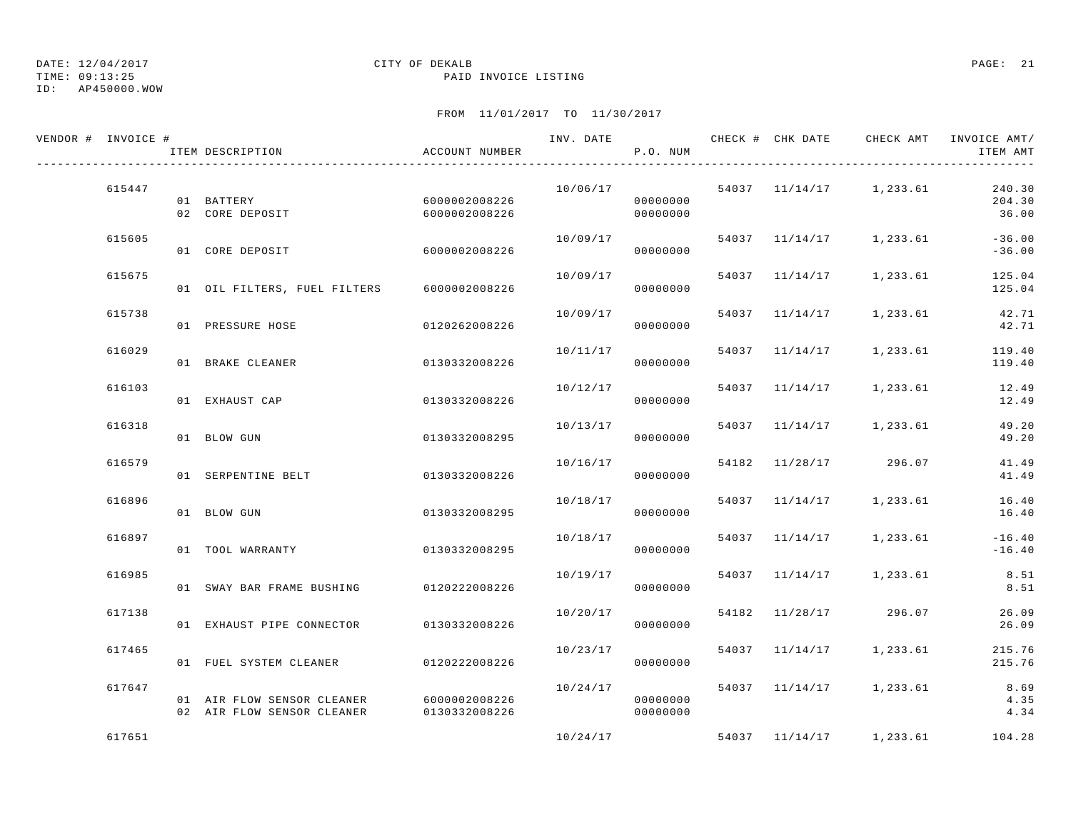ID: AP450000.WOW

### TIME: 09:13:25 PAID INVOICE LISTING

| VENDOR # INVOICE # | ITEM DESCRIPTION                                                                     | ACCOUNT NUMBER                 | INV. DATE | P.O. NUM             |                |                         | CHECK # CHK DATE 6 CHECK AMT INVOICE AMT/<br>ITEM AMT |
|--------------------|--------------------------------------------------------------------------------------|--------------------------------|-----------|----------------------|----------------|-------------------------|-------------------------------------------------------|
| 615447             | 01 BATTERY<br>02 CORE DEPOSIT                                                        | 6000002008226<br>6000002008226 | 10/06/17  | 00000000<br>00000000 |                | 54037 11/14/17 1,233.61 | 240.30<br>204.30<br>36.00                             |
| 615605             | 01 CORE DEPOSIT                                                                      | 60000002008226                 | 10/09/17  | 00000000             |                | 54037 11/14/17 1,233.61 | $-36.00$<br>$-36.00$                                  |
| 615675             | 01 OIL FILTERS, FUEL FILTERS 6000002008226                                           |                                | 10/09/17  | 00000000             |                | 54037 11/14/17 1,233.61 | 125.04<br>125.04                                      |
| 615738             | 01 PRESSURE HOSE                                                                     | 0120262008226                  | 10/09/17  | 00000000             |                | 54037 11/14/17 1,233.61 | 42.71<br>42.71                                        |
| 616029             | 01 BRAKE CLEANER                                                                     | 0130332008226                  | 10/11/17  | 00000000             | 54037 11/14/17 | 1,233.61                | 119.40<br>119.40                                      |
| 616103             | 01 EXHAUST CAP                                                                       | 0130332008226                  | 10/12/17  | 00000000             |                | 54037 11/14/17 1,233.61 | 12.49<br>12.49                                        |
| 616318             | 01 BLOW GUN                                                                          | 0130332008295                  | 10/13/17  | 00000000             |                | 54037 11/14/17 1,233.61 | 49.20<br>49.20                                        |
| 616579             | 01 SERPENTINE BELT                                                                   | 0130332008226                  | 10/16/17  | 00000000             |                | 54182 11/28/17 296.07   | 41.49<br>41.49                                        |
| 616896             | 01 BLOW GUN                                                                          | 0130332008295                  | 10/18/17  | 00000000             |                | 54037 11/14/17 1,233.61 | 16.40<br>16.40                                        |
| 616897             | 01 TOOL WARRANTY                                                                     | 0130332008295                  | 10/18/17  | 00000000             |                | 54037 11/14/17 1,233.61 | $-16.40$<br>$-16.40$                                  |
| 616985             | 01 SWAY BAR FRAME BUSHING 0120222008226                                              |                                | 10/19/17  | 00000000             |                | 54037 11/14/17 1,233.61 | 8.51<br>8.51                                          |
| 617138             | 01 EXHAUST PIPE CONNECTOR 0130332008226                                              |                                | 10/20/17  | 00000000             |                | 54182 11/28/17 296.07   | 26.09<br>26.09                                        |
| 617465             | 01 FUEL SYSTEM CLEANER 0120222008226                                                 |                                | 10/23/17  | 00000000             |                | 54037 11/14/17 1,233.61 | 215.76<br>215.76                                      |
| 617647             | 01 AIR FLOW SENSOR CLEANER 6000002008226<br>02 AIR FLOW SENSOR CLEANER 0130332008226 |                                | 10/24/17  | 00000000<br>00000000 |                | 54037 11/14/17 1,233.61 | 8.69<br>4.35<br>4.34                                  |
| 617651             |                                                                                      |                                | 10/24/17  |                      |                | 54037 11/14/17 1,233.61 | 104.28                                                |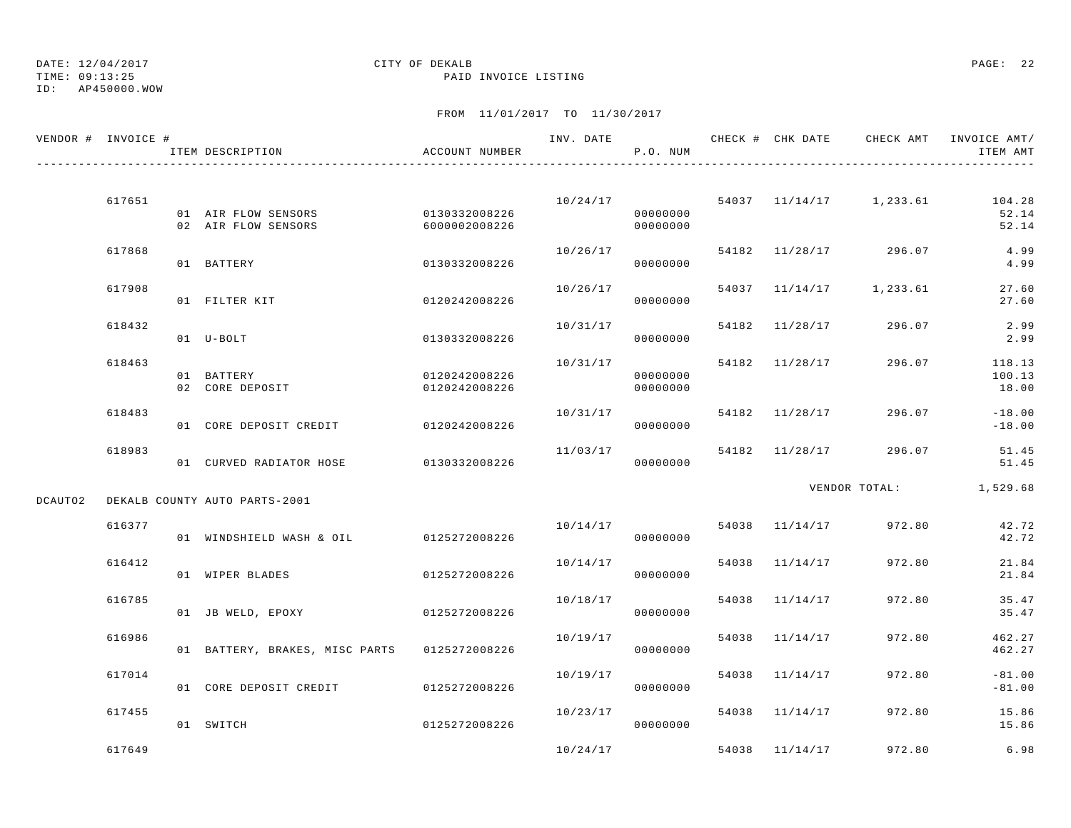ID: AP450000.WOW

### TIME: 09:13:25 PAID INVOICE LISTING

|         | VENDOR # INVOICE # | ITEM DESCRIPTION                                         | ACCOUNT NUMBER                 |          | P.O. NUM             |       |                |                         | ITEM AMT                                         |
|---------|--------------------|----------------------------------------------------------|--------------------------------|----------|----------------------|-------|----------------|-------------------------|--------------------------------------------------|
|         | 617651             | 01 AIR FLOW SENSORS 0130332008226<br>02 AIR FLOW SENSORS | 6000002008226                  | 10/24/17 | 00000000<br>00000000 |       |                |                         | 54037 11/14/17 1,233.61 104.28<br>52.14<br>52.14 |
|         | 617868             | 01 BATTERY                                               | 0130332008226                  | 10/26/17 | 00000000             |       |                | 54182 11/28/17 296.07   | 4.99<br>4.99                                     |
|         | 617908             | 01 FILTER KIT                                            | 0120242008226                  | 10/26/17 | 00000000             |       |                | 54037 11/14/17 1,233.61 | 27.60<br>27.60                                   |
|         | 618432             | 01 U-BOLT                                                | 0130332008226                  | 10/31/17 | 00000000             |       |                | 54182 11/28/17 296.07   | 2.99<br>2.99                                     |
|         | 618463             | 01 BATTERY<br>02 CORE DEPOSIT                            | 0120242008226<br>0120242008226 | 10/31/17 | 00000000<br>00000000 |       | 54182 11/28/17 | 296.07                  | 118.13<br>100.13<br>18.00                        |
|         | 618483             | 01 CORE DEPOSIT CREDIT 0120242008226                     |                                | 10/31/17 | 00000000             |       | 54182 11/28/17 | 296.07                  | $-18.00$<br>$-18.00$                             |
|         | 618983             | 01 CURVED RADIATOR HOSE 0130332008226                    |                                | 11/03/17 | 00000000             |       |                | 54182 11/28/17 296.07   | 51.45<br>51.45                                   |
| DCAUTO2 |                    | DEKALB COUNTY AUTO PARTS-2001                            |                                |          |                      |       |                |                         | VENDOR TOTAL: 1,529.68                           |
|         | 616377             | 01 WINDSHIELD WASH & OIL 0125272008226                   |                                | 10/14/17 | 00000000             |       |                | 54038 11/14/17 972.80   | 42.72<br>42.72                                   |
|         | 616412             | 01 WIPER BLADES                                          | 0125272008226                  | 10/14/17 | 00000000             |       | 54038 11/14/17 | 972.80                  | 21.84<br>21.84                                   |
|         | 616785             | 01 JB WELD, EPOXY                                        | 0125272008226                  | 10/18/17 | 00000000             | 54038 | 11/14/17       | 972.80                  | 35.47<br>35.47                                   |
|         | 616986             | 01 BATTERY, BRAKES, MISC PARTS 0125272008226             |                                | 10/19/17 | 00000000             |       | 54038 11/14/17 | 972.80                  | 462.27<br>462.27                                 |
|         | 617014             | 01 CORE DEPOSIT CREDIT 0125272008226                     |                                | 10/19/17 | 00000000             |       | 54038 11/14/17 | 972.80                  | $-81.00$<br>$-81.00$                             |
|         | 617455             | 01 SWITCH                                                | 0125272008226                  | 10/23/17 | 00000000             |       | 54038 11/14/17 | 972.80                  | 15.86<br>15.86                                   |
|         | 617649             |                                                          |                                | 10/24/17 |                      |       | 54038 11/14/17 | 972.80                  | 6.98                                             |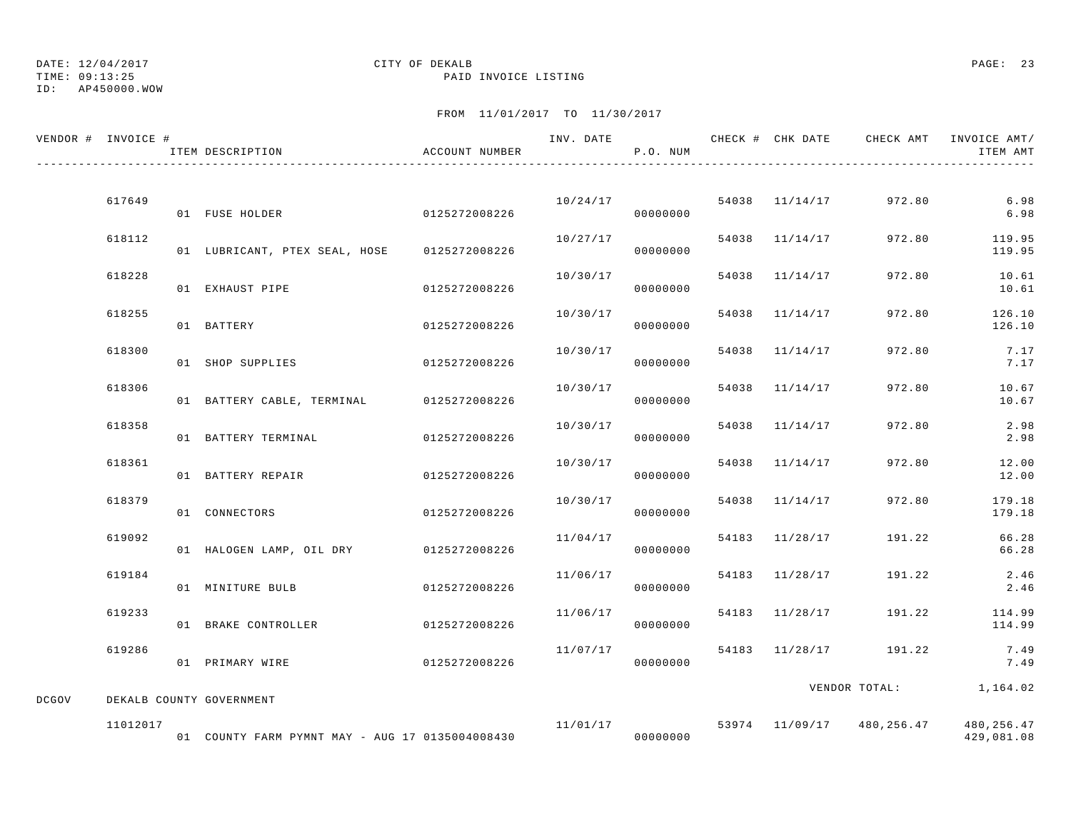# TIME: 09:13:25 PAID INVOICE LISTING

## ID: AP450000.WOW

## DATE: 12/04/2017 CITY OF DEKALB PAGE: 23

|              | VENDOR # INVOICE # | ITEM DESCRIPTION                                | ACCOUNT NUMBER |          | P.O. NUM             |       |                |                        | INV. DATE 6 7 200 CHECK # CHK DATE 6 2 CHECK AMT INVOICE AMT<br>ITEM AMT |
|--------------|--------------------|-------------------------------------------------|----------------|----------|----------------------|-------|----------------|------------------------|--------------------------------------------------------------------------|
|              | 617649             | 01 FUSE HOLDER                                  | 0125272008226  |          | 10/24/17<br>00000000 |       | 54038 11/14/17 | 972.80                 | 6.98<br>6.98                                                             |
|              | 618112             | 01 LUBRICANT, PTEX SEAL, HOSE                   | 0125272008226  | 10/27/17 | 00000000             |       | 54038 11/14/17 | 972.80                 | 119.95<br>119.95                                                         |
|              | 618228             | 01 EXHAUST PIPE                                 | 0125272008226  | 10/30/17 | 00000000             |       | 54038 11/14/17 | 972.80                 | 10.61<br>10.61                                                           |
|              | 618255             | 01 BATTERY                                      | 0125272008226  | 10/30/17 | 00000000             |       | 54038 11/14/17 | 972.80                 | 126.10<br>126.10                                                         |
|              | 618300             | 01 SHOP SUPPLIES                                | 0125272008226  | 10/30/17 | 00000000             | 54038 | 11/14/17       | 972.80                 | 7.17<br>7.17                                                             |
|              | 618306             | 01 BATTERY CABLE, TERMINAL                      | 0125272008226  | 10/30/17 | 00000000             |       | 54038 11/14/17 | 972.80                 | 10.67<br>10.67                                                           |
|              | 618358             | 01 BATTERY TERMINAL                             | 0125272008226  | 10/30/17 | 00000000             |       | 54038 11/14/17 | 972.80                 | 2.98<br>2.98                                                             |
|              | 618361             | 01 BATTERY REPAIR                               | 0125272008226  | 10/30/17 | 00000000             | 54038 | 11/14/17       | 972.80                 | 12.00<br>12.00                                                           |
|              | 618379             | 01 CONNECTORS                                   | 0125272008226  | 10/30/17 | 00000000             |       | 54038 11/14/17 | 972.80                 | 179.18<br>179.18                                                         |
|              | 619092             | 01 HALOGEN LAMP, OIL DRY 0125272008226          |                | 11/04/17 | 00000000             |       | 54183 11/28/17 | 191.22                 | 66.28<br>66.28                                                           |
|              | 619184             | 01 MINITURE BULB                                | 0125272008226  | 11/06/17 | 00000000             |       | 54183 11/28/17 | 191.22                 | 2.46<br>2.46                                                             |
|              | 619233             | 01 BRAKE CONTROLLER                             | 0125272008226  | 11/06/17 | 00000000             |       | 54183 11/28/17 | 191.22                 | 114.99<br>114.99                                                         |
|              | 619286             | 01 PRIMARY WIRE                                 | 0125272008226  | 11/07/17 | 00000000             |       | 54183 11/28/17 | 191.22                 | 7.49<br>7.49                                                             |
| <b>DCGOV</b> |                    | DEKALB COUNTY GOVERNMENT                        |                |          |                      |       |                | VENDOR TOTAL: 1,164.02 |                                                                          |
|              | 11012017           | 01 COUNTY FARM PYMNT MAY - AUG 17 0135004008430 |                | 11/01/17 | 00000000             |       |                |                        | 53974 11/09/17 480,256.47 480,256.47<br>429,081.08                       |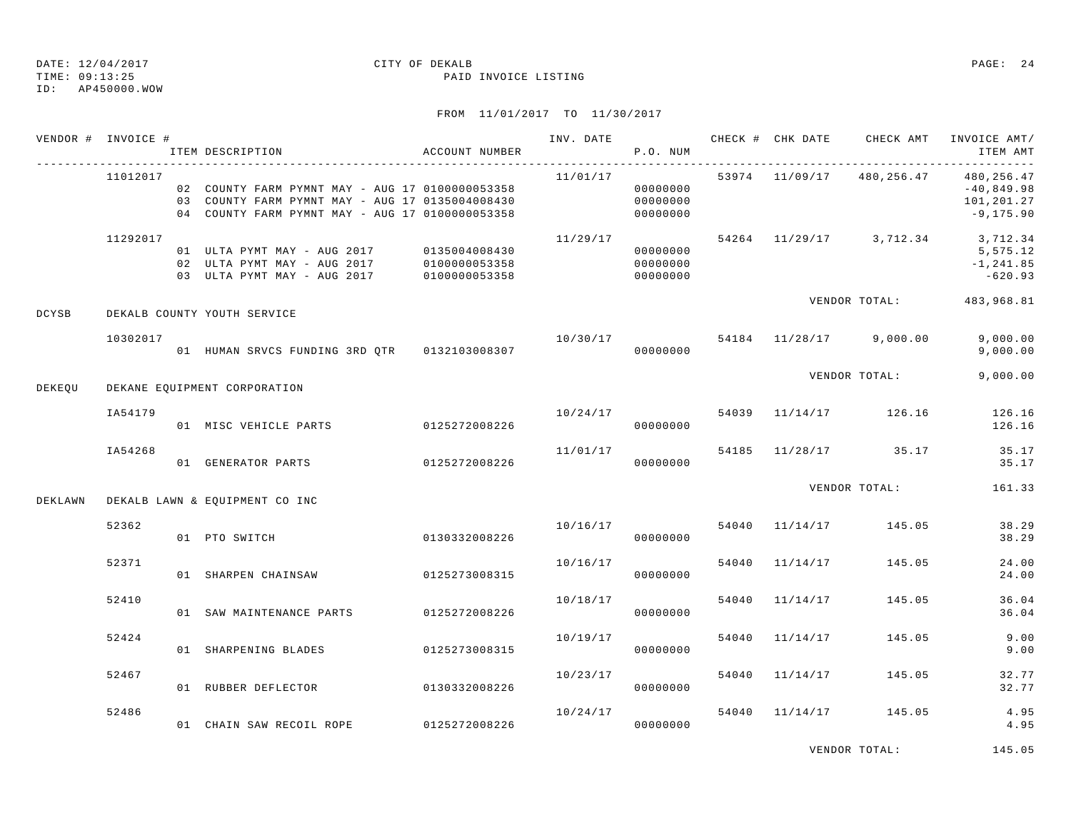ID: AP450000.WOW

### TIME: 09:13:25 PAID INVOICE LISTING

FROM 11/01/2017 TO 11/30/2017

| VENDOR # INVOICE # |          | ITEM DESCRIPTION                                                                                                                                         | ACCOUNT NUMBER |          | P.O. NUM                         |  | INV. DATE 6 CHECK # CHK DATE CHECK AMT INVOICE AMT/ | ITEM AMT                                                |
|--------------------|----------|----------------------------------------------------------------------------------------------------------------------------------------------------------|----------------|----------|----------------------------------|--|-----------------------------------------------------|---------------------------------------------------------|
|                    | 11012017 | 02  COUNTY FARM PYMNT MAY - AUG 17  0100000053358<br>03  COUNTY FARM PYMNT MAY - AUG 17 0135004008430<br>04 COUNTY FARM PYMNT MAY - AUG 17 0100000053358 |                | 11/01/17 | 00000000<br>00000000<br>00000000 |  | 53974 11/09/17 480,256.47                           | 480,256.47<br>$-40,849.98$<br>101,201.27<br>$-9,175.90$ |
|                    | 11292017 | 01 ULTA PYMT MAY - AUG 2017 0135004008430<br>02 ULTA PYMT MAY - AUG 2017 0100000053358<br>03 ULTA PYMT MAY - AUG 2017                                    | 0100000053358  | 11/29/17 | 00000000<br>00000000<br>00000000 |  | 54264 11/29/17 3,712.34 3,712.34                    | 5,575.12<br>$-1, 241.85$<br>$-620.93$                   |
| <b>DCYSB</b>       |          | DEKALB COUNTY YOUTH SERVICE                                                                                                                              |                |          |                                  |  | VENDOR TOTAL: 483,968.81                            |                                                         |
|                    | 10302017 |                                                                                                                                                          |                |          | 00000000                         |  | $10/30/17$ 54184 $11/28/17$ 9,000.00                | 9,000.00<br>9,000.00                                    |
| DEKEQU             |          | DEKANE EQUIPMENT CORPORATION                                                                                                                             |                |          |                                  |  | VENDOR TOTAL:                                       | 9,000.00                                                |
|                    | IA54179  |                                                                                                                                                          |                |          |                                  |  | $10/24/17$ 54039 $11/14/17$ 126.16                  | 126.16<br>126.16                                        |
|                    | IA54268  | 01 GENERATOR PARTS 0125272008226                                                                                                                         |                | 11/01/17 | 00000000                         |  | 54185 11/28/17 35.17                                | 35.17<br>35.17                                          |
| DEKLAWN            |          | DEKALB LAWN & EQUIPMENT CO INC                                                                                                                           |                |          |                                  |  | VENDOR TOTAL:                                       | 161.33                                                  |
|                    | 52362    | 01 PTO SWITCH                                                                                                                                            | 0130332008226  |          | 00000000                         |  | $10/16/17$ 54040 $11/14/17$ 145.05                  | 38.29<br>38.29                                          |
|                    | 52371    | 01 SHARPEN CHAINSAW 0125273008315                                                                                                                        |                | 10/16/17 | 00000000                         |  | 54040 11/14/17 145.05                               | 24.00<br>24.00                                          |
|                    | 52410    | 01 SAW MAINTENANCE PARTS 0125272008226                                                                                                                   |                | 10/18/17 | 00000000                         |  | 54040 11/14/17 145.05                               | 36.04<br>36.04                                          |
|                    | 52424    | 01 SHARPENING BLADES 0125273008315                                                                                                                       |                | 10/19/17 | 00000000                         |  | 54040 11/14/17 145.05                               | 9.00<br>9.00                                            |
|                    | 52467    | 01 RUBBER DEFLECTOR 0130332008226                                                                                                                        |                | 10/23/17 | 00000000                         |  | 54040 11/14/17 145.05                               | 32.77<br>32.77                                          |
|                    | 52486    | 01 CHAIN SAW RECOIL ROPE 0125272008226                                                                                                                   |                | 10/24/17 | 00000000                         |  | 54040 11/14/17 145.05                               | 4.95<br>4.95                                            |

VENDOR TOTAL: 145.05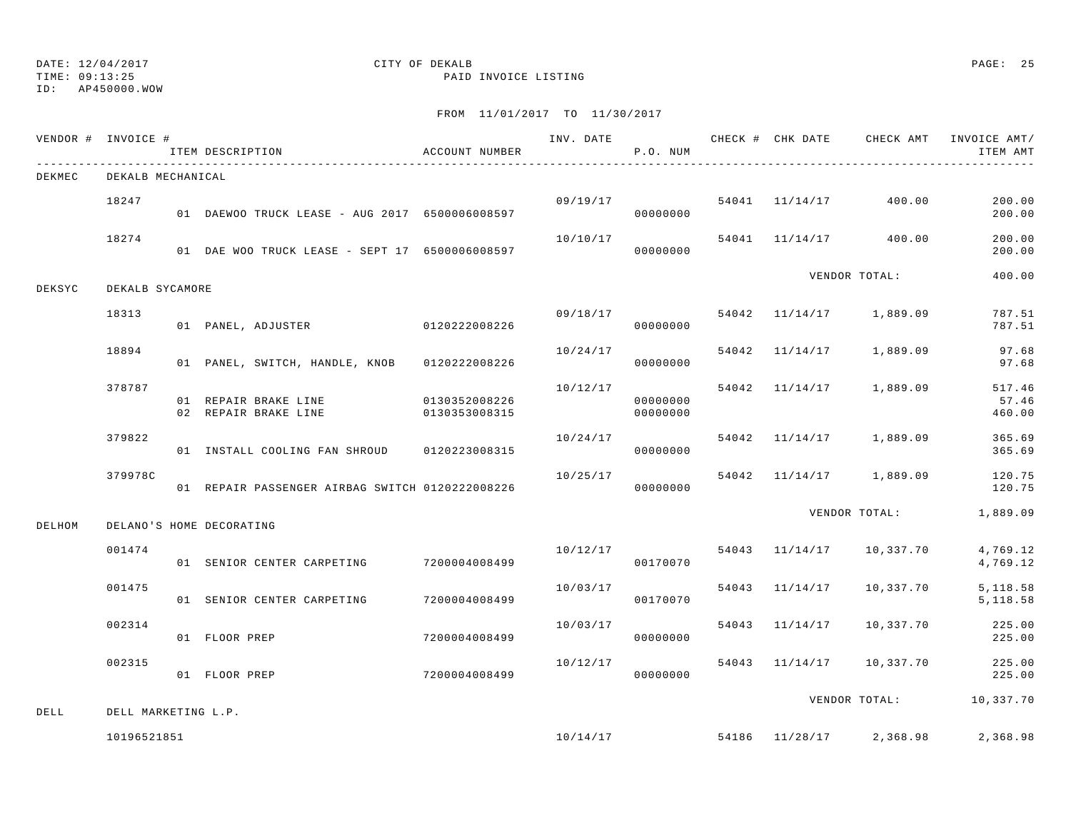TIME: 09:13:25 PAID INVOICE LISTING

ID: AP450000.WOW

|        | VENDOR # INVOICE #  | ITEM DESCRIPTION                                | ACCOUNT NUMBER |          | P.O. NUM             |                |                                       | INV. DATE 6 1999 CHECK # CHK DATE CHECK AMT INVOICE AMT<br>ITEM AMT |
|--------|---------------------|-------------------------------------------------|----------------|----------|----------------------|----------------|---------------------------------------|---------------------------------------------------------------------|
| DEKMEC | DEKALB MECHANICAL   |                                                 |                |          |                      |                |                                       |                                                                     |
|        | 18247               | 01 DAEWOO TRUCK LEASE - AUG 2017 6500006008597  |                | 09/19/17 | 00000000             |                | 54041 11/14/17 400.00                 | 200.00<br>200.00                                                    |
|        | 18274               | 01 DAE WOO TRUCK LEASE - SEPT 17 6500006008597  |                | 10/10/17 | 00000000             |                | 54041 11/14/17 400.00                 | 200.00<br>200.00                                                    |
| DEKSYC | DEKALB SYCAMORE     |                                                 |                |          |                      |                | VENDOR TOTAL:                         | 400.00                                                              |
|        | 18313               | 01 PANEL, ADJUSTER 0120222008226                |                | 09/18/17 | 00000000             |                | 54042 11/14/17 1,889.09               | 787.51<br>787.51                                                    |
|        | 18894               | 01 PANEL, SWITCH, HANDLE, KNOB 0120222008226    |                | 10/24/17 | 00000000             |                | 54042 11/14/17 1,889.09               | 97.68<br>97.68                                                      |
|        | 378787              | 01 REPAIR BRAKE LINE 0130352008226              |                | 10/12/17 | 00000000<br>00000000 |                | 54042 11/14/17 1,889.09               | 517.46<br>57.46<br>460.00                                           |
|        | 379822              | 01 INSTALL COOLING FAN SHROUD 0120223008315     |                | 10/24/17 | 00000000             |                | 54042 11/14/17 1,889.09               | 365.69<br>365.69                                                    |
|        | 379978C             | 01 REPAIR PASSENGER AIRBAG SWITCH 0120222008226 |                | 10/25/17 | 00000000             |                | 54042 11/14/17 1,889.09               | 120.75<br>120.75                                                    |
| DELHOM |                     | DELANO'S HOME DECORATING                        |                |          |                      |                | VENDOR TOTAL:                         | 1,889.09                                                            |
|        | 001474              | 01 SENIOR CENTER CARPETING 7200004008499        |                |          | 00170070             |                | $10/12/17$ 54043 $11/14/17$ 10,337.70 | 4,769.12<br>4,769.12                                                |
|        | 001475              | 01 SENIOR CENTER CARPETING                      | 7200004008499  | 10/03/17 | 00170070             | 54043 11/14/17 | 10,337.70                             | 5, 118.58<br>5,118.58                                               |
|        | 002314              | 01 FLOOR PREP                                   | 7200004008499  | 10/03/17 | 00000000             | 54043 11/14/17 | 10,337.70                             | 225.00<br>225.00                                                    |
|        | 002315              | 01 FLOOR PREP                                   | 7200004008499  | 10/12/17 | 00000000             |                | 54043 11/14/17 10,337.70              | 225.00<br>225.00                                                    |
| DELL   | DELL MARKETING L.P. |                                                 |                |          |                      |                |                                       | VENDOR TOTAL: 10,337.70                                             |
|        | 10196521851         |                                                 |                |          | 10/14/17             |                | 54186 11/28/17 2,368.98               | 2,368.98                                                            |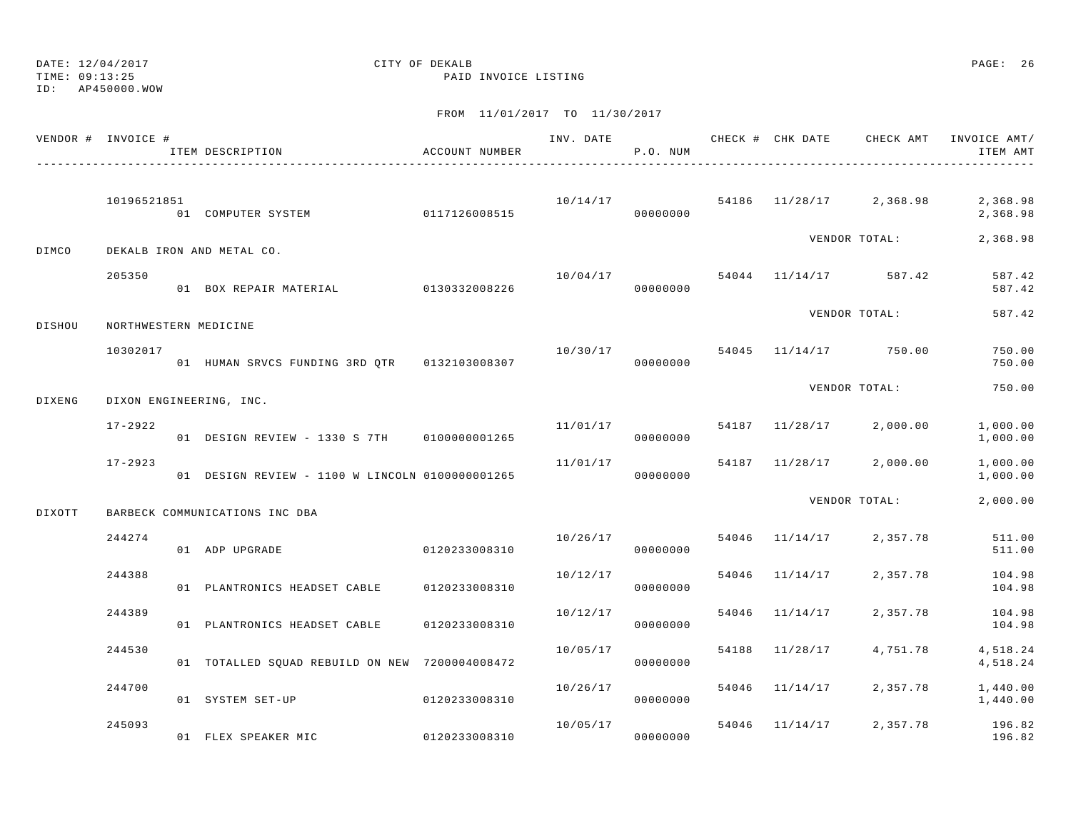TIME: 09:13:25 PAID INVOICE LISTING

ID: AP450000.WOW

|        | VENDOR # INVOICE #    | ITEM DESCRIPTION                                | ACCOUNT NUMBER |          | P.O. NUM |                |                                    | ITEM AMT             |
|--------|-----------------------|-------------------------------------------------|----------------|----------|----------|----------------|------------------------------------|----------------------|
|        | 10196521851           | 01 COMPUTER SYSTEM 0117126008515                |                |          | 00000000 |                | $10/14/17$ 54186 11/28/17 2,368.98 | 2,368.98<br>2,368.98 |
| DIMCO  |                       | DEKALB IRON AND METAL CO.                       |                |          |          |                | VENDOR TOTAL:                      | 2,368.98             |
|        | 205350                | 01 BOX REPAIR MATERIAL 0130332008226            |                |          | 00000000 |                | $10/04/17$ 54044 $11/14/17$ 587.42 | 587.42<br>587.42     |
| DISHOU | NORTHWESTERN MEDICINE |                                                 |                |          |          |                | VENDOR TOTAL:                      | 587.42               |
|        | 10302017              |                                                 |                |          |          |                | 10/30/17 54045 11/14/17 750.00     | 750.00<br>750.00     |
| DIXENG |                       | DIXON ENGINEERING, INC.                         |                |          |          |                | VENDOR TOTAL:                      | 750.00               |
|        | $17 - 2922$           | 01 DESIGN REVIEW - 1330 S 7TH 0100000001265     |                |          | 00000000 |                | $11/01/17$ 54187 11/28/17 2,000.00 | 1,000.00<br>1,000.00 |
|        | $17 - 2923$           | 01 DESIGN REVIEW - 1100 W LINCOLN 0100000001265 |                | 11/01/17 | 00000000 |                | 54187 11/28/17 2,000.00            | 1,000.00<br>1,000.00 |
| DIXOTT |                       | BARBECK COMMUNICATIONS INC DBA                  |                |          |          |                | VENDOR TOTAL:                      | 2,000.00             |
|        | 244274                | 01 ADP UPGRADE                                  | 0120233008310  | 10/26/17 | 00000000 | 54046 11/14/17 | 2,357.78                           | 511.00<br>511.00     |
|        | 244388                | 01 PLANTRONICS HEADSET CABLE 0120233008310      |                | 10/12/17 | 00000000 | 54046 11/14/17 | 2,357.78                           | 104.98<br>104.98     |
|        | 244389                | 01 PLANTRONICS HEADSET CABLE 0120233008310      |                | 10/12/17 | 00000000 | 54046 11/14/17 | 2,357.78                           | 104.98<br>104.98     |
|        | 244530                | 01 TOTALLED SOUAD REBUILD ON NEW 7200004008472  |                | 10/05/17 | 00000000 | 54188 11/28/17 | 4,751.78                           | 4,518.24<br>4,518.24 |
|        | 244700                | 01 SYSTEM SET-UP                                | 0120233008310  | 10/26/17 | 00000000 |                | 54046 11/14/17 2,357.78            | 1,440.00<br>1,440.00 |
|        | 245093                | 01 FLEX SPEAKER MIC                             | 0120233008310  | 10/05/17 | 00000000 |                | 54046 11/14/17 2,357.78            | 196.82<br>196.82     |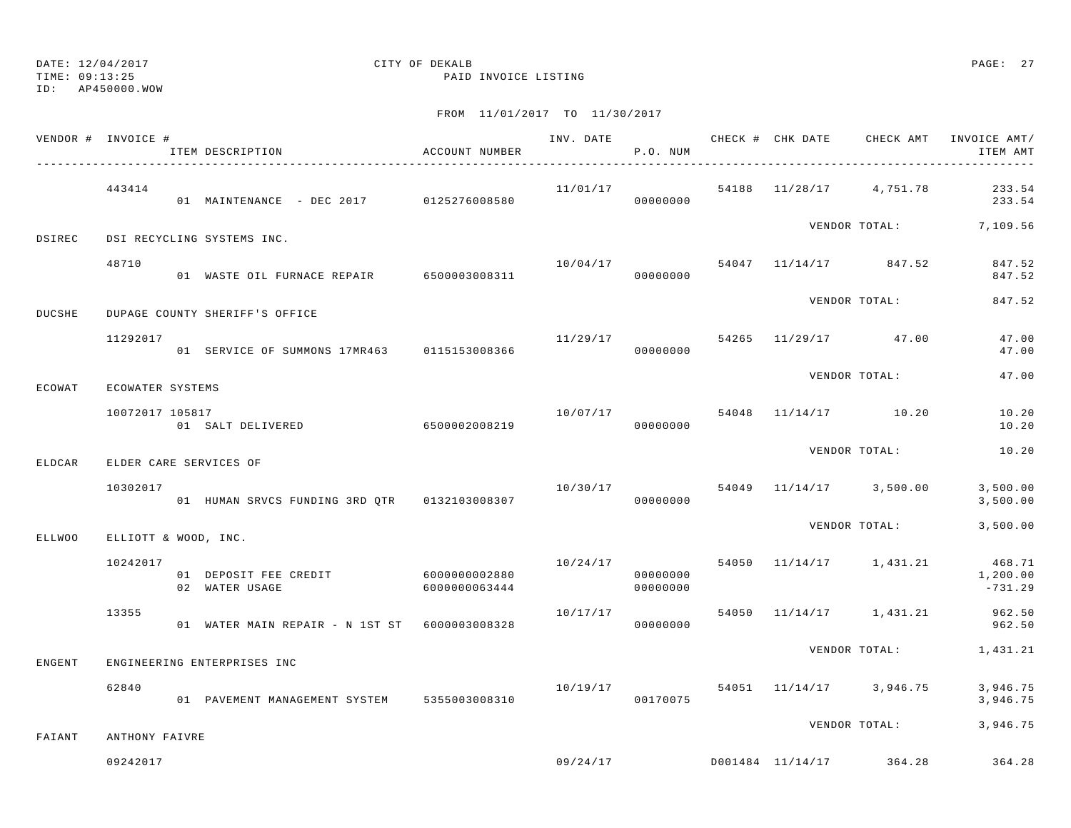TIME: 09:13:25 PAID INVOICE LISTING

ID: AP450000.WOW

|        | VENDOR # INVOICE #   | ITEM DESCRIPTION                                            | ACCOUNT NUMBER |          | P.O. NUM             |  |                                      | INV. DATE 6 CHECK # CHK DATE CHECK AMT INVOICE AMT/<br>ITEM AMT |
|--------|----------------------|-------------------------------------------------------------|----------------|----------|----------------------|--|--------------------------------------|-----------------------------------------------------------------|
|        | 443414               | 01 MAINTENANCE - DEC 2017 0125276008580 0000000000 00000000 |                |          |                      |  |                                      | $11/01/17$ 54188 $11/28/17$ 4,751.78 233.54<br>233.54           |
| DSIREC |                      | DSI RECYCLING SYSTEMS INC.                                  |                |          |                      |  |                                      | VENDOR TOTAL: 7,109.56                                          |
|        | 48710                | 01 WASTE OIL FURNACE REPAIR 6500003008311                   |                |          | 00000000             |  | $10/04/17$ 54047 11/14/17 847.52     | 847.52<br>847.52                                                |
| DUCSHE |                      | DUPAGE COUNTY SHERIFF'S OFFICE                              |                |          |                      |  | VENDOR TOTAL:                        | 847.52                                                          |
|        | 11292017             | 01 SERVICE OF SUMMONS 17MR463 0115153008366                 |                |          | 00000000             |  | $11/29/17$ 54265 11/29/17 47.00      | 47.00<br>47.00                                                  |
| ECOWAT | ECOWATER SYSTEMS     |                                                             |                |          |                      |  | VENDOR TOTAL:                        | 47.00                                                           |
|        | 10072017 105817      | 01 SALT DELIVERED 6500002008219                             |                |          | 00000000             |  | $10/07/17$ 54048 $11/14/17$ 10.20    | 10.20<br>10.20                                                  |
| ELDCAR |                      | ELDER CARE SERVICES OF                                      |                |          |                      |  | VENDOR TOTAL:                        | 10.20                                                           |
|        | 10302017             | 01 HUMAN SRVCS FUNDING 3RD QTR 0132103008307                |                | 00000000 |                      |  | $10/30/17$ 54049 $11/14/17$ 3,500.00 | 3,500.00<br>3,500.00                                            |
| ELLWOO | ELLIOTT & WOOD, INC. |                                                             |                |          |                      |  |                                      | VENDOR TOTAL: 3,500.00                                          |
|        | 10242017             | 01 DEPOSIT FEE CREDIT 6000000002880<br>02 WATER USAGE       | 6000000063444  |          | 00000000<br>00000000 |  | $10/24/17$ 54050 $11/14/17$ 1,431.21 | 468.71<br>1,200.00<br>$-731.29$                                 |
|        | 13355                | 01 WATER MAIN REPAIR - N 1ST ST 6000003008328               |                | 10/17/17 | 00000000             |  | 54050 11/14/17 1,431.21              | 962.50<br>962.50                                                |
| ENGENT |                      | ENGINEERING ENTERPRISES INC                                 |                |          |                      |  |                                      | VENDOR TOTAL: 1,431.21                                          |
|        | 62840                | 01 PAVEMENT MANAGEMENT SYSTEM 5355003008310                 |                | 10/19/17 | 00170075             |  |                                      | 54051 11/14/17 3,946.75 3,946.75<br>3,946.75                    |
| FAIANT | ANTHONY FAIVRE       |                                                             |                |          |                      |  | VENDOR TOTAL:                        | 3,946.75                                                        |
|        | 09242017             |                                                             |                |          |                      |  | $09/24/17$ D001484 11/14/17 364.28   | 364.28                                                          |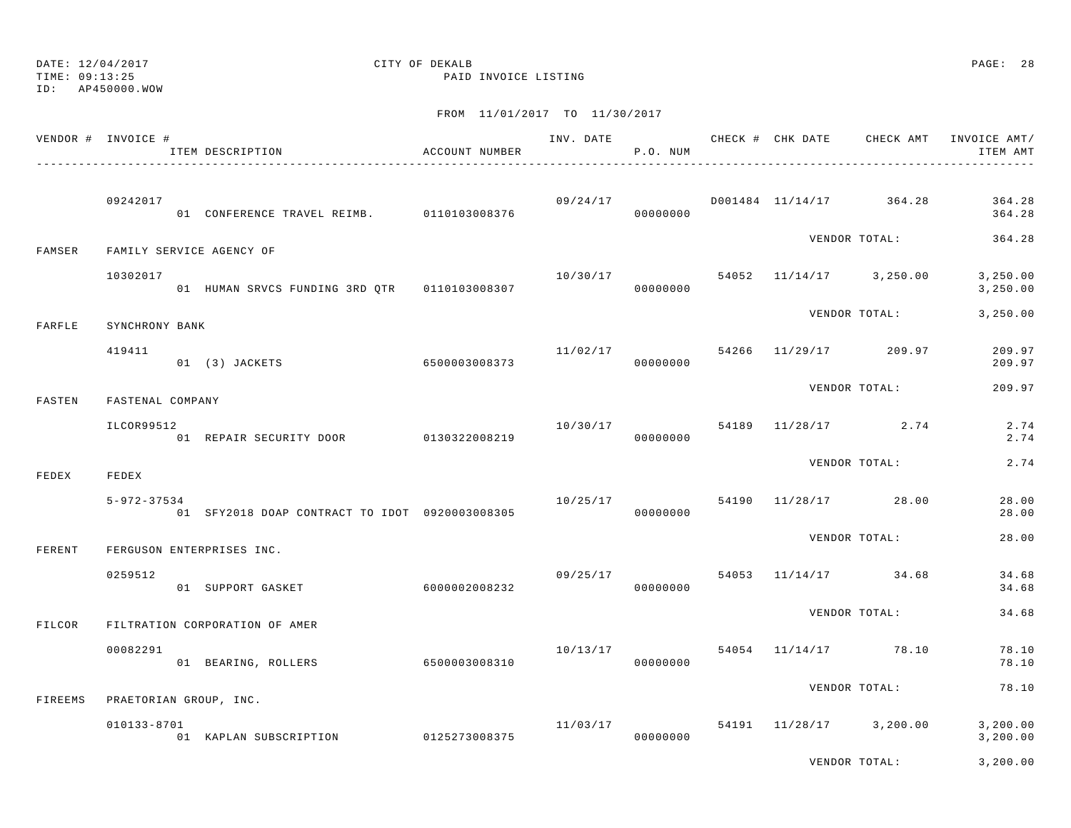ID: AP450000.WOW

TIME: 09:13:25 PAID INVOICE LISTING

|         | VENDOR # INVOICE #       | ITEM DESCRIPTION                               | ACCOUNT NUMBER         |          | P.O. NUM             |  |                                      | ITEM AMT              |
|---------|--------------------------|------------------------------------------------|------------------------|----------|----------------------|--|--------------------------------------|-----------------------|
|         | 09242017                 | 01 CONFERENCE TRAVEL REIMB. 0110103008376      |                        |          | 00000000             |  | $09/24/17$ D001484 11/14/17 364.28   | 364.28<br>364.28      |
| FAMSER  | FAMILY SERVICE AGENCY OF |                                                |                        |          |                      |  | VENDOR TOTAL:                        | 364.28                |
|         | 10302017                 | 01 HUMAN SRVCS FUNDING 3RD QTR   0110103008307 |                        | 10/30/17 | 00000000             |  | 54052 11/14/17 3,250.00              | 3,250.00<br>3,250.00  |
| FARFLE  | SYNCHRONY BANK           |                                                |                        |          |                      |  | VENDOR TOTAL:                        | 3,250.00              |
|         | 419411                   | 6500003008373<br>01 (3) JACKETS                |                        | 11/02/17 | 00000000             |  | 54266 11/29/17 209.97                | 209.97<br>209.97      |
| FASTEN  | FASTENAL COMPANY         |                                                |                        |          |                      |  | VENDOR TOTAL:                        | 209.97                |
|         | ILCOR99512               | 01 REPAIR SECURITY DOOR 0130322008219          |                        |          | 00000000             |  | $10/30/17$ 54189 $11/28/17$ 2.74     | 2.74<br>2.74          |
| FEDEX   | FEDEX                    |                                                |                        |          |                      |  | VENDOR TOTAL:                        | 2.74                  |
|         | $5 - 972 - 37534$        | 01 SFY2018 DOAP CONTRACT TO IDOT 0920003008305 |                        | 10/25/17 | 00000000             |  | 54190 11/28/17 28.00                 | 28.00<br>28.00        |
| FERENT  |                          | FERGUSON ENTERPRISES INC.                      |                        |          |                      |  | VENDOR TOTAL:                        | 28.00                 |
|         | 0259512                  | 01 SUPPORT GASKET                              | 6000002008232          |          | 09/25/17<br>00000000 |  | 54053 11/14/17 34.68                 | 34.68<br>34.68        |
| FILCOR  |                          | FILTRATION CORPORATION OF AMER                 |                        |          |                      |  | VENDOR TOTAL:                        | 34.68                 |
|         | 00082291                 | 01 BEARING, ROLLERS                            | 6500003008310          | 10/13/17 | 00000000             |  | 54054 11/14/17 78.10                 | 78.10<br>78.10        |
| FIREEMS | PRAETORIAN GROUP, INC.   |                                                |                        |          |                      |  | VENDOR TOTAL:                        | 78.10                 |
|         | $010133 - 8701$          | 01 KAPLAN SUBSCRIPTION                         | 0125273008375 00000000 |          |                      |  | $11/03/17$ 54191 $11/28/17$ 3,200.00 | 3,200.00<br>3, 200.00 |
|         |                          |                                                |                        |          |                      |  | VENDOR TOTAL:                        | 3,200.00              |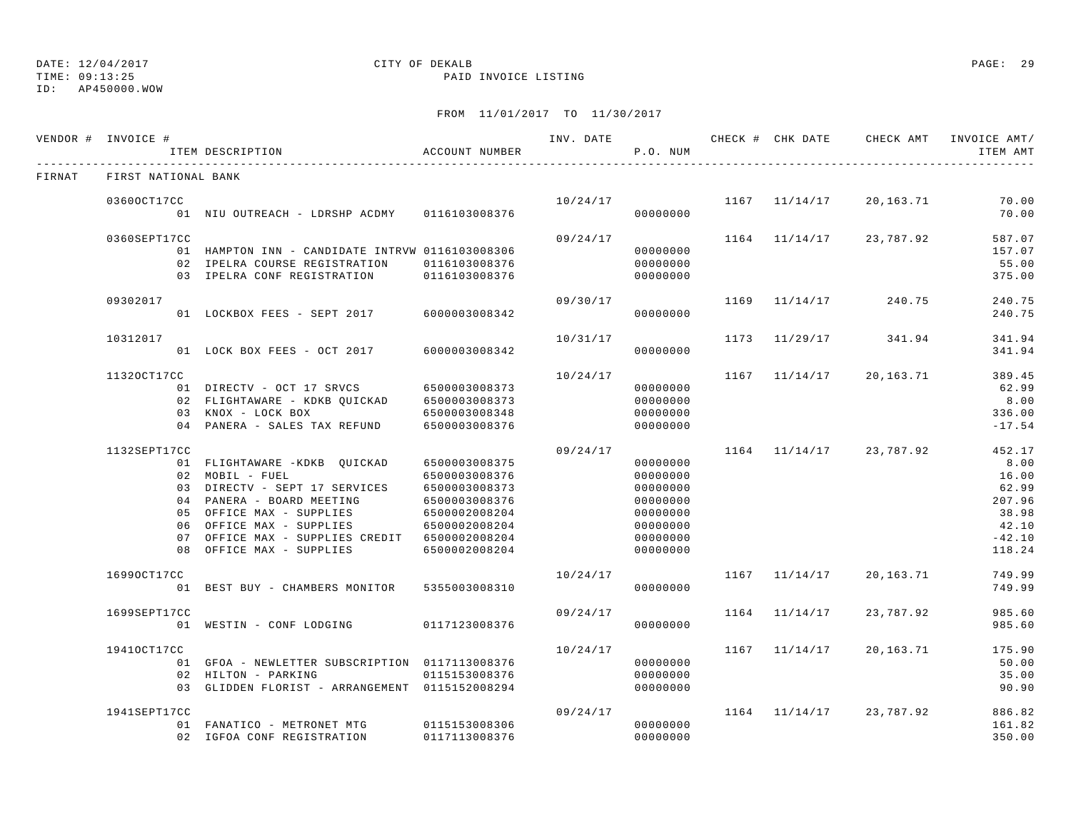## DATE: 12/04/2017 CITY OF DEKALB PAGE: 29

TIME: 09:13:25 PAID INVOICE LISTING

|        | VENDOR # INVOICE #  | ITEM DESCRIPTION                                                                                                                                                                                                                                                 | ACCOUNT NUMBER                                                                                     |          | P.O. NUM                                                                                     |      |               |                             | INV. DATE 6 CHECK # CHK DATE CHECK AMT INVOICE AMT/<br>ITEM AMT                    |
|--------|---------------------|------------------------------------------------------------------------------------------------------------------------------------------------------------------------------------------------------------------------------------------------------------------|----------------------------------------------------------------------------------------------------|----------|----------------------------------------------------------------------------------------------|------|---------------|-----------------------------|------------------------------------------------------------------------------------|
| FIRNAT | FIRST NATIONAL BANK |                                                                                                                                                                                                                                                                  |                                                                                                    |          |                                                                                              |      |               |                             |                                                                                    |
|        | 03600CT17CC         | 01 NIU OUTREACH - LDRSHP ACDMY 0116103008376                                                                                                                                                                                                                     |                                                                                                    | 10/24/17 | 00000000                                                                                     |      | 1167 11/14/17 | 20,163.71                   | 70.00<br>70.00                                                                     |
|        | 0360SEPT17CC        | 01 HAMPTON INN - CANDIDATE INTRVW 0116103008306<br>02 IPELRA COURSE REGISTRATION<br>03 IPELRA CONF REGISTRATION 0116103008376                                                                                                                                    | 0116103008376                                                                                      | 09/24/17 | 00000000<br>00000000<br>00000000                                                             |      | 1164 11/14/17 | 23,787.92                   | 587.07<br>157.07<br>55.00<br>375.00                                                |
|        | 09302017            | 01 LOCKBOX FEES - SEPT 2017 6000003008342                                                                                                                                                                                                                        |                                                                                                    | 09/30/17 | 00000000                                                                                     | 1169 | 11/14/17      | 240.75                      | 240.75<br>240.75                                                                   |
|        | 10312017            | 01 LOCK BOX FEES - OCT 2017                                                                                                                                                                                                                                      | 6000003008342                                                                                      | 10/31/17 | 00000000                                                                                     |      | 1173 11/29/17 | 341.94                      | 341.94<br>341.94                                                                   |
|        | 11320CT17CC         | 01 DIRECTV - OCT 17 SRVCS 6500003008373<br>02 FLIGHTAWARE - KDKB QUICKAD<br>03 KNOX - LOCK BOX<br>04 PANERA - SALES TAX REFUND                                                                                                                                   | 6500003008373<br>6500003008348<br>6500003008376                                                    | 10/24/17 | 00000000<br>00000000<br>00000000<br>00000000                                                 |      | 1167 11/14/17 | 20,163.71                   | 389.45<br>62.99<br>8.00<br>336.00<br>$-17.54$                                      |
|        | 1132SEPT17CC        | 01 FLIGHTAWARE -KDKB QUICKAD<br>02 MOBIL - FUEL<br>03 DIRECTV - SEPT 17 SERVICES 6500003008373<br>04 PANERA - BOARD MEETING<br>05 OFFICE MAX - SUPPLIES<br>06 OFFICE MAX - SUPPLIES<br>07 OFFICE MAX - SUPPLIES CREDIT 6500002008204<br>08 OFFICE MAX - SUPPLIES | 6500003008375<br>6500003008376<br>6500003008376<br>6500002008204<br>6500002008204<br>6500002008204 | 09/24/17 | 00000000<br>00000000<br>00000000<br>00000000<br>00000000<br>00000000<br>00000000<br>00000000 |      |               | $1164$ $11/14/17$ 23,787.92 | 452.17<br>8.00<br>16.00<br>62.99<br>207.96<br>38.98<br>42.10<br>$-42.10$<br>118.24 |
|        | 16990CT17CC         | 01 BEST BUY - CHAMBERS MONITOR                                                                                                                                                                                                                                   | 5355003008310                                                                                      | 10/24/17 | 00000000                                                                                     |      | 1167 11/14/17 | 20,163.71                   | 749.99<br>749.99                                                                   |
|        | 1699SEPT17CC        | 01 WESTIN - CONF LODGING                                                                                                                                                                                                                                         | 0117123008376                                                                                      | 09/24/17 | 00000000                                                                                     |      | 1164 11/14/17 | 23,787.92                   | 985.60<br>985.60                                                                   |
|        | 19410CT17CC         | 01 GFOA - NEWLETTER SUBSCRIPTION 0117113008376<br>02 HILTON - PARKING<br>03 GLIDDEN FLORIST - ARRANGEMENT 0115152008294                                                                                                                                          | 0115153008376                                                                                      | 10/24/17 | 00000000<br>00000000<br>00000000                                                             |      | 1167 11/14/17 | 20,163.71                   | 175.90<br>50.00<br>35.00<br>90.90                                                  |
|        | 1941SEPT17CC        | 01 FANATICO - METRONET MTG<br>02 IGFOA CONF REGISTRATION                                                                                                                                                                                                         | 0115153008306<br>0117113008376                                                                     | 09/24/17 | 00000000<br>00000000                                                                         |      |               | $1164$ $11/14/17$ 23,787.92 | 886.82<br>161.82<br>350.00                                                         |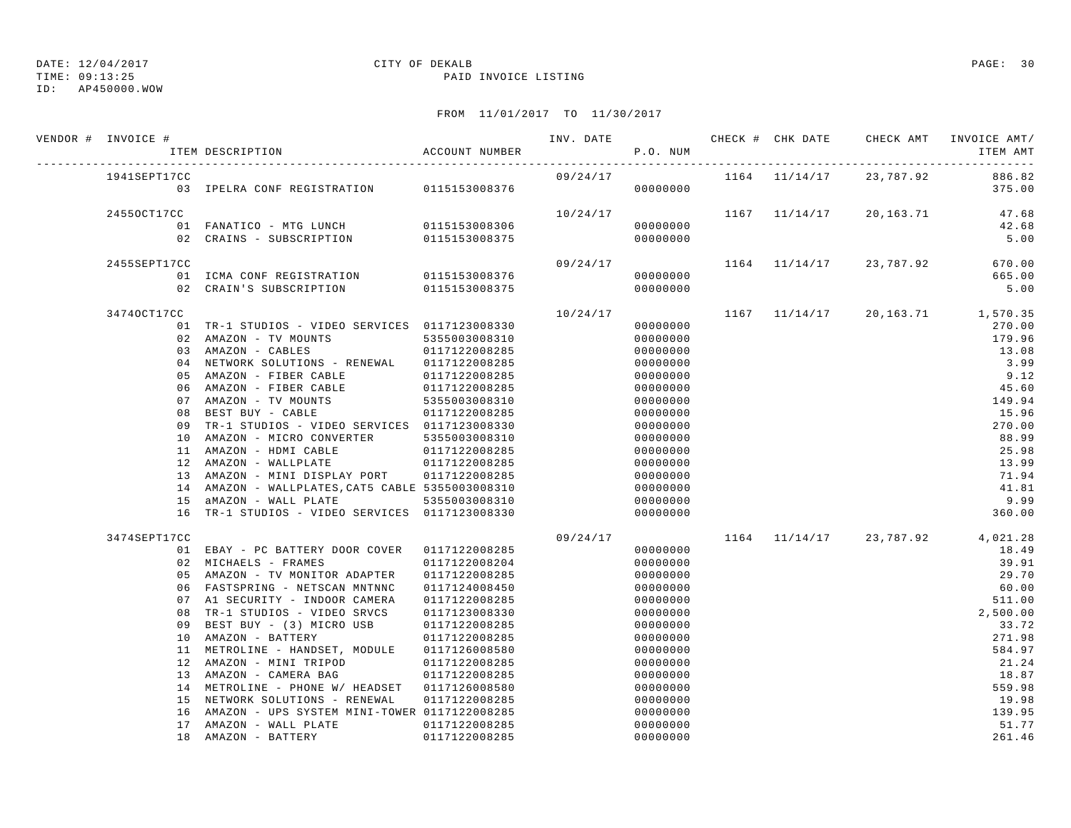TIME: 09:13:25 PAID INVOICE LISTING

ID: AP450000.WOW

| VENDOR # INVOICE # | ITEM DESCRIPTION                                                                  | ACCOUNT NUMBER                 | INV. DATE | P.O. NUM             |  | CHECK # CHK DATE GHECK AMT INVOICE AMT/  | ITEM AMT         |
|--------------------|-----------------------------------------------------------------------------------|--------------------------------|-----------|----------------------|--|------------------------------------------|------------------|
| 1941SEPT17CC       | 03 IPELRA CONF REGISTRATION 0115153008376 0000000000                              |                                | 09/24/17  |                      |  | 1164 11/14/17 23,787.92                  | 886.82<br>375.00 |
| 24550CT17CC        |                                                                                   |                                | 10/24/17  |                      |  | 1167 11/14/17 20,163.71 47.68            |                  |
|                    | 01 FANATICO - MTG LUNCH                                                           | 0115153008306                  |           | 00000000             |  |                                          | 42.68            |
|                    | 02 CRAINS - SUBSCRIPTION                                                          | 0115153008375                  |           | 00000000             |  |                                          | 5.00             |
| 2455SEPT17CC       |                                                                                   |                                | 09/24/17  |                      |  | 1164 11/14/17 23,787.92                  | 670.00           |
|                    | 01 ICMA CONF REGISTRATION 0115153008376                                           |                                |           | 00000000             |  |                                          | 665.00           |
|                    | 02 CRAIN'S SUBSCRIPTION                                                           | 0115153008375                  |           | 00000000             |  |                                          | 5.00             |
| 34740CT17CC        |                                                                                   |                                | 10/24/17  |                      |  | $1167$ $11/14/17$ $20,163.71$ $1,570.35$ |                  |
|                    | 01 TR-1 STUDIOS - VIDEO SERVICES 0117123008330                                    |                                |           | 00000000             |  |                                          | 270.00           |
|                    | 02 AMAZON - TV MOUNTS                                                             | 5355003008310                  |           | 00000000             |  |                                          | 179.96           |
|                    | 03 AMAZON - CABLES                                                                | 0117122008285                  |           | 00000000             |  |                                          | 13.08            |
|                    | 04 NETWORK SOLUTIONS - RENEWAL 0117122008285                                      |                                |           | 00000000             |  |                                          | 3.99             |
|                    | 05 AMAZON - FIBER CABLE                                                           | 0117122008285                  |           | 00000000             |  |                                          | 9.12             |
|                    | 06 AMAZON - FIBER CABLE                                                           | 0117122008285<br>5355003008310 |           | 00000000             |  |                                          | 45.60            |
|                    | 07 AMAZON - TV MOUNTS                                                             |                                |           | 00000000             |  |                                          | 149.94           |
| 08                 | BEST BUY - CABLE                                                                  | 0117122008285                  |           | 00000000             |  |                                          | 15.96            |
|                    | 09 TR-1 STUDIOS - VIDEO SERVICES 0117123008330                                    |                                |           | 00000000             |  |                                          | 270.00           |
|                    | 10 AMAZON - MICRO CONVERTER                                                       | 5355003008310                  |           | 00000000             |  |                                          | 88.99            |
|                    | 11 AMAZON - HDMI CABLE                                                            | 0117122008285                  |           | 00000000             |  |                                          | 25.98            |
|                    | 12 AMAZON - WALLPLATE                                                             | 0117122008285                  |           | 00000000             |  |                                          | 13.99            |
|                    | 13 AMAZON - MINI DISPLAY PORT 0117122008285                                       |                                |           | 00000000             |  |                                          | 71.94            |
|                    | 14 AMAZON - WALLPLATES, CAT5 CABLE 5355003008310                                  |                                |           | 00000000             |  |                                          | 41.81            |
|                    | 15 aMAZON - WALL PLATE                                                            | 5355003008310                  |           | 00000000             |  |                                          | 9.99             |
|                    | 16 TR-1 STUDIOS - VIDEO SERVICES 0117123008330                                    |                                |           | 00000000             |  |                                          | 360.00           |
| 3474SEPT17CC       |                                                                                   |                                | 09/24/17  |                      |  | $1164$ $11/14/17$ $23,787.92$ $4,021.28$ |                  |
|                    | 01 EBAY - PC BATTERY DOOR COVER 0117122008285                                     |                                |           | 00000000             |  |                                          | 18.49            |
|                    | 02 MICHAELS - FRAMES                                                              | 0117122008204                  |           | 00000000             |  |                                          | 39.91            |
|                    | 05 AMAZON - TV MONITOR ADAPTER 0117122008285                                      |                                |           | 00000000             |  |                                          | 29.70            |
|                    | 06 FASTSPRING - NETSCAN MNTNNC                                                    | 0117124008450                  |           | 00000000             |  |                                          | 60.00            |
|                    | 07 A1 SECURITY - INDOOR CAMERA                                                    | 0117122008285                  |           | 00000000             |  |                                          | 511.00           |
|                    | 08 TR-1 STUDIOS - VIDEO SRVCS                                                     | 0117123008330                  |           | 00000000             |  |                                          | 2,500.00         |
|                    | 09 BEST BUY - (3) MICRO USB 0117122008285                                         |                                |           | 00000000             |  |                                          | 33.72            |
|                    | 10 AMAZON - BATTERY                                                               | 0117122008285                  |           | 00000000             |  |                                          | 271.98           |
|                    | 11 METROLINE - HANDSET, MODULE 0117126008580                                      |                                |           | 00000000             |  |                                          | 584.97           |
|                    | 12 AMAZON - MINI TRIPOD                                                           | 0117122008285<br>0117122008285 |           | 00000000             |  |                                          | 21.24            |
|                    | 13 AMAZON - CAMERA BAG                                                            |                                |           | 00000000             |  |                                          | 18.87<br>559.98  |
|                    | 14 METROLINE - PHONE W/ HEADSET 0117126008580                                     |                                |           | 00000000             |  |                                          | 19.98            |
|                    | 15 NETWORK SOLUTIONS - RENEWAL<br>16 AMAZON - UPS SYSTEM MINI-TOWER 0117122008285 | 0117122008285                  |           | 00000000<br>00000000 |  |                                          | 139.95           |
|                    | 17 AMAZON - WALL PLATE                                                            | 0117122008285                  |           | 00000000             |  |                                          | 51.77            |
|                    | 18 AMAZON - BATTERY                                                               | 0117122008285                  |           | 00000000             |  |                                          | 261.46           |
|                    |                                                                                   |                                |           |                      |  |                                          |                  |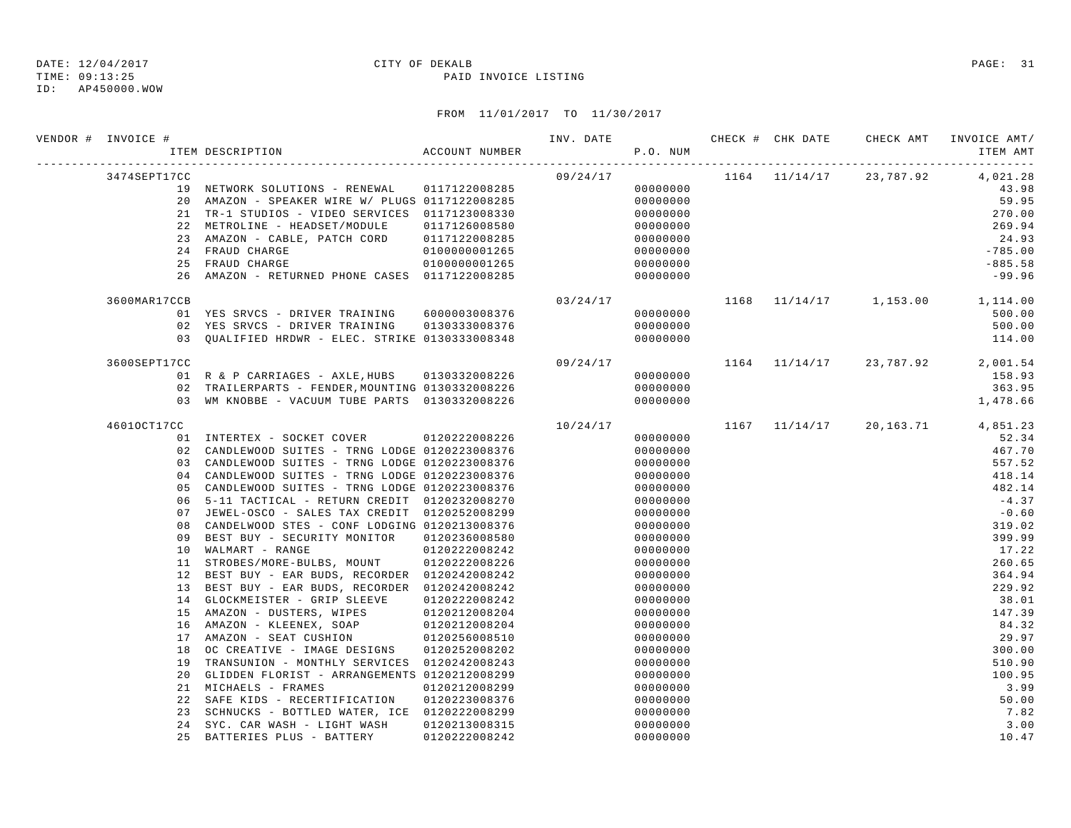## DATE: 12/04/2017 CITY OF DEKALB PAGE: 31

TIME: 09:13:25 PAID INVOICE LISTING

| VENDOR # INVOICE # | ITEM DESCRIPTION                                                                  | ACCOUNT NUMBER |          | P.O. NUM |  |                                          | ITEM AMT  |
|--------------------|-----------------------------------------------------------------------------------|----------------|----------|----------|--|------------------------------------------|-----------|
| 3474SEPT17CC       |                                                                                   |                | 09/24/17 |          |  | $1164$ $11/14/17$ $23,787.92$ $4,021.28$ |           |
|                    | 19 NETWORK SOLUTIONS - RENEWAL 0117122008285                                      |                |          | 00000000 |  |                                          | 43.98     |
|                    | 20 AMAZON - SPEAKER WIRE W/ PLUGS 0117122008285                                   |                |          | 00000000 |  |                                          | 59.95     |
|                    | 21 TR-1 STUDIOS - VIDEO SERVICES 0117123008330                                    |                |          | 00000000 |  |                                          | 270.00    |
|                    | 22 METROLINE - HEADSET/MODULE 0117126008580                                       |                |          | 00000000 |  |                                          | 269.94    |
|                    | 23 AMAZON - CABLE, PATCH CORD 0117122008285                                       |                |          | 00000000 |  |                                          | 24.93     |
|                    | 24 FRAUD CHARGE<br>$0100000001265$<br>0100000001265                               |                |          | 00000000 |  |                                          | $-785.00$ |
|                    | 25 FRAUD CHARGE                                                                   |                |          | 00000000 |  |                                          | $-885.58$ |
|                    | 26 AMAZON - RETURNED PHONE CASES 0117122008285                                    |                |          | 00000000 |  |                                          | $-99.96$  |
| 3600MAR17CCB       |                                                                                   |                | 03/24/17 |          |  | $1168$ $11/14/17$ $1,153.00$ $1,114.00$  |           |
|                    | 01 YES SRVCS - DRIVER TRAINING 6000003008376                                      |                |          | 00000000 |  |                                          | 500.00    |
|                    | 02 YES SRVCS - DRIVER TRAINING 0130333008376                                      |                |          | 00000000 |  |                                          | 500.00    |
|                    | 03 QUALIFIED HRDWR - ELEC. STRIKE 0130333008348                                   |                |          | 00000000 |  |                                          | 114.00    |
| 3600SEPT17CC       |                                                                                   |                | 09/24/17 |          |  | 1164 11/14/17 23,787.92 2,001.54         |           |
|                    | 01 R & P CARRIAGES - AXLE, HUBS 0130332008226                                     |                |          | 00000000 |  |                                          | 158.93    |
|                    | 02 TRAILERPARTS - FENDER, MOUNTING 0130332008226                                  |                |          | 00000000 |  |                                          | 363.95    |
|                    | 03 WM KNOBBE - VACUUM TUBE PARTS 0130332008226                                    |                |          | 00000000 |  |                                          | 1,478.66  |
| 46010CT17CC        |                                                                                   |                | 10/24/17 |          |  | 1167 11/14/17 20,163.71 4,851.23         |           |
|                    | 01 INTERTEX - SOCKET COVER 0120222008226                                          |                |          | 00000000 |  |                                          | 52.34     |
|                    | 02 CANDLEWOOD SUITES - TRNG LODGE 0120223008376                                   |                |          | 00000000 |  |                                          | 467.70    |
|                    | 03 CANDLEWOOD SUITES - TRNG LODGE 0120223008376                                   |                |          | 00000000 |  |                                          | 557.52    |
|                    | 04 CANDLEWOOD SUITES - TRNG LODGE 0120223008376                                   |                |          | 00000000 |  |                                          | 418.14    |
|                    | 05 CANDLEWOOD SUITES - TRNG LODGE 0120223008376                                   |                |          | 00000000 |  |                                          | 482.14    |
|                    | 06 5-11 TACTICAL - RETURN CREDIT 0120232008270                                    |                |          | 00000000 |  |                                          | $-4.37$   |
|                    | 07 JEWEL-OSCO - SALES TAX CREDIT 0120252008299                                    |                |          | 00000000 |  |                                          | $-0.60$   |
| 08                 | CANDELWOOD STES - CONF LODGING 0120213008376                                      |                |          | 00000000 |  |                                          | 319.02    |
| 09                 | BEST BUY - SECURITY MONITOR  0120236008580                                        |                |          | 00000000 |  |                                          | 399.99    |
|                    | 10 WALMART - RANGE                                                                | 0120222008242  |          | 00000000 |  |                                          | 17.22     |
|                    | 11 STROBES/MORE-BULBS, MOUNT 0120222008226                                        |                |          | 00000000 |  |                                          | 260.65    |
|                    | 12 BEST BUY - EAR BUDS, RECORDER 0120242008242                                    |                |          | 00000000 |  |                                          | 364.94    |
|                    | 13 BEST BUY - EAR BUDS, RECORDER 0120242008242                                    |                |          | 00000000 |  |                                          | 229.92    |
|                    | 14 GLOCKMEISTER - GRIP SLEEVE 0120222008242                                       |                |          | 00000000 |  |                                          | 38.01     |
|                    | 15 AMAZON - DUSTERS, WIPES 0120212008204                                          |                |          | 00000000 |  |                                          | 147.39    |
|                    | 16 AMAZON - KLEENEX, SOAP 0120212008204<br>17 AMAZON - SEAT CUSHION 0120256008510 |                |          | 00000000 |  |                                          | 84.32     |
|                    |                                                                                   |                |          | 00000000 |  |                                          | 29.97     |
|                    | 18 OC CREATIVE - IMAGE DESIGNS 0120252008202                                      |                |          | 00000000 |  |                                          | 300.00    |
|                    | 19 TRANSUNION - MONTHLY SERVICES 0120242008243                                    |                |          | 00000000 |  |                                          | 510.90    |
|                    | 20 GLIDDEN FLORIST - ARRANGEMENTS 0120212008299                                   |                |          | 00000000 |  |                                          | 100.95    |
|                    | 21 MICHAELS - FRAMES                                                              | 0120212008299  |          | 00000000 |  |                                          | 3.99      |
|                    | 22 SAFE KIDS - RECERTIFICATION 0120223008376                                      |                |          | 00000000 |  |                                          | 50.00     |
|                    | 23 SCHNUCKS - BOTTLED WATER, ICE 0120222008299                                    |                |          | 00000000 |  |                                          | 7.82      |
| 24                 | SYC. CAR WASH - LIGHT WASH                                                        | 0120213008315  |          | 00000000 |  |                                          | 3.00      |
|                    | 25 BATTERIES PLUS - BATTERY                                                       | 0120222008242  |          | 00000000 |  |                                          | 10.47     |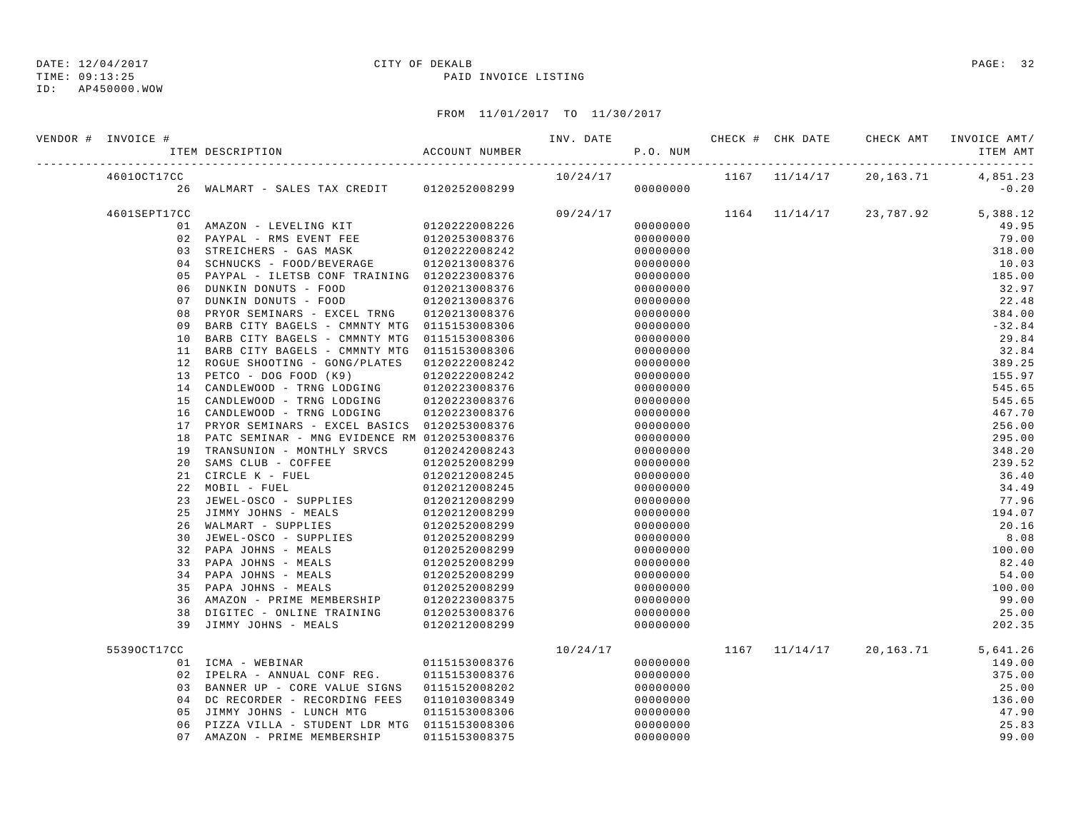TIME: 09:13:25 PAID INVOICE LISTING

| VENDOR # INVOICE # | ITEM DESCRIPTION                                                                         | ACCOUNT NUMBER | INV. DATE | P.O. NUM |  | CHECK # CHK DATE CHECK AMT INVOICE AMT/ | ITEM AMT |
|--------------------|------------------------------------------------------------------------------------------|----------------|-----------|----------|--|-----------------------------------------|----------|
| 46010CT17CC        |                                                                                          |                | 10/24/17  |          |  | 1167 11/14/17 20,163.71 4,851.23        |          |
|                    | 26 WALMART - SALES TAX CREDIT 0120252008299                                              |                |           | 00000000 |  |                                         | $-0.20$  |
| 4601SEPT17CC       |                                                                                          |                | 09/24/17  |          |  | 1164 11/14/17 23,787.92 5,388.12        |          |
|                    | 01 AMAZON - LEVELING KIT                                                                 | 0120222008226  |           | 00000000 |  |                                         | 49.95    |
|                    | 02 PAYPAL - RMS EVENT FEE                                                                | 0120253008376  |           | 00000000 |  |                                         | 79.00    |
|                    | 03 STREICHERS - GAS MASK                                                                 | 0120222008242  |           | 00000000 |  |                                         | 318.00   |
|                    | 04 SCHNUCKS - FOOD/BEVERAGE                                                              | 0120213008376  |           | 00000000 |  |                                         | 10.03    |
|                    | 05 PAYPAL - ILETSB CONF TRAINING 0120223008376                                           |                |           | 00000000 |  |                                         | 185.00   |
| 06                 | DUNKIN DONUTS - FOOD                                                                     | 0120213008376  |           | 00000000 |  |                                         | 32.97    |
| 07                 | DUNKIN DONUTS - FOOD                                                                     | 0120213008376  |           | 00000000 |  |                                         | 22.48    |
|                    | 08 PRYOR SEMINARS - EXCEL TRNG 0120213008376                                             |                |           | 00000000 |  |                                         | 384.00   |
| 09                 | BARB CITY BAGELS - CMMNTY MTG 0115153008306                                              |                |           | 00000000 |  |                                         | $-32.84$ |
|                    | 10 BARB CITY BAGELS - CMMNTY MTG 0115153008306                                           |                |           | 00000000 |  |                                         | 29.84    |
|                    | 11 BARB CITY BAGELS - CMMNTY MTG 0115153008306                                           |                |           | 00000000 |  |                                         | 32.84    |
|                    | 12 ROGUE SHOOTING - GONG/PLATES 0120222008242                                            |                |           | 00000000 |  |                                         | 389.25   |
| 13                 | PETCO - DOG FOOD (K9)                                                                    | 0120222008242  |           | 00000000 |  |                                         | 155.97   |
|                    | 14 CANDLEWOOD - TRNG LODGING 0120223008376<br>15 CANDLEWOOD - TRNG LODGING 0120223008376 |                |           | 00000000 |  |                                         | 545.65   |
|                    |                                                                                          |                |           | 00000000 |  |                                         | 545.65   |
|                    | 16 CANDLEWOOD - TRNG LODGING                                                             | 0120223008376  |           | 00000000 |  |                                         | 467.70   |
| 17                 | PRYOR SEMINARS - EXCEL BASICS 0120253008376                                              |                |           | 00000000 |  |                                         | 256.00   |
| 18                 | PATC SEMINAR - MNG EVIDENCE RM 0120253008376                                             |                |           | 00000000 |  |                                         | 295.00   |
| 19                 | TRANSUNION - MONTHLY SRVCS                                                               | 0120242008243  |           | 00000000 |  |                                         | 348.20   |
| 20                 | SAMS CLUB - COFFEE                                                                       | 0120252008299  |           | 00000000 |  |                                         | 239.52   |
| 21                 | CIRCLE K - FUEL                                                                          | 0120212008245  |           | 00000000 |  |                                         | 36.40    |
| 22                 | MOBIL - FUEL                                                                             | 0120212008245  |           | 00000000 |  |                                         | 34.49    |
|                    | 23 JEWEL-OSCO - SUPPLIES                                                                 | 0120212008299  |           | 00000000 |  |                                         | 77.96    |
| 25                 | JIMMY JOHNS - MEALS                                                                      | 0120212008299  |           | 00000000 |  |                                         | 194.07   |
|                    | 26 WALMART - SUPPLIES                                                                    | 0120252008299  |           | 00000000 |  |                                         | 20.16    |
| 30                 | JEWEL-OSCO - SUPPLIES                                                                    | 0120252008299  |           | 00000000 |  |                                         | 8.08     |
|                    | 32 PAPA JOHNS - MEALS                                                                    | 0120252008299  |           | 00000000 |  |                                         | 100.00   |
|                    | 33 PAPA JOHNS - MEALS                                                                    | 0120252008299  |           | 00000000 |  |                                         | 82.40    |
| 34                 | PAPA JOHNS - MEALS                                                                       | 0120252008299  |           | 00000000 |  |                                         | 54.00    |
|                    | 35 PAPA JOHNS - MEALS                                                                    | 0120252008299  |           | 00000000 |  |                                         | 100.00   |
| 36                 | AMAZON - PRIME MEMBERSHIP 0120223008375                                                  |                |           | 00000000 |  |                                         | 99.00    |
| 38                 | DIGITEC - ONLINE TRAINING 0120253008376                                                  |                |           | 00000000 |  |                                         | 25.00    |
| 39                 | JIMMY JOHNS - MEALS                                                                      | 0120212008299  |           | 00000000 |  |                                         | 202.35   |
| 55390CT17CC        |                                                                                          |                | 10/24/17  |          |  | 1167 11/14/17 20,163.71 5,641.26        |          |
|                    | 01 ICMA - WEBINAR                                                                        | 0115153008376  |           | 00000000 |  |                                         | 149.00   |
|                    | 02 IPELRA - ANNUAL CONF REG. 0115153008376                                               |                |           | 00000000 |  |                                         | 375.00   |
|                    | 03 BANNER UP - CORE VALUE SIGNS 0115152008202                                            |                |           | 00000000 |  |                                         | 25.00    |
|                    | 04 DC RECORDER - RECORDING FEES 0110103008349                                            |                |           | 00000000 |  |                                         | 136.00   |
|                    | 05 JIMMY JOHNS - LUNCH MTG                                                               | 0115153008306  |           | 00000000 |  |                                         | 47.90    |
|                    | 06 PIZZA VILLA - STUDENT LDR MTG 0115153008306                                           |                |           | 00000000 |  |                                         | 25.83    |
|                    | 07 AMAZON - PRIME MEMBERSHIP                                                             | 0115153008375  |           | 00000000 |  |                                         | 99.00    |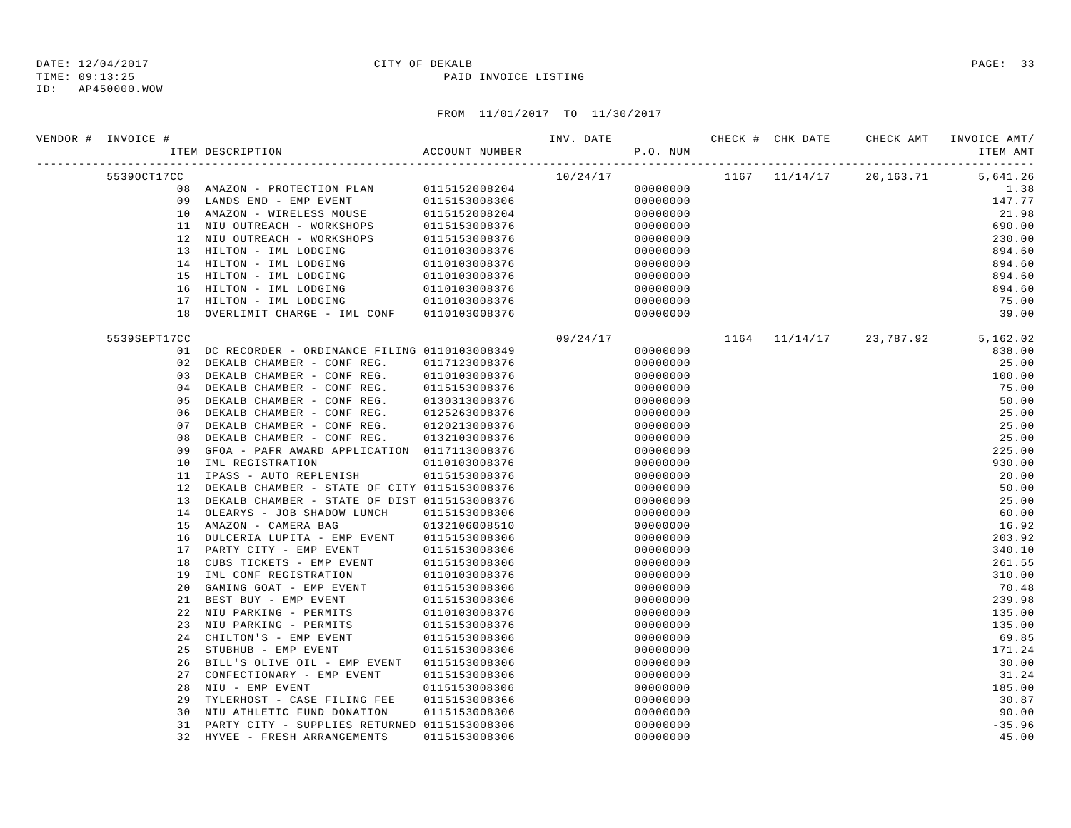## DATE: 12/04/2017 CITY OF DEKALB PAGE: 33

TIME: 09:13:25 PAID INVOICE LISTING

| VENDOR # INVOICE # | ITEM DESCRIPTION                                | ACCOUNT NUMBER | INV. DATE | P.O. NUM | CHECK # CHK DATE | CHECK AMT                              | INVOICE AMT/<br>ITEM AMT |
|--------------------|-------------------------------------------------|----------------|-----------|----------|------------------|----------------------------------------|--------------------------|
| 55390CT17CC        |                                                 |                | 10/24/17  |          |                  | 1167 11/14/17 20,163.71                | 5,641.26                 |
|                    | 08 AMAZON - PROTECTION PLAN                     | 0115152008204  |           | 00000000 |                  |                                        | 1.38                     |
|                    | 09 LANDS END - EMP EVENT                        | 0115153008306  |           | 00000000 |                  |                                        | 147.77                   |
|                    | 10 AMAZON - WIRELESS MOUSE                      | 0115152008204  |           | 00000000 |                  |                                        | 21.98                    |
|                    | 11 NIU OUTREACH - WORKSHOPS                     | 0115153008376  |           | 00000000 |                  |                                        | 690.00                   |
|                    | 12 NIU OUTREACH - WORKSHOPS                     | 0115153008376  |           | 00000000 |                  |                                        | 230.00                   |
|                    | 13 HILTON - IML LODGING                         | 0110103008376  |           | 00000000 |                  |                                        | 894.60                   |
| 14                 | HILTON - IML LODGING                            | 0110103008376  |           | 00000000 |                  |                                        | 894.60                   |
| 15                 | HILTON - IML LODGING                            | 0110103008376  |           | 00000000 |                  |                                        | 894.60                   |
| 16                 | HILTON - IML LODGING                            | 0110103008376  |           | 00000000 |                  |                                        | 894.60                   |
|                    | 17 HILTON - IML LODGING                         | 0110103008376  |           | 00000000 |                  |                                        | 75.00                    |
| 18                 | OVERLIMIT CHARGE - IML CONF                     | 0110103008376  |           | 00000000 |                  |                                        | 39.00                    |
| 5539SEPT17CC       |                                                 |                | 09/24/17  |          |                  | $1164$ $11/14/17$ 23, 787.92 5, 162.02 |                          |
|                    | 01 DC RECORDER - ORDINANCE FILING 0110103008349 |                |           | 00000000 |                  |                                        | 838.00                   |
| 02                 | DEKALB CHAMBER - CONF REG.                      | 0117123008376  |           | 00000000 |                  |                                        | 25.00                    |
| 03                 | DEKALB CHAMBER - CONF REG.                      | 0110103008376  |           | 00000000 |                  |                                        | 100.00                   |
| 04                 | DEKALB CHAMBER - CONF REG.                      | 0115153008376  |           | 00000000 |                  |                                        | 75.00                    |
| 05                 | DEKALB CHAMBER - CONF REG.                      | 0130313008376  |           | 00000000 |                  |                                        | 50.00                    |
| 06                 | DEKALB CHAMBER - CONF REG.                      | 0125263008376  |           | 00000000 |                  |                                        | 25.00                    |
| 07                 | DEKALB CHAMBER - CONF REG.                      | 0120213008376  |           | 00000000 |                  |                                        | 25.00                    |
| 08                 | DEKALB CHAMBER - CONF REG.                      | 0132103008376  |           | 00000000 |                  |                                        | 25.00                    |
| 09                 | GFOA - PAFR AWARD APPLICATION 0117113008376     |                |           | 00000000 |                  |                                        | 225.00                   |
| 10                 | IML REGISTRATION                                | 0110103008376  |           | 00000000 |                  |                                        | 930.00                   |
| 11                 | IPASS - AUTO REPLENISH                          | 0115153008376  |           | 00000000 |                  |                                        | 20.00                    |
| 12                 | DEKALB CHAMBER - STATE OF CITY 0115153008376    |                |           | 00000000 |                  |                                        | 50.00                    |
| 13                 | DEKALB CHAMBER - STATE OF DIST 0115153008376    |                |           | 00000000 |                  |                                        | 25.00                    |
| 14                 | OLEARYS - JOB SHADOW LUNCH                      | 0115153008306  |           | 00000000 |                  |                                        | 60.00                    |
| 15                 | AMAZON - CAMERA BAG                             | 0132106008510  |           | 00000000 |                  |                                        | 16.92                    |
| 16                 | DULCERIA LUPITA - EMP EVENT                     | 0115153008306  |           | 00000000 |                  |                                        | 203.92                   |
| 17                 | PARTY CITY - EMP EVENT                          | 0115153008306  |           | 00000000 |                  |                                        | 340.10                   |
| 18                 | CUBS TICKETS - EMP EVENT                        | 0115153008306  |           | 00000000 |                  |                                        | 261.55                   |
| 19                 | IML CONF REGISTRATION                           | 0110103008376  |           | 00000000 |                  |                                        | 310.00                   |
| 20                 | GAMING GOAT - EMP EVENT                         | 0115153008306  |           | 00000000 |                  |                                        | 70.48                    |
| 21                 | BEST BUY - EMP EVENT                            | 0115153008306  |           | 00000000 |                  |                                        | 239.98                   |
| 22                 | NIU PARKING - PERMITS                           | 0110103008376  |           | 00000000 |                  |                                        | 135.00                   |
| 23                 | NIU PARKING - PERMITS                           | 0115153008376  |           | 00000000 |                  |                                        | 135.00                   |
| 24                 | CHILTON'S - EMP EVENT                           | 0115153008306  |           | 00000000 |                  |                                        | 69.85                    |
| 25                 | STUBHUB - EMP EVENT                             | 0115153008306  |           | 00000000 |                  |                                        | 171.24                   |
| 26                 | BILL'S OLIVE OIL - EMP EVENT                    | 0115153008306  |           | 00000000 |                  |                                        | 30.00                    |
| 27                 | CONFECTIONARY - EMP EVENT                       | 0115153008306  |           | 00000000 |                  |                                        | 31.24                    |
| 28                 | NIU - EMP EVENT                                 | 0115153008306  |           | 00000000 |                  |                                        | 185.00                   |
| 29                 | TYLERHOST - CASE FILING FEE                     | 0115153008366  |           | 00000000 |                  |                                        | 30.87                    |
| 30                 | NIU ATHLETIC FUND DONATION                      | 0115153008306  |           | 00000000 |                  |                                        | 90.00                    |
| 31                 | PARTY CITY - SUPPLIES RETURNED 0115153008306    |                |           | 00000000 |                  |                                        | $-35.96$                 |
| 32                 | HYVEE - FRESH ARRANGEMENTS                      | 0115153008306  |           | 00000000 |                  |                                        | 45.00                    |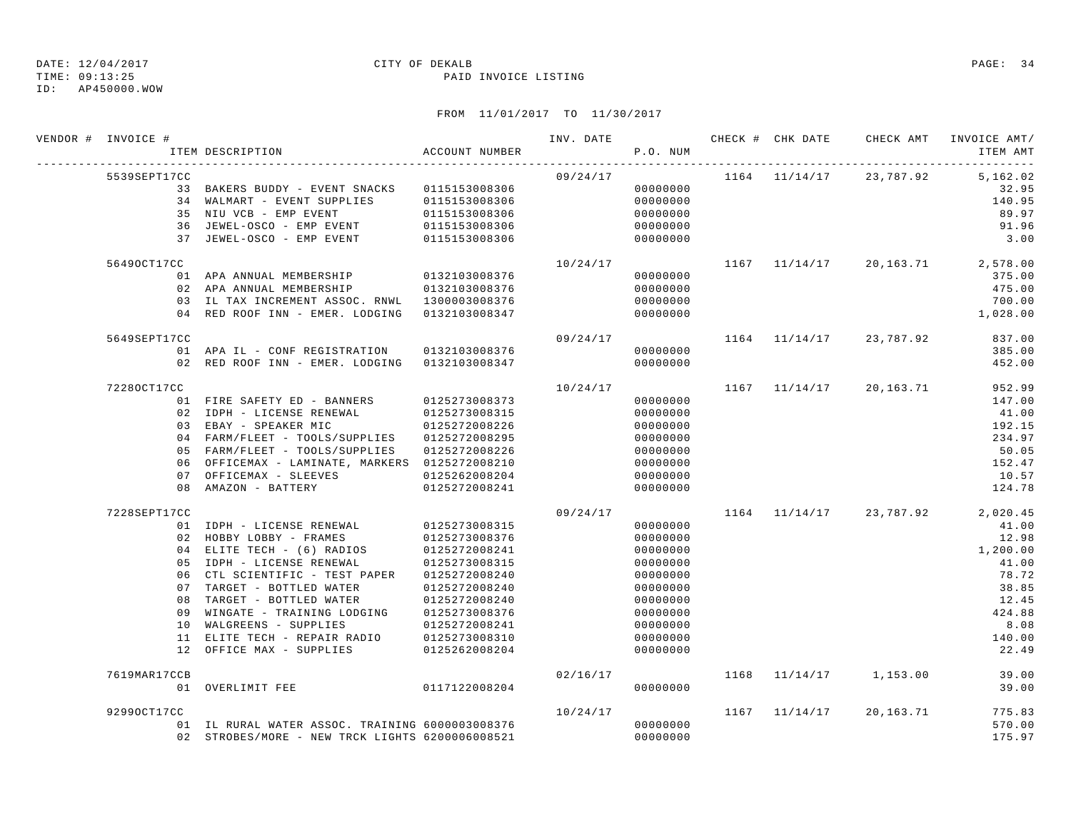## DATE: 12/04/2017 CITY OF DEKALB PAGE: 34

TIME: 09:13:25 PAID INVOICE LISTING

| VENDOR # INVOICE # | ITEM DESCRIPTION                                                                  | ACCOUNT NUMBER | INV. DATE | P.O. NUM |  |                             | CHECK # CHK DATE 6 CHECK AMT INVOICE AMT/<br>ITEM AMT |
|--------------------|-----------------------------------------------------------------------------------|----------------|-----------|----------|--|-----------------------------|-------------------------------------------------------|
| 5539SEPT17CC       |                                                                                   |                | 09/24/17  |          |  |                             | 1164 11/14/17 23,787.92 5,162.02                      |
|                    | 33 BAKERS BUDDY - EVENT SNACKS 0115153008306                                      |                |           | 00000000 |  |                             | 32.95                                                 |
|                    | 34 WALMART - EVENT SUPPLIES 0115153008306<br>35 NIU VCB - EMP EVENT 0115153008306 |                |           | 00000000 |  |                             | 140.95                                                |
|                    |                                                                                   |                |           | 00000000 |  |                             | 89.97                                                 |
|                    | 36 JEWEL-OSCO - EMP EVENT                                                         | 0115153008306  |           | 00000000 |  |                             | 91.96                                                 |
|                    | 37 JEWEL-OSCO - EMP EVENT                                                         | 0115153008306  |           | 00000000 |  |                             | 3.00                                                  |
| 56490CT17CC        |                                                                                   |                | 10/24/17  |          |  |                             | $1167$ $11/14/17$ $20,163.71$ $2,578.00$              |
|                    | 01 APA ANNUAL MEMBERSHIP 0132103008376                                            |                |           | 00000000 |  |                             | 375.00                                                |
|                    | 02 APA ANNUAL MEMBERSHIP                                                          | 0132103008376  |           | 00000000 |  |                             | 475.00                                                |
|                    | 03 IL TAX INCREMENT ASSOC. RNWL 1300003008376                                     |                |           | 00000000 |  |                             | 700.00                                                |
|                    | 04 RED ROOF INN - EMER. LODGING 0132103008347                                     |                |           | 00000000 |  |                             | 1,028.00                                              |
| 5649SEPT17CC       |                                                                                   |                | 09/24/17  |          |  | $1164$ $11/14/17$ 23,787.92 | 837.00                                                |
|                    | 01 APA IL - CONF REGISTRATION 0132103008376                                       |                |           | 00000000 |  |                             | 385.00                                                |
|                    | 02 RED ROOF INN - EMER. LODGING 0132103008347                                     |                |           | 00000000 |  |                             | 452.00                                                |
| 72280CT17CC        |                                                                                   |                | 10/24/17  |          |  | 1167 11/14/17 20,163.71     | 952.99                                                |
|                    | 01 FIRE SAFETY ED - BANNERS 0125273008373                                         |                |           | 00000000 |  |                             | 147.00                                                |
|                    | 02 IDPH - LICENSE RENEWAL                                                         | 0125273008315  |           | 00000000 |  |                             | 41.00                                                 |
|                    | 03 EBAY - SPEAKER MIC                                                             | 0125272008226  |           | 00000000 |  |                             | 192.15                                                |
|                    | 04 FARM/FLEET - TOOLS/SUPPLIES 0125272008295                                      |                |           | 00000000 |  |                             | 234.97                                                |
|                    | 05 FARM/FLEET - TOOLS/SUPPLIES                                                    | 0125272008226  |           | 00000000 |  |                             | 50.05                                                 |
|                    | 06 OFFICEMAX - LAMINATE, MARKERS 0125272008210                                    |                |           | 00000000 |  |                             | 152.47                                                |
|                    | 07 OFFICEMAX - SLEEVES                                                            | 0125262008204  |           | 00000000 |  |                             | 10.57                                                 |
|                    | 08 AMAZON - BATTERY 0125272008241                                                 |                |           | 00000000 |  |                             | 124.78                                                |
| 7228SEPT17CC       |                                                                                   |                | 09/24/17  |          |  | 1164 11/14/17 23,787.92     | 2,020.45                                              |
|                    | 01 IDPH - LICENSE RENEWAL 0125273008315                                           |                |           | 00000000 |  |                             | 41.00                                                 |
|                    | 02 HOBBY LOBBY - FRAMES 0125273008376                                             |                |           | 00000000 |  |                             | 12.98                                                 |
|                    | 04 ELITE TECH - (6) RADIOS                                                        | 0125272008241  |           | 00000000 |  |                             | 1,200.00                                              |
|                    | 05 IDPH - LICENSE RENEWAL                                                         | 0125273008315  |           | 00000000 |  |                             | 41.00                                                 |
|                    | 06 CTL SCIENTIFIC - TEST PAPER                                                    | 0125272008240  |           | 00000000 |  |                             | 78.72                                                 |
|                    | 07 TARGET - BOTTLED WATER                                                         | 0125272008240  |           | 00000000 |  |                             | 38.85                                                 |
|                    | 08 TARGET - BOTTLED WATER                                                         | 0125272008240  |           | 00000000 |  |                             | 12.45                                                 |
|                    | 09 WINGATE - TRAINING LODGING 0125273008376                                       |                |           | 00000000 |  |                             | 424.88                                                |
|                    | 10 WALGREENS - SUPPLIES                                                           | 0125272008241  |           | 00000000 |  |                             | 8.08                                                  |
|                    | 11 ELITE TECH - REPAIR RADIO 0125273008310                                        |                |           | 00000000 |  |                             | 140.00                                                |
|                    | 12 OFFICE MAX - SUPPLIES 0125262008204                                            |                |           | 00000000 |  |                             | 22.49                                                 |
| 7619MAR17CCB       |                                                                                   |                | 02/16/17  |          |  | 1168 11/14/17 1,153.00      | 39.00                                                 |
|                    | 01 OVERLIMIT FEE 0117122008204                                                    |                |           | 00000000 |  |                             | 39.00                                                 |
| 92990CT17CC        |                                                                                   |                | 10/24/17  |          |  | $1167$ $11/14/17$ 20,163.71 | 775.83                                                |
|                    | 01 IL RURAL WATER ASSOC. TRAINING 6000003008376                                   |                |           | 00000000 |  |                             | 570.00                                                |
|                    | 02 STROBES/MORE - NEW TRCK LIGHTS 6200006008521                                   |                |           | 00000000 |  |                             | 175.97                                                |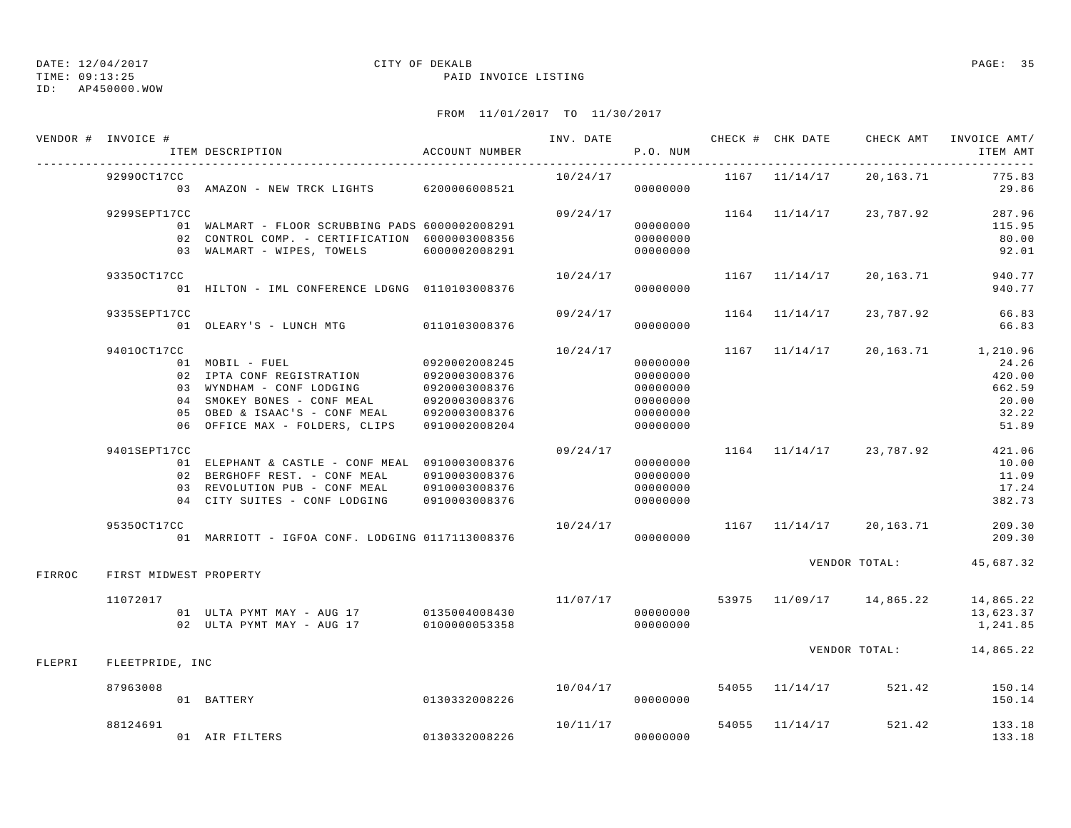TIME: 09:13:25 PAID INVOICE LISTING

ID: AP450000.WOW

|               | VENDOR # INVOICE #     | ITEM DESCRIPTION                                                                                                                                                                                        | ACCOUNT NUMBER                                                   |                      | P.O. NUM                                                             |                   |                              | INV. DATE 6 CHECK # CHK DATE CHECK AMT INVOICE AMT/<br>ITEM AMT                                  |
|---------------|------------------------|---------------------------------------------------------------------------------------------------------------------------------------------------------------------------------------------------------|------------------------------------------------------------------|----------------------|----------------------------------------------------------------------|-------------------|------------------------------|--------------------------------------------------------------------------------------------------|
|               | 92990CT17CC            | 03 AMAZON - NEW TRCK LIGHTS 6200006008521                                                                                                                                                               |                                                                  | 10/24/17             | 00000000                                                             |                   | 1167 11/14/17 20,163.71      | 775.83<br>29.86                                                                                  |
|               | 9299SEPT17CC           | 01 WALMART - FLOOR SCRUBBING PADS 6000002008291<br>02 CONTROL COMP. - CERTIFICATION 6000003008356<br>03 WALMART - WIPES, TOWELS 6000002008291                                                           |                                                                  | 09/24/17             | 00000000<br>00000000<br>00000000                                     |                   | 1164 11/14/17 23,787.92      | 287.96<br>115.95<br>80.00<br>92.01                                                               |
|               | 93350CT17CC            | 01 HILTON - IML CONFERENCE LDGNG 0110103008376                                                                                                                                                          |                                                                  | 10/24/17             | 00000000                                                             |                   | 1167 11/14/17 20,163.71      | 940.77<br>940.77                                                                                 |
|               | 9335SEPT17CC           | 01 OLEARY'S - LUNCH MTG 0110103008376                                                                                                                                                                   |                                                                  | 09/24/17             | 00000000                                                             | $1164$ $11/14/17$ | 23,787.92                    | 66.83<br>66.83                                                                                   |
|               | 94010CT17CC            | 01 MOBIL - FUEL<br>02 IPTA CONF REGISTRATION 0920003008376<br>03 WYNDHAM - CONF LODGING<br>04 SMOKEY BONES - CONF MEAL<br>05 OBED & ISAAC'S - CONF MEAL<br>06 OFFICE MAX - FOLDERS, CLIPS 0910002008204 | 0920002008245<br>0920003008376<br>0920003008376<br>0920003008376 | 10/24/17             | 00000000<br>00000000<br>00000000<br>00000000<br>00000000<br>00000000 |                   |                              | $1167$ $11/14/17$ $20,163.71$ $1,210.96$<br>24.26<br>420.00<br>662.59<br>20.00<br>32.22<br>51.89 |
|               | 9401SEPT17CC           | 01 ELEPHANT & CASTLE - CONF MEAL 0910003008376<br>02 BERGHOFF REST. - CONF MEAL 0910003008376<br>03 REVOLUTION PUB - CONF MEAL 0910003008376<br>04 CITY SUITES - CONF LODGING 0910003008376             |                                                                  | 09/24/17             | 00000000<br>00000000<br>00000000<br>00000000                         |                   | $1164$ $11/14/17$ 23, 787.92 | 421.06<br>10.00<br>11.09<br>17.24<br>382.73                                                      |
|               | 95350CT17CC            |                                                                                                                                                                                                         |                                                                  | 10/24/17             |                                                                      |                   | 1167 11/14/17 20,163.71      | 209.30<br>209.30                                                                                 |
| FIRROC        | FIRST MIDWEST PROPERTY |                                                                                                                                                                                                         |                                                                  |                      |                                                                      |                   | VENDOR TOTAL:                | 45,687.32                                                                                        |
|               | 11072017               | 01 ULTA PYMT MAY - AUG 17 0135004008430<br>02 ULTA PYMT MAY - AUG 17                                                                                                                                    | 0100000053358                                                    | 11/07/17             | 00000000<br>00000000                                                 |                   | 53975 11/09/17 14,865.22     | 14,865.22<br>13,623.37<br>1,241.85                                                               |
| <b>FLEPRI</b> | FLEETPRIDE, INC        |                                                                                                                                                                                                         |                                                                  |                      |                                                                      |                   |                              | VENDOR TOTAL: 14,865.22                                                                          |
|               | 87963008               | 0130332008226<br>01 BATTERY                                                                                                                                                                             |                                                                  | 10/04/17             | 00000000                                                             |                   | 54055 11/14/17 521.42        | 150.14<br>150.14                                                                                 |
|               | 88124691               | 01 AIR FILTERS                                                                                                                                                                                          | 0130332008226                                                    | 10/11/17<br>00000000 |                                                                      | 54055 11/14/17    | 521.42                       | 133.18<br>133.18                                                                                 |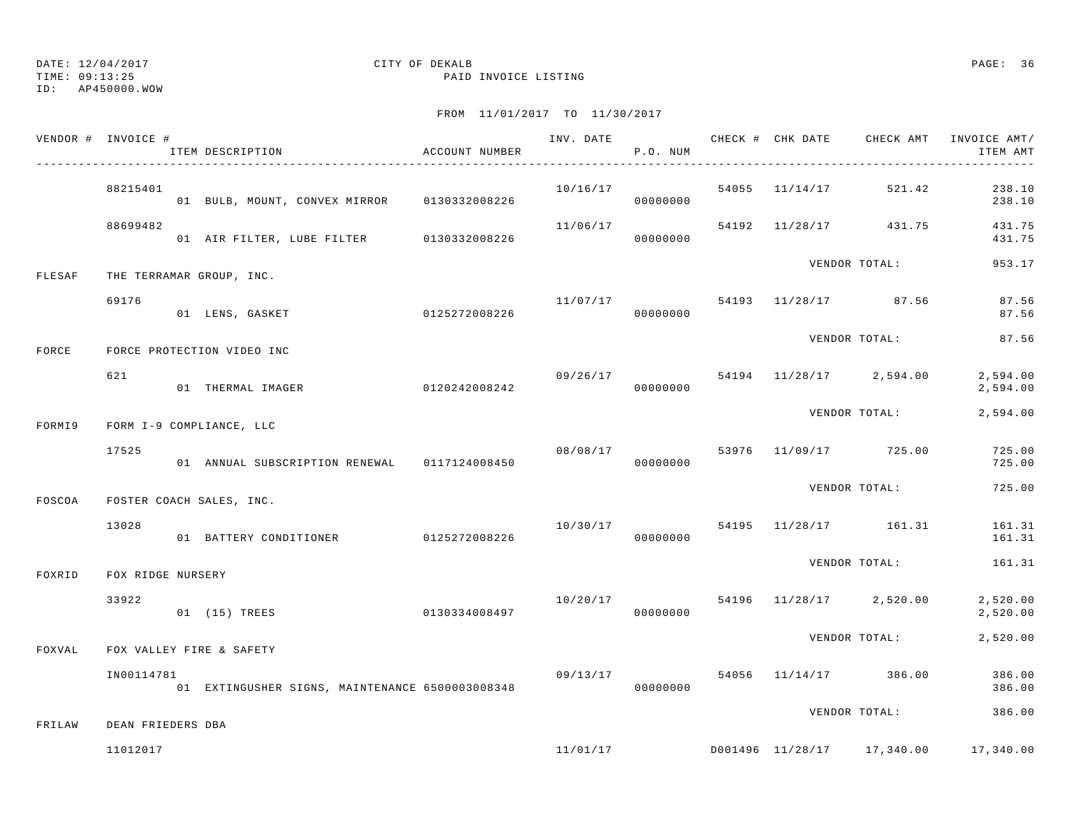TIME: 09:13:25 PAID INVOICE LISTING

ID: AP450000.WOW

|        | VENDOR # INVOICE # | ITEM DESCRIPTION                            | ACCOUNT NUMBER |          | P.O. NUM |  |                                                          | ITEM AMT             |
|--------|--------------------|---------------------------------------------|----------------|----------|----------|--|----------------------------------------------------------|----------------------|
|        | 88215401           | 01 BULB, MOUNT, CONVEX MIRROR 0130332008226 |                | 10/16/17 | 00000000 |  | 54055 11/14/17 521.42                                    | 238.10<br>238.10     |
|        | 88699482           |                                             |                | 11/06/17 |          |  | 54192 11/28/17 431.75                                    | 431.75<br>431.75     |
| FLESAF |                    | THE TERRAMAR GROUP, INC.                    |                |          |          |  | VENDOR TOTAL:                                            | 953.17               |
|        | 69176              | 01 LENS, GASKET                             | 0125272008226  | 11/07/17 | 00000000 |  | 54193 11/28/17 87.56                                     | 87.56<br>87.56       |
| FORCE  |                    | FORCE PROTECTION VIDEO INC                  |                |          |          |  | VENDOR TOTAL:                                            | 87.56                |
|        | 621                | 01 THERMAL IMAGER                           | 0120242008242  | 09/26/17 | 00000000 |  | 54194 11/28/17 2,594.00                                  | 2,594.00<br>2,594.00 |
| FORMI9 |                    | FORM I-9 COMPLIANCE, LLC                    |                |          |          |  | VENDOR TOTAL:                                            | 2,594.00             |
|        | 17525              |                                             |                | 08/08/17 |          |  | 53976 11/09/17 725.00                                    | 725.00<br>725.00     |
| FOSCOA |                    | FOSTER COACH SALES, INC.                    |                |          |          |  | VENDOR TOTAL:                                            | 725.00               |
|        | 13028              |                                             |                |          |          |  | $10/30/17$ 54195 $11/28/17$ 161.31                       | 161.31<br>161.31     |
| FOXRID | FOX RIDGE NURSERY  |                                             |                |          |          |  | VENDOR TOTAL:                                            | 161.31               |
|        | 33922              | 01 (15) TREES                               | 0130334008497  |          |          |  | 10/20/17 54196 11/28/17 2,520.00                         | 2,520.00<br>2,520.00 |
| FOXVAL |                    | FOX VALLEY FIRE & SAFETY                    |                |          |          |  | VENDOR TOTAL:                                            | 2,520.00             |
|        | IN00114781         |                                             |                |          |          |  | $09/13/17$ 54056 11/14/17 386.00                         | 386.00<br>386.00     |
| FRILAW | DEAN FRIEDERS DBA  |                                             |                |          |          |  | VENDOR TOTAL:                                            | 386.00               |
|        | 11012017           |                                             |                |          |          |  | $11/01/17$ $10001496$ $11/28/17$ $17,340.00$ $17,340.00$ |                      |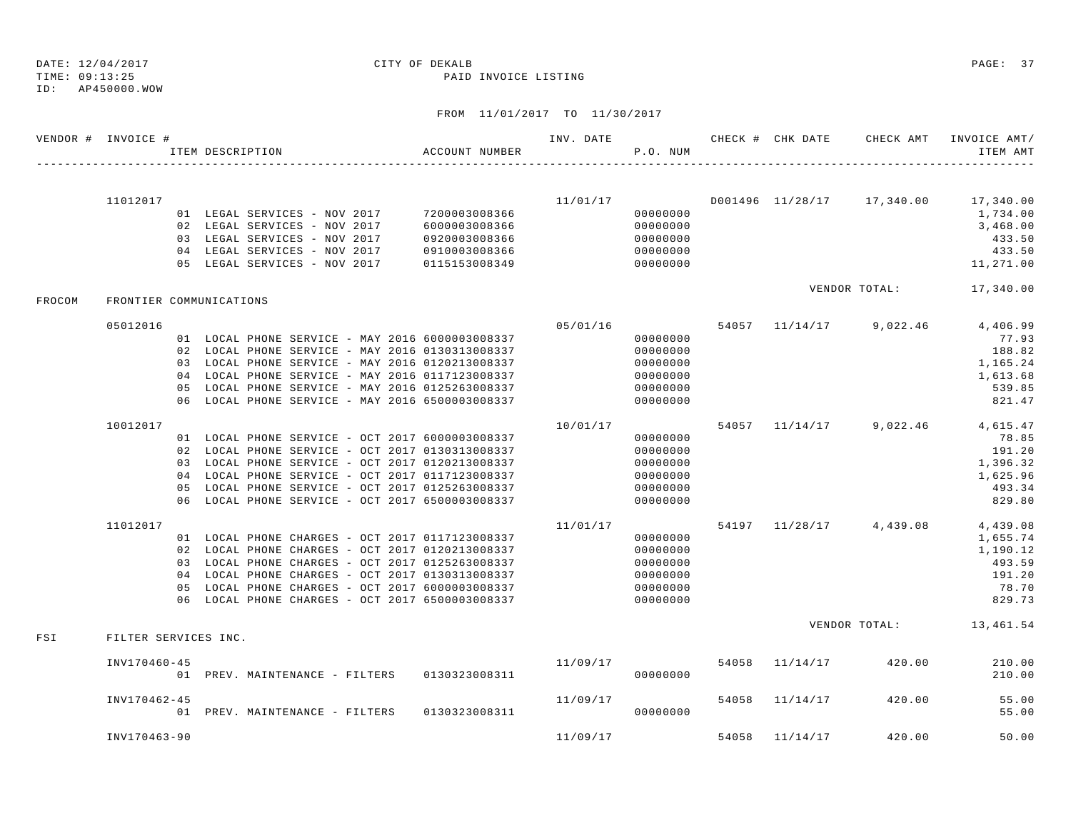|        | VENDOR # INVOICE #   | ITEM DESCRIPTION                                                                                   | ACCOUNT NUMBER | INV. DATE | P.O. NUM             |       | CHECK # CHK DATE | CHECK AMT               | INVOICE AMT/<br>ITEM AMT                                 |
|--------|----------------------|----------------------------------------------------------------------------------------------------|----------------|-----------|----------------------|-------|------------------|-------------------------|----------------------------------------------------------|
|        |                      |                                                                                                    |                |           |                      |       |                  |                         |                                                          |
|        | 11012017             |                                                                                                    | 7200003008366  |           | 00000000             |       |                  |                         | $11/01/17$ $10001496$ $11/28/17$ $17,340.00$ $17,340.00$ |
|        |                      | 01 LEGAL SERVICES - NOV 2017<br>02 LEGAL SERVICES - NOV 2017                                       | 6000003008366  |           | 00000000             |       |                  |                         | 1,734.00<br>3,468.00                                     |
|        |                      | 03 LEGAL SERVICES - NOV 2017                                                                       | 0920003008366  |           | 00000000             |       |                  |                         | 433.50                                                   |
|        |                      | 04 LEGAL SERVICES - NOV 2017                                                                       | 0910003008366  |           | 00000000             |       |                  |                         | 433.50                                                   |
|        |                      | 05 LEGAL SERVICES - NOV 2017                                                                       | 0115153008349  |           | 00000000             |       |                  |                         | 11,271.00                                                |
| FROCOM |                      | FRONTIER COMMUNICATIONS                                                                            |                |           |                      |       |                  |                         | VENDOR TOTAL: 17,340.00                                  |
|        |                      |                                                                                                    |                |           |                      |       |                  |                         |                                                          |
|        | 05012016             |                                                                                                    |                | 05/01/16  |                      |       |                  | 54057 11/14/17 9,022.46 | 4,406.99                                                 |
|        |                      | 01 LOCAL PHONE SERVICE - MAY 2016 6000003008337                                                    |                |           | 00000000             |       |                  |                         | 77.93                                                    |
|        |                      | 02 LOCAL PHONE SERVICE - MAY 2016 0130313008337<br>03 LOCAL PHONE SERVICE - MAY 2016 0120213008337 |                |           | 00000000             |       |                  |                         | 188.82                                                   |
|        |                      | 04 LOCAL PHONE SERVICE - MAY 2016 0117123008337                                                    |                |           | 00000000<br>00000000 |       |                  |                         | 1,165.24<br>1,613.68                                     |
|        |                      | 05 LOCAL PHONE SERVICE - MAY 2016 0125263008337                                                    |                |           | 00000000             |       |                  |                         | 539.85                                                   |
|        |                      | 06 LOCAL PHONE SERVICE - MAY 2016 6500003008337                                                    |                |           | 00000000             |       |                  |                         | 821.47                                                   |
|        | 10012017             |                                                                                                    |                | 10/01/17  |                      |       |                  |                         | 54057 11/14/17 9,022.46 4,615.47                         |
|        |                      | 01 LOCAL PHONE SERVICE - OCT 2017 6000003008337                                                    |                |           | 00000000             |       |                  |                         | 78.85                                                    |
|        |                      | 02 LOCAL PHONE SERVICE - OCT 2017 0130313008337                                                    |                |           | 00000000             |       |                  |                         | 191.20                                                   |
|        |                      | 03 LOCAL PHONE SERVICE - OCT 2017 0120213008337                                                    |                |           | 00000000             |       |                  |                         | 1,396.32                                                 |
|        |                      | 04 LOCAL PHONE SERVICE - OCT 2017 0117123008337                                                    |                |           | 00000000             |       |                  |                         | 1,625.96                                                 |
|        |                      | 05 LOCAL PHONE SERVICE - OCT 2017 0125263008337                                                    |                |           | 00000000             |       |                  |                         | 493.34                                                   |
|        |                      | 06 LOCAL PHONE SERVICE - OCT 2017 6500003008337                                                    |                |           | 00000000             |       |                  |                         | 829.80                                                   |
|        | 11012017             |                                                                                                    |                | 11/01/17  |                      |       |                  | 54197 11/28/17 4,439.08 | 4,439.08                                                 |
|        |                      | 01 LOCAL PHONE CHARGES - OCT 2017 0117123008337                                                    |                |           | 00000000             |       |                  |                         | 1,655.74                                                 |
|        |                      | 02 LOCAL PHONE CHARGES - OCT 2017 0120213008337                                                    |                |           | 00000000             |       |                  |                         | 1,190.12                                                 |
|        |                      | 03 LOCAL PHONE CHARGES - OCT 2017 0125263008337                                                    |                |           | 00000000             |       |                  |                         | 493.59                                                   |
|        |                      | 04 LOCAL PHONE CHARGES - OCT 2017 0130313008337<br>05 LOCAL PHONE CHARGES - OCT 2017 6000003008337 |                |           | 00000000<br>00000000 |       |                  |                         | 191.20<br>78.70                                          |
|        |                      | 06 LOCAL PHONE CHARGES - OCT 2017 6500003008337                                                    |                |           | 00000000             |       |                  |                         | 829.73                                                   |
|        |                      |                                                                                                    |                |           |                      |       |                  |                         | VENDOR TOTAL: 13,461.54                                  |
| FSI    | FILTER SERVICES INC. |                                                                                                    |                |           |                      |       |                  |                         |                                                          |
|        | INV170460-45         |                                                                                                    |                | 11/09/17  |                      | 54058 | 11/14/17         | 420.00                  | 210.00                                                   |
|        |                      | 01 PREV. MAINTENANCE - FILTERS 0130323008311                                                       |                |           | 00000000             |       |                  |                         | 210.00                                                   |
|        | INV170462-45         |                                                                                                    |                | 11/09/17  |                      |       | 54058 11/14/17   | 420.00                  | 55.00                                                    |
|        |                      | 01 PREV. MAINTENANCE - FILTERS                                                                     | 0130323008311  |           | 00000000             |       |                  |                         | 55.00                                                    |
|        | INV170463-90         |                                                                                                    |                | 11/09/17  |                      | 54058 | 11/14/17         | 420.00                  | 50.00                                                    |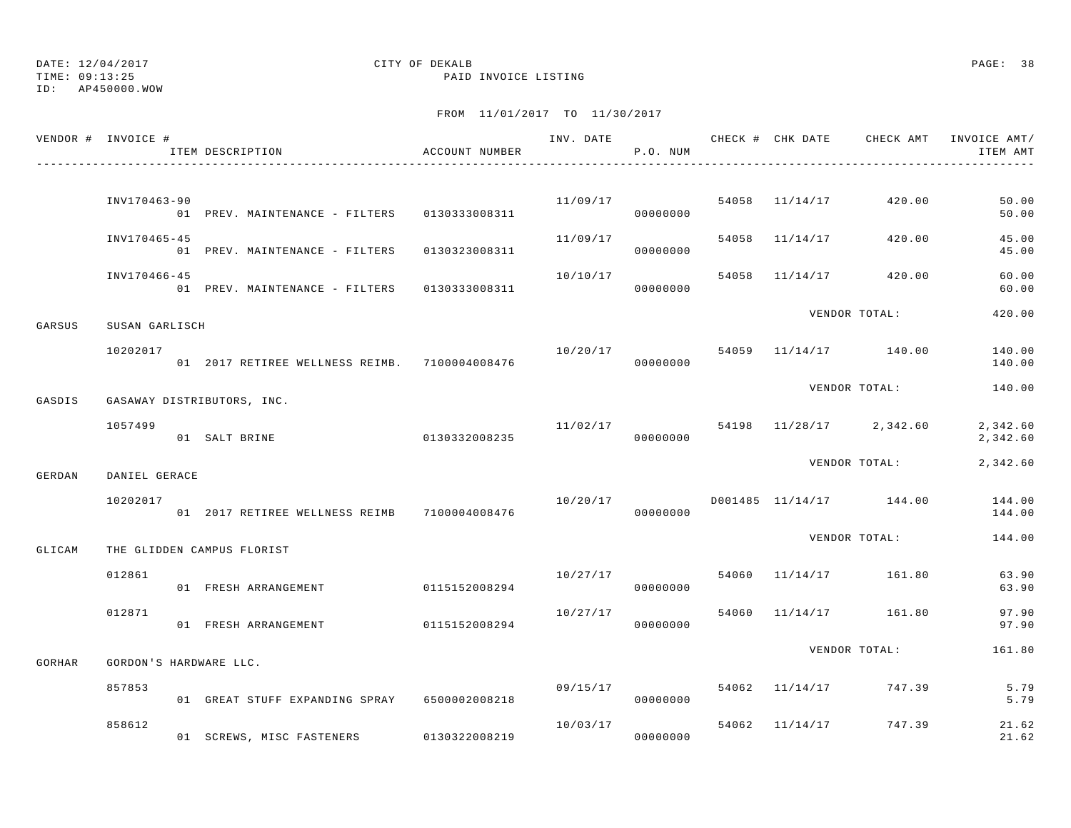TIME: 09:13:25 PAID INVOICE LISTING

ID: AP450000.WOW

|        | VENDOR # INVOICE #     | ITEM DESCRIPTION                               | ACCOUNT NUMBER |                      | P.O. NUM |  |                         | ITEM AMT             |
|--------|------------------------|------------------------------------------------|----------------|----------------------|----------|--|-------------------------|----------------------|
|        |                        |                                                |                |                      |          |  |                         |                      |
|        | INV170463-90           | 01 PREV. MAINTENANCE - FILTERS 0130333008311   |                | 11/09/17             | 00000000 |  | 54058 11/14/17 420.00   | 50.00<br>50.00       |
|        | INV170465-45           | 01 PREV. MAINTENANCE - FILTERS 0130323008311   |                | 11/09/17             | 00000000 |  | 54058 11/14/17 420.00   | 45.00<br>45.00       |
|        | INV170466-45           | 01 PREV. MAINTENANCE - FILTERS 0130333008311   |                | 10/10/17             | 00000000 |  | 54058 11/14/17 420.00   | 60.00<br>60.00       |
| GARSUS | SUSAN GARLISCH         |                                                |                |                      |          |  | VENDOR TOTAL:           | 420.00               |
|        | 10202017               | 01 2017 RETIREE WELLNESS REIMB. 7100004008476  |                | 10/20/17             | 00000000 |  | 54059 11/14/17 140.00   | 140.00<br>140.00     |
| GASDIS |                        | GASAWAY DISTRIBUTORS, INC.                     |                |                      |          |  | VENDOR TOTAL:           | 140.00               |
|        | 1057499                | 01 SALT BRINE                                  | 0130332008235  | 11/02/17<br>00000000 |          |  | 54198 11/28/17 2,342.60 | 2,342.60<br>2,342.60 |
| GERDAN | DANIEL GERACE          |                                                |                |                      |          |  | VENDOR TOTAL:           | 2,342.60             |
|        | 10202017               | 01  2017 RETIREE WELLNESS REIMB  7100004008476 |                | 10/20/17             | 00000000 |  | D001485 11/14/17 144.00 | 144.00<br>144.00     |
| GLICAM |                        | THE GLIDDEN CAMPUS FLORIST                     |                |                      |          |  | VENDOR TOTAL:           | 144.00               |
|        | 012861                 | 01 FRESH ARRANGEMENT                           | 0115152008294  | 10/27/17             | 00000000 |  | 54060 11/14/17 161.80   | 63.90<br>63.90       |
|        | 012871                 | 01 FRESH ARRANGEMENT                           | 0115152008294  | 10/27/17             | 00000000 |  | 54060 11/14/17 161.80   | 97.90<br>97.90       |
| GORHAR | GORDON'S HARDWARE LLC. |                                                |                |                      |          |  | VENDOR TOTAL:           | 161.80               |
|        | 857853                 | 01 GREAT STUFF EXPANDING SPRAY 6500002008218   |                | 09/15/17             | 00000000 |  | 54062 11/14/17 747.39   | 5.79<br>5.79         |
|        | 858612                 | 01 SCREWS, MISC FASTENERS                      | 0130322008219  | 10/03/17             | 00000000 |  | 54062 11/14/17 747.39   | 21.62<br>21.62       |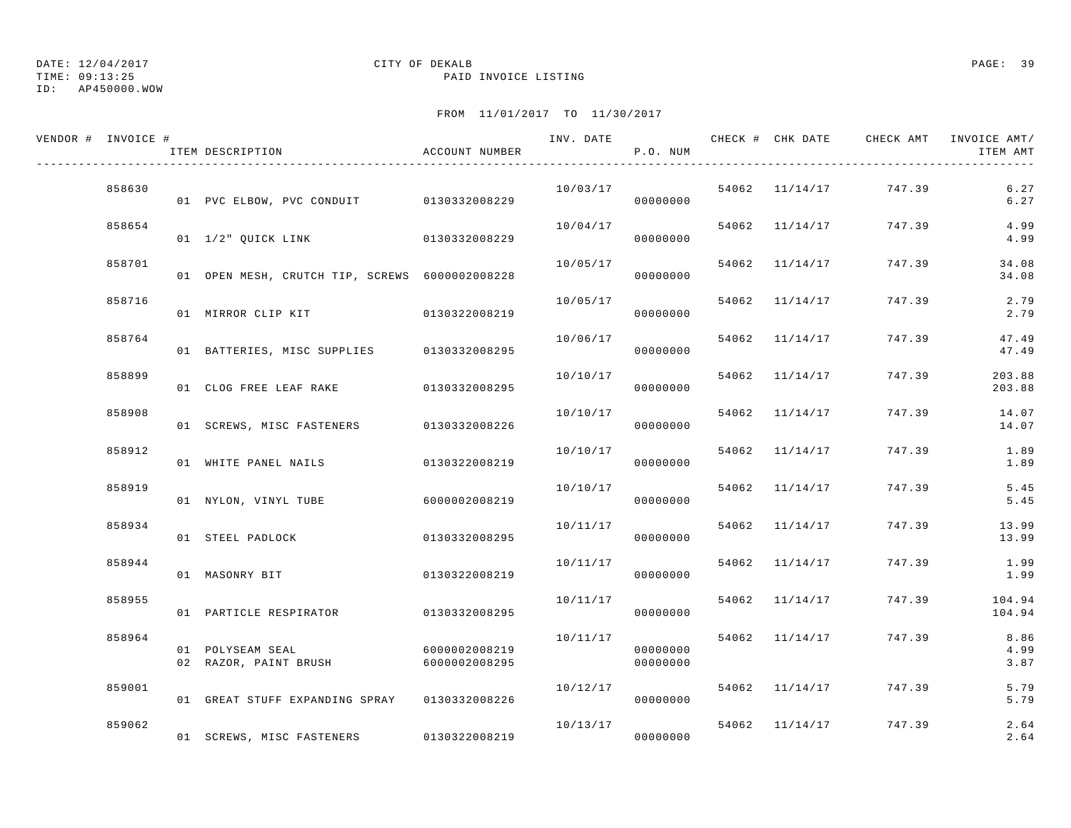TIME: 09:13:25 PAID INVOICE LISTING

ID: AP450000.WOW

| VENDOR # INVOICE # | ITEM DESCRIPTION                               | ACCOUNT NUMBER                 | INV. DATE | P.O. NUM             |       |                | CHECK # CHK DATE     CHECK AMT   INVOICE AMT/ | ITEM AMT             |
|--------------------|------------------------------------------------|--------------------------------|-----------|----------------------|-------|----------------|-----------------------------------------------|----------------------|
| 858630             | 01 PVC ELBOW, PVC CONDUIT 0130332008229        |                                | 10/03/17  | 00000000             |       |                | 54062 11/14/17 747.39                         | 6.27<br>6.27         |
| 858654             | 01 1/2" QUICK LINK 0130332008229               |                                |           | 10/04/17<br>00000000 |       | 54062 11/14/17 | 747.39                                        | 4.99<br>4.99         |
| 858701             | 01 OPEN MESH, CRUTCH TIP, SCREWS 6000002008228 |                                | 10/05/17  | 00000000             |       | 54062 11/14/17 | 747.39                                        | 34.08<br>34.08       |
| 858716             | 01 MIRROR CLIP KIT                             | 0130322008219                  | 10/05/17  | 00000000             |       | 54062 11/14/17 | 747.39                                        | 2.79<br>2.79         |
| 858764             | 01 BATTERIES, MISC SUPPLIES 0130332008295      |                                | 10/06/17  | 00000000             |       | 54062 11/14/17 | 747.39                                        | 47.49<br>47.49       |
| 858899             | 01 CLOG FREE LEAF RAKE 0130332008295           |                                | 10/10/17  | 00000000             |       | 54062 11/14/17 | 747.39                                        | 203.88<br>203.88     |
| 858908             | 01 SCREWS, MISC FASTENERS 0130332008226        |                                | 10/10/17  | 00000000             |       | 54062 11/14/17 | 747.39                                        | 14.07<br>14.07       |
| 858912             | 01 WHITE PANEL NAILS                           | 0130322008219                  | 10/10/17  | 00000000             | 54062 | 11/14/17       | 747.39                                        | 1.89<br>1.89         |
| 858919             | 01 NYLON, VINYL TUBE                           | 6000002008219                  | 10/10/17  | 00000000             |       | 54062 11/14/17 | 747.39                                        | 5.45<br>5.45         |
| 858934             | 01 STEEL PADLOCK                               | 0130332008295                  | 10/11/17  | 00000000             |       | 54062 11/14/17 | 747.39                                        | 13.99<br>13.99       |
| 858944             | 01 MASONRY BIT                                 | 0130322008219                  | 10/11/17  | 00000000             |       | 54062 11/14/17 | 747.39                                        | 1.99<br>1.99         |
| 858955             | 01 PARTICLE RESPIRATOR                         | 0130332008295                  | 10/11/17  | 00000000             |       | 54062 11/14/17 | 747.39                                        | 104.94<br>104.94     |
| 858964             | 01 POLYSEAM SEAL<br>02 RAZOR, PAINT BRUSH      | 6000002008219<br>6000002008295 | 10/11/17  | 00000000<br>00000000 |       | 54062 11/14/17 | 747.39                                        | 8.86<br>4.99<br>3.87 |
| 859001             | 01 GREAT STUFF EXPANDING SPRAY 0130332008226   |                                | 10/12/17  | 00000000             |       |                | 54062 11/14/17 747.39                         | 5.79<br>5.79         |
| 859062             | 01 SCREWS, MISC FASTENERS                      | 0130322008219                  | 10/13/17  | 00000000             |       | 54062 11/14/17 | 747.39                                        | 2.64<br>2.64         |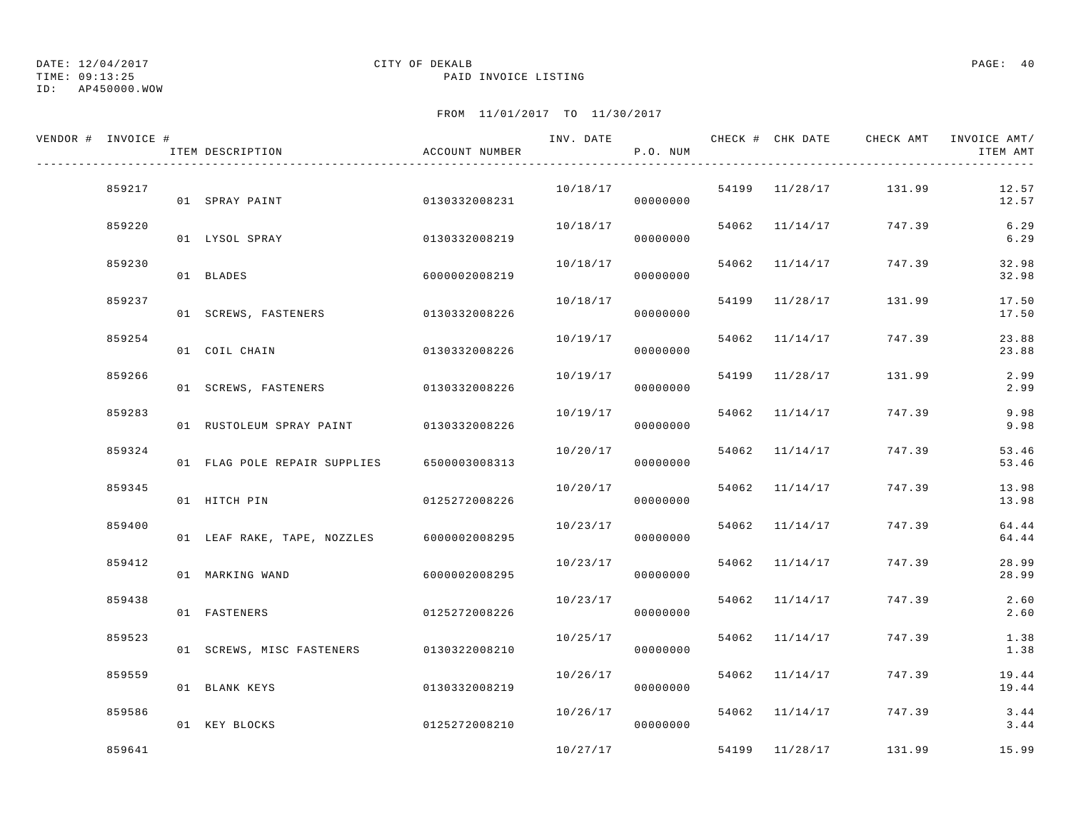TIME: 09:13:25 PAID INVOICE LISTING

ID: AP450000.WOW

| VENDOR # INVOICE # | ITEM DESCRIPTION                        | ACCOUNT NUMBER | INV. DATE | P.O. NUM |       |                | CHECK # CHK DATE CHECK AMT INVOICE AMT/ | ITEM AMT       |
|--------------------|-----------------------------------------|----------------|-----------|----------|-------|----------------|-----------------------------------------|----------------|
| 859217             | 01 SPRAY PAINT                          | 0130332008231  | 10/18/17  | 00000000 |       |                | 54199 11/28/17 131.99                   | 12.57<br>12.57 |
| 859220             | 01 LYSOL SPRAY                          | 0130332008219  | 10/18/17  | 00000000 |       |                | 54062 11/14/17 747.39                   | 6.29<br>6.29   |
| 859230             | 01 BLADES                               | 6000002008219  | 10/18/17  | 00000000 |       | 54062 11/14/17 | 747.39                                  | 32.98<br>32.98 |
| 859237             | 01 SCREWS, FASTENERS                    | 0130332008226  | 10/18/17  | 00000000 |       | 54199 11/28/17 | 131.99                                  | 17.50<br>17.50 |
| 859254             | 01 COIL CHAIN                           | 0130332008226  | 10/19/17  | 00000000 | 54062 | 11/14/17       | 747.39                                  | 23.88<br>23.88 |
| 859266             | 01 SCREWS, FASTENERS 0130332008226      |                | 10/19/17  | 00000000 |       | 54199 11/28/17 | 131.99                                  | 2.99<br>2.99   |
| 859283             | 01 RUSTOLEUM SPRAY PAINT 0130332008226  |                | 10/19/17  | 00000000 |       | 54062 11/14/17 | 747.39                                  | 9.98<br>9.98   |
| 859324             | 01 FLAG POLE REPAIR SUPPLIES            | 6500003008313  | 10/20/17  | 00000000 |       | 54062 11/14/17 | 747.39                                  | 53.46<br>53.46 |
| 859345             | 01 HITCH PIN                            | 0125272008226  | 10/20/17  | 00000000 |       | 54062 11/14/17 | 747.39                                  | 13.98<br>13.98 |
| 859400             | 01 LEAF RAKE, TAPE, NOZZLES             | 6000002008295  | 10/23/17  | 00000000 |       | 54062 11/14/17 | 747.39                                  | 64.44<br>64.44 |
| 859412             | 01 MARKING WAND                         | 6000002008295  | 10/23/17  | 00000000 |       | 54062 11/14/17 | 747.39                                  | 28.99<br>28.99 |
| 859438             | 01 FASTENERS                            | 0125272008226  | 10/23/17  | 00000000 |       | 54062 11/14/17 | 747.39                                  | 2.60<br>2.60   |
| 859523             | 01 SCREWS, MISC FASTENERS 0130322008210 |                | 10/25/17  | 00000000 |       | 54062 11/14/17 | 747.39                                  | 1.38<br>1.38   |
| 859559             | 01 BLANK KEYS                           | 0130332008219  | 10/26/17  | 00000000 |       | 54062 11/14/17 | 747.39                                  | 19.44<br>19.44 |
| 859586             | 01 KEY BLOCKS                           | 0125272008210  | 10/26/17  | 00000000 |       | 54062 11/14/17 | 747.39                                  | 3.44<br>3.44   |
| 859641             |                                         |                | 10/27/17  |          |       |                | 54199 11/28/17 131.99                   | 15.99          |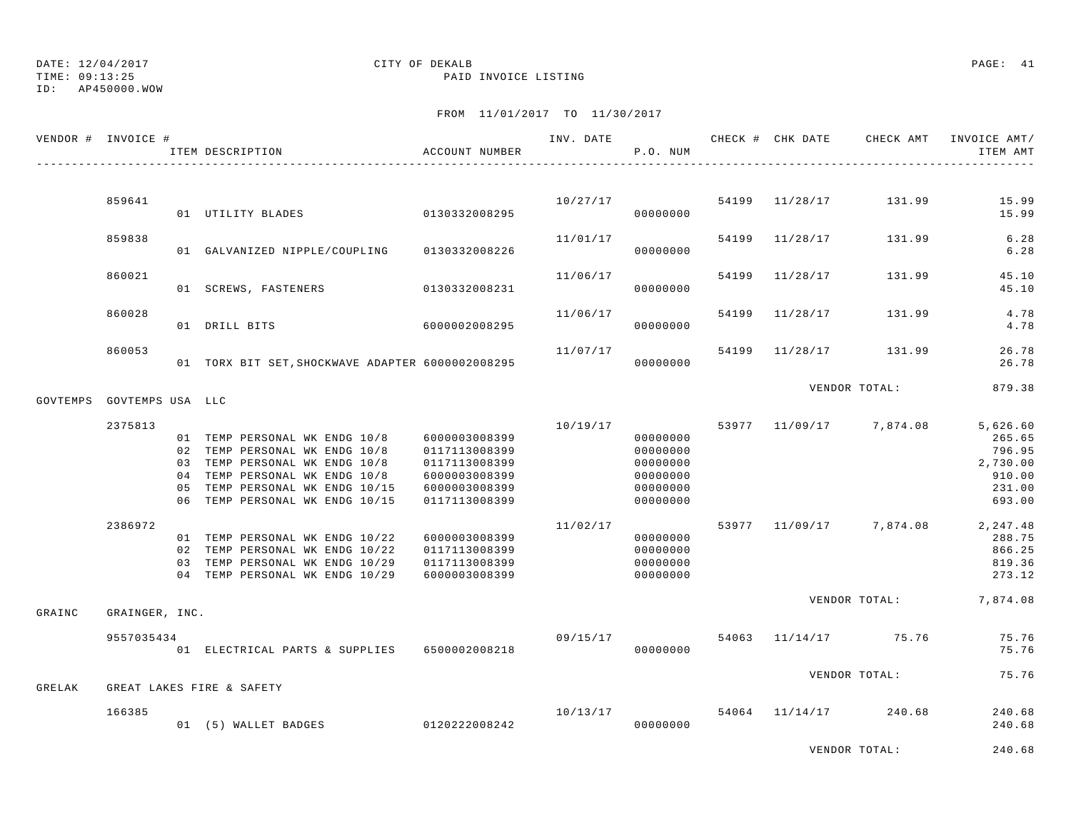## ID: AP450000.WOW

### DATE: 12/04/2017 CITY OF DEKALB PAGE: 41 TIME: 09:13:25 PAID INVOICE LISTING

| VENDOR # INVOICE #        |                | ITEM DESCRIPTION                                                                                                                                                                                     | ACCOUNT NUMBER                                                                                     | INV. DATE | P.O. NUM                                                             |       | CHECK # CHK DATE | CHECK AMT               | INVOICE AMT/<br>ITEM AMT                                                 |
|---------------------------|----------------|------------------------------------------------------------------------------------------------------------------------------------------------------------------------------------------------------|----------------------------------------------------------------------------------------------------|-----------|----------------------------------------------------------------------|-------|------------------|-------------------------|--------------------------------------------------------------------------|
|                           |                |                                                                                                                                                                                                      |                                                                                                    |           |                                                                      |       |                  |                         |                                                                          |
|                           | 859641         | 01 UTILITY BLADES 6130332008295                                                                                                                                                                      |                                                                                                    |           | 10/27/17<br>00000000                                                 |       | 54199 11/28/17   | 131.99                  | 15.99<br>15.99                                                           |
|                           | 859838         | 01 GALVANIZED NIPPLE/COUPLING                                                                                                                                                                        | 0130332008226                                                                                      | 11/01/17  | 00000000                                                             |       | 54199 11/28/17   | 131.99                  | 6.28<br>$6.28$                                                           |
|                           | 860021         | 01 SCREWS, FASTENERS                                                                                                                                                                                 | 0130332008231                                                                                      | 11/06/17  | 00000000                                                             |       | 54199 11/28/17   | 131.99                  | 45.10<br>45.10                                                           |
|                           | 860028         | 01 DRILL BITS                                                                                                                                                                                        | 6000002008295                                                                                      | 11/06/17  | 00000000                                                             | 54199 | 11/28/17         | 131.99                  | 4.78<br>4.78                                                             |
|                           | 860053         | 01 TORX BIT SET, SHOCKWAVE ADAPTER 6000002008295                                                                                                                                                     |                                                                                                    | 11/07/17  | 00000000                                                             | 54199 | 11/28/17         | 131.99                  | 26.78<br>26.78                                                           |
| GOVTEMPS GOVTEMPS USA LLC |                |                                                                                                                                                                                                      |                                                                                                    |           |                                                                      |       |                  | VENDOR TOTAL:           | 879.38                                                                   |
|                           | 2375813        |                                                                                                                                                                                                      |                                                                                                    | 10/19/17  |                                                                      |       |                  | 53977 11/09/17 7,874.08 | 5,626.60                                                                 |
|                           |                | 01 TEMP PERSONAL WK ENDG 10/8<br>02 TEMP PERSONAL WK ENDG 10/8<br>03 TEMP PERSONAL WK ENDG 10/8<br>04 TEMP PERSONAL WK ENDG 10/8<br>05 TEMP PERSONAL WK ENDG 10/15<br>06 TEMP PERSONAL WK ENDG 10/15 | 6000003008399<br>0117113008399<br>0117113008399<br>6000003008399<br>6000003008399<br>0117113008399 |           | 00000000<br>00000000<br>00000000<br>00000000<br>00000000<br>00000000 |       |                  |                         | 265.65<br>796.95<br>2,730.00<br>910.00<br>231.00<br>693.00               |
|                           | 2386972        | 01 TEMP PERSONAL WK ENDG 10/22<br>02 TEMP PERSONAL WK ENDG 10/22<br>03 TEMP PERSONAL WK ENDG 10/29<br>04 TEMP PERSONAL WK ENDG 10/29                                                                 | 6000003008399<br>0117113008399<br>0117113008399<br>6000003008399                                   | 11/02/17  | 00000000<br>00000000<br>00000000<br>00000000                         |       |                  |                         | 53977 11/09/17 7,874.08 2,247.48<br>288.75<br>866.25<br>819.36<br>273.12 |
| GRAINC                    | GRAINGER, INC. |                                                                                                                                                                                                      |                                                                                                    |           |                                                                      |       |                  |                         | VENDOR TOTAL: 7,874.08                                                   |
|                           | 9557035434     | 01 ELECTRICAL PARTS & SUPPLIES 6500002008218                                                                                                                                                         |                                                                                                    | 09/15/17  | 00000000                                                             |       |                  | 54063 11/14/17 75.76    | 75.76<br>75.76                                                           |
| GRELAK                    |                | GREAT LAKES FIRE & SAFETY                                                                                                                                                                            |                                                                                                    |           |                                                                      |       |                  | VENDOR TOTAL:           | 75.76                                                                    |
|                           | 166385         | 01 (5) WALLET BADGES                                                                                                                                                                                 | 0120222008242                                                                                      | 10/13/17  | 00000000                                                             |       |                  | 54064 11/14/17 240.68   | 240.68<br>240.68                                                         |
|                           |                |                                                                                                                                                                                                      |                                                                                                    |           |                                                                      |       |                  | VENDOR TOTAL:           | 240.68                                                                   |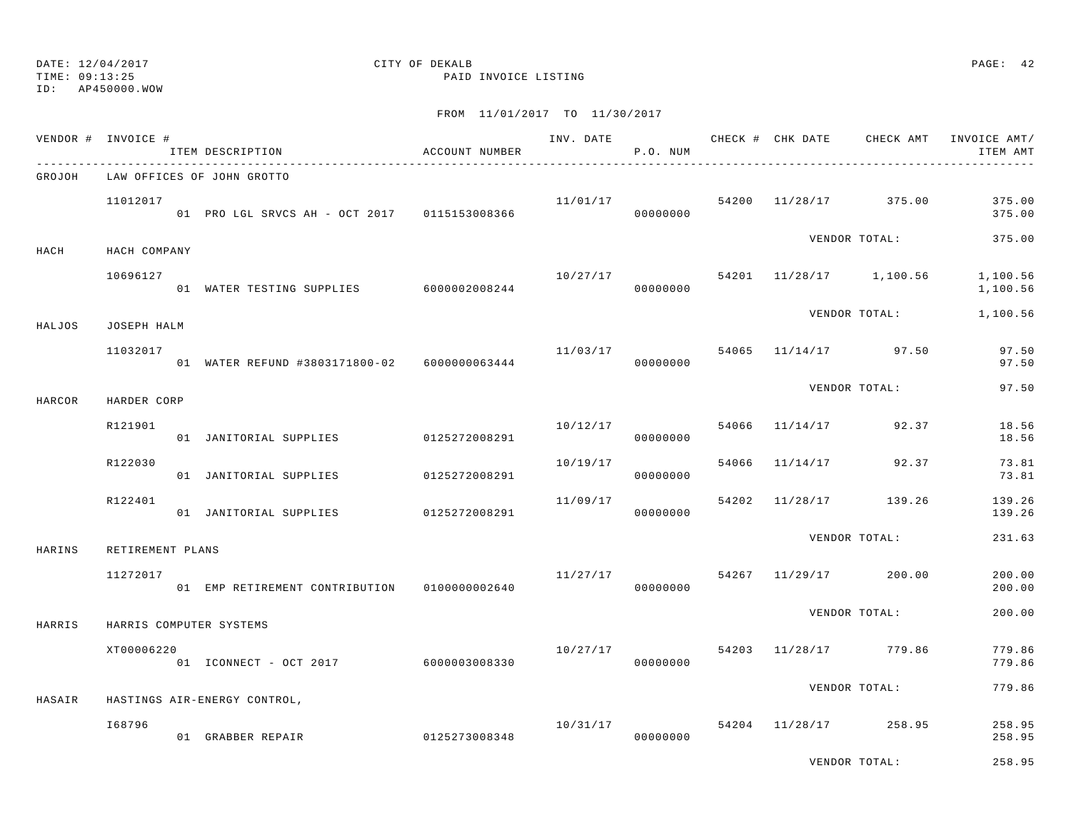TIME: 09:13:25 PAID INVOICE LISTING

ID: AP450000.WOW

|        | VENDOR # INVOICE #      | ITEM DESCRIPTION                                  | ACCOUNT NUMBER |                | P.O. NUM             |       | INV. DATE CHECK # CHK DATE | CHECK AMT             | INVOICE AMT/<br>ITEM AMT |
|--------|-------------------------|---------------------------------------------------|----------------|----------------|----------------------|-------|----------------------------|-----------------------|--------------------------|
| GROJOH |                         | LAW OFFICES OF JOHN GROTTO                        |                |                |                      |       |                            |                       |                          |
|        | 11012017                | 01 PRO LGL SRVCS AH - OCT 2017 0115153008366      |                | 11/01/17       | 00000000             |       |                            | 54200 11/28/17 375.00 | 375.00<br>375.00         |
| HACH   | HACH COMPANY            |                                                   |                |                |                      |       |                            | VENDOR TOTAL:         | 375.00                   |
|        | 10696127                | 01 WATER TESTING SUPPLIES 6000002008244           |                | 10/27/17 54201 | 00000000             |       |                            | 11/28/17 1,100.56     | 1,100.56<br>1,100.56     |
|        |                         |                                                   |                |                |                      |       |                            | VENDOR TOTAL:         | 1,100.56                 |
| HALJOS | JOSEPH HALM<br>11032017 | 01 WATER REFUND #3803171800-02 6000000063444      |                | 11/03/17       | 00000000             | 54065 |                            | $11/14/17$ 97.50      | 97.50<br>97.50           |
| HARCOR | HARDER CORP             |                                                   |                |                |                      |       |                            | VENDOR TOTAL:         | 97.50                    |
|        | R121901                 | 01 JANITORIAL SUPPLIES 0125272008291              |                |                | 10/12/17<br>00000000 | 54066 |                            | $11/14/17$ 92.37      | 18.56<br>18.56           |
|        | R122030                 | 01 JANITORIAL SUPPLIES                            | 0125272008291  | 10/19/17       | 00000000             | 54066 |                            | $11/14/17$ 92.37      | 73.81<br>73.81           |
|        | R122401                 | 01 JANITORIAL SUPPLIES                            | 0125272008291  | 11/09/17       | 00000000             | 54202 | 11/28/17                   | 139.26                | 139.26<br>139.26         |
| HARINS | RETIREMENT PLANS        |                                                   |                |                |                      |       |                            | VENDOR TOTAL:         | 231.63                   |
|        | 11272017                | 01 EMP RETIREMENT CONTRIBUTION 01000000002640     |                | 11/27/17       | 00000000             |       |                            | 54267 11/29/17 200.00 | 200.00<br>200.00         |
| HARRIS |                         | HARRIS COMPUTER SYSTEMS                           |                |                |                      |       |                            | VENDOR TOTAL:         | 200.00                   |
|        | XT00006220              | 01 ICONNECT - OCT 2017                            | 6000003008330  | 10/27/17       | 00000000             | 54203 |                            | 11/28/17 779.86       | 779.86<br>779.86         |
|        |                         |                                                   |                |                |                      |       |                            | VENDOR TOTAL:         | 779.86                   |
| HASAIR | I68796                  | HASTINGS AIR-ENERGY CONTROL,<br>01 GRABBER REPAIR | 0125273008348  | 10/31/17       | 00000000             |       |                            | 54204 11/28/17 258.95 | 258.95<br>258.95         |
|        |                         |                                                   |                |                |                      |       |                            | VENDOR TOTAL:         | 258.95                   |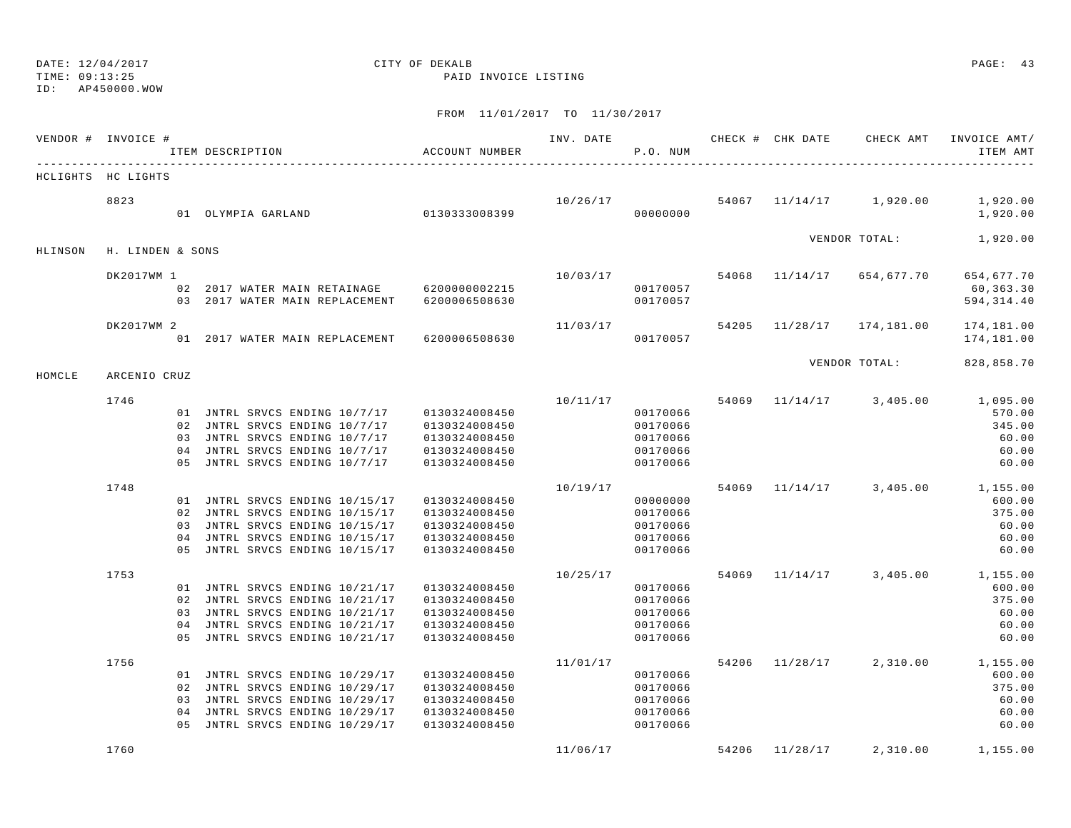TIME: 09:13:25 PAID INVOICE LISTING

ID: AP450000.WOW

|         | VENDOR # INVOICE # | ITEM DESCRIPTION                                                               | ACCOUNT NUMBER                 | INV. DATE | P.O. NUM             |       |                | CHECK # CHK DATE CHECK AMT | INVOICE AMT/<br>ITEM AMT |
|---------|--------------------|--------------------------------------------------------------------------------|--------------------------------|-----------|----------------------|-------|----------------|----------------------------|--------------------------|
|         | HCLIGHTS HC LIGHTS |                                                                                |                                |           |                      |       |                |                            |                          |
|         | 8823               | 01 OLYMPIA GARLAND                                                             | 0130333008399                  |           | 10/26/17<br>00000000 |       |                | 54067 11/14/17 1,920.00    | 1,920.00<br>1,920.00     |
| HLINSON | H. LINDEN & SONS   |                                                                                |                                |           |                      |       |                | VENDOR TOTAL:              | 1,920.00                 |
|         | DK2017WM 1         |                                                                                |                                | 10/03/17  |                      |       | 54068 11/14/17 | 654,677.70                 | 654,677.70               |
|         |                    | 02  2017 WATER MAIN RETAINAGE  6200000002215<br>03 2017 WATER MAIN REPLACEMENT | 6200006508630                  |           | 00170057<br>00170057 |       |                |                            | 60,363.30<br>594, 314.40 |
|         | DK2017WM 2         | 01 2017 WATER MAIN REPLACEMENT                                                 | 6200006508630                  | 11/03/17  | 00170057             |       |                | 54205 11/28/17 174,181.00  | 174,181.00<br>174,181.00 |
| HOMCLE  | ARCENIO CRUZ       |                                                                                |                                |           |                      |       |                | VENDOR TOTAL:              | 828,858.70               |
|         | 1746               |                                                                                |                                |           | 10/11/17             |       |                | 54069 11/14/17 3,405.00    | 1,095.00                 |
|         |                    | 01 JNTRL SRVCS ENDING 10/7/17                                                  | 0130324008450                  |           | 00170066             |       |                |                            | 570.00                   |
|         |                    | 02 JNTRL SRVCS ENDING 10/7/17                                                  | 0130324008450                  |           | 00170066             |       |                |                            | 345.00                   |
|         |                    | 03 JNTRL SRVCS ENDING 10/7/17                                                  | 0130324008450                  |           | 00170066             |       |                |                            | 60.00                    |
|         |                    | 04 JNTRL SRVCS ENDING 10/7/17                                                  | 0130324008450                  |           | 00170066             |       |                |                            | 60.00                    |
|         |                    | 05 JNTRL SRVCS ENDING 10/7/17                                                  | 0130324008450                  |           | 00170066             |       |                |                            | 60.00                    |
|         | 1748               |                                                                                |                                | 10/19/17  |                      | 54069 |                | $11/14/17$ 3,405.00        | 1,155.00                 |
|         |                    | 01 JNTRL SRVCS ENDING 10/15/17                                                 | 0130324008450                  |           | 00000000             |       |                |                            | 600.00                   |
|         |                    | 02 JNTRL SRVCS ENDING 10/15/17                                                 | 0130324008450                  |           | 00170066             |       |                |                            | 375.00                   |
|         |                    | 03 JNTRL SRVCS ENDING 10/15/17                                                 | 0130324008450                  |           | 00170066             |       |                |                            | 60.00                    |
|         |                    | 04 JNTRL SRVCS ENDING 10/15/17<br>05 JNTRL SRVCS ENDING 10/15/17               | 0130324008450<br>0130324008450 |           | 00170066<br>00170066 |       |                |                            | 60.00<br>60.00           |
|         | 1753               |                                                                                |                                | 10/25/17  |                      |       |                | 54069 11/14/17 3,405.00    | 1,155.00                 |
|         |                    | 01 JNTRL SRVCS ENDING 10/21/17                                                 | 0130324008450                  |           | 00170066             |       |                |                            | 600.00                   |
|         |                    | 02 JNTRL SRVCS ENDING 10/21/17                                                 | 0130324008450                  |           | 00170066             |       |                |                            | 375.00                   |
|         |                    | 03 JNTRL SRVCS ENDING 10/21/17                                                 | 0130324008450                  |           | 00170066             |       |                |                            | 60.00                    |
|         |                    | 04 JNTRL SRVCS ENDING 10/21/17                                                 | 0130324008450                  |           | 00170066             |       |                |                            | 60.00                    |
|         |                    | 05 JNTRL SRVCS ENDING 10/21/17                                                 | 0130324008450                  |           | 00170066             |       |                |                            | 60.00                    |
|         | 1756               |                                                                                |                                | 11/01/17  |                      |       |                | 54206 11/28/17 2,310.00    | 1,155.00                 |
|         |                    | 01 JNTRL SRVCS ENDING 10/29/17                                                 | 0130324008450                  |           | 00170066             |       |                |                            | 600.00                   |
|         |                    | 02 JNTRL SRVCS ENDING 10/29/17                                                 | 0130324008450                  |           | 00170066             |       |                |                            | 375.00                   |
|         |                    | 03 JNTRL SRVCS ENDING 10/29/17<br>04 JNTRL SRVCS ENDING 10/29/17               | 0130324008450<br>0130324008450 |           | 00170066<br>00170066 |       |                |                            | 60.00<br>60.00           |
|         |                    | 05 JNTRL SRVCS ENDING 10/29/17                                                 | 0130324008450                  |           | 00170066             |       |                |                            | 60.00                    |
|         | 1760               |                                                                                |                                | 11/06/17  |                      | 54206 | 11/28/17       | 2,310.00                   | 1,155.00                 |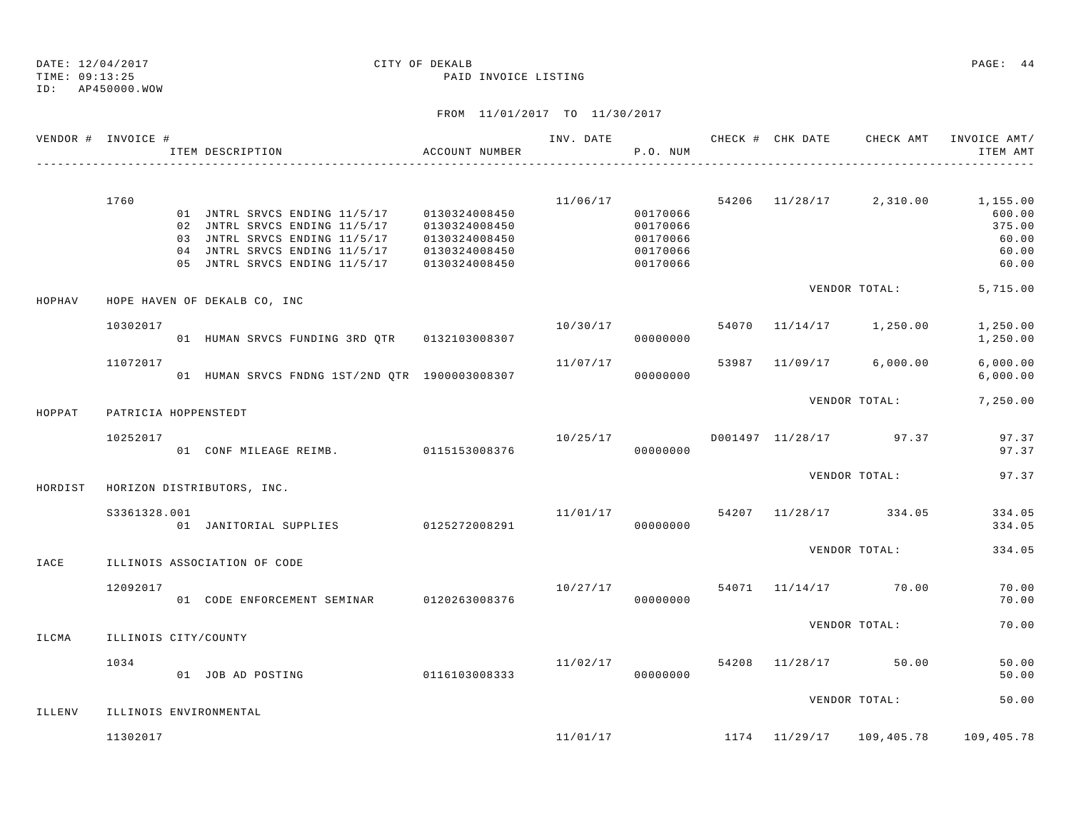|         | VENDOR # INVOICE #   | ITEM DESCRIPTION                                                                                                                                                                | ACCOUNT NUMBER                                                   | INV. DATE | P.O. NUM                                                 | CHECK # CHK DATE | CHECK AMT                        | INVOICE AMT/<br>ITEM AMT                                                                     |
|---------|----------------------|---------------------------------------------------------------------------------------------------------------------------------------------------------------------------------|------------------------------------------------------------------|-----------|----------------------------------------------------------|------------------|----------------------------------|----------------------------------------------------------------------------------------------|
|         | 1760                 | 01 JNTRL SRVCS ENDING 11/5/17 0130324008450<br>02 JNTRL SRVCS ENDING 11/5/17<br>03 JNTRL SRVCS ENDING 11/5/17<br>04 JNTRL SRVCS ENDING 11/5/17<br>05 JNTRL SRVCS ENDING 11/5/17 | 0130324008450<br>0130324008450<br>0130324008450<br>0130324008450 |           | 00170066<br>00170066<br>00170066<br>00170066<br>00170066 |                  |                                  | $11/06/17$ 54206 $11/28/17$ 2,310.00 1,155.00<br>600.00<br>375.00<br>60.00<br>60.00<br>60.00 |
| HOPHAV  |                      | HOPE HAVEN OF DEKALB CO, INC                                                                                                                                                    |                                                                  |           |                                                          |                  | VENDOR TOTAL:                    | 5,715.00                                                                                     |
|         | 10302017             | 01 HUMAN SRVCS FUNDING 3RD QTR 0132103008307                                                                                                                                    |                                                                  | 10/30/17  | 00000000                                                 |                  | 54070 11/14/17 1,250.00          | 1,250.00<br>1,250.00                                                                         |
|         | 11072017             | 01 HUMAN SRVCS FNDNG 1ST/2ND QTR 1900003008307                                                                                                                                  |                                                                  | 11/07/17  | 00000000                                                 |                  | 53987 11/09/17 6,000.00          | 6,000.00<br>6,000.00                                                                         |
| HOPPAT  | PATRICIA HOPPENSTEDT |                                                                                                                                                                                 |                                                                  |           |                                                          |                  | VENDOR TOTAL:                    | 7,250.00                                                                                     |
|         | 10252017             | 01 CONF MILEAGE REIMB. 0115153008376                                                                                                                                            |                                                                  | 10/25/17  | 00000000                                                 |                  | D001497 11/28/17 97.37           | 97.37<br>97.37                                                                               |
| HORDIST |                      | HORIZON DISTRIBUTORS, INC.                                                                                                                                                      |                                                                  |           |                                                          |                  | VENDOR TOTAL:                    | 97.37                                                                                        |
|         | S3361328.001         | 01 JANITORIAL SUPPLIES 0125272008291                                                                                                                                            |                                                                  |           | 00000000                                                 |                  | $11/01/17$ 54207 11/28/17 334.05 | 334.05<br>334.05                                                                             |
| IACE    |                      | ILLINOIS ASSOCIATION OF CODE                                                                                                                                                    |                                                                  |           |                                                          |                  | VENDOR TOTAL:                    | 334.05                                                                                       |
|         | 12092017             | 01 CODE ENFORCEMENT SEMINAR 0120263008376                                                                                                                                       |                                                                  | 10/27/17  | 00000000                                                 |                  | 54071 11/14/17 70.00             | 70.00<br>70.00                                                                               |
| ILCMA   | ILLINOIS CITY/COUNTY |                                                                                                                                                                                 |                                                                  |           |                                                          |                  | VENDOR TOTAL:                    | 70.00                                                                                        |
|         | 1034                 | 01 JOB AD POSTING                                                                                                                                                               | 0116103008333                                                    | 11/02/17  | 00000000                                                 |                  | 54208 11/28/17 50.00             | 50.00<br>50.00                                                                               |
| ILLENV  |                      | ILLINOIS ENVIRONMENTAL                                                                                                                                                          |                                                                  |           |                                                          |                  | VENDOR TOTAL:                    | 50.00                                                                                        |
|         | 11302017             |                                                                                                                                                                                 |                                                                  |           |                                                          |                  |                                  | $11/01/17$ 1174 $11/29/17$ 109,405.78 109,405.78                                             |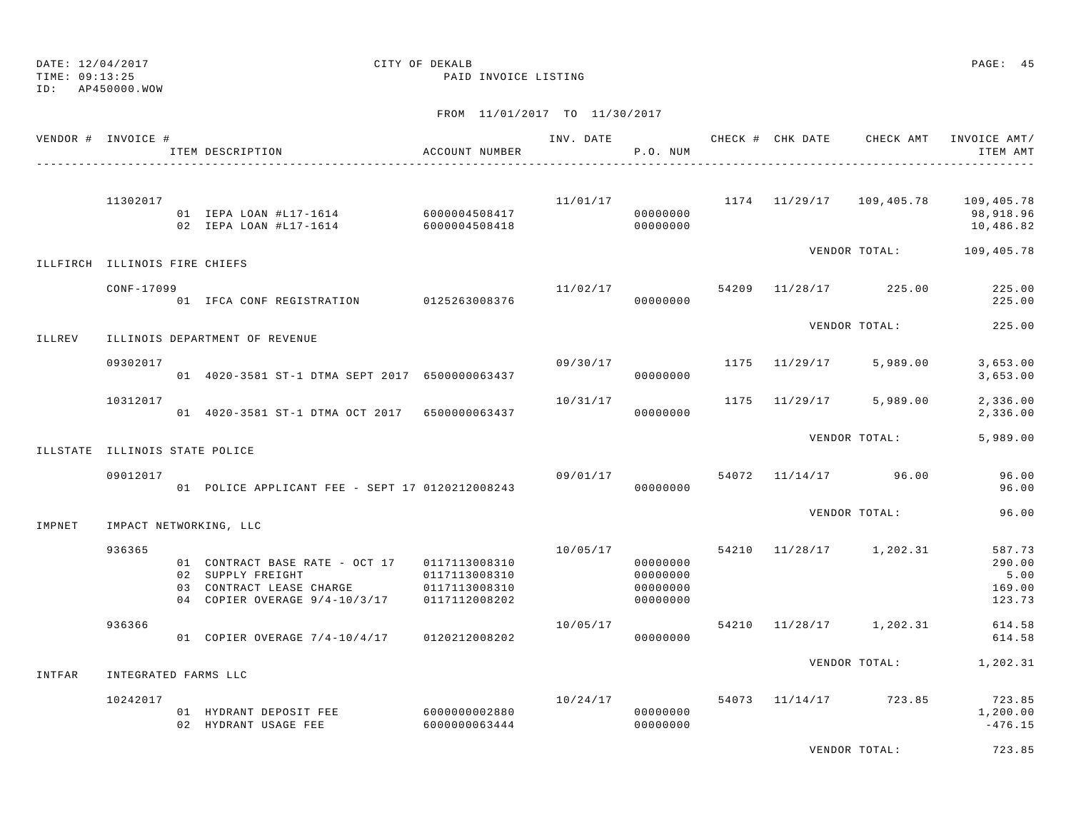TIME: 09:13:25 PAID INVOICE LISTING

ID: AP450000.WOW

|        | VENDOR # INVOICE #             | ACCOUNT NUMBER<br>ITEM DESCRIPTION                                                                                             |                                                 |          | P.O. NUM                                     |  | INV. DATE 6 CHECK # CHK DATE CHECK AMT | INVOICE AMT/<br>ITEM AMT                                                   |
|--------|--------------------------------|--------------------------------------------------------------------------------------------------------------------------------|-------------------------------------------------|----------|----------------------------------------------|--|----------------------------------------|----------------------------------------------------------------------------|
|        | 11302017                       | 01 IEPA LOAN #L17-1614 6000004508417                                                                                           |                                                 |          | 00000000                                     |  |                                        | $11/01/17$ 1174 $11/29/17$ 109,405.78 109,405.78<br>98,918.96<br>10,486.82 |
|        | ILLFIRCH ILLINOIS FIRE CHIEFS  |                                                                                                                                |                                                 |          |                                              |  |                                        | VENDOR TOTAL: 109,405.78                                                   |
|        | CONF-17099                     | 01 IFCA CONF REGISTRATION 0125263008376                                                                                        |                                                 |          | 00000000                                     |  | $11/02/17$ 54209 $11/28/17$ 225.00     | 225.00<br>225.00                                                           |
| ILLREV |                                | ILLINOIS DEPARTMENT OF REVENUE                                                                                                 |                                                 |          |                                              |  | VENDOR TOTAL:                          | 225.00                                                                     |
|        | 09302017                       | 01 4020-3581 ST-1 DTMA SEPT 2017 6500000063437                                                                                 |                                                 | 09/30/17 | 00000000                                     |  | 1175 11/29/17 5,989.00                 | 3,653.00<br>3,653.00                                                       |
|        | 10312017                       | 01  4020-3581 ST-1 DTMA OCT 2017  6500000063437                                                                                |                                                 | 10/31/17 | 00000000                                     |  | 1175 11/29/17 5,989.00                 | 2,336.00<br>2,336.00                                                       |
|        | ILLSTATE ILLINOIS STATE POLICE |                                                                                                                                |                                                 |          |                                              |  | VENDOR TOTAL:                          | 5,989.00                                                                   |
|        | 09012017                       | 01 POLICE APPLICANT FEE - SEPT 17 0120212008243                                                                                |                                                 | 09/01/17 | 00000000                                     |  | 54072 11/14/17 96.00                   | 96.00<br>96.00                                                             |
| IMPNET |                                | IMPACT NETWORKING, LLC                                                                                                         |                                                 |          |                                              |  | VENDOR TOTAL:                          | 96.00                                                                      |
|        | 936365                         | 01 CONTRACT BASE RATE - OCT 17 0117113008310<br>02 SUPPLY FREIGHT<br>03 CONTRACT LEASE CHARGE<br>04 COPIER OVERAGE 9/4-10/3/17 | 0117113008310<br>0117113008310<br>0117112008202 |          | 00000000<br>00000000<br>00000000<br>00000000 |  | $10/05/17$ 54210 $11/28/17$ 1,202.31   | 587.73<br>290.00<br>5.00<br>169.00<br>123.73                               |
|        | 936366                         | 01 COPIER OVERAGE 7/4-10/4/17                                                                                                  | 0120212008202                                   | 10/05/17 | 00000000                                     |  | 54210 11/28/17 1,202.31                | 614.58<br>614.58                                                           |
| INTFAR | INTEGRATED FARMS LLC           |                                                                                                                                |                                                 |          |                                              |  |                                        | VENDOR TOTAL: 1,202.31                                                     |
|        | 10242017                       | 01 HYDRANT DEPOSIT FEE<br>02 HYDRANT USAGE FEE                                                                                 | 6000000002880<br>6000000063444                  |          | 00000000<br>00000000                         |  | $10/24/17$ 54073 $11/14/17$ 723.85     | 723.85<br>1,200.00<br>$-476.15$                                            |
|        |                                |                                                                                                                                |                                                 |          |                                              |  | VENDOR TOTAL:                          | 723.85                                                                     |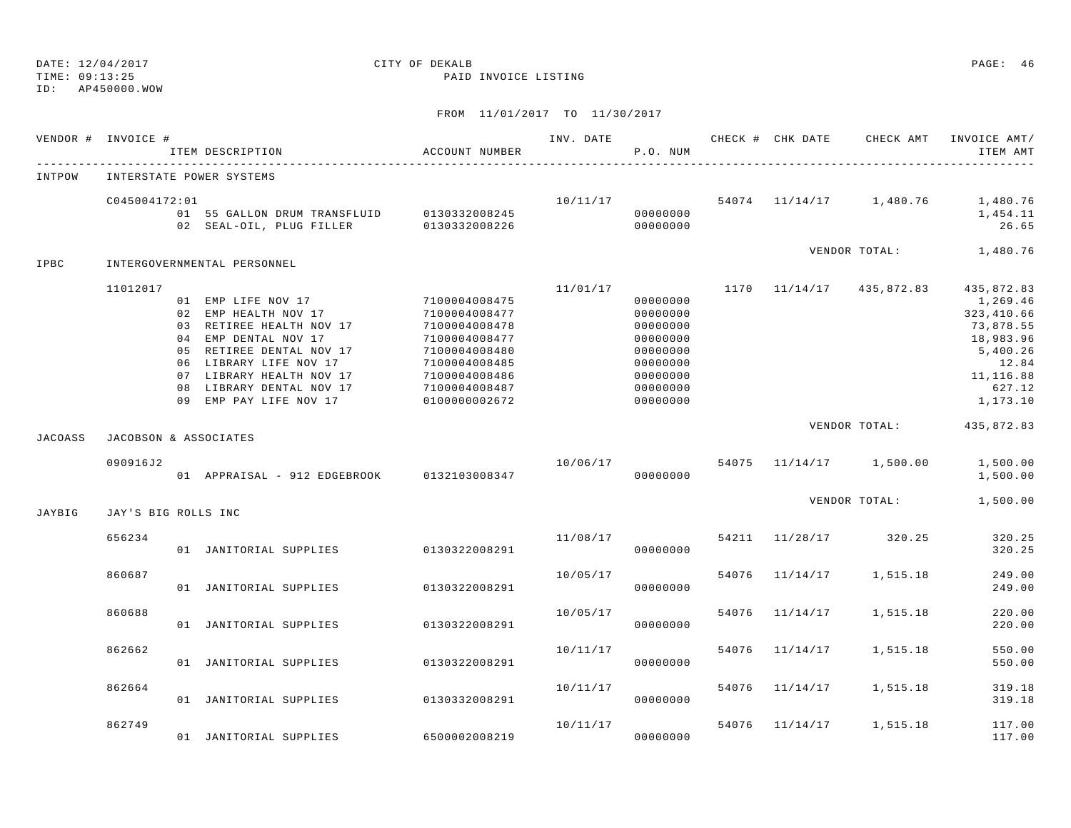# ID: AP450000.WOW

## DATE: 12/04/2017 CITY OF DEKALB PAGE: 46

TIME: 09:13:25 PAID INVOICE LISTING

|                | VENDOR # INVOICE #    | ITEM DESCRIPTION                                                                                                                                                                                                                                     | ACCOUNT NUMBER                                                                                                                       |          | P.O. NUM                                                                                                 |       |                | INV. DATE 6 CHECK # CHK DATE CHECK AMT      | INVOICE AMT/<br>ITEM AMT                                                                                                |
|----------------|-----------------------|------------------------------------------------------------------------------------------------------------------------------------------------------------------------------------------------------------------------------------------------------|--------------------------------------------------------------------------------------------------------------------------------------|----------|----------------------------------------------------------------------------------------------------------|-------|----------------|---------------------------------------------|-------------------------------------------------------------------------------------------------------------------------|
| INTPOW         |                       | INTERSTATE POWER SYSTEMS                                                                                                                                                                                                                             |                                                                                                                                      |          |                                                                                                          |       |                |                                             |                                                                                                                         |
|                | C045004172:01         | 02 SEAL-OIL, PLUG FILLER 0130332008226 000000000 00000000                                                                                                                                                                                            |                                                                                                                                      |          | 00000000                                                                                                 |       |                | $10/11/17$ 54074 11/14/17 1,480.76 1,480.76 | 1,454.11<br>26.65                                                                                                       |
| IPBC           |                       | INTERGOVERNMENTAL PERSONNEL                                                                                                                                                                                                                          |                                                                                                                                      |          |                                                                                                          |       |                | VENDOR TOTAL: 1,480.76                      |                                                                                                                         |
|                | 11012017              | 01 EMP LIFE NOV 17 7100004008475<br>02 EMP HEALTH NOV 17<br>03 RETIREE HEALTH NOV 17<br>04 EMP DENTAL NOV 17<br>05 RETIREE DENTAL NOV 17<br>06 LIBRARY LIFE NOV 17<br>07 LIBRARY HEALTH NOV 17<br>08 LIBRARY DENTAL NOV 17<br>09 EMP PAY LIFE NOV 17 | 7100004008477<br>7100004008478<br>7100004008477<br>7100004008480<br>7100004008485<br>7100004008486<br>7100004008487<br>0100000002672 | 11/01/17 | 00000000<br>00000000<br>00000000<br>00000000<br>00000000<br>00000000<br>00000000<br>00000000<br>00000000 |       |                | $1170$ $11/14/17$ $435,872.83$              | 435,872.83<br>1,269.46<br>323, 410.66<br>73,878.55<br>18,983.96<br>5,400.26<br>12.84<br>11,116.88<br>627.12<br>1,173.10 |
| <b>JACOASS</b> | JACOBSON & ASSOCIATES |                                                                                                                                                                                                                                                      |                                                                                                                                      |          |                                                                                                          |       |                | VENDOR TOTAL:                               | 435,872.83                                                                                                              |
|                | 090916J2              | 01 APPRAISAL - 912 EDGEBROOK 0132103008347                                                                                                                                                                                                           |                                                                                                                                      |          | 00000000                                                                                                 |       |                | $10/06/17$ 54075 $11/14/17$ 1,500.00        | 1,500.00<br>1,500.00                                                                                                    |
| JAYBIG         | JAY'S BIG ROLLS INC   |                                                                                                                                                                                                                                                      |                                                                                                                                      |          |                                                                                                          |       |                | VENDOR TOTAL: 1,500.00                      |                                                                                                                         |
|                | 656234                | 01 JANITORIAL SUPPLIES 0130322008291                                                                                                                                                                                                                 |                                                                                                                                      | 11/08/17 | 00000000                                                                                                 |       |                | 54211 11/28/17 320.25                       | 320.25<br>320.25                                                                                                        |
|                | 860687                | 01 JANITORIAL SUPPLIES                                                                                                                                                                                                                               | 0130322008291                                                                                                                        | 10/05/17 | 00000000                                                                                                 | 54076 | 11/14/17       | 1,515.18                                    | 249.00<br>249.00                                                                                                        |
|                | 860688                | 01 JANITORIAL SUPPLIES                                                                                                                                                                                                                               | 0130322008291                                                                                                                        | 10/05/17 | 00000000                                                                                                 | 54076 | 11/14/17       | 1,515.18                                    | 220.00<br>220.00                                                                                                        |
|                | 862662                | 01 JANITORIAL SUPPLIES                                                                                                                                                                                                                               | 0130322008291                                                                                                                        | 10/11/17 | 00000000                                                                                                 |       | 54076 11/14/17 | 1,515.18                                    | 550.00<br>550.00                                                                                                        |
|                | 862664                | 01 JANITORIAL SUPPLIES                                                                                                                                                                                                                               | 0130332008291                                                                                                                        | 10/11/17 | 00000000                                                                                                 |       | 54076 11/14/17 | 1,515.18                                    | 319.18<br>319.18                                                                                                        |
|                | 862749                | 01 JANITORIAL SUPPLIES                                                                                                                                                                                                                               | 6500002008219                                                                                                                        | 10/11/17 | 00000000                                                                                                 | 54076 | 11/14/17       | 1,515.18                                    | 117.00<br>117.00                                                                                                        |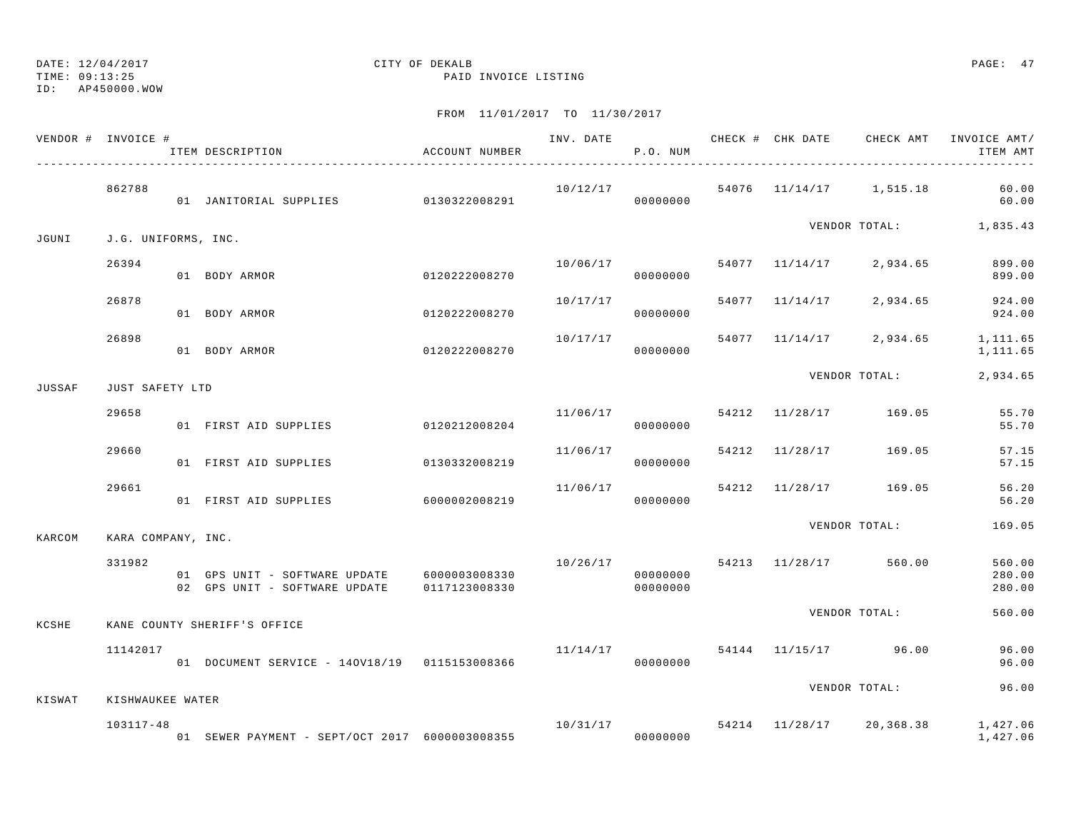TIME: 09:13:25 PAID INVOICE LISTING

ID: AP450000.WOW

|        | VENDOR # INVOICE #  | ITEM DESCRIPTION                               | ACCOUNT NUMBER |                                | P.O. NUM             |  | INV. DATE 6 CHECK # CHK DATE CHECK AMT INVOICE AMT/ | ITEM AMT                   |
|--------|---------------------|------------------------------------------------|----------------|--------------------------------|----------------------|--|-----------------------------------------------------|----------------------------|
|        | 862788              |                                                |                | 10/12/17                       |                      |  | 54076 11/14/17 1,515.18 60.00                       | 60.00                      |
| JGUNI  | J.G. UNIFORMS, INC. |                                                |                |                                |                      |  | VENDOR TOTAL: 1,835.43                              |                            |
|        | 26394               | 01 BODY ARMOR                                  | 0120222008270  | 10/06/17                       | 00000000             |  | 54077 11/14/17 2,934.65                             | 899.00<br>899.00           |
|        | 26878               | 01 BODY ARMOR                                  | 0120222008270  | 10/17/17                       | 00000000             |  | 54077 11/14/17 2,934.65                             | 924.00<br>924.00           |
|        | 26898               | 01 BODY ARMOR                                  | 0120222008270  | 10/17/17                       | 00000000             |  | 54077 11/14/17 2,934.65                             | 1,111.65<br>1,111.65       |
| JUSSAF | JUST SAFETY LTD     |                                                |                |                                |                      |  | VENDOR TOTAL:                                       | 2,934.65                   |
|        | 29658               | 01 FIRST AID SUPPLIES                          | 0120212008204  |                                | 11/06/17<br>00000000 |  | 54212 11/28/17 169.05                               | 55.70<br>55.70             |
|        | 29660               | 01 FIRST AID SUPPLIES                          | 0130332008219  | 11/06/17                       | 00000000             |  | 54212 11/28/17 169.05                               | 57.15<br>57.15             |
|        | 29661               | 01 FIRST AID SUPPLIES 6000002008219            |                | 11/06/17                       | 00000000             |  | 54212 11/28/17 169.05                               | 56.20<br>56.20             |
| KARCOM | KARA COMPANY, INC.  |                                                |                |                                |                      |  | VENDOR TOTAL:                                       | 169.05                     |
|        | 331982              | 01 GPS UNIT - SOFTWARE UPDATE 6000003008330    |                | 10/26/17 54213 11/28/17 560.00 | 00000000             |  |                                                     | 560.00<br>280.00<br>280.00 |
| KCSHE  |                     | KANE COUNTY SHERIFF'S OFFICE                   |                |                                |                      |  | VENDOR TOTAL:                                       | 560.00                     |
|        | 11142017            | 01 DOCUMENT SERVICE - 140V18/19 0115153008366  |                |                                | 00000000             |  | $11/14/17$ 54144 11/15/17 96.00                     | 96.00<br>96.00             |
| KISWAT | KISHWAUKEE WATER    |                                                |                |                                |                      |  | VENDOR TOTAL:                                       | 96.00                      |
|        | 103117-48           | 01 SEWER PAYMENT - SEPT/OCT 2017 6000003008355 |                | 10/31/17                       |                      |  | 54214 11/28/17 20,368.38 1,427.06                   | 1,427.06                   |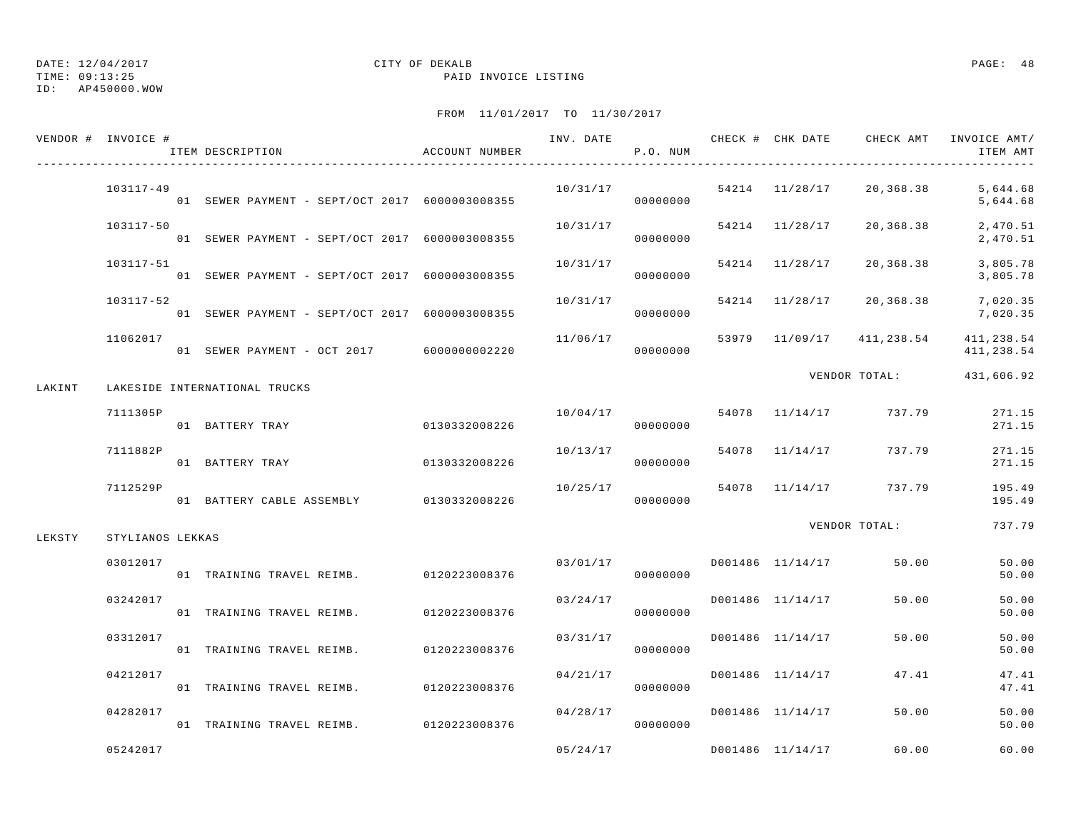TIME: 09:13:25 PAID INVOICE LISTING

ID: AP450000.WOW

|        | VENDOR # INVOICE # | ACCOUNT NUMBER<br>ITEM DESCRIPTION             |               |          | P.O. NUM |                  | INV. DATE 6 7 200 CHECK # CHK DATE 6 CHECK AMT INVOICE AMT/ | ITEM AMT                 |
|--------|--------------------|------------------------------------------------|---------------|----------|----------|------------------|-------------------------------------------------------------|--------------------------|
|        | $103117 - 49$      | 01 SEWER PAYMENT - SEPT/OCT 2017 6000003008355 |               | 10/31/17 | 00000000 |                  | 54214 11/28/17 20,368.38                                    | 5,644.68<br>5,644.68     |
|        | 103117-50          | 01 SEWER PAYMENT - SEPT/OCT 2017 6000003008355 |               | 10/31/17 | 00000000 | 54214 11/28/17   | 20,368.38                                                   | 2,470.51<br>2,470.51     |
|        | 103117-51          | 01 SEWER PAYMENT - SEPT/OCT 2017 6000003008355 |               | 10/31/17 | 00000000 | 54214 11/28/17   | 20,368.38                                                   | 3,805.78<br>3,805.78     |
|        | 103117-52          | 01 SEWER PAYMENT - SEPT/OCT 2017 6000003008355 |               | 10/31/17 | 00000000 | 54214 11/28/17   | 20,368.38                                                   | 7,020.35<br>7,020.35     |
|        | 11062017           | 01 SEWER PAYMENT - OCT 2017 6000000002220      |               | 11/06/17 | 00000000 | 53979 11/09/17   | 411,238.54                                                  | 411,238.54<br>411,238.54 |
| LAKINT |                    | LAKESIDE INTERNATIONAL TRUCKS                  |               |          |          |                  | VENDOR TOTAL:                                               | 431,606.92               |
|        | 7111305P           | 01 BATTERY TRAY                                | 0130332008226 | 10/04/17 | 00000000 | 54078 11/14/17   | 737.79                                                      | 271.15<br>271.15         |
|        | 7111882P           | 01 BATTERY TRAY                                | 0130332008226 | 10/13/17 | 00000000 | 54078 11/14/17   | 737.79                                                      | 271.15<br>271.15         |
|        | 7112529P           | 01 BATTERY CABLE ASSEMBLY 0130332008226        |               | 10/25/17 | 00000000 | 54078 11/14/17   | 737.79                                                      | 195.49<br>195.49         |
| LEKSTY | STYLIANOS LEKKAS   |                                                |               |          |          |                  | VENDOR TOTAL:                                               | 737.79                   |
|        | 03012017           | 01 TRAINING TRAVEL REIMB. 0120223008376        |               | 03/01/17 | 00000000 | D001486 11/14/17 | 50.00                                                       | 50.00<br>50.00           |
|        | 03242017           | 01 TRAINING TRAVEL REIMB.                      | 0120223008376 | 03/24/17 | 00000000 | D001486 11/14/17 | 50.00                                                       | 50.00<br>50.00           |
|        | 03312017           | 01 TRAINING TRAVEL REIMB. 0120223008376        |               | 03/31/17 | 00000000 | D001486 11/14/17 | 50.00                                                       | 50.00<br>50.00           |
|        | 04212017           | 01 TRAINING TRAVEL REIMB. 0120223008376        |               | 04/21/17 | 00000000 | D001486 11/14/17 | 47.41                                                       | 47.41<br>47.41           |
|        | 04282017           | 01 TRAINING TRAVEL REIMB. 0120223008376        |               | 04/28/17 | 00000000 | D001486 11/14/17 | 50.00                                                       | 50.00<br>50.00           |
|        | 05242017           |                                                |               | 05/24/17 |          | D001486 11/14/17 | 60.00                                                       | 60.00                    |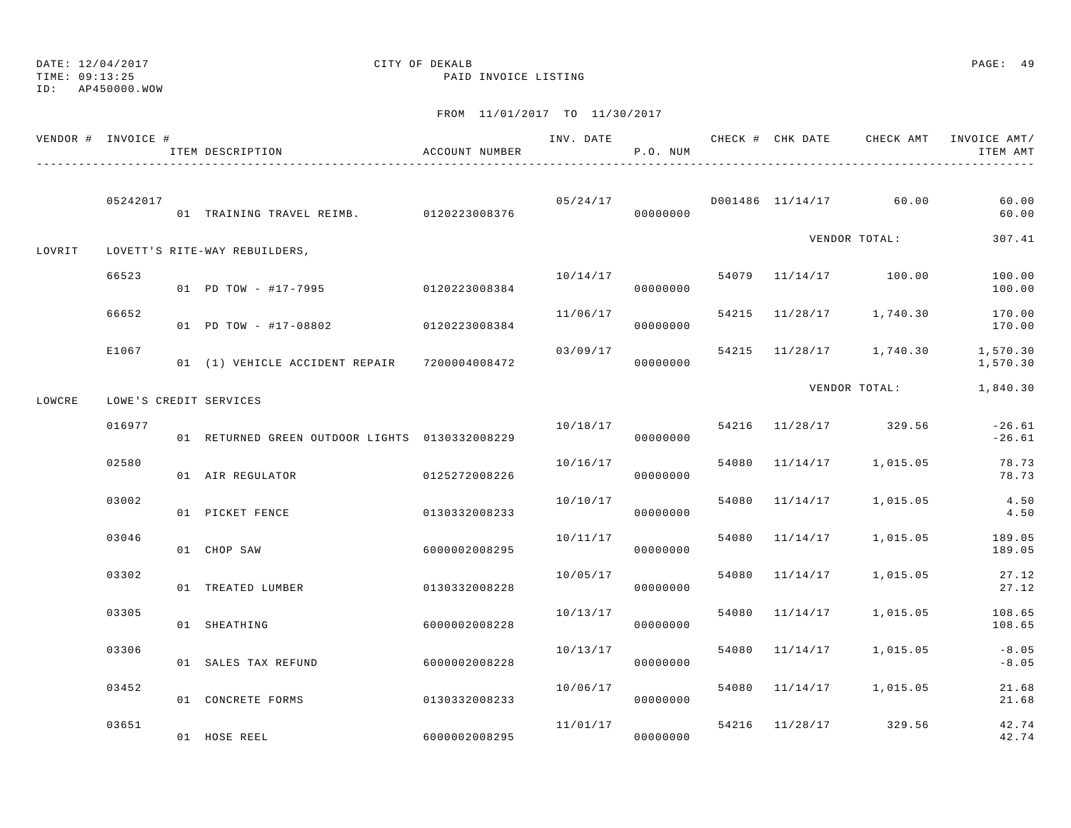TIME: 09:13:25 PAID INVOICE LISTING

ID: AP450000.WOW

|        | VENDOR # INVOICE # | ITEM DESCRIPTION                               | ACCOUNT NUMBER |          | P.O. NUM |       |                |                         | ITEM AMT             |
|--------|--------------------|------------------------------------------------|----------------|----------|----------|-------|----------------|-------------------------|----------------------|
|        | 05242017           | 01 TRAINING TRAVEL REIMB. 0120223008376        |                |          | 00000000 |       |                |                         | 60.00<br>60.00       |
| LOVRIT |                    | LOVETT'S RITE-WAY REBUILDERS,                  |                |          |          |       |                | VENDOR TOTAL:           | 307.41               |
|        | 66523              | 01 PD TOW - #17-7995 0120223008384             |                | 10/14/17 | 00000000 |       |                | 54079 11/14/17 100.00   | 100.00<br>100.00     |
|        | 66652              | 01 PD TOW - #17-08802                          | 0120223008384  | 11/06/17 | 00000000 |       |                | 54215 11/28/17 1,740.30 | 170.00<br>170.00     |
|        | E1067              | 01 (1) VEHICLE ACCIDENT REPAIR 7200004008472   |                | 03/09/17 | 00000000 |       |                | 54215 11/28/17 1,740.30 | 1,570.30<br>1,570.30 |
| LOWCRE |                    | LOWE'S CREDIT SERVICES                         |                |          |          |       |                | VENDOR TOTAL:           | 1,840.30             |
|        | 016977             | 01 RETURNED GREEN OUTDOOR LIGHTS 0130332008229 |                | 10/18/17 | 00000000 |       |                | 54216 11/28/17 329.56   | $-26.61$<br>$-26.61$ |
|        | 02580              | 01 AIR REGULATOR                               | 0125272008226  | 10/16/17 | 00000000 | 54080 |                | 11/14/17 1,015.05       | 78.73<br>78.73       |
|        | 03002              | 01 PICKET FENCE                                | 0130332008233  | 10/10/17 | 00000000 | 54080 | 11/14/17       | 1,015.05                | 4.50<br>4.50         |
|        | 03046              | 01 CHOP SAW                                    | 6000002008295  | 10/11/17 | 00000000 |       | 54080 11/14/17 | 1,015.05                | 189.05<br>189.05     |
|        | 03302              | 01 TREATED LUMBER                              | 0130332008228  | 10/05/17 | 00000000 |       | 54080 11/14/17 | 1,015.05                | 27.12<br>27.12       |
|        | 03305              | 01 SHEATHING                                   | 6000002008228  | 10/13/17 | 00000000 |       | 54080 11/14/17 | 1,015.05                | 108.65<br>108.65     |
|        | 03306              | 01 SALES TAX REFUND                            | 6000002008228  | 10/13/17 | 00000000 |       | 54080 11/14/17 | 1,015.05                | $-8.05$<br>$-8.05$   |
|        | 03452              | 01 CONCRETE FORMS                              | 0130332008233  | 10/06/17 | 00000000 |       |                | 54080 11/14/17 1,015.05 | 21.68<br>21.68       |
|        | 03651              | 01 HOSE REEL                                   | 6000002008295  | 11/01/17 | 00000000 |       |                | 54216 11/28/17 329.56   | 42.74<br>42.74       |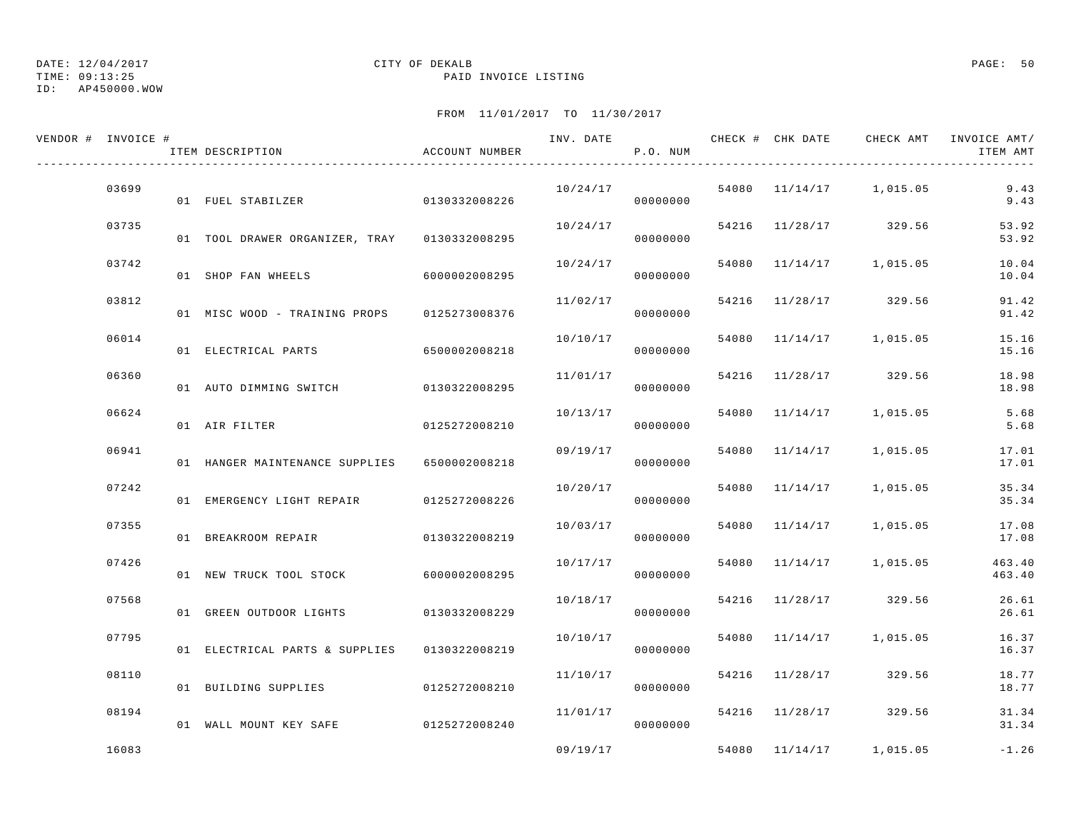TIME: 09:13:25 PAID INVOICE LISTING

ID: AP450000.WOW

| VENDOR # INVOICE # |       | ITEM DESCRIPTION                             | ACCOUNT NUMBER | INV. DATE | P.O. NUM |                |                         | CHECK # CHK DATE CHECK AMT INVOICE AMT/<br>ITEM AMT |
|--------------------|-------|----------------------------------------------|----------------|-----------|----------|----------------|-------------------------|-----------------------------------------------------|
|                    | 03699 | 01 FUEL STABILZER                            | 0130332008226  | 10/24/17  | 00000000 |                | 54080 11/14/17 1,015.05 | 9.43<br>9.43                                        |
|                    | 03735 | 01 TOOL DRAWER ORGANIZER, TRAY 0130332008295 |                | 10/24/17  | 00000000 |                | 54216 11/28/17 329.56   | 53.92<br>53.92                                      |
|                    | 03742 | 01 SHOP FAN WHEELS                           | 6000002008295  | 10/24/17  | 00000000 |                | 54080 11/14/17 1,015.05 | 10.04<br>10.04                                      |
|                    | 03812 | 01 MISC WOOD - TRAINING PROPS                | 0125273008376  | 11/02/17  | 00000000 |                | 54216 11/28/17 329.56   | 91.42<br>91.42                                      |
|                    | 06014 | 01 ELECTRICAL PARTS                          | 6500002008218  | 10/10/17  | 00000000 |                | 54080 11/14/17 1,015.05 | 15.16<br>15.16                                      |
|                    | 06360 | 01 AUTO DIMMING SWITCH                       | 0130322008295  | 11/01/17  | 00000000 |                | 54216 11/28/17 329.56   | 18.98<br>18.98                                      |
|                    | 06624 | 01 AIR FILTER                                | 0125272008210  | 10/13/17  | 00000000 | 54080 11/14/17 | 1,015.05                | 5.68<br>5.68                                        |
|                    | 06941 | 01 HANGER MAINTENANCE SUPPLIES 6500002008218 |                | 09/19/17  | 00000000 | 54080 11/14/17 | 1,015.05                | 17.01<br>17.01                                      |
|                    | 07242 | 01 EMERGENCY LIGHT REPAIR 0125272008226      |                | 10/20/17  | 00000000 | 54080 11/14/17 | 1,015.05                | 35.34<br>35.34                                      |
|                    | 07355 | 01 BREAKROOM REPAIR                          | 0130322008219  | 10/03/17  | 00000000 |                | 54080 11/14/17 1,015.05 | 17.08<br>17.08                                      |
|                    | 07426 | 01 NEW TRUCK TOOL STOCK 6000002008295        |                | 10/17/17  | 00000000 |                | 54080 11/14/17 1,015.05 | 463.40<br>463.40                                    |
|                    | 07568 | 01 GREEN OUTDOOR LIGHTS                      | 0130332008229  | 10/18/17  | 00000000 |                | 54216 11/28/17 329.56   | 26.61<br>26.61                                      |
|                    | 07795 | 01 ELECTRICAL PARTS & SUPPLIES               | 0130322008219  | 10/10/17  | 00000000 |                | 54080 11/14/17 1,015.05 | 16.37<br>16.37                                      |
|                    | 08110 | 01 BUILDING SUPPLIES                         | 0125272008210  | 11/10/17  | 00000000 | 54216 11/28/17 | 329.56                  | 18.77<br>18.77                                      |
|                    | 08194 | 01 WALL MOUNT KEY SAFE                       | 0125272008240  | 11/01/17  | 00000000 |                | 54216 11/28/17 329.56   | 31.34<br>31.34                                      |
|                    | 16083 |                                              |                | 09/19/17  |          | 54080 11/14/17 | 1,015.05                | $-1.26$                                             |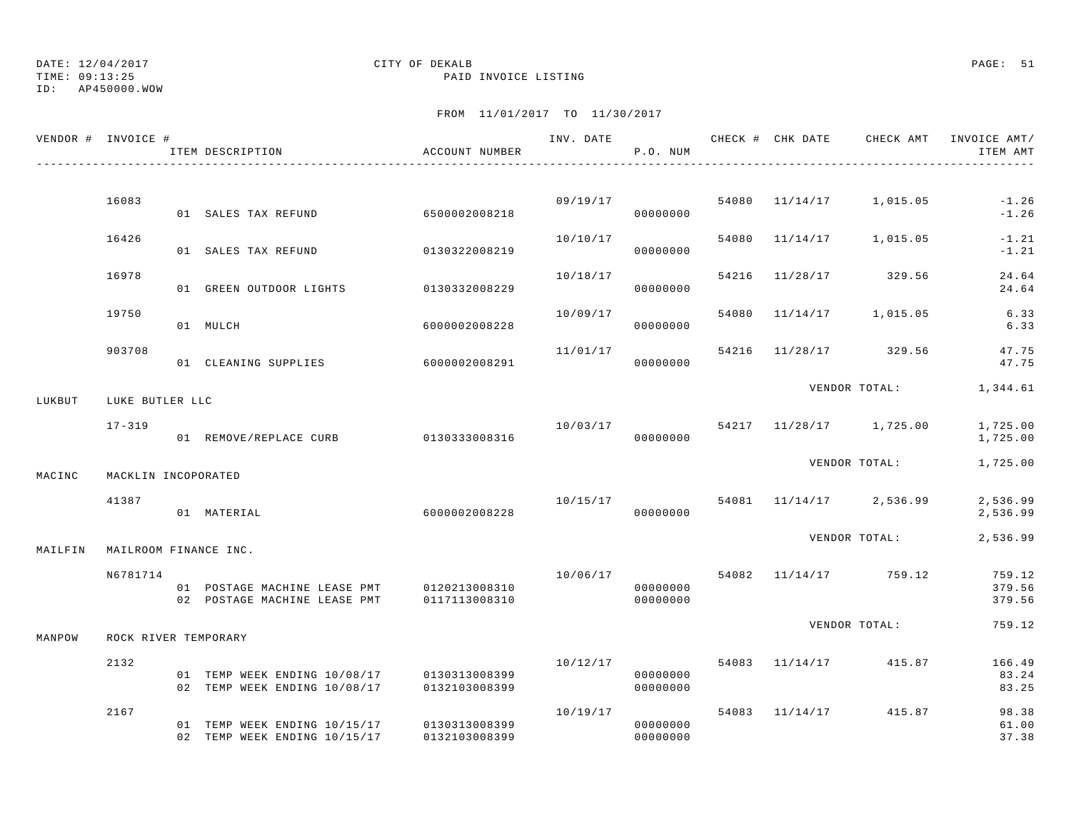TIME: 09:13:25 PAID INVOICE LISTING

ID: AP450000.WOW

|         | VENDOR # INVOICE #    | ITEM DESCRIPTION                                                           | ACCOUNT NUMBER                 |          | P.O. NUM                         |       |                | INV. DATE 6 CHECK # CHK DATE 6 CHECK AMT INVOICE AMT/ | ITEM AMT                   |
|---------|-----------------------|----------------------------------------------------------------------------|--------------------------------|----------|----------------------------------|-------|----------------|-------------------------------------------------------|----------------------------|
|         |                       |                                                                            |                                |          |                                  |       |                |                                                       |                            |
|         | 16083                 | 01 SALES TAX REFUND                                                        | 6500002008218                  |          | 09/19/17<br>00000000             |       |                | 54080 11/14/17 1,015.05                               | $-1.26$<br>$-1.26$         |
|         | 16426                 | 01 SALES TAX REFUND                                                        | 0130322008219                  | 10/10/17 | 00000000                         | 54080 | 11/14/17       | 1,015.05                                              | $-1.21$<br>$-1.21$         |
|         | 16978                 | 01 GREEN OUTDOOR LIGHTS                                                    | 0130332008229                  | 10/18/17 | 00000000                         |       | 54216 11/28/17 | 329.56                                                | 24.64<br>24.64             |
|         | 19750                 | 01 MULCH                                                                   | 6000002008228                  |          | 10/09/17<br>00000000             | 54080 | 11/14/17       | 1,015.05                                              | 6.33<br>6.33               |
|         | 903708                |                                                                            |                                | 11/01/17 |                                  |       |                | 54216 11/28/17 329.56                                 | 47.75                      |
|         |                       | 01 CLEANING SUPPLIES                                                       | 6000002008291                  |          | 00000000                         |       |                |                                                       | 47.75                      |
| LUKBUT  | LUKE BUTLER LLC       |                                                                            |                                |          |                                  |       |                | VENDOR TOTAL: 1,344.61                                |                            |
|         | $17 - 319$            | 01 REMOVE/REPLACE CURB 0130333008316                                       |                                |          | 00000000                         |       |                | $10/03/17$ 54217 $11/28/17$ 1,725.00                  | 1,725.00<br>1,725.00       |
| MACINC  | MACKLIN INCOPORATED   |                                                                            |                                |          |                                  |       |                | VENDOR TOTAL:                                         | 1,725.00                   |
|         | 41387                 | 01 MATERIAL                                                                | 6000002008228                  |          | 00000000                         |       |                | $10/15/17$ 54081 $11/14/17$ 2,536.99                  | 2,536.99<br>2,536.99       |
| MAILFIN | MAILROOM FINANCE INC. |                                                                            |                                |          |                                  |       |                | VENDOR TOTAL:                                         | 2,536.99                   |
|         | N6781714              | 01 POSTAGE MACHINE LEASE PMT 0120213008310<br>02 POSTAGE MACHINE LEASE PMT | 0117113008310                  |          | 00000000<br>00000000             |       |                | 10/06/17 54082 11/14/17 759.12                        | 759.12<br>379.56<br>379.56 |
| MANPOW  | ROCK RIVER TEMPORARY  |                                                                            |                                |          |                                  |       |                | VENDOR TOTAL:                                         | 759.12                     |
|         | 2132                  |                                                                            |                                |          | 10/12/17                         |       | 54083 11/14/17 | 415.87                                                | 166.49                     |
|         |                       | 01 TEMP WEEK ENDING 10/08/17 0130313008399<br>02 TEMP WEEK ENDING 10/08/17 | 0132103008399                  |          | 00000000<br>00000000             |       |                |                                                       | 83.24<br>83.25             |
|         | 2167                  | 01 TEMP WEEK ENDING 10/15/17<br>02 TEMP WEEK ENDING 10/15/17               | 0130313008399<br>0132103008399 |          | 10/19/17<br>00000000<br>00000000 |       |                | 54083 11/14/17 415.87                                 | 98.38<br>61.00<br>37.38    |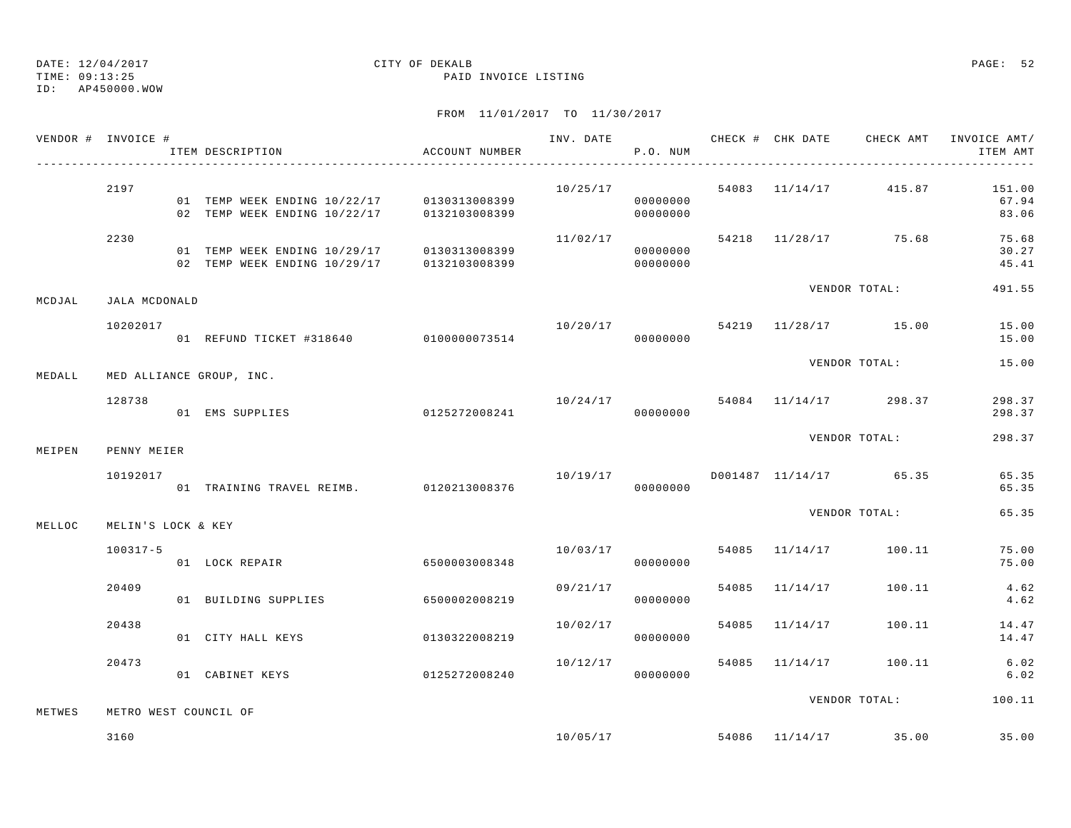TIME: 09:13:25 PAID INVOICE LISTING

ID: AP450000.WOW

|        | VENDOR # INVOICE # | ITEM DESCRIPTION                                                                         | ACCOUNT NUMBER |          | P.O. NUM             |       |                |                                   | INV. DATE 6 7 200 CHECK # CHK DATE CHECK AMT INVOICE AMT/<br>ITEM AMT |
|--------|--------------------|------------------------------------------------------------------------------------------|----------------|----------|----------------------|-------|----------------|-----------------------------------|-----------------------------------------------------------------------|
|        | 2197               | 01 TEMP WEEK ENDING 10/22/17 0130313008399<br>02 TEMP WEEK ENDING 10/22/17               | 0132103008399  | 10/25/17 | 00000000<br>00000000 |       |                | 54083 11/14/17 415.87             | 151.00<br>67.94<br>83.06                                              |
|        | 2230               | 01 TEMP WEEK ENDING 10/29/17 0130313008399<br>02 TEMP WEEK ENDING 10/29/17 0132103008399 |                | 11/02/17 | 00000000<br>00000000 |       |                | 54218 11/28/17 75.68              | 75.68<br>30.27<br>45.41                                               |
| MCDJAL | JALA MCDONALD      |                                                                                          |                |          |                      |       |                | VENDOR TOTAL:                     | 491.55                                                                |
|        | 10202017           | 01 REFUND TICKET #318640 0100000073514                                                   |                |          | 00000000             |       |                | $10/20/17$ 54219 $11/28/17$ 15.00 | 15.00<br>15.00                                                        |
| MEDALL |                    | MED ALLIANCE GROUP, INC.                                                                 |                |          |                      |       |                | VENDOR TOTAL:                     | 15.00                                                                 |
|        | 128738             | 01 EMS SUPPLIES                                                                          | 0125272008241  |          | 00000000             |       |                | $10/24/17$ 54084 11/14/17 298.37  | 298.37<br>298.37                                                      |
| MEIPEN | PENNY MEIER        |                                                                                          |                |          |                      |       |                | VENDOR TOTAL:                     | 298.37                                                                |
|        | 10192017           | 01 TRAINING TRAVEL REIMB. 0120213008376                                                  |                |          | 00000000             |       |                | $10/19/17$ D001487 11/14/17 65.35 | 65.35<br>65.35                                                        |
| MELLOC | MELIN'S LOCK & KEY |                                                                                          |                |          |                      |       |                | VENDOR TOTAL:                     | 65.35                                                                 |
|        | $100317 - 5$       | 01 LOCK REPAIR                                                                           | 6500003008348  | 10/03/17 | 00000000             |       |                | 54085 11/14/17 100.11             | 75.00<br>75.00                                                        |
|        | 20409              | 01 BUILDING SUPPLIES                                                                     | 6500002008219  | 09/21/17 | 00000000             |       | 54085 11/14/17 | 100.11                            | 4.62<br>4.62                                                          |
|        | 20438              | 01 CITY HALL KEYS                                                                        | 0130322008219  | 10/02/17 | 00000000             | 54085 |                | 11/14/17 100.11                   | 14.47<br>14.47                                                        |
|        | 20473              | 01 CABINET KEYS 6125272008240                                                            |                | 10/12/17 | 00000000             |       | 54085 11/14/17 | 100.11                            | 6.02<br>6.02                                                          |
| METWES |                    | METRO WEST COUNCIL OF                                                                    |                |          |                      |       |                | VENDOR TOTAL:                     | 100.11                                                                |
|        | 3160               |                                                                                          |                |          |                      |       |                | $10/05/17$ 54086 $11/14/17$ 35.00 | 35.00                                                                 |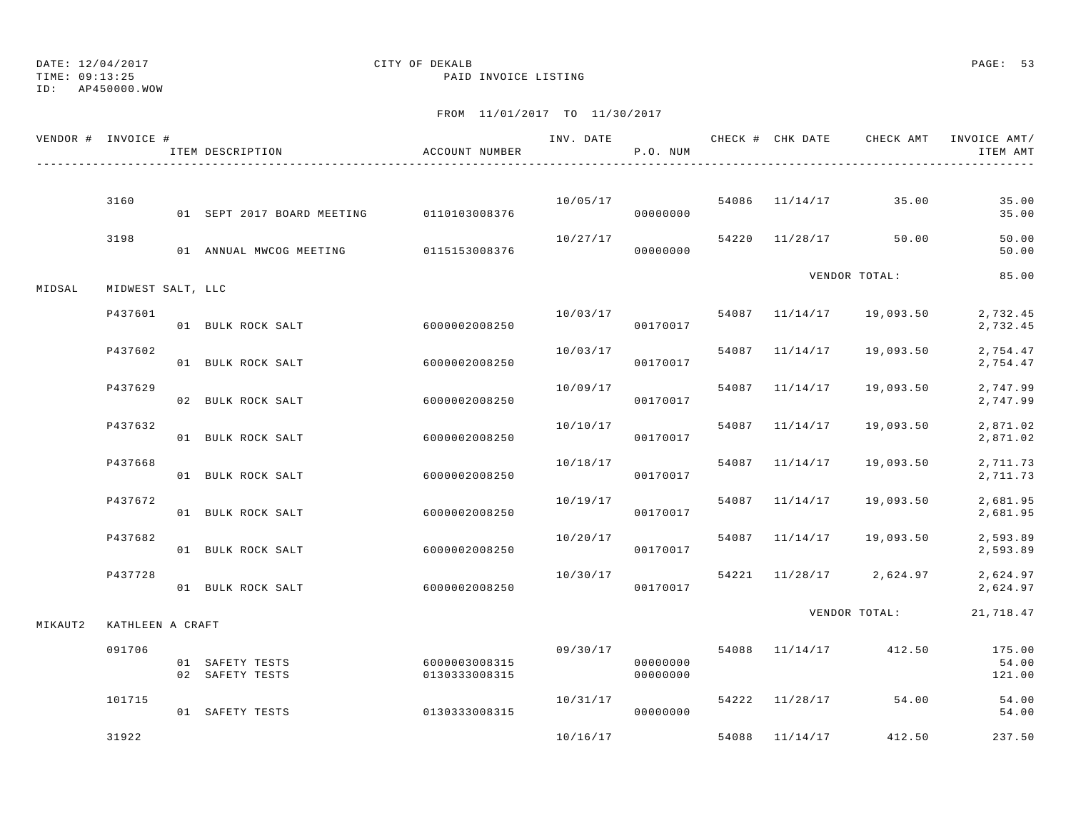## ID: AP450000.WOW

### DATE: 12/04/2017 CITY OF DEKALB PAGE: 53 TIME: 09:13:25 PAID INVOICE LISTING

| VENDOR # INVOICE # |                   | ITEM DESCRIPTION                         | ACCOUNT NUMBER                 |          | P.O. NUM                         |       |                | INV. DATE _______________CHECK # CHK DATE ____CHECK AMT __INVOICE AMT/ | ITEM AMT                  |
|--------------------|-------------------|------------------------------------------|--------------------------------|----------|----------------------------------|-------|----------------|------------------------------------------------------------------------|---------------------------|
|                    |                   |                                          |                                |          |                                  |       |                |                                                                        |                           |
|                    | 3160              | 01 SEPT 2017 BOARD MEETING 0110103008376 |                                | 10/05/17 | 00000000                         |       |                | 54086 11/14/17 35.00                                                   | 35.00<br>35.00            |
|                    | 3198              | 01 ANNUAL MWCOG MEETING 0115153008376    |                                | 10/27/17 | 00000000                         | 54220 |                | 11/28/17 50.00                                                         | 50.00<br>50.00            |
| MIDSAL             | MIDWEST SALT, LLC |                                          |                                |          |                                  |       |                | VENDOR TOTAL:                                                          | 85.00                     |
|                    | P437601           | 01 BULK ROCK SALT                        | 60000002008250                 | 10/03/17 | 00170017                         |       |                | 54087 11/14/17 19,093.50                                               | 2,732.45<br>2,732.45      |
|                    | P437602           | 01 BULK ROCK SALT                        | 6000002008250                  | 10/03/17 | 00170017                         |       | 54087 11/14/17 | 19,093.50                                                              | 2,754.47<br>2,754.47      |
|                    | P437629           | 02 BULK ROCK SALT                        | 6000002008250                  | 10/09/17 | 00170017                         |       | 54087 11/14/17 | 19,093.50                                                              | 2,747.99<br>2,747.99      |
|                    | P437632           | 01 BULK ROCK SALT                        | 6000002008250                  | 10/10/17 | 00170017                         |       | 54087 11/14/17 | 19,093.50                                                              | 2,871.02<br>2,871.02      |
|                    | P437668           | 01 BULK ROCK SALT                        | 6000002008250                  |          | 10/18/17<br>00170017             |       | 54087 11/14/17 | 19,093.50                                                              | 2,711.73<br>2,711.73      |
|                    | P437672           | 01 BULK ROCK SALT                        | 6000002008250                  | 10/19/17 | 00170017                         |       | 54087 11/14/17 | 19,093.50                                                              | 2,681.95<br>2,681.95      |
|                    | P437682           | 01 BULK ROCK SALT                        | 6000002008250                  | 10/20/17 | 00170017                         |       | 54087 11/14/17 | 19,093.50                                                              | 2,593.89<br>2,593.89      |
|                    | P437728           | 01 BULK ROCK SALT                        | 6000002008250                  | 10/30/17 | 00170017                         |       |                | 54221 11/28/17 2,624.97                                                | 2,624.97<br>2,624.97      |
| MIKAUT2            | KATHLEEN A CRAFT  |                                          |                                |          |                                  |       |                | VENDOR TOTAL:                                                          | 21,718.47                 |
|                    | 091706            | 01 SAFETY TESTS<br>02 SAFETY TESTS       | 6000003008315<br>0130333008315 |          | 09/30/17<br>00000000<br>00000000 |       |                | 54088 11/14/17 412.50                                                  | 175.00<br>54.00<br>121.00 |
|                    | 101715            | 01 SAFETY TESTS                          | 0130333008315                  | 10/31/17 | 00000000                         |       |                | 54222 11/28/17 54.00                                                   | 54.00<br>54.00            |
|                    | 31922             |                                          |                                | 10/16/17 |                                  |       | 54088 11/14/17 | 412.50                                                                 | 237.50                    |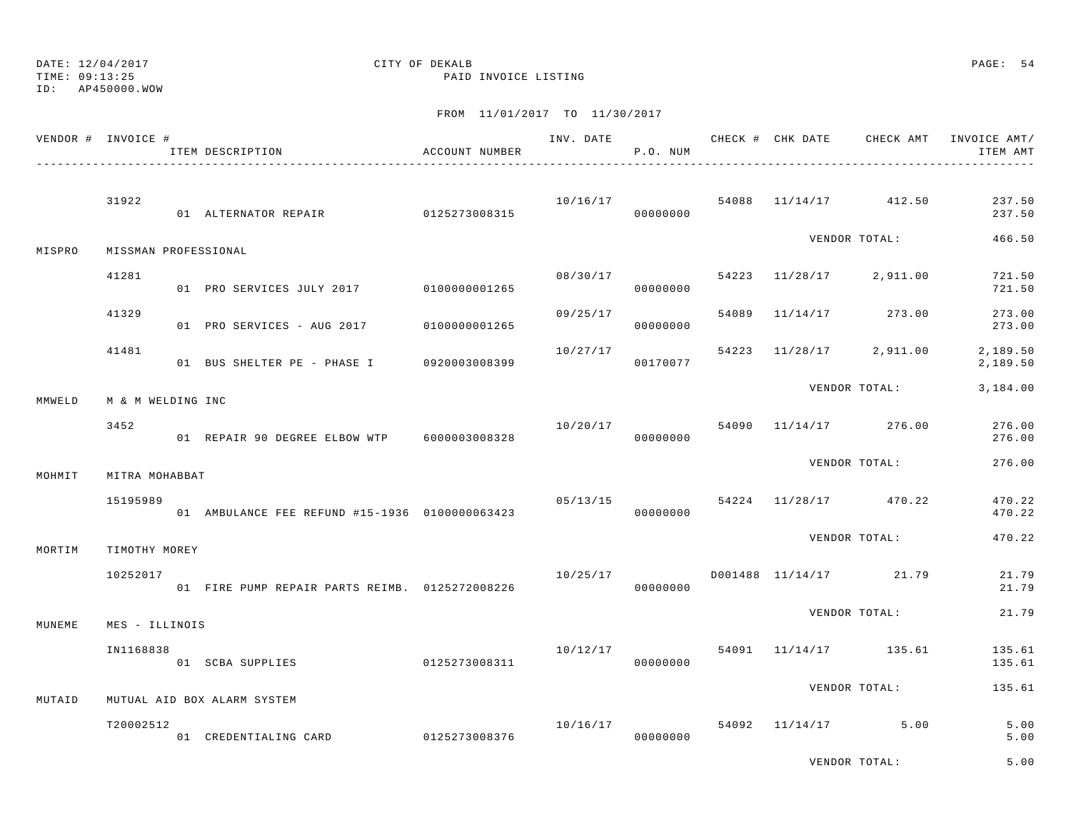TIME: 09:13:25 PAID INVOICE LISTING

ID: AP450000.WOW

|        | VENDOR # INVOICE #   | ITEM DESCRIPTION                               | ACCOUNT NUMBER |          | P.O. NUM             |  |                                     | ITEM AMT             |
|--------|----------------------|------------------------------------------------|----------------|----------|----------------------|--|-------------------------------------|----------------------|
|        | 31922                | 01 ALTERNATOR REPAIR 0125273008315             |                |          | 00000000             |  | $10/16/17$ 54088 $11/14/17$ 412.50  | 237.50<br>237.50     |
| MISPRO | MISSMAN PROFESSIONAL |                                                |                |          |                      |  | VENDOR TOTAL:                       | 466.50               |
|        | 41281                | 01 PRO SERVICES JULY 2017                      | 0100000001265  |          | 00000000             |  | $08/30/17$ 54223 11/28/17 2,911.00  | 721.50<br>721.50     |
|        | 41329                | 01 PRO SERVICES - AUG 2017                     | 0100000001265  | 09/25/17 | 00000000             |  | 54089 11/14/17 273.00               | 273.00<br>273.00     |
|        | 41481                | 01 BUS SHELTER PE - PHASE I 0920003008399      |                | 10/27/17 | 00170077             |  | 54223 11/28/17 2,911.00             | 2,189.50<br>2,189.50 |
| MMWELD | M & M WELDING INC    |                                                |                |          |                      |  | VENDOR TOTAL:                       | 3,184.00             |
|        | 3452                 | 01 REPAIR 90 DEGREE ELBOW WTP 6000003008328    |                |          | 00000000             |  | $10/20/17$ 54090 $11/14/17$ 276.00  | 276.00<br>276.00     |
| MOHMIT | MITRA MOHABBAT       |                                                |                |          |                      |  | VENDOR TOTAL:                       | 276.00               |
|        | 15195989             | 01 AMBULANCE FEE REFUND #15-1936 0100000063423 |                |          | 05/13/15<br>00000000 |  | 54224 11/28/17 470.22               | 470.22<br>470.22     |
| MORTIM | TIMOTHY MOREY        |                                                |                |          |                      |  | VENDOR TOTAL:                       | 470.22               |
|        | 10252017             | 01 FIRE PUMP REPAIR PARTS REIMB. 0125272008226 |                |          | 00000000             |  | $10/25/17$ D001488 $11/14/17$ 21.79 | 21.79<br>21.79       |
| MUNEME | MES - ILLINOIS       |                                                |                |          |                      |  | VENDOR TOTAL:                       | 21.79                |
|        | IN1168838            | 01 SCBA SUPPLIES 0125273008311                 |                | 10/12/17 | 00000000             |  | 54091 11/14/17 135.61               | 135.61<br>135.61     |
| MUTAID |                      | MUTUAL AID BOX ALARM SYSTEM                    |                |          |                      |  | VENDOR TOTAL:                       | 135.61               |
|        | T20002512            | 01 CREDENTIALING CARD                          | 0125273008376  | 10/16/17 | 00000000             |  | 54092 11/14/17 5.00                 | 5.00<br>5.00         |
|        |                      |                                                |                |          |                      |  | VENDOR TOTAL:                       | 5.00                 |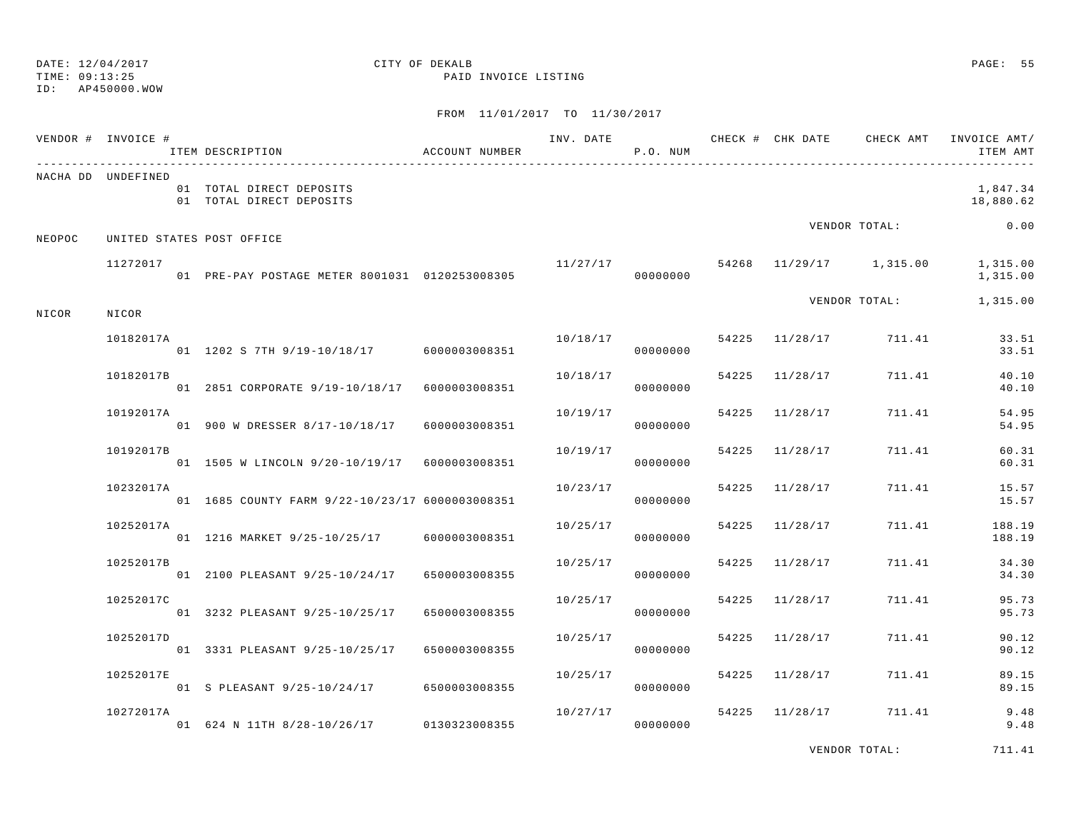ID: AP450000.WOW

TIME: 09:13:25 PAID INVOICE LISTING

FROM 11/01/2017 TO 11/30/2017

|        | VENDOR # INVOICE # | ITEM DESCRIPTION                                     | ACCOUNT NUMBER |          | P.O. NUM |       |                |                       | INV. DATE 6 1999 CHECK # CHK DATE 6 CHECK AMT INVOICE AMT<br>ITEM AMT |
|--------|--------------------|------------------------------------------------------|----------------|----------|----------|-------|----------------|-----------------------|-----------------------------------------------------------------------|
|        | NACHA DD UNDEFINED | 01 TOTAL DIRECT DEPOSITS<br>01 TOTAL DIRECT DEPOSITS |                |          |          |       |                |                       | 1,847.34<br>18,880.62                                                 |
| NEOPOC |                    | UNITED STATES POST OFFICE                            |                |          |          |       |                | VENDOR TOTAL:         | 0.00                                                                  |
|        | 11272017           | 01 PRE-PAY POSTAGE METER 8001031 0120253008305       |                |          | 00000000 |       |                |                       | $11/27/17$ 54268 11/29/17 1,315.00 1,315.00<br>1,315.00               |
| NICOR  | NICOR              |                                                      |                |          |          |       |                | VENDOR TOTAL:         | 1,315.00                                                              |
|        | 10182017A          | 01 1202 S 7TH 9/19-10/18/17 6000003008351            |                | 10/18/17 | 00000000 |       |                | 54225 11/28/17 711.41 | 33.51<br>33.51                                                        |
|        | 10182017B          | 01  2851  CORPORATE   9/19-10/18/17  6000003008351   |                | 10/18/17 | 00000000 |       | 54225 11/28/17 | 711.41                | 40.10<br>40.10                                                        |
|        | 10192017A          | 01 900 W DRESSER 8/17-10/18/17                       | 6000003008351  | 10/19/17 | 00000000 |       | 54225 11/28/17 | 711.41                | 54.95<br>54.95                                                        |
|        | 10192017B          | 01 1505 W LINCOLN 9/20-10/19/17 6000003008351        |                | 10/19/17 | 00000000 |       | 54225 11/28/17 | 711.41                | 60.31<br>60.31                                                        |
|        | 10232017A          | 01 1685 COUNTY FARM 9/22-10/23/17 6000003008351      |                | 10/23/17 | 00000000 |       | 54225 11/28/17 | 711.41                | 15.57<br>15.57                                                        |
|        | 10252017A          | 01 1216 MARKET 9/25-10/25/17                         | 6000003008351  | 10/25/17 | 00000000 |       | 54225 11/28/17 | 711.41                | 188.19<br>188.19                                                      |
|        | 10252017B          | 01 2100 PLEASANT 9/25-10/24/17                       | 6500003008355  | 10/25/17 | 00000000 |       | 54225 11/28/17 | 711.41                | 34.30<br>34.30                                                        |
|        | 10252017C          | 01 3232 PLEASANT 9/25-10/25/17                       | 6500003008355  | 10/25/17 | 00000000 | 54225 | 11/28/17       | 711.41                | 95.73<br>95.73                                                        |
|        | 10252017D          | 01 3331 PLEASANT 9/25-10/25/17                       | 6500003008355  | 10/25/17 | 00000000 | 54225 | 11/28/17       | 711.41                | 90.12<br>90.12                                                        |
|        | 10252017E          | 01 S PLEASANT 9/25-10/24/17 6500003008355            |                | 10/25/17 | 00000000 |       | 54225 11/28/17 | 711.41                | 89.15<br>89.15                                                        |
|        | 10272017A          | 01 624 N 11TH 8/28-10/26/17 0130323008355            |                | 10/27/17 | 00000000 |       |                | 54225 11/28/17 711.41 | 9.48<br>9.48                                                          |

VENDOR TOTAL: 711.41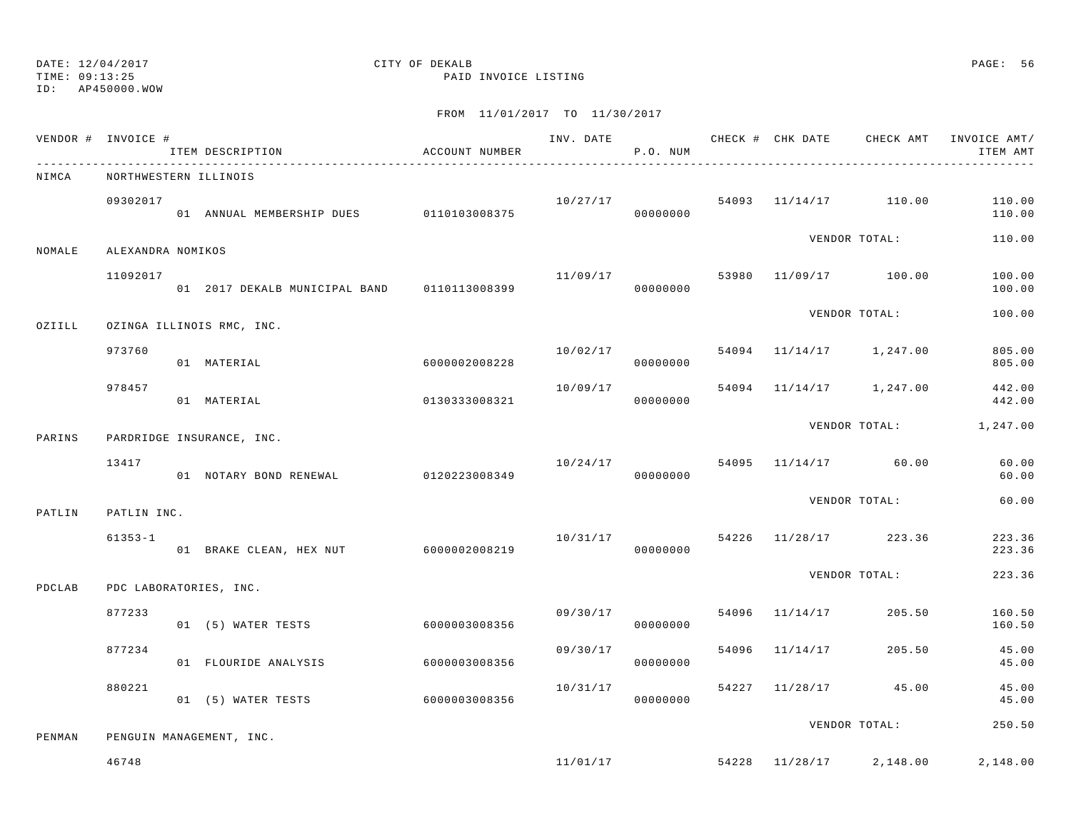TIME: 09:13:25 PAID INVOICE LISTING

ID: AP450000.WOW

|        | VENDOR # INVOICE #    | ITEM DESCRIPTION                            | ACCOUNT NUMBER |                      | P.O. NUM             |       |                |                                      | ITEM AMT               |
|--------|-----------------------|---------------------------------------------|----------------|----------------------|----------------------|-------|----------------|--------------------------------------|------------------------|
| NIMCA  | NORTHWESTERN ILLINOIS |                                             |                |                      |                      |       |                |                                      |                        |
|        | 09302017              | 01 ANNUAL MEMBERSHIP DUES 0110103008375     |                | 10/27/17<br>00000000 |                      |       |                | 54093 11/14/17 110.00                | 110.00<br>110.00       |
| NOMALE | ALEXANDRA NOMIKOS     |                                             |                |                      |                      |       |                | VENDOR TOTAL:                        | 110.00                 |
|        | 11092017              | 01 2017 DEKALB MUNICIPAL BAND 0110113008399 |                | 11/09/17             | 00000000             |       |                | 53980 11/09/17 100.00                | 100.00<br>100.00       |
| OZIILL |                       | OZINGA ILLINOIS RMC, INC.                   |                |                      |                      |       |                | VENDOR TOTAL:                        | 100.00                 |
|        | 973760                | 01 MATERIAL                                 | 6000002008228  | 10/02/17             | 00000000             |       |                | 54094 11/14/17 1,247.00              | 805.00<br>805.00       |
|        | 978457                | 01 MATERIAL                                 | 0130333008321  | 10/09/17             | 00000000             |       |                | 54094 11/14/17 1,247.00              | 442.00<br>442.00       |
| PARINS |                       | PARDRIDGE INSURANCE, INC.                   |                |                      |                      |       |                |                                      | VENDOR TOTAL: 1,247.00 |
|        | 13417                 | 01 NOTARY BOND RENEWAL                      | 0120223008349  | 10/24/17             | 00000000             |       |                | 54095 11/14/17 60.00                 | 60.00<br>60.00         |
| PATLIN | PATLIN INC.           |                                             |                |                      |                      |       |                | VENDOR TOTAL:                        | 60.00                  |
|        | $61353 - 1$           | 01 BRAKE CLEAN, HEX NUT 6000002008219       |                | 10/31/17             | 00000000             |       |                | 54226 11/28/17 223.36                | 223.36<br>223.36       |
| PDCLAB |                       | PDC LABORATORIES, INC.                      |                |                      |                      |       |                | VENDOR TOTAL:                        | 223.36                 |
|        | 877233                | 01 (5) WATER TESTS                          | 6000003008356  |                      | 09/30/17<br>00000000 | 54096 | 11/14/17       | 205.50                               | 160.50<br>160.50       |
|        | 877234                | 01 FLOURIDE ANALYSIS                        | 6000003008356  | 09/30/17             | 00000000             |       | 54096 11/14/17 | 205.50                               | 45.00<br>45.00         |
|        | 880221                | 01 (5) WATER TESTS                          | 60000003008356 | 10/31/17             | 00000000             |       |                | 54227 11/28/17 45.00                 | 45.00<br>45.00         |
| PENMAN |                       | PENGUIN MANAGEMENT, INC.                    |                |                      |                      |       |                | VENDOR TOTAL:                        | 250.50                 |
|        | 46748                 |                                             |                |                      |                      |       |                | $11/01/17$ 54228 $11/28/17$ 2,148.00 | 2,148.00               |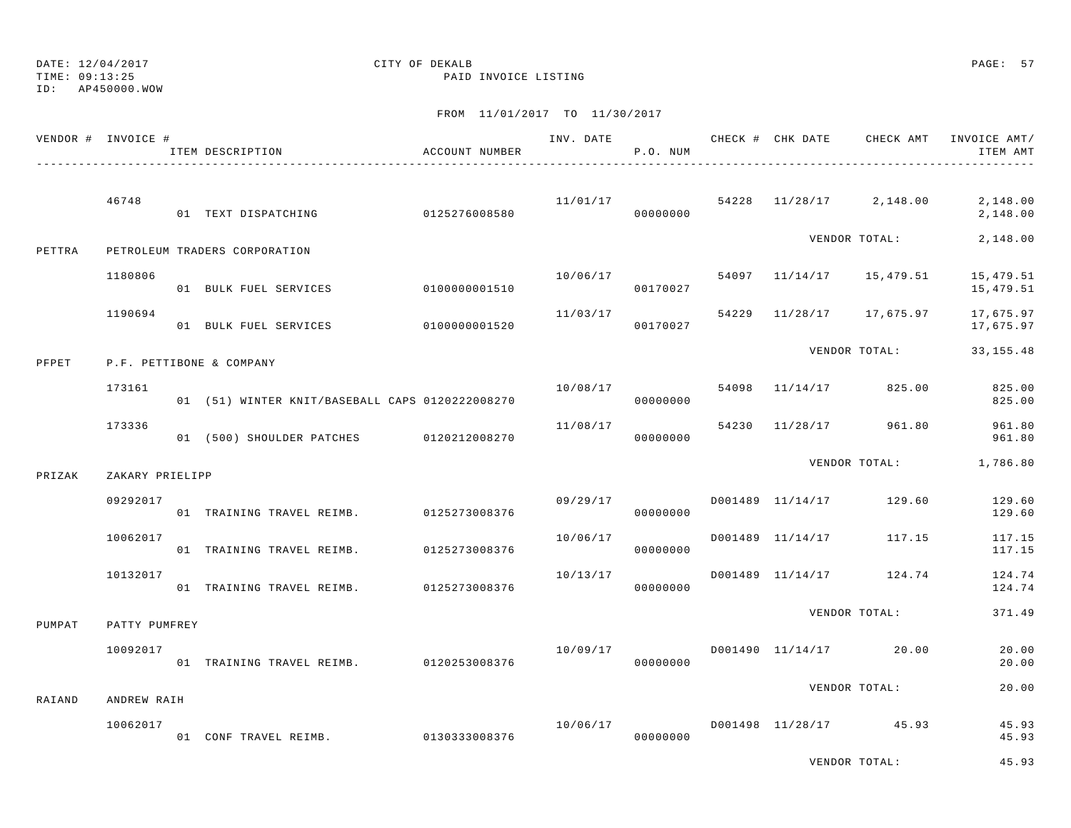TIME: 09:13:25 PAID INVOICE LISTING

ID: AP450000.WOW

|        | VENDOR # INVOICE # | ITEM DESCRIPTION                                | ACCOUNT NUMBER |          | P.O. NUM             |       |                  | INV. DATE 6 CHECK # CHK DATE CHECK AMT | INVOICE AMT/<br>ITEM AMT |
|--------|--------------------|-------------------------------------------------|----------------|----------|----------------------|-------|------------------|----------------------------------------|--------------------------|
|        | 46748              | 01 TEXT DISPATCHING                             | 0125276008580  |          | 11/01/17<br>00000000 |       |                  | 54228 11/28/17 2,148.00                | 2,148.00<br>2,148.00     |
| PETTRA |                    | PETROLEUM TRADERS CORPORATION                   |                |          |                      |       |                  | VENDOR TOTAL:                          | 2,148.00                 |
|        | 1180806            | 01 BULK FUEL SERVICES                           | 0100000001510  | 10/06/17 | 00170027             |       |                  | 54097 11/14/17 15,479.51               | 15,479.51<br>15,479.51   |
|        | 1190694            | 01 BULK FUEL SERVICES                           | 0100000001520  |          | 11/03/17<br>00170027 |       |                  | 54229 11/28/17 17,675.97               | 17,675.97<br>17,675.97   |
| PFPET  |                    | P.F. PETTIBONE & COMPANY                        |                |          |                      |       |                  | VENDOR TOTAL:                          | 33, 155. 48              |
|        | 173161             | 01 (51) WINTER KNIT/BASEBALL CAPS 0120222008270 |                | 10/08/17 | 00000000             | 54098 | 11/14/17         | 825.00                                 | 825.00<br>825.00         |
|        | 173336             | 01 (500) SHOULDER PATCHES 0120212008270         |                | 11/08/17 | 00000000             | 54230 |                  | 11/28/17 961.80                        | 961.80<br>961.80         |
| PRIZAK | ZAKARY PRIELIPP    |                                                 |                |          |                      |       |                  | VENDOR TOTAL:                          | 1,786.80                 |
|        | 09292017           | 01 TRAINING TRAVEL REIMB. 0125273008376         |                | 09/29/17 | 00000000             |       | D001489 11/14/17 | 129.60                                 | 129.60<br>129.60         |
|        | 10062017           | 01 TRAINING TRAVEL REIMB. 0125273008376         |                | 10/06/17 | 00000000             |       | D001489 11/14/17 | 117.15                                 | 117.15<br>117.15         |
|        | 10132017           | 01 TRAINING TRAVEL REIMB. 0125273008376         |                | 10/13/17 | 00000000             |       |                  | D001489 11/14/17 124.74                | 124.74<br>124.74         |
| PUMPAT | PATTY PUMFREY      |                                                 |                |          |                      |       |                  | VENDOR TOTAL:                          | 371.49                   |
|        | 10092017           | 01 TRAINING TRAVEL REIMB. 0120253008376         |                | 10/09/17 | 00000000             |       |                  | D001490 11/14/17 20.00                 | 20.00<br>20.00           |
| RAIAND | ANDREW RAIH        |                                                 |                |          |                      |       |                  | VENDOR TOTAL:                          | 20.00                    |
|        | 10062017           | 01 CONF TRAVEL REIMB. 0130333008376             |                | 10/06/17 | 00000000             |       |                  | D001498 11/28/17 45.93                 | 45.93<br>45.93           |
|        |                    |                                                 |                |          |                      |       |                  | VENDOR TOTAL:                          | 45.93                    |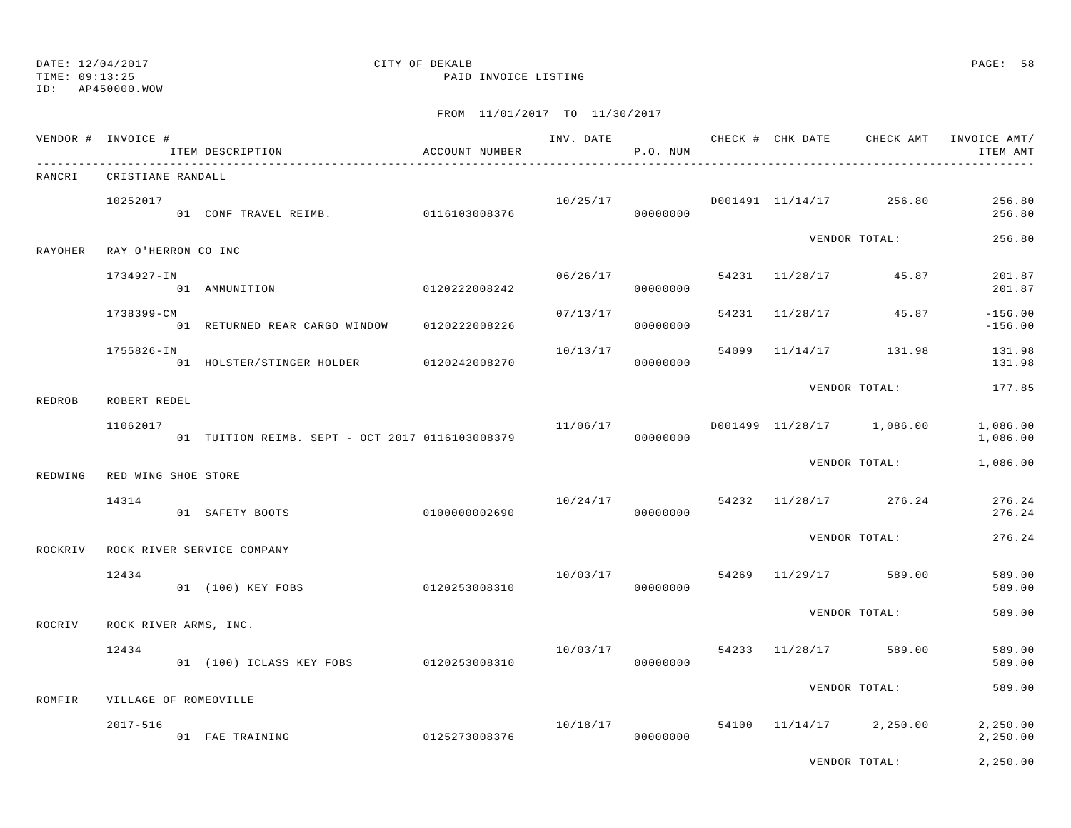TIME: 09:13:25 PAID INVOICE LISTING

ID: AP450000.WOW

|         | VENDOR # INVOICE #                    | ACCOUNT NUMBER<br>ITEM DESCRIPTION              |                |          | P.O. NUM |  |                                      | INV. DATE 6 CHECK # CHK DATE CHECK AMT INVOICE AMT/<br>ITEM AMT |
|---------|---------------------------------------|-------------------------------------------------|----------------|----------|----------|--|--------------------------------------|-----------------------------------------------------------------|
| RANCRI  | CRISTIANE RANDALL                     |                                                 |                |          |          |  |                                      |                                                                 |
|         | 10252017                              | 01 CONF TRAVEL REIMB. 0116103008376             |                |          |          |  | $10/25/17$ D001491 $11/14/17$ 256.80 | 256.80<br>256.80                                                |
| RAYOHER | RAY O'HERRON CO INC                   |                                                 |                |          |          |  | VENDOR TOTAL:                        | 256.80                                                          |
|         | 1734927-IN                            | 0120222008242<br>01 AMMUNITION                  |                | 06/26/17 | 00000000 |  | 54231 11/28/17 45.87                 | 201.87<br>201.87                                                |
|         | 1738399-CM                            | 01 RETURNED REAR CARGO WINDOW 0120222008226     |                | 07/13/17 | 00000000 |  | 54231 11/28/17 45.87                 | $-156.00$<br>$-156.00$                                          |
|         | 1755826-IN                            | 01 HOLSTER/STINGER HOLDER 0120242008270         |                | 10/13/17 | 00000000 |  | 54099 11/14/17 131.98                | 131.98<br>131.98                                                |
| REDROB  | ROBERT REDEL                          |                                                 |                |          |          |  | VENDOR TOTAL:                        | 177.85                                                          |
|         | 11062017                              | 01 TUITION REIMB. SEPT - OCT 2017 0116103008379 |                | 11/06/17 | 00000000 |  | D001499 11/28/17 1,086.00            | 1,086.00<br>1,086.00                                            |
| REDWING | RED WING SHOE STORE                   |                                                 |                |          |          |  | VENDOR TOTAL:                        | 1,086.00                                                        |
|         | 14314                                 | 01 SAFETY BOOTS                                 | 01000000002690 | 10/24/17 | 00000000 |  | 54232 11/28/17 276.24                | 276.24<br>276.24                                                |
| ROCKRIV |                                       | ROCK RIVER SERVICE COMPANY                      |                |          |          |  | VENDOR TOTAL:                        | 276.24                                                          |
|         | 12434                                 | 01 (100) KEY FOBS                               | 0120253008310  | 10/03/17 | 00000000 |  | 54269 11/29/17 589.00                | 589.00<br>589.00                                                |
| ROCRIV  | ROCK RIVER ARMS, INC.                 |                                                 |                |          |          |  | VENDOR TOTAL:                        | 589.00                                                          |
|         | 12434                                 | 01 (100) ICLASS KEY FOBS 0120253008310          |                | 10/03/17 | 00000000 |  | 54233 11/28/17 589.00                | 589.00<br>589.00                                                |
| ROMFIR  |                                       |                                                 |                |          |          |  | VENDOR TOTAL:                        | 589.00                                                          |
|         | VILLAGE OF ROMEOVILLE<br>$2017 - 516$ | 0125273008376<br>01 FAE TRAINING                |                |          | 00000000 |  | $10/18/17$ 54100 $11/14/17$ 2,250.00 | 2,250.00<br>2,250.00                                            |
|         |                                       |                                                 |                |          |          |  | VENDOR TOTAL:                        | 2,250.00                                                        |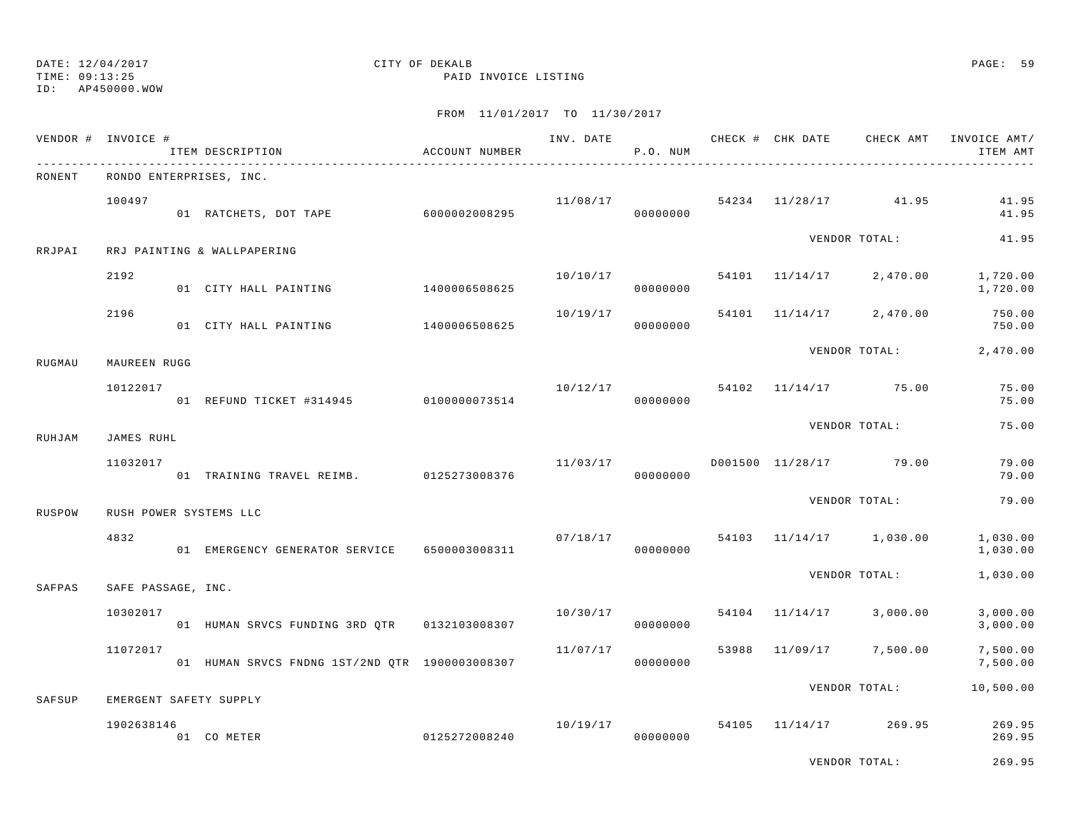ID: AP450000.WOW

TIME: 09:13:25 PAID INVOICE LISTING

| VENDOR # | INVOICE #          | ITEM DESCRIPTION                                                       | ACCOUNT NUMBER |          | P.O. NUM             |       |          |                                   | INVOICE AMT/<br>ITEM AMT |
|----------|--------------------|------------------------------------------------------------------------|----------------|----------|----------------------|-------|----------|-----------------------------------|--------------------------|
| RONENT   |                    | RONDO ENTERPRISES, INC.                                                |                |          |                      |       |          |                                   |                          |
|          | 100497             | 01 RATCHETS, DOT TAPE 6000002008295                                    |                |          | 00000000             |       |          | $11/08/17$ 54234 $11/28/17$ 41.95 | 41.95<br>41.95           |
| RRJPAI   |                    | RRJ PAINTING & WALLPAPERING                                            |                |          |                      |       |          | VENDOR TOTAL:                     | 41.95                    |
|          | 2192               | 01 CITY HALL PAINTING                                                  | 1400006508625  | 10/10/17 | 00000000             |       |          | 54101 11/14/17 2,470.00           | 1,720.00<br>1,720.00     |
|          | 2196               | 01 CITY HALL PAINTING 1400006508625                                    |                | 10/19/17 | 00000000             |       |          | 54101 11/14/17 2,470.00           | 750.00<br>750.00         |
| RUGMAU   | MAUREEN RUGG       |                                                                        |                |          |                      |       |          | VENDOR TOTAL:                     | 2,470.00                 |
|          | 10122017           | 01 REFUND TICKET #314945 0100000073514                                 |                |          | 10/12/17<br>00000000 |       |          | 54102 11/14/17 75.00              | 75.00<br>75.00           |
| RUHJAM   | JAMES RUHL         |                                                                        |                |          |                      |       |          | VENDOR TOTAL:                     | 75.00                    |
|          | 11032017           | 01 TRAINING TRAVEL REIMB. 0125273008376                                |                | 11/03/17 | 00000000             |       |          | D001500 11/28/17 79.00            | 79.00<br>79.00           |
|          |                    |                                                                        |                |          |                      |       |          | VENDOR TOTAL:                     | 79.00                    |
| RUSPOW   | 4832               | RUSH POWER SYSTEMS LLC<br>01 EMERGENCY GENERATOR SERVICE 6500003008311 |                |          | 07/18/17<br>00000000 |       |          | 54103 11/14/17 1,030.00           | 1,030.00<br>1,030.00     |
| SAFPAS   | SAFE PASSAGE, INC. |                                                                        |                |          |                      |       |          | VENDOR TOTAL:                     | 1,030.00                 |
|          | 10302017           |                                                                        |                | 10/30/17 | 00000000             |       |          | 54104 11/14/17 3,000.00           | 3,000.00<br>3,000.00     |
|          | 11072017           | 01 HUMAN SRVCS FNDNG 1ST/2ND QTR 1900003008307                         |                | 11/07/17 | 00000000             | 53988 | 11/09/17 | 7,500.00                          | 7,500.00<br>7,500.00     |
| SAFSUP   |                    | EMERGENT SAFETY SUPPLY                                                 |                |          |                      |       |          | VENDOR TOTAL:                     | 10,500.00                |
|          | 1902638146         | 0125272008240<br>01 CO METER                                           |                | 10/19/17 | 00000000             |       |          | 54105 11/14/17 269.95             | 269.95<br>269.95         |
|          |                    |                                                                        |                |          |                      |       |          | VENDOR TOTAL:                     | 269.95                   |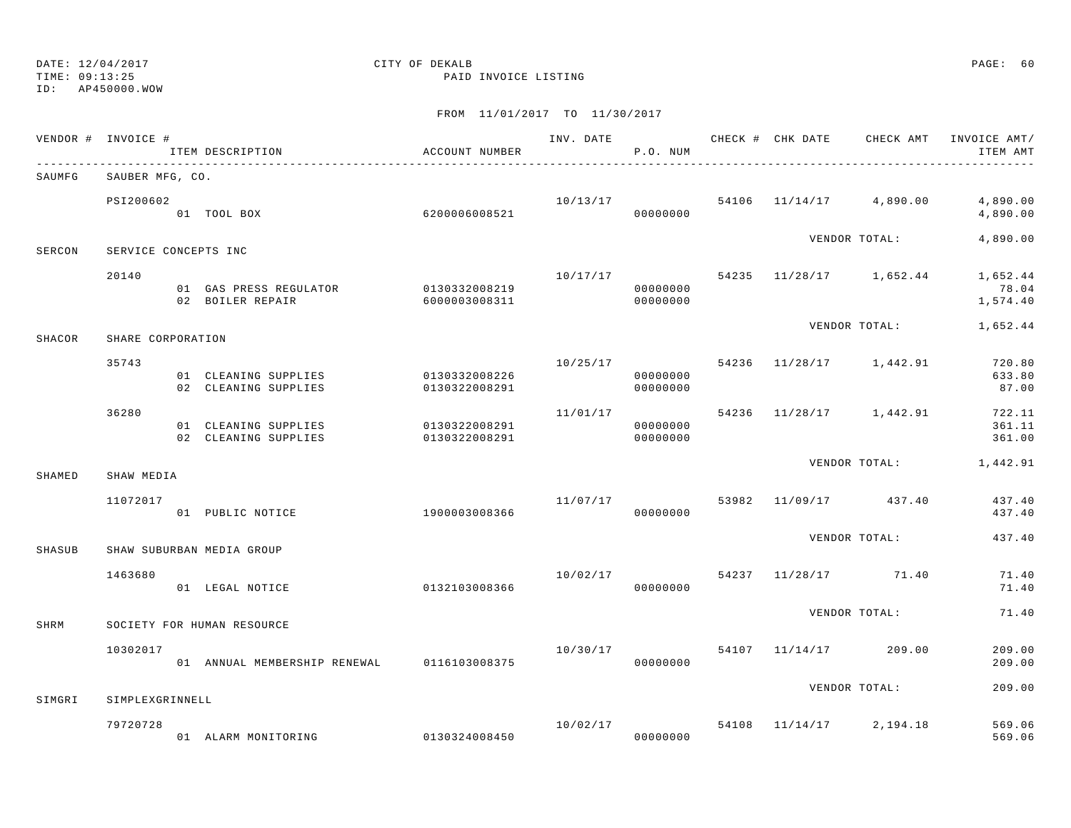TIME: 09:13:25 PAID INVOICE LISTING

ID: AP450000.WOW

|        | VENDOR # INVOICE #   | ITEM DESCRIPTION                             | ACCOUNT NUMBER                 |                      | P.O. NUM                         |       |                         | INV. DATE 6 CHECK # CHK DATE CHECK AMT INVOICE AMT/<br>ITEM AMT |
|--------|----------------------|----------------------------------------------|--------------------------------|----------------------|----------------------------------|-------|-------------------------|-----------------------------------------------------------------|
| SAUMFG | SAUBER MFG, CO.      |                                              |                                |                      |                                  |       |                         |                                                                 |
|        | PSI200602            | 01 TOOL BOX                                  | 6200006008521                  |                      | 10/13/17<br>00000000             |       | 54106 11/14/17 4,890.00 | 4,890.00<br>4,890.00                                            |
| SERCON | SERVICE CONCEPTS INC |                                              |                                |                      |                                  |       | VENDOR TOTAL:           | 4,890.00                                                        |
|        | 20140                | 01 GAS PRESS REGULATOR<br>02 BOILER REPAIR   | 0130332008219<br>6000003008311 | 10/17/17             | 00000000<br>00000000             |       |                         | 54235 11/28/17 1,652.44 1,652.44<br>78.04<br>1,574.40           |
| SHACOR | SHARE CORPORATION    |                                              |                                |                      |                                  |       | VENDOR TOTAL:           | 1,652.44                                                        |
|        | 35743                | 01 CLEANING SUPPLIES<br>02 CLEANING SUPPLIES | 0130332008226<br>0130322008291 |                      | 10/25/17<br>00000000<br>00000000 |       | 54236 11/28/17 1,442.91 | 720.80<br>633.80<br>87.00                                       |
|        | 36280                | 01 CLEANING SUPPLIES<br>02 CLEANING SUPPLIES | 0130322008291<br>0130322008291 | 11/01/17<br>00000000 | 00000000                         |       | 54236 11/28/17 1,442.91 | 722.11<br>361.11<br>361.00                                      |
| SHAMED | SHAW MEDIA           |                                              |                                |                      |                                  |       |                         | VENDOR TOTAL: 1,442.91                                          |
|        | 11072017             | 01 PUBLIC NOTICE                             | 1900003008366                  | 11/07/17             | 00000000                         |       | 53982 11/09/17 437.40   | 437.40<br>437.40                                                |
| SHASUB |                      | SHAW SUBURBAN MEDIA GROUP                    |                                |                      |                                  |       | VENDOR TOTAL:           | 437.40                                                          |
|        | 1463680              | 01 LEGAL NOTICE                              | 0132103008366                  | 10/02/17             | 00000000                         |       | 54237 11/28/17 71.40    | 71.40<br>71.40                                                  |
| SHRM   |                      | SOCIETY FOR HUMAN RESOURCE                   |                                |                      |                                  |       | VENDOR TOTAL:           | 71.40                                                           |
|        | 10302017             | 01 ANNUAL MEMBERSHIP RENEWAL 0116103008375   |                                | 10/30/17             | 00000000                         |       | 54107 11/14/17 209.00   | 209.00<br>209.00                                                |
| SIMGRI | SIMPLEXGRINNELL      |                                              |                                |                      |                                  |       | VENDOR TOTAL:           | 209.00                                                          |
|        | 79720728             | 01 ALARM MONITORING 0130324008450            |                                |                      | 10/02/17<br>00000000             | 54108 | $11/14/17$ 2, 194.18    | 569.06<br>569.06                                                |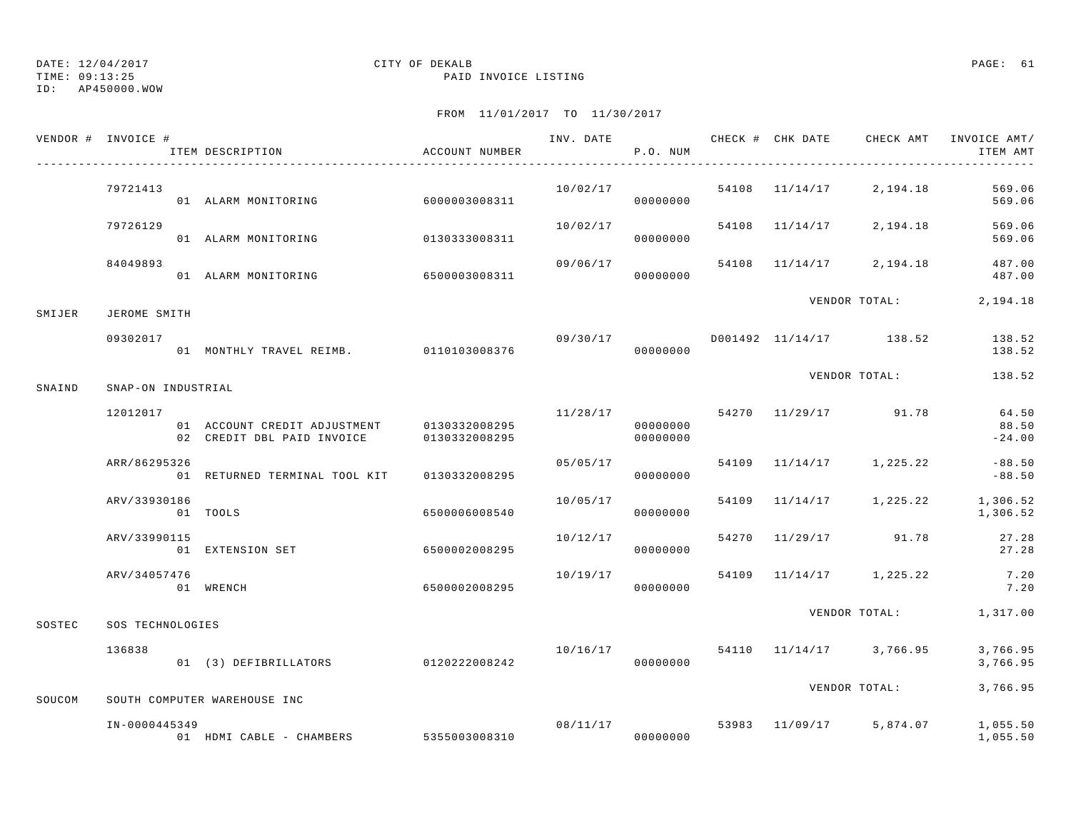TIME: 09:13:25 PAID INVOICE LISTING

ID: AP450000.WOW

|        | VENDOR # INVOICE #        | ITEM DESCRIPTION                                                         | ACCOUNT NUMBER |          | P.O. NUM             |       |                                  | ITEM AMT                   |
|--------|---------------------------|--------------------------------------------------------------------------|----------------|----------|----------------------|-------|----------------------------------|----------------------------|
|        | 79721413                  | 01 ALARM MONITORING                                                      | 6000003008311  | 10/02/17 | 00000000             |       | 54108 11/14/17 2,194.18          | 569.06<br>569.06           |
|        | 79726129                  | 01 ALARM MONITORING                                                      | 0130333008311  | 10/02/17 | 00000000             |       | 54108 11/14/17 2,194.18          | 569.06<br>569.06           |
|        | 84049893                  | 01 ALARM MONITORING                                                      | 6500003008311  | 09/06/17 | 00000000             |       | 54108 11/14/17 2,194.18          | 487.00<br>487.00           |
| SMIJER | JEROME SMITH              |                                                                          |                |          |                      |       | VENDOR TOTAL:                    | 2,194.18                   |
|        | 09302017                  | 01 MONTHLY TRAVEL REIMB. 0110103008376                                   |                | 09/30/17 | 00000000             |       | D001492 11/14/17 138.52          | 138.52<br>138.52           |
| SNAIND | SNAP-ON INDUSTRIAL        |                                                                          |                |          |                      |       | VENDOR TOTAL:                    | 138.52                     |
|        | 12012017                  | 01 ACCOUNT CREDIT ADJUSTMENT 0130332008295<br>02 CREDIT DBL PAID INVOICE | 0130332008295  | 11/28/17 | 00000000<br>00000000 |       | 54270 11/29/17 91.78             | 64.50<br>88.50<br>$-24.00$ |
|        | ARR/86295326              | 01 RETURNED TERMINAL TOOL KIT                                            | 0130332008295  | 05/05/17 | 00000000             | 54109 | $11/14/17$ 1, 225.22             | $-88.50$<br>$-88.50$       |
|        | ARV/33930186              | 01 TOOLS                                                                 | 6500006008540  | 10/05/17 | 00000000             | 54109 | $11/14/17$ 1, 225.22 1, 306.52   | 1,306.52                   |
|        | ARV/33990115              | 01 EXTENSION SET                                                         | 6500002008295  | 10/12/17 | 00000000             |       | 54270 11/29/17 91.78             | 27.28<br>27.28             |
|        | ARV/34057476<br>01 WRENCH |                                                                          | 6500002008295  | 10/19/17 | 00000000             | 54109 | $11/14/17$ 1, 225.22             | 7.20<br>7.20               |
| SOSTEC | SOS TECHNOLOGIES          |                                                                          |                |          |                      |       | VENDOR TOTAL: 1,317.00           |                            |
|        | 136838                    | 01 (3) DEFIBRILLATORS                                                    | 0120222008242  | 10/16/17 | 00000000             |       | 54110 11/14/17 3,766.95          | 3,766.95<br>3,766.95       |
| SOUCOM |                           | SOUTH COMPUTER WAREHOUSE INC                                             |                |          |                      |       | VENDOR TOTAL:                    | 3,766.95                   |
|        | IN-0000445349             | 01 HDMI CABLE - CHAMBERS 5355003008310                                   |                | 00000000 | 08/11/17             |       | 53983 11/09/17 5,874.07 1,055.50 | 1,055.50                   |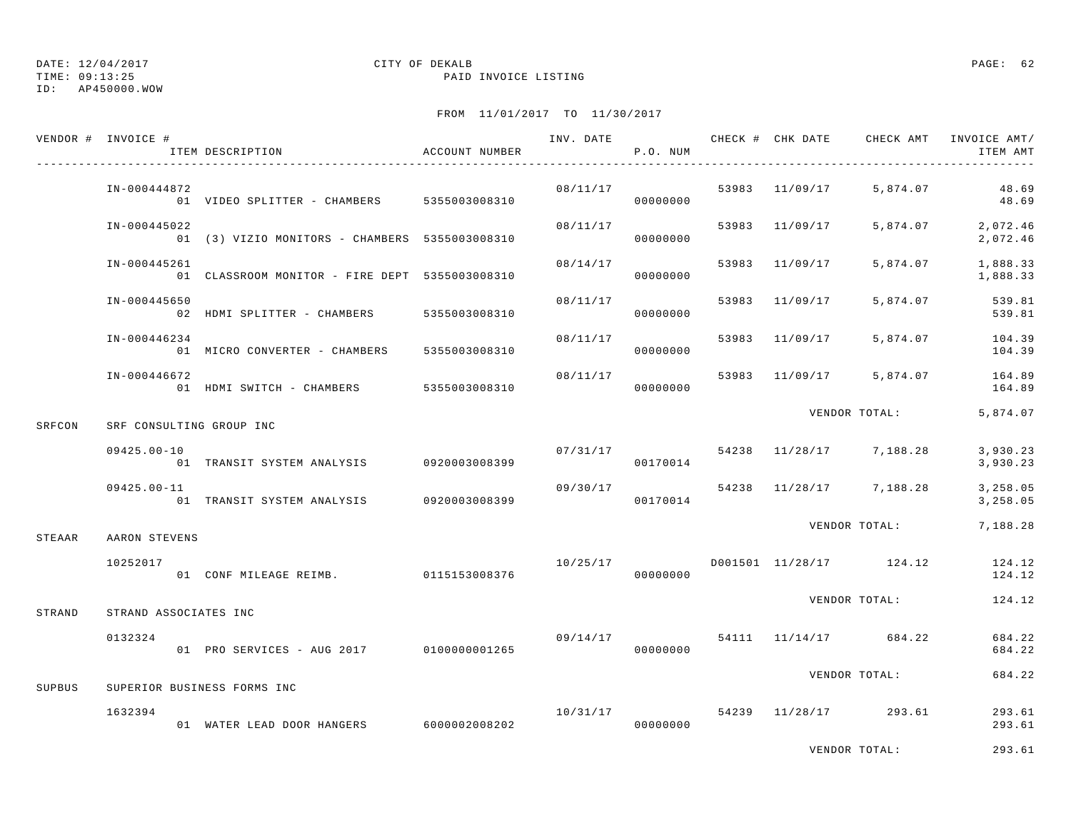TIME: 09:13:25 PAID INVOICE LISTING

ID: AP450000.WOW

|        | VENDOR # INVOICE #       | ITEM DESCRIPTION                               | ACCOUNT NUMBER | INV. DATE | P.O. NUM             |                |                                      | CHECK # CHK DATE CHECK AMT INVOICE AMT/<br>ITEM AMT |
|--------|--------------------------|------------------------------------------------|----------------|-----------|----------------------|----------------|--------------------------------------|-----------------------------------------------------|
|        | IN-000444872             | 01 VIDEO SPLITTER - CHAMBERS 5355003008310     |                |           | 08/11/17<br>00000000 | 53983 11/09/17 | 5,874.07                             | 48.69<br>48.69                                      |
|        | IN-000445022             | 01 (3) VIZIO MONITORS - CHAMBERS 5355003008310 |                | 08/11/17  | 00000000             | 53983 11/09/17 | 5,874.07                             | 2,072.46<br>2,072.46                                |
|        | IN-000445261             | 01 CLASSROOM MONITOR - FIRE DEPT 5355003008310 |                | 08/14/17  | 00000000             | 53983 11/09/17 | 5,874.07                             | 1,888.33<br>1,888.33                                |
|        | IN-000445650             | 02 HDMI SPLITTER - CHAMBERS                    | 5355003008310  | 08/11/17  | 00000000             | 53983 11/09/17 | 5,874.07                             | 539.81<br>539.81                                    |
|        | IN-000446234             | 01 MICRO CONVERTER - CHAMBERS                  | 5355003008310  | 08/11/17  | 00000000             | 53983 11/09/17 |                                      | 5,874.07 104.39<br>104.39                           |
|        | IN-000446672             | 01 HDMI SWITCH - CHAMBERS                      | 5355003008310  | 08/11/17  | 00000000             | 53983 11/09/17 | 5,874.07                             | 164.89<br>164.89                                    |
| SRFCON | SRF CONSULTING GROUP INC |                                                |                |           |                      |                | VENDOR TOTAL:                        | 5,874.07                                            |
|        |                          |                                                |                |           |                      |                |                                      |                                                     |
|        | $09425.00 - 10$          | 01 TRANSIT SYSTEM ANALYSIS 0920003008399       |                |           | 00170014             |                | $07/31/17$ 54238 $11/28/17$ 7,188.28 | 3,930.23<br>3,930.23                                |
|        | $09425.00 - 11$          | 01 TRANSIT SYSTEM ANALYSIS 0920003008399       |                | 09/30/17  | 00170014             |                | 54238 11/28/17 7,188.28              | 3,258.05<br>3,258.05                                |
| STEAAR | AARON STEVENS            |                                                |                |           |                      |                | VENDOR TOTAL:                        | 7,188.28                                            |
|        | 10252017                 | 01 CONF MILEAGE REIMB. 0115153008376           |                | 10/25/17  | 00000000             |                |                                      | D001501 11/28/17 124.12 124.12<br>124.12            |
| STRAND | STRAND ASSOCIATES INC    |                                                |                |           |                      |                | VENDOR TOTAL:                        | 124.12                                              |
|        | 0132324                  | 01 PRO SERVICES - AUG 2017 0100000001265       |                | 09/14/17  | 00000000             |                | 54111 11/14/17 684.22                | 684.22<br>684.22                                    |
|        |                          |                                                |                |           |                      |                | VENDOR TOTAL:                        | 684.22                                              |
| SUPBUS |                          | SUPERIOR BUSINESS FORMS INC                    |                |           |                      |                |                                      |                                                     |
|        | 1632394                  | 01 WATER LEAD DOOR HANGERS 6000002008202       |                | 10/31/17  | 00000000             |                | 54239 11/28/17 293.61                | 293.61<br>293.61                                    |
|        |                          |                                                |                |           |                      |                | VENDOR TOTAL:                        | 293.61                                              |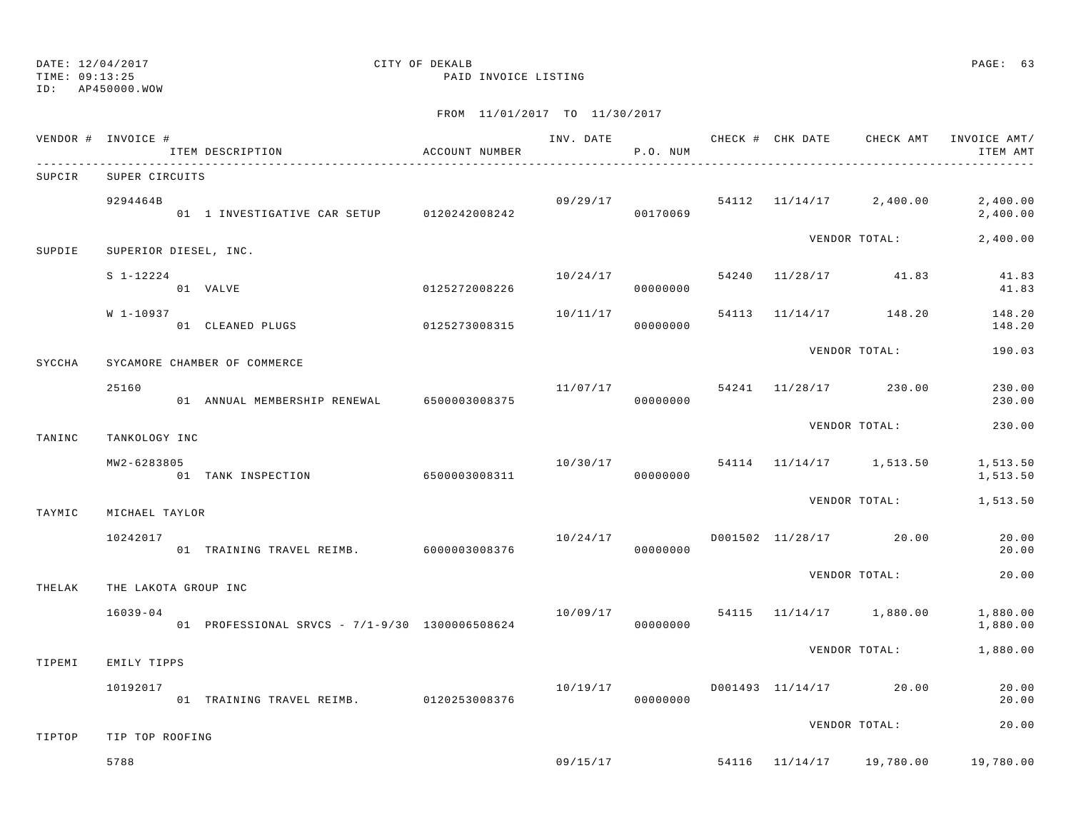## TIME: 09:13:25 PAID INVOICE LISTING

# DATE: 12/04/2017 CITY OF DEKALB PAGE: 63

ID: AP450000.WOW

| VENDOR # INVOICE # |                      | ITEM DESCRIPTION                               | ACCOUNT NUMBER |          | P.O. NUM |  |                                      | INV. DATE 6 7 200 CHECK # CHK DATE CHECK AMT INVOICE AMT/<br>ITEM AMT |
|--------------------|----------------------|------------------------------------------------|----------------|----------|----------|--|--------------------------------------|-----------------------------------------------------------------------|
| SUPCIR             | SUPER CIRCUITS       |                                                |                |          |          |  |                                      |                                                                       |
|                    | 9294464B             | 01 1 INVESTIGATIVE CAR SETUP 0120242008242     |                | 00170069 |          |  | $09/29/17$ 54112 11/14/17 2,400.00   | 2,400.00<br>2,400.00                                                  |
| SUPDIE             |                      | SUPERIOR DIESEL, INC.                          |                |          |          |  | VENDOR TOTAL:                        | 2,400.00                                                              |
|                    | $S_1 - 12224$        | 01 VALVE                                       | 0125272008226  |          | 00000000 |  | $10/24/17$ 54240 11/28/17 41.83      | 41.83<br>41.83                                                        |
|                    | W 1-10937            | 01 CLEANED PLUGS 0125273008315                 |                | 10/11/17 | 00000000 |  | 54113 11/14/17 148.20                | 148.20<br>148.20                                                      |
| SYCCHA             |                      | SYCAMORE CHAMBER OF COMMERCE                   |                |          |          |  | VENDOR TOTAL:                        | 190.03                                                                |
|                    | 25160                | 01 ANNUAL MEMBERSHIP RENEWAL 6500003008375     |                |          | 00000000 |  | $11/07/17$ 54241 $11/28/17$ 230.00   | 230.00<br>230.00                                                      |
| TANINC             | TANKOLOGY INC        |                                                |                |          |          |  | VENDOR TOTAL:                        | 230.00                                                                |
|                    | MW2-6283805          | 01 TANK INSPECTION                             | 6500003008311  |          | 00000000 |  | $10/30/17$ 54114 $11/14/17$ 1,513.50 | 1,513.50<br>1,513.50                                                  |
| TAYMIC             | MICHAEL TAYLOR       |                                                |                |          |          |  | VENDOR TOTAL:                        | 1,513.50                                                              |
|                    | 10242017             | 01 TRAINING TRAVEL REIMB. 6000003008376        |                | 10/24/17 | 00000000 |  | D001502 11/28/17 20.00               | 20.00<br>20.00                                                        |
| THELAK             | THE LAKOTA GROUP INC |                                                |                |          |          |  | VENDOR TOTAL:                        | 20.00                                                                 |
|                    | $16039 - 04$         | 01 PROFESSIONAL SRVCS - 7/1-9/30 1300006508624 |                |          | 00000000 |  | $10/09/17$ 54115 $11/14/17$ 1,880.00 | 1,880.00<br>1,880.00                                                  |
| TIPEMI             | EMILY TIPPS          |                                                |                |          |          |  | VENDOR TOTAL:                        | 1,880.00                                                              |
|                    | 10192017             | 01 TRAINING TRAVEL REIMB. 0120253008376        |                | 10/19/17 | 00000000 |  | D001493 11/14/17 20.00               | 20.00<br>20.00                                                        |
| TIPTOP             | TIP TOP ROOFING      |                                                |                |          |          |  | VENDOR TOTAL:                        | 20.00                                                                 |
|                    | 5788                 |                                                |                | 09/15/17 |          |  | 54116 11/14/17 19,780.00             | 19,780.00                                                             |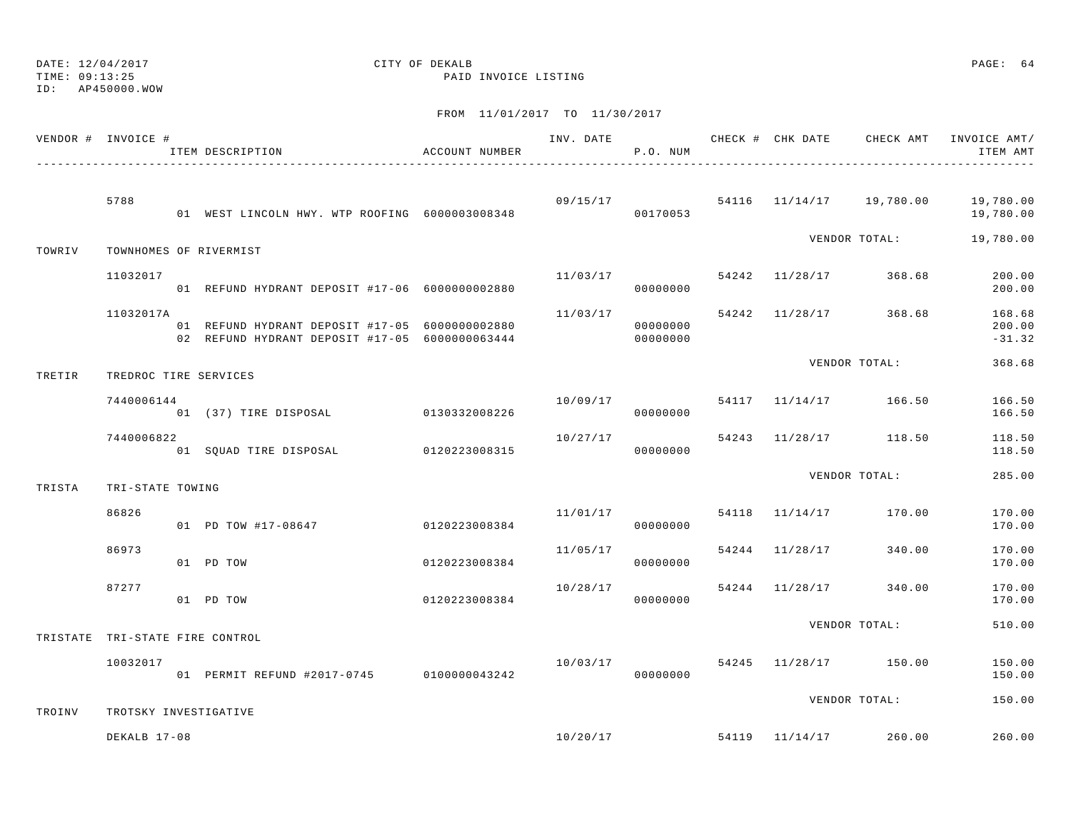DATE: 12/04/2017 CITY OF DEKALB PAGE: 64 ID: AP450000.WOW

TIME: 09:13:25 PAID INVOICE LISTING

|        | VENDOR # INVOICE #              | ITEM DESCRIPTION                                                                                 | ACCOUNT NUMBER |                                    | P.O. NUM             |                |                                    | ITEM AMT                                                   |
|--------|---------------------------------|--------------------------------------------------------------------------------------------------|----------------|------------------------------------|----------------------|----------------|------------------------------------|------------------------------------------------------------|
|        | 5788                            | 01 WEST LINCOLN HWY. WTP ROOFING 6000003008348                                                   |                |                                    | 00170053             |                |                                    | $09/15/17$ 54116 11/14/17 19,780.00 19,780.00<br>19,780.00 |
| TOWRIV |                                 | TOWNHOMES OF RIVERMIST                                                                           |                |                                    |                      |                | VENDOR TOTAL:                      | 19,780.00                                                  |
|        | 11032017                        | 01 REFUND HYDRANT DEPOSIT #17-06 6000000002880                                                   |                | 11/03/17                           | 00000000             |                | 54242 11/28/17 368.68              | 200.00<br>200.00                                           |
|        | 11032017A                       | 01 REFUND HYDRANT DEPOSIT #17-05 6000000002880<br>02 REFUND HYDRANT DEPOSIT #17-05 6000000063444 |                | 11/03/17                           | 00000000<br>00000000 |                | 54242 11/28/17 368.68              | 168.68<br>200.00<br>$-31.32$                               |
| TRETIR | TREDROC TIRE SERVICES           |                                                                                                  |                |                                    |                      |                | VENDOR TOTAL:                      | 368.68                                                     |
|        | 7440006144                      | 01 (37) TIRE DISPOSAL                                                                            | 0130332008226  |                                    | 00000000             |                | $10/09/17$ 54117 11/14/17 166.50   | 166.50<br>166.50                                           |
|        | 7440006822                      | 01 SQUAD TIRE DISPOSAL 0120223008315                                                             |                | 10/27/17                           | 00000000             |                | 54243 11/28/17 118.50              | 118.50<br>118.50                                           |
| TRISTA | TRI-STATE TOWING                |                                                                                                  |                |                                    |                      |                | VENDOR TOTAL:                      | 285.00                                                     |
|        | 86826                           | 01 PD TOW #17-08647                                                                              | 0120223008384  | $11/01/17$ 54118 $11/14/17$ 170.00 | 00000000             |                |                                    | 170.00<br>170.00                                           |
|        | 86973                           | 01 PD TOW                                                                                        | 0120223008384  | 11/05/17                           | 00000000             | 54244 11/28/17 | 340.00                             | 170.00<br>170.00                                           |
|        | 87277                           | 01 PD TOW                                                                                        | 0120223008384  | 10/28/17                           | 00000000             |                | 54244 11/28/17 340.00              | 170.00<br>170.00                                           |
|        | TRISTATE TRI-STATE FIRE CONTROL |                                                                                                  |                |                                    |                      |                | VENDOR TOTAL:                      | 510.00                                                     |
|        | 10032017                        | 01 PERMIT REFUND #2017-0745 0100000043242                                                        |                | 10/03/17                           | 00000000             |                | 54245 11/28/17 150.00              | 150.00<br>150.00                                           |
| TROINV | TROTSKY INVESTIGATIVE           |                                                                                                  |                |                                    |                      |                | VENDOR TOTAL:                      | 150.00                                                     |
|        | DEKALB 17-08                    |                                                                                                  |                |                                    |                      |                | $10/20/17$ 54119 $11/14/17$ 260.00 | 260.00                                                     |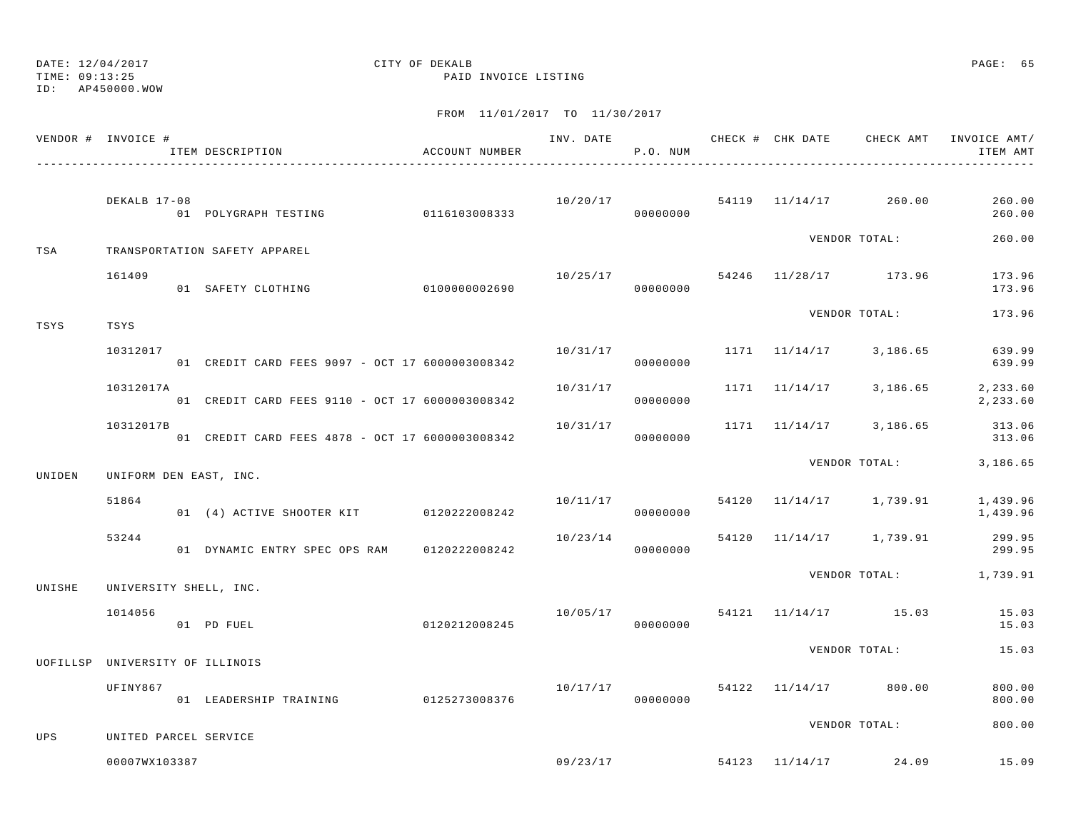TIME: 09:13:25 PAID INVOICE LISTING

ID: AP450000.WOW

|        | VENDOR # INVOICE #    | ITEM DESCRIPTION                                | ACCOUNT NUMBER | INV. DATE | P.O. NUM | CHECK # CHK DATE | CHECK AMT                          | INVOICE AMT/<br>ITEM AMT                |
|--------|-----------------------|-------------------------------------------------|----------------|-----------|----------|------------------|------------------------------------|-----------------------------------------|
|        | DEKALB 17-08          | 01 POLYGRAPH TESTING 0116103008333              |                | 00000000  |          |                  | $10/20/17$ 54119 $11/14/17$ 260.00 | 260.00<br>260.00                        |
| TSA    |                       | TRANSPORTATION SAFETY APPAREL                   |                |           |          |                  | VENDOR TOTAL:                      | 260.00                                  |
|        | 161409                | 01 SAFETY CLOTHING                              | 0100000002690  |           | 00000000 |                  | $10/25/17$ 54246 $11/28/17$ 173.96 | 173.96<br>173.96                        |
| TSYS   | TSYS                  |                                                 |                |           |          |                  | VENDOR TOTAL:                      | 173.96                                  |
|        | 10312017              | 01 CREDIT CARD FEES 9097 - OCT 17 6000003008342 |                | 10/31/17  | 00000000 |                  |                                    | 1171 11/14/17 3,186.65 639.99<br>639.99 |
|        | 10312017A             | 01 CREDIT CARD FEES 9110 - OCT 17 6000003008342 |                | 10/31/17  | 00000000 |                  | 1171 11/14/17 3,186.65             | 2,233.60<br>2,233.60                    |
|        | 10312017B             | 01 CREDIT CARD FEES 4878 - OCT 17 6000003008342 |                | 10/31/17  | 00000000 |                  |                                    | 1171 11/14/17 3,186.65 313.06<br>313.06 |
| UNIDEN |                       | UNIFORM DEN EAST, INC.                          |                |           |          |                  |                                    | VENDOR TOTAL: 3,186.65                  |
|        | 51864                 | 01 (4) ACTIVE SHOOTER KIT 0120222008242         |                | 10/11/17  | 00000000 |                  | 54120 11/14/17 1,739.91            | 1,439.96<br>1,439.96                    |
|        | 53244                 | 01 DYNAMIC ENTRY SPEC OPS RAM 0120222008242     |                | 10/23/14  | 00000000 |                  | 54120 11/14/17 1,739.91            | 299.95<br>299.95                        |
| UNISHE |                       | UNIVERSITY SHELL, INC.                          |                |           |          |                  |                                    | VENDOR TOTAL: 1,739.91                  |
|        | 1014056               | 01 PD FUEL                                      | 0120212008245  | 10/05/17  | 00000000 |                  | 54121 11/14/17 15.03               | 15.03<br>15.03                          |
|        |                       | UOFILLSP UNIVERSITY OF ILLINOIS                 |                |           |          |                  | VENDOR TOTAL:                      | 15.03                                   |
|        | UFINY867              | 01 LEADERSHIP TRAINING                          | 0125273008376  | 10/17/17  | 00000000 |                  | 54122 11/14/17 800.00              | 800.00<br>800.00                        |
| UPS    | UNITED PARCEL SERVICE |                                                 |                |           |          |                  | VENDOR TOTAL:                      | 800.00                                  |
|        | 00007WX103387         |                                                 |                |           |          |                  | $09/23/17$ 54123 $11/14/17$ 24.09  | 15.09                                   |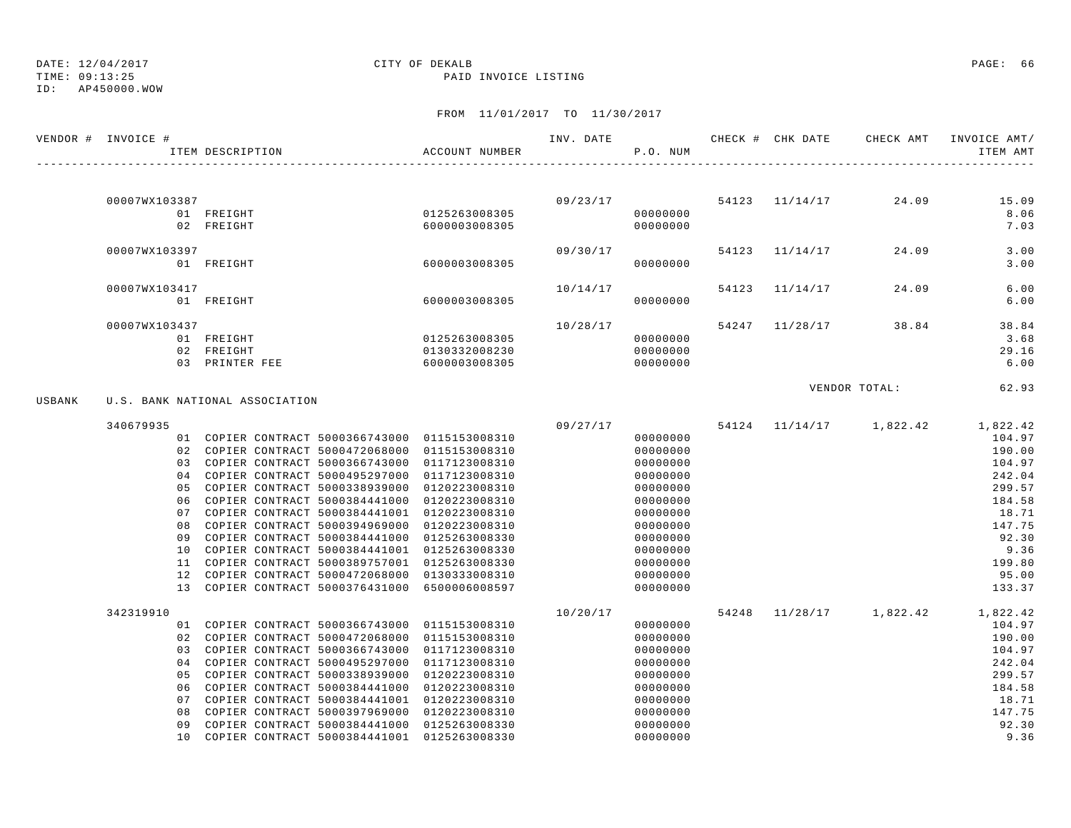# TIME: 09:13:25 PAID INVOICE LISTING

## DATE: 12/04/2017 CITY OF DEKALB PAGE: 66

ID: AP450000.WOW

|        | VENDOR # INVOICE # | ITEM DESCRIPTION                                                                                 | ACCOUNT NUMBER |          | P.O. NUM             |  | INV. DATE <b>CHECK # CHK DATE</b> CHECK AMT | INVOICE AMT/<br>ITEM AMT            |
|--------|--------------------|--------------------------------------------------------------------------------------------------|----------------|----------|----------------------|--|---------------------------------------------|-------------------------------------|
|        |                    |                                                                                                  |                |          |                      |  |                                             |                                     |
|        | 00007WX103387      |                                                                                                  |                |          |                      |  | $09/23/17$ 54123 11/14/17 24.09             | 15.09                               |
|        |                    | 01 FREIGHT                                                                                       | 0125263008305  |          | 00000000             |  |                                             | 8.06                                |
|        |                    | 02 FREIGHT                                                                                       | 6000003008305  |          | 00000000             |  |                                             | 7.03                                |
|        | 00007WX103397      |                                                                                                  |                | 09/30/17 |                      |  | 54123 11/14/17 24.09                        | 3.00                                |
|        |                    | 01 FREIGHT                                                                                       | 6000003008305  |          | 00000000             |  |                                             | 3.00                                |
|        | 00007WX103417      |                                                                                                  |                | 10/14/17 |                      |  | 54123 11/14/17 24.09                        | 6.00                                |
|        |                    | 01 FREIGHT                                                                                       | 6000003008305  |          | 00000000             |  |                                             | 6.00                                |
|        | 00007WX103437      |                                                                                                  |                | 10/28/17 |                      |  | 54247 11/28/17 38.84                        | 38.84                               |
|        |                    | 01 FREIGHT                                                                                       | 0125263008305  |          | 00000000             |  |                                             | 3.68                                |
|        |                    | 02 FREIGHT                                                                                       | 0130332008230  |          | 00000000             |  |                                             | 29.16                               |
|        |                    | 03 PRINTER FEE                                                                                   | 6000003008305  | 00000000 |                      |  |                                             | 6.00                                |
|        |                    |                                                                                                  |                |          |                      |  | VENDOR TOTAL:                               | 62.93                               |
| USBANK |                    | U.S. BANK NATIONAL ASSOCIATION                                                                   |                |          |                      |  |                                             |                                     |
|        | 340679935          |                                                                                                  |                | 09/27/17 |                      |  |                                             | 54124 11/14/17 1,822.42 1,822.42    |
|        |                    | 01 COPIER CONTRACT 5000366743000 0115153008310                                                   |                |          | 00000000             |  |                                             | 104.97                              |
|        |                    | 02 COPIER CONTRACT 5000472068000 0115153008310                                                   |                |          | 00000000             |  |                                             | 190.00                              |
|        |                    | 03 COPIER CONTRACT 5000366743000 0117123008310                                                   |                |          | 00000000             |  |                                             | 104.97                              |
|        |                    | 04 COPIER CONTRACT 5000495297000 0117123008310<br>05 COPIER CONTRACT 5000338939000 0120223008310 |                |          | 00000000             |  |                                             | 242.04                              |
|        |                    | 06 COPIER CONTRACT 5000384441000 0120223008310                                                   |                |          | 00000000<br>00000000 |  |                                             | 299.57<br>184.58                    |
|        |                    | 07 COPIER CONTRACT 5000384441001 0120223008310                                                   |                |          | 00000000             |  |                                             | 18.71                               |
|        |                    | 08 COPIER CONTRACT 5000394969000 0120223008310                                                   |                |          | 00000000             |  |                                             | 147.75                              |
|        |                    | 09 COPIER CONTRACT 5000384441000 0125263008330                                                   |                |          | 00000000             |  |                                             | 92.30                               |
|        |                    | 10 COPIER CONTRACT 5000384441001 0125263008330                                                   |                |          | 00000000             |  |                                             | 9.36                                |
|        |                    | 11 COPIER CONTRACT 5000389757001 0125263008330                                                   |                |          | 00000000             |  |                                             | 199.80                              |
|        |                    | 12 COPIER CONTRACT 5000472068000 0130333008310                                                   |                |          | 00000000             |  |                                             | 95.00                               |
|        |                    | 13 COPIER CONTRACT 5000376431000 6500006008597                                                   |                |          | 00000000             |  |                                             | 133.37                              |
|        | 342319910          |                                                                                                  |                | 10/20/17 |                      |  |                                             | 54248  11/28/17  1,822.42  1,822.42 |
|        |                    | 01 COPIER CONTRACT 5000366743000 0115153008310                                                   |                |          | 00000000             |  |                                             | 104.97                              |
|        |                    | 02 COPIER CONTRACT 5000472068000 0115153008310                                                   |                |          | 00000000             |  |                                             | 190.00                              |
|        |                    | 03 COPIER CONTRACT 5000366743000 0117123008310                                                   |                |          | 00000000             |  |                                             | 104.97                              |
|        |                    | 04 COPIER CONTRACT 5000495297000 0117123008310                                                   |                |          | 00000000             |  |                                             | 242.04                              |
|        |                    | 05 COPIER CONTRACT 5000338939000 0120223008310                                                   |                |          | 00000000             |  |                                             | 299.57                              |
|        | 06                 | COPIER CONTRACT 5000384441000 0120223008310                                                      |                |          | 00000000             |  |                                             | 184.58                              |
|        | 07                 | COPIER CONTRACT 5000384441001 0120223008310                                                      |                |          | 00000000             |  |                                             | 18.71                               |
|        | 08                 | COPIER CONTRACT 5000397969000 0120223008310                                                      |                |          | 00000000             |  |                                             | 147.75                              |
|        | 09                 | COPIER CONTRACT 5000384441000 0125263008330                                                      |                |          | 00000000             |  |                                             | 92.30                               |
|        |                    | 10 COPIER CONTRACT 5000384441001 0125263008330                                                   |                |          | 00000000             |  |                                             | 9.36                                |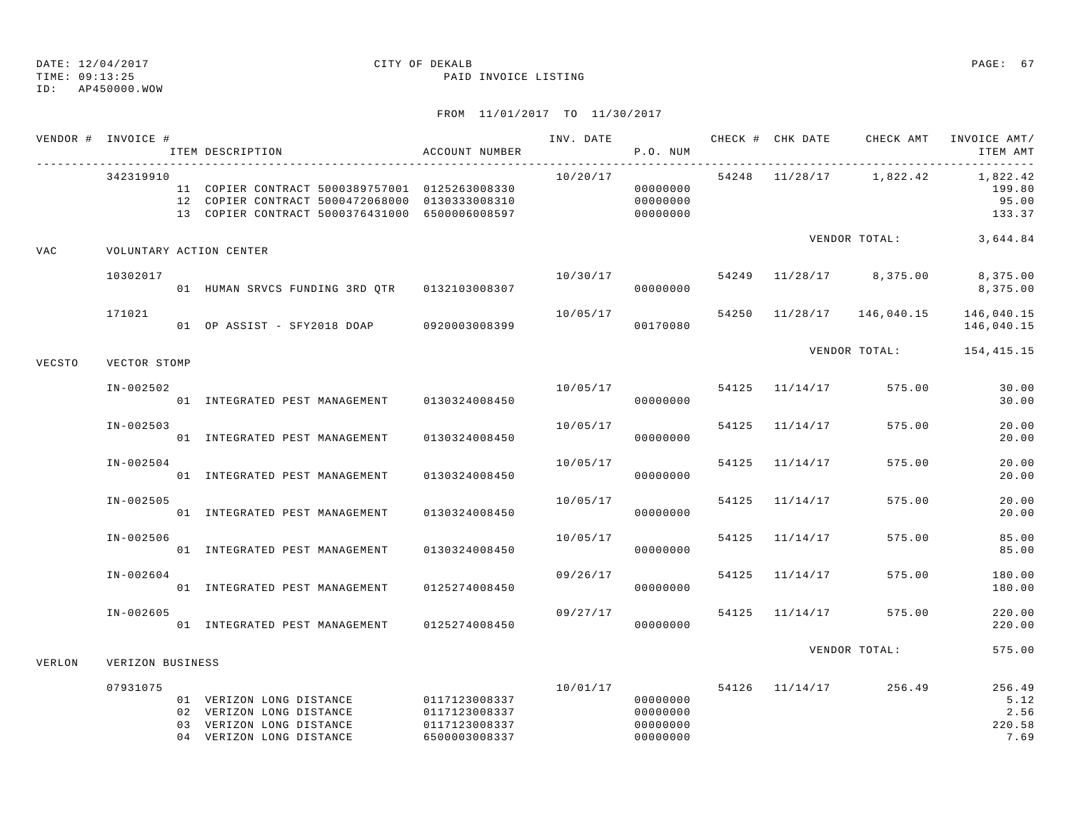TIME: 09:13:25 PAID INVOICE LISTING

|            | VENDOR # INVOICE # | ITEM DESCRIPTION                                                                                                                                   | ACCOUNT NUMBER                                                   |          | P.O. NUM                                     |       |                | INV. DATE 6 1999 CHECK # CHK DATE 6 CHECK AMT INVOICE AMT | ITEM AMT                                 |
|------------|--------------------|----------------------------------------------------------------------------------------------------------------------------------------------------|------------------------------------------------------------------|----------|----------------------------------------------|-------|----------------|-----------------------------------------------------------|------------------------------------------|
|            | 342319910          | 11 COPIER CONTRACT 5000389757001 0125263008330<br>12 COPIER CONTRACT 5000472068000 0130333008310<br>13 COPIER CONTRACT 5000376431000 6500006008597 |                                                                  | 10/20/17 | 00000000<br>00000000<br>00000000             |       |                | 54248 11/28/17 1,822.42 1,822.42                          | 199.80<br>95.00<br>133.37                |
| <b>VAC</b> |                    | VOLUNTARY ACTION CENTER                                                                                                                            |                                                                  |          |                                              |       |                | VENDOR TOTAL: 3,644.84                                    |                                          |
|            | 10302017           |                                                                                                                                                    |                                                                  | 10/30/17 | 00000000                                     |       |                | 54249 11/28/17 8,375.00                                   | 8,375.00<br>8,375.00                     |
|            | 171021             | 01 OP ASSIST - SFY2018 DOAP 0920003008399                                                                                                          |                                                                  | 10/05/17 | 00170080                                     |       |                | 54250 11/28/17 146,040.15                                 | 146,040.15<br>146,040.15                 |
| VECSTO     | VECTOR STOMP       |                                                                                                                                                    |                                                                  |          |                                              |       |                | VENDOR TOTAL:                                             | 154,415.15                               |
|            | $IN-002502$        | 01 INTEGRATED PEST MANAGEMENT                                                                                                                      | 0130324008450                                                    |          | 10/05/17<br>00000000                         |       | 54125 11/14/17 | 575.00                                                    | 30.00<br>30.00                           |
|            | $IN - 002503$      | 01 INTEGRATED PEST MANAGEMENT                                                                                                                      | 0130324008450                                                    | 10/05/17 | 00000000                                     |       | 54125 11/14/17 | 575.00                                                    | 20.00<br>20.00                           |
|            | $IN-002504$        | 01 INTEGRATED PEST MANAGEMENT                                                                                                                      | 0130324008450                                                    | 10/05/17 | 00000000                                     | 54125 | 11/14/17       | 575.00                                                    | 20.00<br>20.00                           |
|            | $IN-002505$        | 01 INTEGRATED PEST MANAGEMENT                                                                                                                      | 0130324008450                                                    | 10/05/17 | 00000000                                     |       | 54125 11/14/17 | 575.00                                                    | 20.00<br>20.00                           |
|            | IN-002506          | 01 INTEGRATED PEST MANAGEMENT                                                                                                                      | 0130324008450                                                    | 10/05/17 | 00000000                                     |       | 54125 11/14/17 | 575.00                                                    | 85.00<br>85.00                           |
|            | $IN-002604$        | 01 INTEGRATED PEST MANAGEMENT                                                                                                                      | 0125274008450                                                    | 09/26/17 | 00000000                                     | 54125 | 11/14/17       | 575.00                                                    | 180.00<br>180.00                         |
|            | IN-002605          | 01 INTEGRATED PEST MANAGEMENT                                                                                                                      | 0125274008450                                                    | 09/27/17 | 00000000                                     |       | 54125 11/14/17 | 575.00                                                    | 220.00<br>220.00                         |
| VERLON     | VERIZON BUSINESS   |                                                                                                                                                    |                                                                  |          |                                              |       |                | VENDOR TOTAL:                                             | 575.00                                   |
|            | 07931075           | 01 VERIZON LONG DISTANCE<br>02 VERIZON LONG DISTANCE<br>03 VERIZON LONG DISTANCE<br>04 VERIZON LONG DISTANCE                                       | 0117123008337<br>0117123008337<br>0117123008337<br>6500003008337 | 10/01/17 | 00000000<br>00000000<br>00000000<br>00000000 |       |                | 54126 11/14/17 256.49                                     | 256.49<br>5.12<br>2.56<br>220.58<br>7.69 |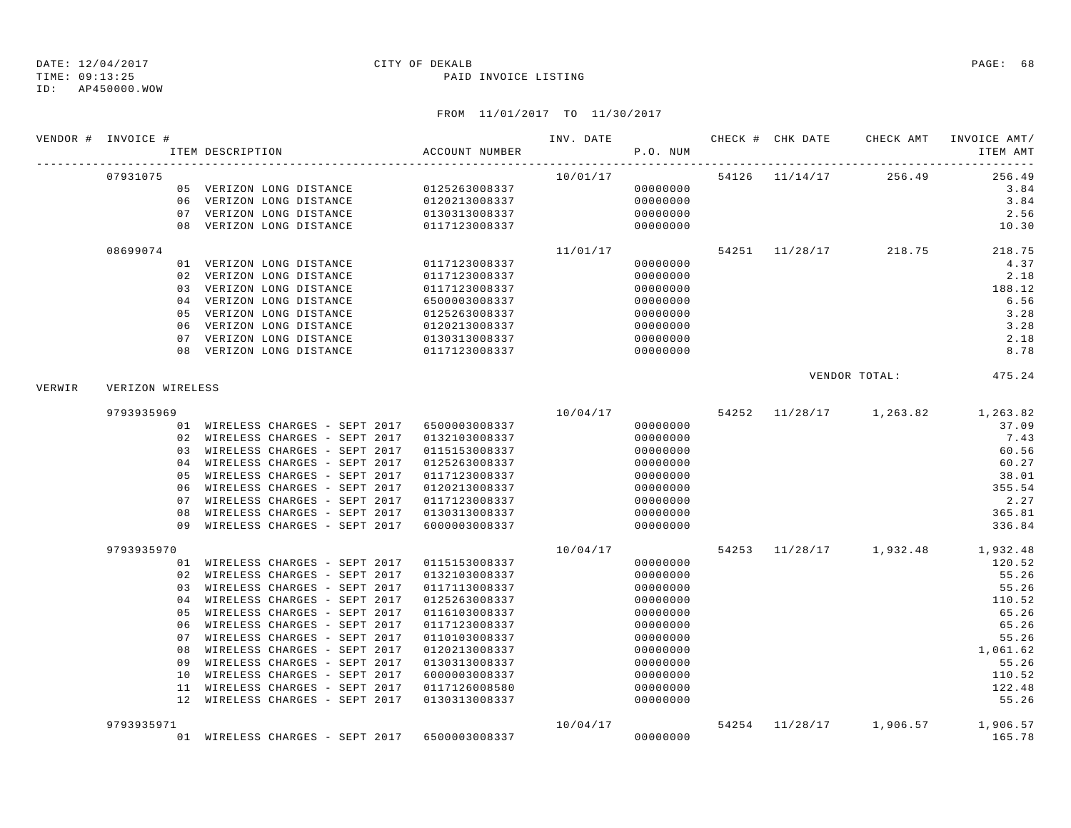TIME: 09:13:25 PAID INVOICE LISTING ID: AP450000.WOW

|        | VENDOR # INVOICE # | ITEM DESCRIPTION                              | ACCOUNT NUMBER                 | INV. DATE <b>CHECK</b> # CHK DATE CHECK AMT<br>P.O. NUM |          |  |                                        | INVOICE AMT/<br>ITEM AMT                                                |
|--------|--------------------|-----------------------------------------------|--------------------------------|---------------------------------------------------------|----------|--|----------------------------------------|-------------------------------------------------------------------------|
|        | 07931075           |                                               |                                |                                                         |          |  | $10/01/17$ $54126$ $11/14/17$ $256.49$ | 256.49                                                                  |
|        |                    | 05 VERIZON LONG DISTANCE 0125263008337        |                                |                                                         | 00000000 |  |                                        | 3.84                                                                    |
|        |                    | 06 VERIZON LONG DISTANCE                      | 0120213008337<br>0130313008337 |                                                         | 00000000 |  |                                        | 3.84                                                                    |
|        |                    | 07 VERIZON LONG DISTANCE                      |                                |                                                         | 00000000 |  |                                        | 2.56                                                                    |
|        |                    | 08 VERIZON LONG DISTANCE                      | 0117123008337                  |                                                         | 00000000 |  |                                        | 10.30                                                                   |
|        | 08699074           |                                               |                                | 11/01/17                                                |          |  |                                        | 54251 11/28/17 218.75 218.75                                            |
|        |                    | 01 VERIZON LONG DISTANCE                      | 0117123008337                  |                                                         | 00000000 |  |                                        | 4.37                                                                    |
|        |                    | 02 VERIZON LONG DISTANCE                      | 0117123008337                  |                                                         | 00000000 |  |                                        | 2.18                                                                    |
|        |                    | 03 VERIZON LONG DISTANCE                      | 0117123008337                  |                                                         | 00000000 |  |                                        | 188.12                                                                  |
|        |                    | 04 VERIZON LONG DISTANCE                      | 6500003008337                  |                                                         | 00000000 |  |                                        | 6.56                                                                    |
|        |                    | 05 VERIZON LONG DISTANCE                      | 0125263008337                  |                                                         | 00000000 |  |                                        | 3.28                                                                    |
|        | 06                 | VERIZON LONG DISTANCE                         | 0120213008337                  |                                                         | 00000000 |  |                                        | 3.28                                                                    |
|        |                    | 07 VERIZON LONG DISTANCE                      | 0130313008337<br>0117123008337 |                                                         | 00000000 |  |                                        | 2.18                                                                    |
|        |                    | 08 VERIZON LONG DISTANCE                      |                                |                                                         | 00000000 |  |                                        | 8.78                                                                    |
| VERWIR | VERIZON WIRELESS   |                                               |                                |                                                         |          |  |                                        | VENDOR TOTAL: 475.24                                                    |
|        | 9793935969         |                                               |                                |                                                         |          |  |                                        | $10/04/17 \qquad 54252 \qquad 11/28/17 \qquad 1,263.82 \qquad 1,263.82$ |
|        |                    | 01 WIRELESS CHARGES - SEPT 2017 6500003008337 |                                |                                                         | 00000000 |  |                                        | 37.09                                                                   |
|        |                    | 02 WIRELESS CHARGES - SEPT 2017               | 0132103008337                  |                                                         | 00000000 |  |                                        | 7.43                                                                    |
|        |                    | 03 WIRELESS CHARGES - SEPT 2017               | 0115153008337                  |                                                         | 00000000 |  |                                        | 60.56                                                                   |
|        |                    | 04 WIRELESS CHARGES - SEPT 2017               | 0125263008337                  |                                                         | 00000000 |  |                                        | 60.27                                                                   |
|        | 05                 | WIRELESS CHARGES - SEPT 2017                  | 0117123008337                  |                                                         | 00000000 |  |                                        | 38.01                                                                   |
|        | 06                 | WIRELESS CHARGES - SEPT 2017                  | 0120213008337                  |                                                         | 00000000 |  |                                        | 355.54                                                                  |
|        | 07                 | WIRELESS CHARGES - SEPT 2017                  | 0117123008337                  |                                                         | 00000000 |  |                                        | 2.27                                                                    |
|        | 08                 | WIRELESS CHARGES - SEPT 2017                  | 0130313008337                  |                                                         | 00000000 |  |                                        | 365.81                                                                  |
|        |                    | 09 WIRELESS CHARGES - SEPT 2017               | 6000003008337                  |                                                         | 00000000 |  |                                        | 336.84                                                                  |
|        | 9793935970         |                                               |                                | 10/04/17                                                |          |  |                                        | 54253 11/28/17 1,932.48 1,932.48                                        |
|        |                    | 01 WIRELESS CHARGES - SEPT 2017               | 0115153008337                  |                                                         | 00000000 |  |                                        | 120.52                                                                  |
|        |                    | 02 WIRELESS CHARGES - SEPT 2017               | 0132103008337                  |                                                         | 00000000 |  |                                        | 55.26                                                                   |
|        |                    | 03 WIRELESS CHARGES - SEPT 2017               | 0117113008337                  |                                                         | 00000000 |  |                                        | 55.26                                                                   |
|        | 04                 | WIRELESS CHARGES - SEPT 2017                  | 0125263008337                  |                                                         | 00000000 |  |                                        | 110.52                                                                  |
|        | 05                 | WIRELESS CHARGES - SEPT 2017                  | 0116103008337                  |                                                         | 00000000 |  |                                        | 65.26                                                                   |
|        | 06                 | WIRELESS CHARGES - SEPT 2017                  | 0117123008337                  |                                                         | 00000000 |  |                                        | 65.26                                                                   |
|        | 07                 | WIRELESS CHARGES - SEPT 2017                  | 0110103008337                  |                                                         | 00000000 |  |                                        | 55.26                                                                   |
|        | 08                 | WIRELESS CHARGES - SEPT 2017                  | 0120213008337                  |                                                         | 00000000 |  |                                        | 1,061.62                                                                |
|        | 09                 | WIRELESS CHARGES - SEPT 2017                  | 0130313008337                  |                                                         | 00000000 |  |                                        | 55.26                                                                   |
|        |                    | 10 WIRELESS CHARGES - SEPT 2017               | 6000003008337                  |                                                         | 00000000 |  |                                        | 110.52                                                                  |
|        |                    | 11 WIRELESS CHARGES - SEPT 2017               | 0117126008580                  |                                                         | 00000000 |  |                                        | 122.48                                                                  |
|        |                    | 12 WIRELESS CHARGES - SEPT 2017               | 0130313008337                  |                                                         | 00000000 |  |                                        | 55.26                                                                   |
|        | 9793935971         |                                               |                                | 10/04/17                                                |          |  |                                        | 54254 11/28/17 1,906.57 1,906.57                                        |
|        |                    | 01 WIRELESS CHARGES - SEPT 2017 6500003008337 |                                |                                                         | 00000000 |  |                                        | 165.78                                                                  |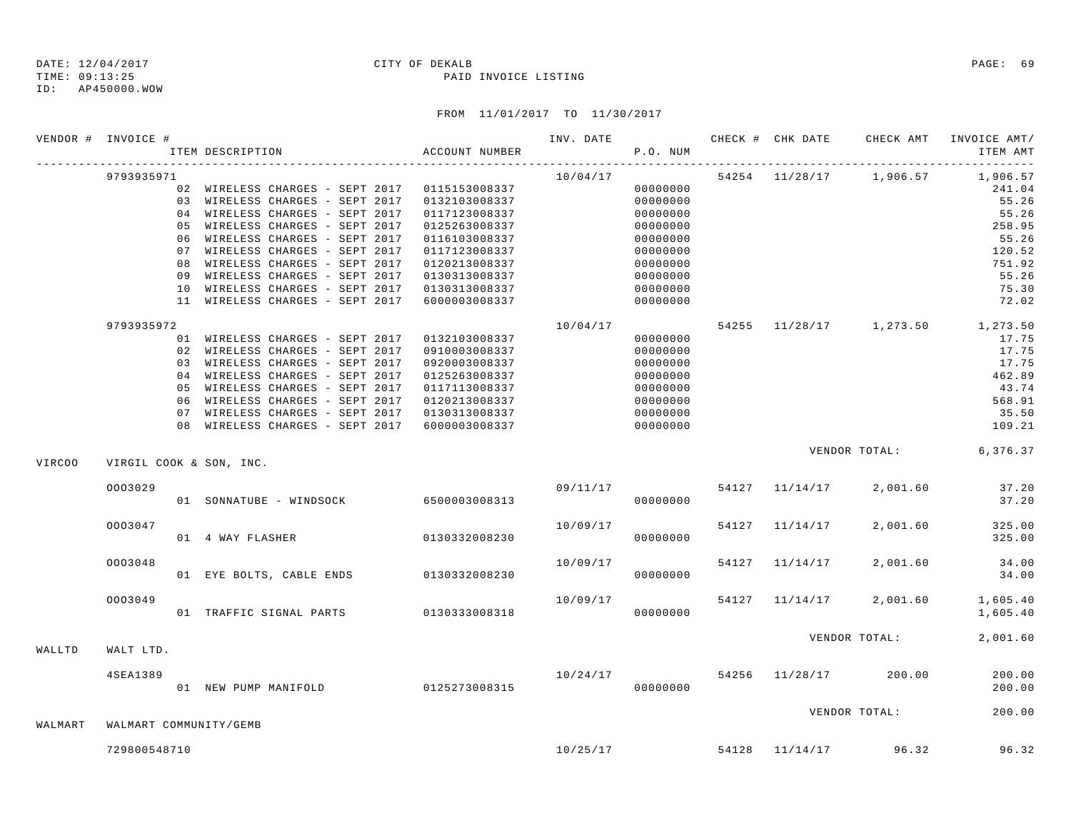ID: AP450000.WOW

### TIME: 09:13:25 PAID INVOICE LISTING

| 9793935971<br>10/04/17<br>54254 11/28/17 1,906.57<br>1,906.57<br>02 WIRELESS CHARGES - SEPT 2017<br>0115153008337<br>00000000<br>241.04<br>55.26<br>03 WIRELESS CHARGES - SEPT 2017<br>00000000<br>0132103008337<br>04 WIRELESS CHARGES - SEPT 2017<br>55.26<br>0117123008337<br>00000000<br>WIRELESS CHARGES - SEPT 2017<br>258.95<br>0.5<br>0125263008337<br>00000000<br>WIRELESS CHARGES - SEPT 2017<br>55.26<br>06<br>0116103008337<br>00000000<br>WIRELESS CHARGES - SEPT 2017<br>120.52<br>07<br>0117123008337<br>00000000<br>WIRELESS CHARGES - SEPT 2017<br>751.92<br>08<br>0120213008337<br>00000000<br>09 WIRELESS CHARGES - SEPT 2017<br>00000000<br>55.26<br>0130313008337<br>10 WIRELESS CHARGES - SEPT 2017<br>75.30<br>0130313008337<br>00000000<br>11 WIRELESS CHARGES - SEPT 2017<br>72.02<br>6000003008337<br>00000000<br>10/04/17<br>9793935972<br>54255 11/28/17 1,273.50<br>1,273.50<br>01 WIRELESS CHARGES - SEPT 2017<br>0132103008337<br>00000000<br>17.75<br>02 WIRELESS CHARGES - SEPT 2017<br>17.75<br>0910003008337<br>00000000<br>17.75<br>03 WIRELESS CHARGES - SEPT 2017<br>0920003008337<br>00000000<br>04 WIRELESS CHARGES - SEPT 2017<br>462.89<br>0125263008337<br>00000000<br>05 WIRELESS CHARGES - SEPT 2017<br>43.74<br>0117113008337<br>00000000<br>06 WIRELESS CHARGES - SEPT 2017<br>00000000<br>568.91<br>0120213008337<br>35.50<br>07 WIRELESS CHARGES - SEPT 2017<br>0130313008337<br>00000000<br>109.21<br>08 WIRELESS CHARGES - SEPT 2017<br>6000003008337<br>00000000<br>VENDOR TOTAL: 6,376.37<br>VIRC00<br>VIRGIL COOK & SON, INC.<br>09/11/17<br>37.20<br>0003029<br>54127 11/14/17<br>2,001.60<br>01 SONNATUBE - WINDSOCK 6500003008313<br>37.20<br>00000000<br>0003047<br>10/09/17<br>325.00<br>54127<br>11/14/17<br>2,001.60<br>325.00<br>01 4 WAY FLASHER 0130332008230<br>00000000<br>34.00<br>0003048<br>10/09/17<br>54127<br>11/14/17<br>2,001.60<br>01 EYE BOLTS, CABLE ENDS 0130332008230<br>34.00<br>00000000<br>54127 11/14/17<br>1,605.40<br>0003049<br>10/09/17<br>2.001.60<br>01 TRAFFIC SIGNAL PARTS 0130333008318<br>00000000<br>1,605.40<br>2,001.60<br>VENDOR TOTAL:<br>WALLTD<br>WALT LTD. | VENDOR # INVOICE # |  | ITEM DESCRIPTION | ACCOUNT NUMBER | INV. DATE | P.O. NUM |  | CHECK # CHK DATE CHECK AMT | INVOICE AMT/<br>ITEM AMT |
|-----------------------------------------------------------------------------------------------------------------------------------------------------------------------------------------------------------------------------------------------------------------------------------------------------------------------------------------------------------------------------------------------------------------------------------------------------------------------------------------------------------------------------------------------------------------------------------------------------------------------------------------------------------------------------------------------------------------------------------------------------------------------------------------------------------------------------------------------------------------------------------------------------------------------------------------------------------------------------------------------------------------------------------------------------------------------------------------------------------------------------------------------------------------------------------------------------------------------------------------------------------------------------------------------------------------------------------------------------------------------------------------------------------------------------------------------------------------------------------------------------------------------------------------------------------------------------------------------------------------------------------------------------------------------------------------------------------------------------------------------------------------------------------------------------------------------------------------------------------------------------------------------------------------------------------------------------------------------------------------------------------------------------------------------------------------------------------------------------------------------------------------------------------------|--------------------|--|------------------|----------------|-----------|----------|--|----------------------------|--------------------------|
|                                                                                                                                                                                                                                                                                                                                                                                                                                                                                                                                                                                                                                                                                                                                                                                                                                                                                                                                                                                                                                                                                                                                                                                                                                                                                                                                                                                                                                                                                                                                                                                                                                                                                                                                                                                                                                                                                                                                                                                                                                                                                                                                                                 |                    |  |                  |                |           |          |  |                            |                          |
|                                                                                                                                                                                                                                                                                                                                                                                                                                                                                                                                                                                                                                                                                                                                                                                                                                                                                                                                                                                                                                                                                                                                                                                                                                                                                                                                                                                                                                                                                                                                                                                                                                                                                                                                                                                                                                                                                                                                                                                                                                                                                                                                                                 |                    |  |                  |                |           |          |  |                            |                          |
|                                                                                                                                                                                                                                                                                                                                                                                                                                                                                                                                                                                                                                                                                                                                                                                                                                                                                                                                                                                                                                                                                                                                                                                                                                                                                                                                                                                                                                                                                                                                                                                                                                                                                                                                                                                                                                                                                                                                                                                                                                                                                                                                                                 |                    |  |                  |                |           |          |  |                            |                          |
|                                                                                                                                                                                                                                                                                                                                                                                                                                                                                                                                                                                                                                                                                                                                                                                                                                                                                                                                                                                                                                                                                                                                                                                                                                                                                                                                                                                                                                                                                                                                                                                                                                                                                                                                                                                                                                                                                                                                                                                                                                                                                                                                                                 |                    |  |                  |                |           |          |  |                            |                          |
|                                                                                                                                                                                                                                                                                                                                                                                                                                                                                                                                                                                                                                                                                                                                                                                                                                                                                                                                                                                                                                                                                                                                                                                                                                                                                                                                                                                                                                                                                                                                                                                                                                                                                                                                                                                                                                                                                                                                                                                                                                                                                                                                                                 |                    |  |                  |                |           |          |  |                            |                          |
|                                                                                                                                                                                                                                                                                                                                                                                                                                                                                                                                                                                                                                                                                                                                                                                                                                                                                                                                                                                                                                                                                                                                                                                                                                                                                                                                                                                                                                                                                                                                                                                                                                                                                                                                                                                                                                                                                                                                                                                                                                                                                                                                                                 |                    |  |                  |                |           |          |  |                            |                          |
|                                                                                                                                                                                                                                                                                                                                                                                                                                                                                                                                                                                                                                                                                                                                                                                                                                                                                                                                                                                                                                                                                                                                                                                                                                                                                                                                                                                                                                                                                                                                                                                                                                                                                                                                                                                                                                                                                                                                                                                                                                                                                                                                                                 |                    |  |                  |                |           |          |  |                            |                          |
|                                                                                                                                                                                                                                                                                                                                                                                                                                                                                                                                                                                                                                                                                                                                                                                                                                                                                                                                                                                                                                                                                                                                                                                                                                                                                                                                                                                                                                                                                                                                                                                                                                                                                                                                                                                                                                                                                                                                                                                                                                                                                                                                                                 |                    |  |                  |                |           |          |  |                            |                          |
|                                                                                                                                                                                                                                                                                                                                                                                                                                                                                                                                                                                                                                                                                                                                                                                                                                                                                                                                                                                                                                                                                                                                                                                                                                                                                                                                                                                                                                                                                                                                                                                                                                                                                                                                                                                                                                                                                                                                                                                                                                                                                                                                                                 |                    |  |                  |                |           |          |  |                            |                          |
|                                                                                                                                                                                                                                                                                                                                                                                                                                                                                                                                                                                                                                                                                                                                                                                                                                                                                                                                                                                                                                                                                                                                                                                                                                                                                                                                                                                                                                                                                                                                                                                                                                                                                                                                                                                                                                                                                                                                                                                                                                                                                                                                                                 |                    |  |                  |                |           |          |  |                            |                          |
|                                                                                                                                                                                                                                                                                                                                                                                                                                                                                                                                                                                                                                                                                                                                                                                                                                                                                                                                                                                                                                                                                                                                                                                                                                                                                                                                                                                                                                                                                                                                                                                                                                                                                                                                                                                                                                                                                                                                                                                                                                                                                                                                                                 |                    |  |                  |                |           |          |  |                            |                          |
|                                                                                                                                                                                                                                                                                                                                                                                                                                                                                                                                                                                                                                                                                                                                                                                                                                                                                                                                                                                                                                                                                                                                                                                                                                                                                                                                                                                                                                                                                                                                                                                                                                                                                                                                                                                                                                                                                                                                                                                                                                                                                                                                                                 |                    |  |                  |                |           |          |  |                            |                          |
|                                                                                                                                                                                                                                                                                                                                                                                                                                                                                                                                                                                                                                                                                                                                                                                                                                                                                                                                                                                                                                                                                                                                                                                                                                                                                                                                                                                                                                                                                                                                                                                                                                                                                                                                                                                                                                                                                                                                                                                                                                                                                                                                                                 |                    |  |                  |                |           |          |  |                            |                          |
|                                                                                                                                                                                                                                                                                                                                                                                                                                                                                                                                                                                                                                                                                                                                                                                                                                                                                                                                                                                                                                                                                                                                                                                                                                                                                                                                                                                                                                                                                                                                                                                                                                                                                                                                                                                                                                                                                                                                                                                                                                                                                                                                                                 |                    |  |                  |                |           |          |  |                            |                          |
|                                                                                                                                                                                                                                                                                                                                                                                                                                                                                                                                                                                                                                                                                                                                                                                                                                                                                                                                                                                                                                                                                                                                                                                                                                                                                                                                                                                                                                                                                                                                                                                                                                                                                                                                                                                                                                                                                                                                                                                                                                                                                                                                                                 |                    |  |                  |                |           |          |  |                            |                          |
|                                                                                                                                                                                                                                                                                                                                                                                                                                                                                                                                                                                                                                                                                                                                                                                                                                                                                                                                                                                                                                                                                                                                                                                                                                                                                                                                                                                                                                                                                                                                                                                                                                                                                                                                                                                                                                                                                                                                                                                                                                                                                                                                                                 |                    |  |                  |                |           |          |  |                            |                          |
|                                                                                                                                                                                                                                                                                                                                                                                                                                                                                                                                                                                                                                                                                                                                                                                                                                                                                                                                                                                                                                                                                                                                                                                                                                                                                                                                                                                                                                                                                                                                                                                                                                                                                                                                                                                                                                                                                                                                                                                                                                                                                                                                                                 |                    |  |                  |                |           |          |  |                            |                          |
|                                                                                                                                                                                                                                                                                                                                                                                                                                                                                                                                                                                                                                                                                                                                                                                                                                                                                                                                                                                                                                                                                                                                                                                                                                                                                                                                                                                                                                                                                                                                                                                                                                                                                                                                                                                                                                                                                                                                                                                                                                                                                                                                                                 |                    |  |                  |                |           |          |  |                            |                          |
|                                                                                                                                                                                                                                                                                                                                                                                                                                                                                                                                                                                                                                                                                                                                                                                                                                                                                                                                                                                                                                                                                                                                                                                                                                                                                                                                                                                                                                                                                                                                                                                                                                                                                                                                                                                                                                                                                                                                                                                                                                                                                                                                                                 |                    |  |                  |                |           |          |  |                            |                          |
|                                                                                                                                                                                                                                                                                                                                                                                                                                                                                                                                                                                                                                                                                                                                                                                                                                                                                                                                                                                                                                                                                                                                                                                                                                                                                                                                                                                                                                                                                                                                                                                                                                                                                                                                                                                                                                                                                                                                                                                                                                                                                                                                                                 |                    |  |                  |                |           |          |  |                            |                          |
|                                                                                                                                                                                                                                                                                                                                                                                                                                                                                                                                                                                                                                                                                                                                                                                                                                                                                                                                                                                                                                                                                                                                                                                                                                                                                                                                                                                                                                                                                                                                                                                                                                                                                                                                                                                                                                                                                                                                                                                                                                                                                                                                                                 |                    |  |                  |                |           |          |  |                            |                          |
|                                                                                                                                                                                                                                                                                                                                                                                                                                                                                                                                                                                                                                                                                                                                                                                                                                                                                                                                                                                                                                                                                                                                                                                                                                                                                                                                                                                                                                                                                                                                                                                                                                                                                                                                                                                                                                                                                                                                                                                                                                                                                                                                                                 |                    |  |                  |                |           |          |  |                            |                          |
|                                                                                                                                                                                                                                                                                                                                                                                                                                                                                                                                                                                                                                                                                                                                                                                                                                                                                                                                                                                                                                                                                                                                                                                                                                                                                                                                                                                                                                                                                                                                                                                                                                                                                                                                                                                                                                                                                                                                                                                                                                                                                                                                                                 |                    |  |                  |                |           |          |  |                            |                          |
|                                                                                                                                                                                                                                                                                                                                                                                                                                                                                                                                                                                                                                                                                                                                                                                                                                                                                                                                                                                                                                                                                                                                                                                                                                                                                                                                                                                                                                                                                                                                                                                                                                                                                                                                                                                                                                                                                                                                                                                                                                                                                                                                                                 |                    |  |                  |                |           |          |  |                            |                          |
|                                                                                                                                                                                                                                                                                                                                                                                                                                                                                                                                                                                                                                                                                                                                                                                                                                                                                                                                                                                                                                                                                                                                                                                                                                                                                                                                                                                                                                                                                                                                                                                                                                                                                                                                                                                                                                                                                                                                                                                                                                                                                                                                                                 |                    |  |                  |                |           |          |  |                            |                          |
|                                                                                                                                                                                                                                                                                                                                                                                                                                                                                                                                                                                                                                                                                                                                                                                                                                                                                                                                                                                                                                                                                                                                                                                                                                                                                                                                                                                                                                                                                                                                                                                                                                                                                                                                                                                                                                                                                                                                                                                                                                                                                                                                                                 |                    |  |                  |                |           |          |  |                            |                          |
|                                                                                                                                                                                                                                                                                                                                                                                                                                                                                                                                                                                                                                                                                                                                                                                                                                                                                                                                                                                                                                                                                                                                                                                                                                                                                                                                                                                                                                                                                                                                                                                                                                                                                                                                                                                                                                                                                                                                                                                                                                                                                                                                                                 |                    |  |                  |                |           |          |  |                            |                          |
|                                                                                                                                                                                                                                                                                                                                                                                                                                                                                                                                                                                                                                                                                                                                                                                                                                                                                                                                                                                                                                                                                                                                                                                                                                                                                                                                                                                                                                                                                                                                                                                                                                                                                                                                                                                                                                                                                                                                                                                                                                                                                                                                                                 |                    |  |                  |                |           |          |  |                            |                          |
|                                                                                                                                                                                                                                                                                                                                                                                                                                                                                                                                                                                                                                                                                                                                                                                                                                                                                                                                                                                                                                                                                                                                                                                                                                                                                                                                                                                                                                                                                                                                                                                                                                                                                                                                                                                                                                                                                                                                                                                                                                                                                                                                                                 |                    |  |                  |                |           |          |  |                            |                          |
|                                                                                                                                                                                                                                                                                                                                                                                                                                                                                                                                                                                                                                                                                                                                                                                                                                                                                                                                                                                                                                                                                                                                                                                                                                                                                                                                                                                                                                                                                                                                                                                                                                                                                                                                                                                                                                                                                                                                                                                                                                                                                                                                                                 |                    |  |                  |                |           |          |  |                            |                          |
|                                                                                                                                                                                                                                                                                                                                                                                                                                                                                                                                                                                                                                                                                                                                                                                                                                                                                                                                                                                                                                                                                                                                                                                                                                                                                                                                                                                                                                                                                                                                                                                                                                                                                                                                                                                                                                                                                                                                                                                                                                                                                                                                                                 |                    |  |                  |                |           |          |  |                            |                          |
|                                                                                                                                                                                                                                                                                                                                                                                                                                                                                                                                                                                                                                                                                                                                                                                                                                                                                                                                                                                                                                                                                                                                                                                                                                                                                                                                                                                                                                                                                                                                                                                                                                                                                                                                                                                                                                                                                                                                                                                                                                                                                                                                                                 |                    |  |                  |                |           |          |  |                            |                          |
|                                                                                                                                                                                                                                                                                                                                                                                                                                                                                                                                                                                                                                                                                                                                                                                                                                                                                                                                                                                                                                                                                                                                                                                                                                                                                                                                                                                                                                                                                                                                                                                                                                                                                                                                                                                                                                                                                                                                                                                                                                                                                                                                                                 |                    |  |                  |                |           |          |  |                            |                          |
| 10/24/17<br>54256<br>200.00<br>200.00<br>4SEA1389<br>11/28/17                                                                                                                                                                                                                                                                                                                                                                                                                                                                                                                                                                                                                                                                                                                                                                                                                                                                                                                                                                                                                                                                                                                                                                                                                                                                                                                                                                                                                                                                                                                                                                                                                                                                                                                                                                                                                                                                                                                                                                                                                                                                                                   |                    |  |                  |                |           |          |  |                            |                          |
| 01 NEW PUMP MANIFOLD 0125273008315<br>00000000<br>200.00                                                                                                                                                                                                                                                                                                                                                                                                                                                                                                                                                                                                                                                                                                                                                                                                                                                                                                                                                                                                                                                                                                                                                                                                                                                                                                                                                                                                                                                                                                                                                                                                                                                                                                                                                                                                                                                                                                                                                                                                                                                                                                        |                    |  |                  |                |           |          |  |                            |                          |
| 200.00<br>VENDOR TOTAL:                                                                                                                                                                                                                                                                                                                                                                                                                                                                                                                                                                                                                                                                                                                                                                                                                                                                                                                                                                                                                                                                                                                                                                                                                                                                                                                                                                                                                                                                                                                                                                                                                                                                                                                                                                                                                                                                                                                                                                                                                                                                                                                                         |                    |  |                  |                |           |          |  |                            |                          |
| WALMART<br>WALMART COMMUNITY/GEMB                                                                                                                                                                                                                                                                                                                                                                                                                                                                                                                                                                                                                                                                                                                                                                                                                                                                                                                                                                                                                                                                                                                                                                                                                                                                                                                                                                                                                                                                                                                                                                                                                                                                                                                                                                                                                                                                                                                                                                                                                                                                                                                               |                    |  |                  |                |           |          |  |                            |                          |
| 96.32<br>96.32<br>10/25/17<br>54128 11/14/17<br>729800548710                                                                                                                                                                                                                                                                                                                                                                                                                                                                                                                                                                                                                                                                                                                                                                                                                                                                                                                                                                                                                                                                                                                                                                                                                                                                                                                                                                                                                                                                                                                                                                                                                                                                                                                                                                                                                                                                                                                                                                                                                                                                                                    |                    |  |                  |                |           |          |  |                            |                          |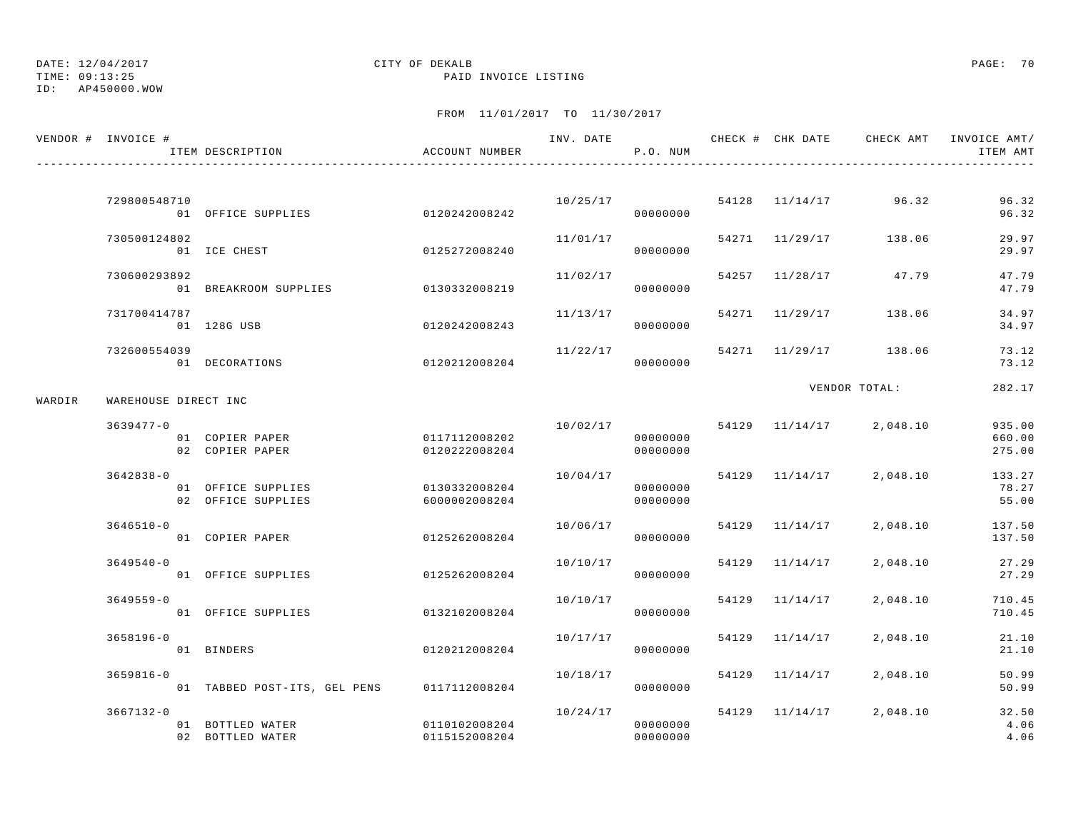TIME: 09:13:25 PAID INVOICE LISTING

ID: AP450000.WOW

|        | VENDOR # INVOICE #   | ITEM DESCRIPTION                           | ACCOUNT NUMBER                 |          | P.O. NUM                         |                         |                         | ITEM AMT                   |
|--------|----------------------|--------------------------------------------|--------------------------------|----------|----------------------------------|-------------------------|-------------------------|----------------------------|
|        |                      |                                            |                                |          |                                  |                         |                         |                            |
|        | 729800548710         | 01 OFFICE SUPPLIES                         | 0120242008242                  | 10/25/17 | 00000000                         |                         | 54128 11/14/17 96.32    | 96.32<br>96.32             |
|        | 730500124802         | 01 ICE CHEST                               | 0125272008240                  | 11/01/17 | 00000000                         |                         | 54271 11/29/17 138.06   | 29.97<br>29.97             |
|        | 730600293892         | 01 BREAKROOM SUPPLIES 0130332008219        |                                | 11/02/17 | 00000000                         |                         | 54257 11/28/17 47.79    | 47.79<br>47.79             |
|        | 731700414787         | 01 128G USB                                | 0120242008243                  | 11/13/17 | 00000000                         | 54271 11/29/17          | 138.06                  | 34.97<br>34.97             |
|        | 732600554039         | 01 DECORATIONS                             | 0120212008204                  | 11/22/17 | 00000000                         |                         | 54271 11/29/17 138.06   | 73.12<br>73.12             |
| WARDIR | WAREHOUSE DIRECT INC |                                            |                                |          |                                  |                         | VENDOR TOTAL:           | 282.17                     |
|        | $3639477 - 0$        | 01 COPIER PAPER<br>02 COPIER PAPER         | 0117112008202<br>0120222008204 |          | 00000000<br>00000000             | 10/02/17 54129 11/14/17 | 2,048.10                | 935.00<br>660.00<br>275.00 |
|        | $3642838 - 0$        | 01 OFFICE SUPPLIES<br>02 OFFICE SUPPLIES   | 0130332008204<br>6000002008204 | 10/04/17 | 00000000<br>00000000             |                         | 54129 11/14/17 2,048.10 | 133.27<br>78.27<br>55.00   |
|        | $3646510 - 0$        | 01 COPIER PAPER                            | 0125262008204                  | 10/06/17 | 00000000                         | 54129 11/14/17          | 2,048.10                | 137.50<br>137.50           |
|        | $3649540 - 0$        | 01 OFFICE SUPPLIES                         | 0125262008204                  | 10/10/17 | 00000000                         | 54129 11/14/17          | 2,048.10                | 27.29<br>27.29             |
|        | $3649559 - 0$        | 01 OFFICE SUPPLIES                         | 0132102008204                  | 10/10/17 | 00000000                         | 54129 11/14/17          | 2,048.10                | 710.45<br>710.45           |
|        | $3658196 - 0$        | 01 BINDERS                                 | 0120212008204                  | 10/17/17 | 00000000                         | 54129 11/14/17          | 2,048.10                | 21.10<br>21.10             |
|        | $3659816 - 0$        | 01 TABBED POST-ITS, GEL PENS 0117112008204 |                                | 10/18/17 | 00000000                         | 54129 11/14/17          | 2,048.10                | 50.99<br>50.99             |
|        | $3667132 - 0$        | 01 BOTTLED WATER<br>02 BOTTLED WATER       | 0110102008204<br>0115152008204 |          | 10/24/17<br>00000000<br>00000000 |                         | 54129 11/14/17 2,048.10 | 32.50<br>4.06<br>4.06      |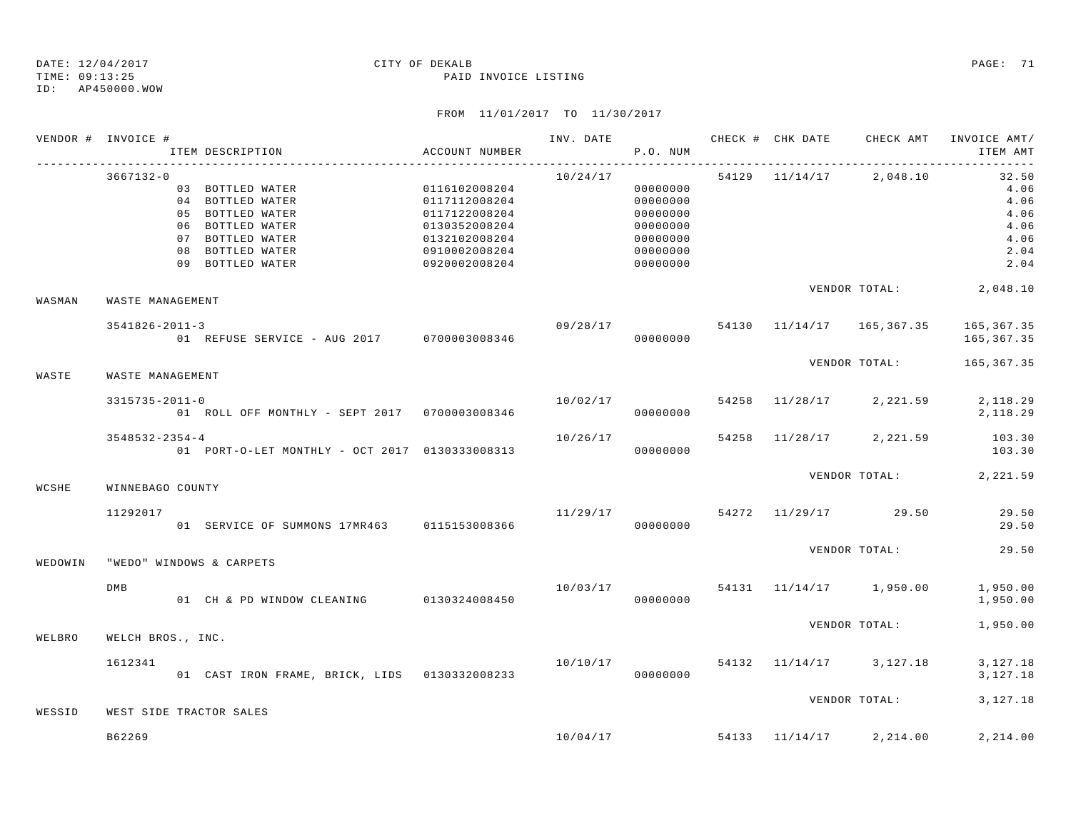ID: AP450000.WOW

| VENDOR # INVOICE # |                      |                                                                                          |                                               |          |                      |  | INV. DATE 6 CHECK # CHK DATE CHECK AMT          | INVOICE AMT/     |
|--------------------|----------------------|------------------------------------------------------------------------------------------|-----------------------------------------------|----------|----------------------|--|-------------------------------------------------|------------------|
|                    | $3667132 - 0$        |                                                                                          |                                               |          |                      |  | $10/24/17$ 54129 $11/14/17$ 2,048.10 32.50      |                  |
|                    |                      | 03 BOTTLED WATER 0116102008204                                                           |                                               |          | 00000000             |  |                                                 | 4.06             |
|                    |                      | 04 BOTTLED WATER                                                                         | 0117112008204                                 |          | 00000000             |  |                                                 | 4.06             |
|                    |                      | 05 BOTTLED WATER                                                                         | 0117122008204                                 |          | 00000000             |  |                                                 | 4.06             |
|                    |                      | 06 BOTTLED WATER                                                                         | 0130352008204                                 |          | 00000000             |  |                                                 | 4.06             |
|                    |                      | 07 BOTTLED WATER<br>08 BOTTLED WATER                                                     | 0132102008204<br>0910002008204                |          | 00000000             |  |                                                 | 4.06<br>2.04     |
|                    |                      | 09 BOTTLED WATER                                                                         | 0920002008204                                 |          | 00000000<br>00000000 |  |                                                 | 2.04             |
|                    |                      |                                                                                          |                                               |          |                      |  |                                                 |                  |
| WASMAN             | WASTE MANAGEMENT     |                                                                                          |                                               |          |                      |  | VENDOR TOTAL: 2,048.10                          |                  |
|                    | $3541826 - 2011 - 3$ |                                                                                          |                                               |          |                      |  | $09/28/17$ 54130 11/14/17 165,367.35 165,367.35 |                  |
|                    |                      | 01 REFUSE SERVICE - AUG 2017 0700003008346 0000000000                                    |                                               |          |                      |  |                                                 | 165,367.35       |
| WASTE              | WASTE MANAGEMENT     |                                                                                          |                                               |          |                      |  | VENDOR TOTAL: 165,367.35                        |                  |
|                    | $3315735 - 2011 - 0$ |                                                                                          |                                               |          |                      |  | $10/02/17$ 54258 $11/28/17$ 2, 221.59           | 2,118.29         |
|                    |                      |                                                                                          |                                               |          |                      |  |                                                 | 2,118.29         |
|                    | $3548532 - 2354 - 4$ | 01 PORT-O-LET MONTHLY - OCT 2017 0130333008313                                           |                                               | 10/26/17 | 00000000             |  | 54258 11/28/17 2,221.59                         | 103.30<br>103.30 |
|                    |                      |                                                                                          |                                               |          |                      |  |                                                 |                  |
| WCSHE              | WINNEBAGO COUNTY     |                                                                                          |                                               |          |                      |  | VENDOR TOTAL: 2,221.59                          |                  |
|                    | 11292017             |                                                                                          |                                               |          |                      |  | $11/29/17$ 54272 $11/29/17$ 29.50               | 29.50            |
|                    |                      | 01 SERVICE OF SUMMONS 17MR463 0115153008366                                              |                                               |          | 00000000             |  |                                                 | 29.50            |
|                    |                      |                                                                                          |                                               |          |                      |  | VENDOR TOTAL:                                   | 29.50            |
| WEDOWIN            |                      | "WEDO" WINDOWS & CARPETS                                                                 |                                               |          |                      |  |                                                 |                  |
|                    | DMB                  |                                                                                          | $10/03/17$ 54131 $11/14/17$ 1,950.00 1,950.00 |          |                      |  |                                                 | 1,950.00         |
|                    |                      |                                                                                          |                                               |          |                      |  | VENDOR TOTAL: 1,950.00                          |                  |
| WELBRO             | WELCH BROS., INC.    |                                                                                          |                                               |          |                      |  |                                                 |                  |
|                    | 1612341              | 01 CAST IRON FRAME, BRICK, LIDS 0130332008233 10/10/17 600000000 64132 11/14/17 3,127.18 |                                               |          |                      |  |                                                 | 3,127.18         |
|                    |                      |                                                                                          |                                               |          |                      |  |                                                 | 3,127.18         |
| WESSID             |                      | WEST SIDE TRACTOR SALES                                                                  |                                               |          |                      |  | VENDOR TOTAL:                                   | 3,127.18         |
|                    | B62269               |                                                                                          |                                               |          |                      |  | $10/04/17$ 54133 $11/14/17$ 2, 214.00           | 2,214.00         |
|                    |                      |                                                                                          |                                               |          |                      |  |                                                 |                  |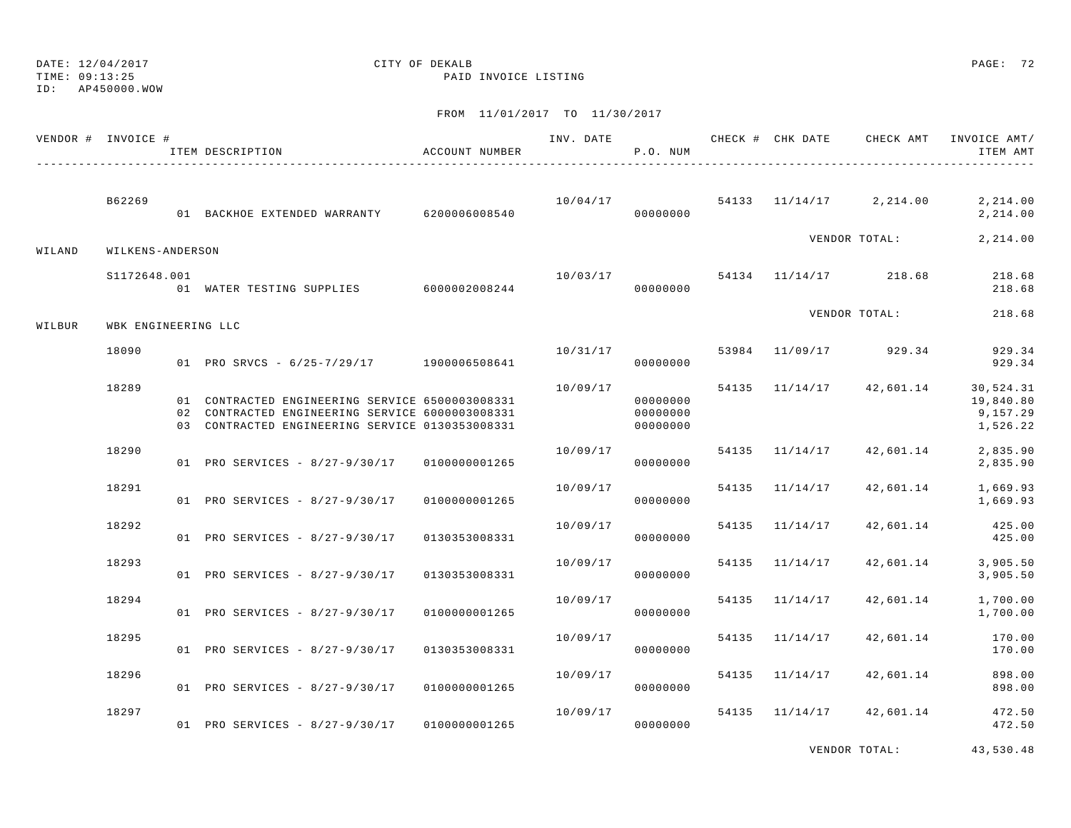TIME: 09:13:25 PAID INVOICE LISTING

ID: AP450000.WOW

## FROM 11/01/2017 TO 11/30/2017

|        | VENDOR # INVOICE #  | ITEM DESCRIPTION                                                                                                                                      | ACCOUNT NUMBER |          | P.O. NUM                         |                |                                      | INV. DATE 6 1999 CHECK # CHK DATE 6 CHECK AMT INVOICE AMT<br>ITEM AMT |
|--------|---------------------|-------------------------------------------------------------------------------------------------------------------------------------------------------|----------------|----------|----------------------------------|----------------|--------------------------------------|-----------------------------------------------------------------------|
|        | B62269              | 01 BACKHOE EXTENDED WARRANTY 6200006008540                                                                                                            |                |          | 00000000                         |                | $10/04/17$ 54133 $11/14/17$ 2,214.00 | 2,214.00<br>2,214.00                                                  |
| WILAND | WILKENS-ANDERSON    |                                                                                                                                                       |                |          |                                  |                | VENDOR TOTAL:                        | 2,214.00                                                              |
|        | S1172648.001        | 01 WATER TESTING SUPPLIES 6000002008244                                                                                                               |                | 10/03/17 | 00000000                         |                | 54134 11/14/17 218.68                | 218.68<br>218.68                                                      |
| WILBUR | WBK ENGINEERING LLC |                                                                                                                                                       |                |          |                                  |                | VENDOR TOTAL:                        | 218.68                                                                |
|        | 18090               | 01 PRO SRVCS - 6/25-7/29/17 1900006508641                                                                                                             |                | 10/31/17 | 00000000                         |                | 53984 11/09/17 929.34                | 929.34<br>929.34                                                      |
|        | 18289               | 01 CONTRACTED ENGINEERING SERVICE 6500003008331<br>02 CONTRACTED ENGINEERING SERVICE 6000003008331<br>03 CONTRACTED ENGINEERING SERVICE 0130353008331 |                | 10/09/17 | 00000000<br>00000000<br>00000000 |                | 54135 11/14/17 42,601.14             | 30,524.31<br>19,840.80<br>9,157.29<br>1,526.22                        |
|        | 18290               | 01 PRO SERVICES - 8/27-9/30/17 01000000001265                                                                                                         |                | 10/09/17 | 00000000                         | 54135 11/14/17 | 42,601.14                            | 2,835.90<br>2,835.90                                                  |
|        | 18291               | 01 PRO SERVICES - 8/27-9/30/17                                                                                                                        | 0100000001265  | 10/09/17 | 00000000                         | 54135 11/14/17 | 42,601.14                            | 1,669.93<br>1,669.93                                                  |
|        | 18292               | 01 PRO SERVICES - 8/27-9/30/17                                                                                                                        | 0130353008331  | 10/09/17 | 00000000                         | 54135 11/14/17 | 42,601.14                            | 425.00<br>425.00                                                      |
|        | 18293               | 01 PRO SERVICES - 8/27-9/30/17                                                                                                                        | 0130353008331  | 10/09/17 | 00000000                         | 54135 11/14/17 | 42,601.14                            | 3,905.50<br>3,905.50                                                  |
|        | 18294               | 01 PRO SERVICES - 8/27-9/30/17                                                                                                                        | 0100000001265  | 10/09/17 | 00000000                         | 54135 11/14/17 | 42,601.14                            | 1,700.00<br>1,700.00                                                  |
|        | 18295               | 01 PRO SERVICES - 8/27-9/30/17                                                                                                                        | 0130353008331  | 10/09/17 | 00000000                         | 54135 11/14/17 | 42,601.14                            | 170.00<br>170.00                                                      |
|        | 18296               | 01 PRO SERVICES - 8/27-9/30/17                                                                                                                        | 0100000001265  | 10/09/17 | 00000000                         | 54135 11/14/17 | 42,601.14                            | 898.00<br>898.00                                                      |
|        | 18297               | 01 PRO SERVICES - 8/27-9/30/17                                                                                                                        | 0100000001265  |          | 10/09/17<br>00000000             | 54135 11/14/17 | 42,601.14                            | 472.50<br>472.50                                                      |

VENDOR TOTAL: 43,530.48